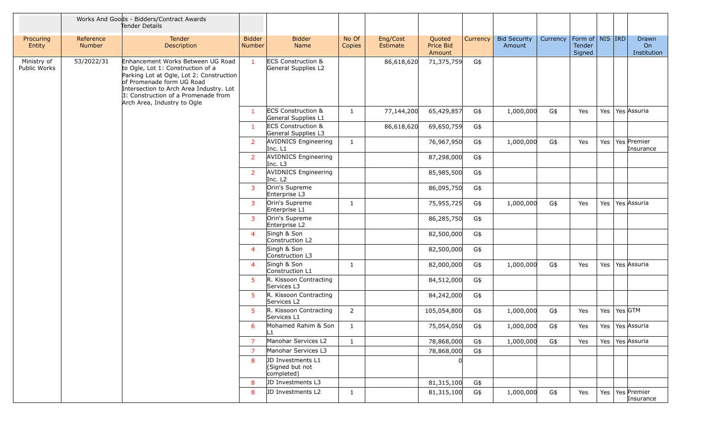|                             |                            | Works And Goods - Bidders/Contract Awards<br>Tender Details                                                                                                                                                                                                      |                         |                                                      |                 |                      |                               |          |                               |          |                                         |     |                                  |
|-----------------------------|----------------------------|------------------------------------------------------------------------------------------------------------------------------------------------------------------------------------------------------------------------------------------------------------------|-------------------------|------------------------------------------------------|-----------------|----------------------|-------------------------------|----------|-------------------------------|----------|-----------------------------------------|-----|----------------------------------|
| Procuring<br>Entity         | Reference<br><b>Number</b> | Tender<br>Description                                                                                                                                                                                                                                            | <b>Bidder</b><br>Number | <b>Bidder</b><br>Name                                | No Of<br>Copies | Eng/Cost<br>Estimate | Quoted<br>Price Bid<br>Amount | Currency | <b>Bid Security</b><br>Amount | Currency | Form of   NIS   IRD<br>Tender<br>Signed |     | Drawn<br>On<br>Institution       |
| Ministry of<br>Public Works | 53/2022/31                 | Enhancement Works Between UG Road<br>to Ogle, Lot 1: Construction of a<br>Parking Lot at Ogle, Lot 2: Construction<br>of Promenade form UG Road<br>Intersection to Arch Area Industry. Lot<br>3: Construction of a Promenade from<br>Arch Area, Industry to Ogle | $\mathbf{1}$            | <b>ECS Construction &amp;</b><br>General Supplies L2 |                 | 86,618,620           | 71,375,759                    | G\$      |                               |          |                                         |     |                                  |
|                             |                            |                                                                                                                                                                                                                                                                  | $\overline{1}$          | <b>ECS Construction &amp;</b><br>General Supplies L1 | $\mathbf{1}$    | 77,144,200           | 65,429,857                    | G\$      | 1,000,000                     | G\$      | Yes                                     | Yes | Yes Assuria                      |
|                             |                            |                                                                                                                                                                                                                                                                  | $\mathbf{1}$            | <b>ECS Construction &amp;</b><br>General Supplies L3 |                 | 86,618,620           | 69,650,759                    | G\$      |                               |          |                                         |     |                                  |
|                             |                            |                                                                                                                                                                                                                                                                  | $\overline{2}$          | <b>AVIDNICS Engineering</b><br>Inc. L1               | $\mathbf{1}$    |                      | 76,967,950                    | G\$      | 1,000,000                     | G\$      | Yes                                     | Yes | Yes Premier<br>Insurance         |
|                             |                            |                                                                                                                                                                                                                                                                  | $\overline{2}$          | <b>AVIDNICS Engineering</b><br>Inc. L3               |                 |                      | 87,298,000                    | G\$      |                               |          |                                         |     |                                  |
|                             |                            |                                                                                                                                                                                                                                                                  | $\overline{2}$          | <b>AVIDNICS Engineering</b><br>Inc. L <sub>2</sub>   |                 |                      | 85,985,500                    | G\$      |                               |          |                                         |     |                                  |
|                             |                            |                                                                                                                                                                                                                                                                  | $\overline{3}$          | Orin's Supreme<br>Enterprise L3                      |                 |                      | 86,095,750                    | G\$      |                               |          |                                         |     |                                  |
|                             |                            |                                                                                                                                                                                                                                                                  | $\mathbf{3}$            | Orin's Supreme<br>Enterprise L1                      | $\mathbf{1}$    |                      | 75,955,725                    | G\$      | 1,000,000                     | G\$      | Yes                                     | Yes | Yes Assuria                      |
|                             |                            |                                                                                                                                                                                                                                                                  | $\mathbf{3}$            | Orin's Supreme<br>Enterprise L2                      |                 |                      | 86,285,750                    | G\$      |                               |          |                                         |     |                                  |
|                             |                            |                                                                                                                                                                                                                                                                  | $\overline{a}$          | Singh & Son<br>Construction L2                       |                 |                      | 82,500,000                    | G\$      |                               |          |                                         |     |                                  |
|                             |                            |                                                                                                                                                                                                                                                                  | $\overline{4}$          | Singh & Son<br>Construction L3                       |                 |                      | 82,500,000                    | G\$      |                               |          |                                         |     |                                  |
|                             |                            |                                                                                                                                                                                                                                                                  | $\overline{a}$          | Singh & Son<br>Construction L1                       | $\mathbf{1}$    |                      | 82,000,000                    | G\$      | 1,000,000                     | G\$      | Yes                                     |     | Yes   Yes Assuria                |
|                             |                            |                                                                                                                                                                                                                                                                  | 5                       | R. Kissoon Contracting<br>Services L3                |                 |                      | 84,512,000                    | G\$      |                               |          |                                         |     |                                  |
|                             |                            |                                                                                                                                                                                                                                                                  | -5                      | R. Kissoon Contracting<br>Services L2                |                 |                      | 84,242,000                    | G\$      |                               |          |                                         |     |                                  |
|                             |                            |                                                                                                                                                                                                                                                                  | 5                       | R. Kissoon Contracting<br>Services L1                | $\overline{2}$  |                      | 105,054,800                   | G\$      | 1,000,000                     | G\$      | Yes                                     |     | Yes   Yes $GTM$                  |
|                             |                            |                                                                                                                                                                                                                                                                  | 6                       | Mohamed Rahim & Son<br>L1.                           | $\mathbf{1}$    |                      | 75,054,050                    | G\$      | 1,000,000                     | G\$      | Yes                                     |     | Yes   Yes   Assuria              |
|                             |                            |                                                                                                                                                                                                                                                                  | $\overline{7}$          | Manohar Services L2                                  | $\mathbf{1}$    |                      | 78,868,000                    | G\$      | 1,000,000                     | G\$      | Yes                                     |     | Yes   Yes   Assuria              |
|                             |                            |                                                                                                                                                                                                                                                                  | $\overline{7}$          | Manohar Services L3                                  |                 |                      | 78,868,000                    | G\$      |                               |          |                                         |     |                                  |
|                             |                            |                                                                                                                                                                                                                                                                  | 8                       | JD Investments L1<br>(Signed but not<br>completed)   |                 |                      |                               |          |                               |          |                                         |     |                                  |
|                             |                            |                                                                                                                                                                                                                                                                  | 8                       | JD Investments L3                                    |                 |                      | 81,315,100                    | G\$      |                               |          |                                         |     |                                  |
|                             |                            |                                                                                                                                                                                                                                                                  | 8                       | JD Investments L2                                    | $\mathbf{1}$    |                      | 81,315,100                    | G\$      | 1,000,000                     | G\$      | Yes                                     |     | Yes   Yes   Premier<br>Insurance |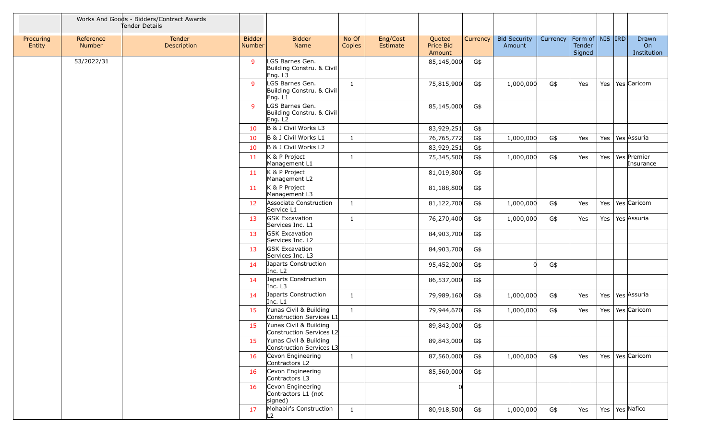|                     |                     | Works And Goods - Bidders/Contract Awards<br>Tender Details |                                |                                                         |                 |                      |                               |          |                               |          |                                         |     |                            |
|---------------------|---------------------|-------------------------------------------------------------|--------------------------------|---------------------------------------------------------|-----------------|----------------------|-------------------------------|----------|-------------------------------|----------|-----------------------------------------|-----|----------------------------|
| Procuring<br>Entity | Reference<br>Number | Tender<br>Description                                       | <b>Bidder</b><br><b>Number</b> | <b>Bidder</b><br>Name                                   | No Of<br>Copies | Eng/Cost<br>Estimate | Quoted<br>Price Bid<br>Amount | Currency | <b>Bid Security</b><br>Amount | Currency | Form of   NIS   IRD<br>Tender<br>Signed |     | Drawn<br>On<br>Institution |
|                     | 53/2022/31          |                                                             | 9                              | LGS Barnes Gen.<br>Building Constru. & Civil<br>Eng. L3 |                 |                      | 85,145,000                    | G\$      |                               |          |                                         |     |                            |
|                     |                     |                                                             | 9                              | LGS Barnes Gen.<br>Building Constru. & Civil<br>Eng. L1 | 1               |                      | 75,815,900                    | G\$      | 1,000,000                     | G\$      | Yes                                     | Yes | Yes Caricom                |
|                     |                     |                                                             | $\mathbf{q}$                   | LGS Barnes Gen.<br>Building Constru. & Civil<br>Eng. L2 |                 |                      | 85,145,000                    | G\$      |                               |          |                                         |     |                            |
|                     |                     |                                                             | 10                             | B & J Civil Works L3                                    |                 |                      | 83,929,251                    | G\$      |                               |          |                                         |     |                            |
|                     |                     |                                                             | 10                             | B & J Civil Works L1                                    | -1              |                      | 76,765,772                    | G\$      | 1,000,000                     | G\$      | Yes                                     | Yes | Yes Assuria                |
|                     |                     |                                                             | 10                             | B & J Civil Works L2                                    |                 |                      | 83,929,251                    | G\$      |                               |          |                                         |     |                            |
|                     |                     |                                                             | 11                             | K & P Project<br>Management L1                          | 1               |                      | 75,345,500                    | G\$      | 1,000,000                     | G\$      | Yes                                     | Yes | Yes Premier<br>Insurance   |
|                     |                     |                                                             | 11                             | K & P Project<br>Management L2                          |                 |                      | 81,019,800                    | G\$      |                               |          |                                         |     |                            |
|                     |                     |                                                             | 11                             | K & P Project<br>Management L3                          |                 |                      | 81,188,800                    | G\$      |                               |          |                                         |     |                            |
|                     |                     |                                                             | 12                             | Associate Construction<br>Service L1                    | 1               |                      | 81,122,700                    | G\$      | 1,000,000                     | G\$      | Yes                                     | Yes | Yes Caricom                |
|                     |                     |                                                             | 13                             | <b>GSK Excavation</b><br>Services Inc. L1               | 1               |                      | 76,270,400                    | G\$      | 1,000,000                     | G\$      | Yes                                     | Yes | Yes Assuria                |
|                     |                     |                                                             | 13                             | <b>GSK Excavation</b><br>Services Inc. L2               |                 |                      | 84,903,700                    | G\$      |                               |          |                                         |     |                            |
|                     |                     |                                                             | 13                             | <b>GSK Excavation</b><br>Services Inc. L3               |                 |                      | 84,903,700                    | G\$      |                               |          |                                         |     |                            |
|                     |                     |                                                             | 14                             | Japarts Construction<br>Inc. L <sub>2</sub>             |                 |                      | 95,452,000                    | G\$      | $\Omega$                      | G\$      |                                         |     |                            |
|                     |                     |                                                             | 14                             | Japarts Construction<br>Inc. L3                         |                 |                      | 86,537,000                    | G\$      |                               |          |                                         |     |                            |
|                     |                     |                                                             | 14                             | Japarts Construction<br>Inc. L1                         | $\mathbf{1}$    |                      | 79,989,160                    | G\$      | 1,000,000                     | G\$      | Yes                                     | Yes | Yes Assuria                |
|                     |                     |                                                             | 15                             | Yunas Civil & Building<br>Construction Services L1      | 1               |                      | 79,944,670                    | G\$      | 1,000,000                     | G\$      | Yes                                     | Yes | Yes Caricom                |
|                     |                     |                                                             | 15                             | Yunas Civil & Building<br>Construction Services L2      |                 |                      | 89,843,000                    | G\$      |                               |          |                                         |     |                            |
|                     |                     |                                                             | 15                             | Yunas Civil & Building<br>Construction Services L3      |                 |                      | 89,843,000                    | G\$      |                               |          |                                         |     |                            |
|                     |                     |                                                             | 16                             | Cevon Engineering<br>Contractors L2                     | $\mathbf{1}$    |                      | 87,560,000                    | G\$      | 1,000,000                     | G\$      | Yes                                     |     | Yes   Yes   Caricom        |
|                     |                     |                                                             | 16                             | Cevon Engineering<br>Contractors L3                     |                 |                      | 85,560,000                    | G\$      |                               |          |                                         |     |                            |
|                     |                     |                                                             | 16                             | Cevon Engineering<br>Contractors L1 (not<br>signed)     |                 |                      |                               |          |                               |          |                                         |     |                            |
|                     |                     |                                                             | 17                             | Mohabir's Construction<br>L <sub>2</sub>                | $\mathbf{1}$    |                      | 80,918,500                    | G\$      | 1,000,000                     | $G\$     | Yes                                     |     | Yes   Yes   Nafico         |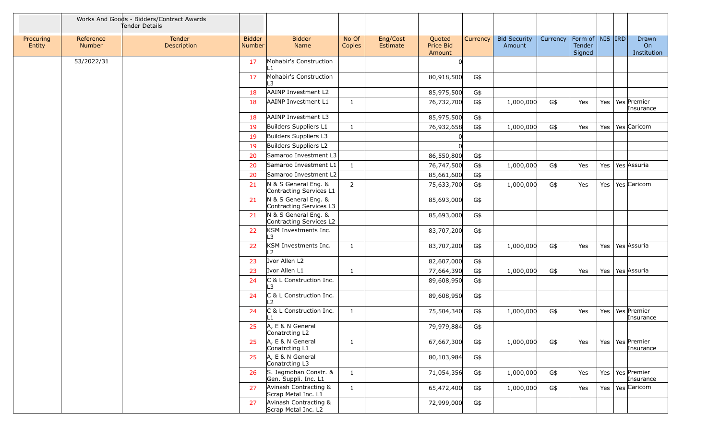|                     |                     | Works And Goods - Bidders/Contract Awards<br>Tender Details |                                |                                                 |                 |                      |                               |          |                               |          |                                         |     |                                  |
|---------------------|---------------------|-------------------------------------------------------------|--------------------------------|-------------------------------------------------|-----------------|----------------------|-------------------------------|----------|-------------------------------|----------|-----------------------------------------|-----|----------------------------------|
| Procuring<br>Entity | Reference<br>Number | Tender<br>Description                                       | <b>Bidder</b><br><b>Number</b> | <b>Bidder</b><br>Name                           | No Of<br>Copies | Eng/Cost<br>Estimate | Quoted<br>Price Bid<br>Amount | Currency | <b>Bid Security</b><br>Amount | Currency | Form of   NIS   IRD<br>Tender<br>Signed |     | Drawn<br>On<br>Institution       |
|                     | 53/2022/31          |                                                             | 17                             | Mohabir's Construction<br>l 1                   |                 |                      |                               |          |                               |          |                                         |     |                                  |
|                     |                     |                                                             | 17                             | Mohabir's Construction<br>L3                    |                 |                      | 80,918,500                    | G\$      |                               |          |                                         |     |                                  |
|                     |                     |                                                             | 18                             | AAINP Investment L2                             |                 |                      | 85,975,500                    | G\$      |                               |          |                                         |     |                                  |
|                     |                     |                                                             | 18                             | AAINP Investment L1                             | -1              |                      | 76,732,700                    | G\$      | 1,000,000                     | G\$      | Yes                                     | Yes | Yes Premier<br>Insurance         |
|                     |                     |                                                             | 18                             | AAINP Investment L3                             |                 |                      | 85,975,500                    | G\$      |                               |          |                                         |     |                                  |
|                     |                     |                                                             | 19                             | Builders Suppliers L1                           | $\mathbf{1}$    |                      | 76,932,658                    | G\$      | 1,000,000                     | G\$      | Yes                                     | Yes | Yes Caricom                      |
|                     |                     |                                                             | 19                             | Builders Suppliers L3                           |                 |                      |                               |          |                               |          |                                         |     |                                  |
|                     |                     |                                                             | 19                             | Builders Suppliers L2                           |                 |                      |                               |          |                               |          |                                         |     |                                  |
|                     |                     |                                                             | 20                             | Samaroo Investment L3                           |                 |                      | 86,550,800                    | G\$      |                               |          |                                         |     |                                  |
|                     |                     |                                                             | 20                             | Samaroo Investment L1                           | $\mathbf{1}$    |                      | 76,747,500                    | G\$      | 1,000,000                     | G\$      | Yes                                     | Yes | Yes Assuria                      |
|                     |                     |                                                             | 20                             | Samaroo Investment L2                           |                 |                      | 85,661,600                    | G\$      |                               |          |                                         |     |                                  |
|                     |                     |                                                             | 21                             | N & S General Eng. &<br>Contracting Services L1 | $\overline{2}$  |                      | 75,633,700                    | G\$      | 1,000,000                     | G\$      | Yes                                     | Yes | Yes Caricom                      |
|                     |                     |                                                             | 21                             | N & S General Eng. &<br>Contracting Services L3 |                 |                      | 85,693,000                    | G\$      |                               |          |                                         |     |                                  |
|                     |                     |                                                             | 21                             | N & S General Eng. &<br>Contracting Services L2 |                 |                      | 85,693,000                    | G\$      |                               |          |                                         |     |                                  |
|                     |                     |                                                             | 22                             | KSM Investments Inc.<br>L3                      |                 |                      | 83,707,200                    | G\$      |                               |          |                                         |     |                                  |
|                     |                     |                                                             | 22                             | KSM Investments Inc.<br>L <sub>2</sub>          | 1               |                      | 83,707,200                    | G\$      | 1,000,000                     | G\$      | Yes                                     | Yes | Yes Assuria                      |
|                     |                     |                                                             | 23                             | Ivor Allen L2                                   |                 |                      | 82,607,000                    | G\$      |                               |          |                                         |     |                                  |
|                     |                     |                                                             | 23                             | Ivor Allen L1                                   | $\mathbf{1}$    |                      | 77,664,390                    | G\$      | 1,000,000                     | G\$      | Yes                                     | Yes | Yes Assuria                      |
|                     |                     |                                                             | 24                             | C & L Construction Inc.<br>L3                   |                 |                      | 89,608,950                    | G\$      |                               |          |                                         |     |                                  |
|                     |                     |                                                             | 24                             | C & L Construction Inc.<br>L2                   |                 |                      | 89,608,950                    | G\$      |                               |          |                                         |     |                                  |
|                     |                     |                                                             | 24                             | C & L Construction Inc.                         | $\mathbf{1}$    |                      | 75,504,340                    | G\$      | 1,000,000                     | G\$      | Yes                                     | Yes | Yes Premier<br>Insurance         |
|                     |                     |                                                             | 25                             | A, E & N General<br>Conatrcting L2              |                 |                      | 79,979,884                    | G\$      |                               |          |                                         |     |                                  |
|                     |                     |                                                             | 25                             | A, E & N General<br>Conatrcting L1              | 1               |                      | 67,667,300                    | G\$      | 1,000,000                     | G\$      | Yes                                     |     | Yes   Yes   Premier<br>Insurance |
|                     |                     |                                                             | 25                             | A, E & N General<br>Conatrcting L3              |                 |                      | 80,103,984                    | G\$      |                               |          |                                         |     |                                  |
|                     |                     |                                                             | 26                             | S. Jagmohan Constr. &<br>Gen. Suppli. Inc. L1   | 1               |                      | 71,054,356                    | G\$      | 1,000,000                     | G\$      | Yes                                     | Yes | Yes Premier<br>Insurance         |
|                     |                     |                                                             | 27                             | Avinash Contracting &<br>Scrap Metal Inc. L1    | $\mathbf{1}$    |                      | 65,472,400                    | G\$      | 1,000,000                     | G\$      | Yes                                     | Yes | Yes Caricom                      |
|                     |                     |                                                             | 27                             | Avinash Contracting &<br>Scrap Metal Inc. L2    |                 |                      | 72,999,000                    | G\$      |                               |          |                                         |     |                                  |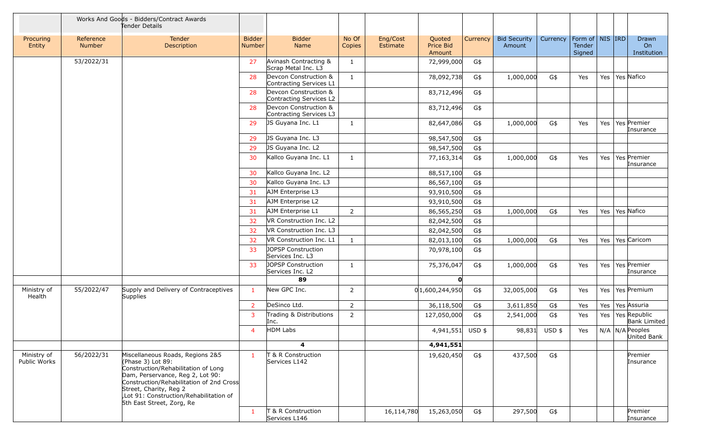|                             |                     | Works And Goods - Bidders/Contract Awards<br>Tender Details                                                                                                                                                                                                                   |                                |                                                  |                 |                      |                               |          |                               |               |                                                     |     |                                        |
|-----------------------------|---------------------|-------------------------------------------------------------------------------------------------------------------------------------------------------------------------------------------------------------------------------------------------------------------------------|--------------------------------|--------------------------------------------------|-----------------|----------------------|-------------------------------|----------|-------------------------------|---------------|-----------------------------------------------------|-----|----------------------------------------|
| Procuring<br>Entity         | Reference<br>Number | <b>Tender</b><br>Description                                                                                                                                                                                                                                                  | <b>Bidder</b><br><b>Number</b> | <b>Bidder</b><br>Name                            | No Of<br>Copies | Eng/Cost<br>Estimate | Quoted<br>Price Bid<br>Amount | Currency | <b>Bid Security</b><br>Amount | Currency      | Form of $\vert$ NIS $\vert$ IRD<br>Tender<br>Signed |     | Drawn<br>On<br>Institution             |
|                             | 53/2022/31          |                                                                                                                                                                                                                                                                               | 27                             | Avinash Contracting &<br>Scrap Metal Inc. L3     | 1               |                      | 72,999,000                    | G\$      |                               |               |                                                     |     |                                        |
|                             |                     |                                                                                                                                                                                                                                                                               | 28                             | Devcon Construction &<br>Contracting Services L1 | 1               |                      | 78,092,738                    | G\$      | 1,000,000                     | G\$           | Yes                                                 | Yes | Yes Nafico                             |
|                             |                     |                                                                                                                                                                                                                                                                               | 28                             | Devcon Construction &<br>Contracting Services L2 |                 |                      | 83,712,496                    | G\$      |                               |               |                                                     |     |                                        |
|                             |                     |                                                                                                                                                                                                                                                                               | 28                             | Devcon Construction &<br>Contracting Services L3 |                 |                      | 83,712,496                    | G\$      |                               |               |                                                     |     |                                        |
|                             |                     |                                                                                                                                                                                                                                                                               | 29                             | JS Guyana Inc. L1                                | $\mathbf{1}$    |                      | 82,647,086                    | G\$      | 1,000,000                     | G\$           | Yes                                                 | Yes | Yes Premier<br>Insurance               |
|                             |                     |                                                                                                                                                                                                                                                                               | 29                             | JS Guyana Inc. L3                                |                 |                      | 98,547,500                    | G\$      |                               |               |                                                     |     |                                        |
|                             |                     |                                                                                                                                                                                                                                                                               | 29                             | JS Guyana Inc. L2                                |                 |                      | 98,547,500                    | G\$      |                               |               |                                                     |     |                                        |
|                             |                     |                                                                                                                                                                                                                                                                               | 30                             | Kallco Guyana Inc. L1                            | 1               |                      | 77,163,314                    | G\$      | 1,000,000                     | G\$           | Yes                                                 | Yes | Yes Premier<br>Insurance               |
|                             |                     |                                                                                                                                                                                                                                                                               | 30                             | Kallco Guyana Inc. L2                            |                 |                      | 88,517,100                    | G\$      |                               |               |                                                     |     |                                        |
|                             |                     |                                                                                                                                                                                                                                                                               | 30                             | Kallco Guyana Inc. L3                            |                 |                      | 86,567,100                    | G\$      |                               |               |                                                     |     |                                        |
|                             |                     |                                                                                                                                                                                                                                                                               | 31                             | AJM Enterprise L3                                |                 |                      | 93,910,500                    | G\$      |                               |               |                                                     |     |                                        |
|                             |                     |                                                                                                                                                                                                                                                                               | 31                             | AJM Enterprise L2                                |                 |                      | 93,910,500                    | G\$      |                               |               |                                                     |     |                                        |
|                             |                     |                                                                                                                                                                                                                                                                               | 31                             | AJM Enterprise L1                                | 2               |                      | 86,565,250                    | G\$      | 1,000,000                     | G\$           | Yes                                                 | Yes | Yes Nafico                             |
|                             |                     |                                                                                                                                                                                                                                                                               | 32                             | VR Construction Inc. L2                          |                 |                      | 82,042,500                    | G\$      |                               |               |                                                     |     |                                        |
|                             |                     |                                                                                                                                                                                                                                                                               | 32                             | VR Construction Inc. L3                          |                 |                      | 82,042,500                    | G\$      |                               |               |                                                     |     |                                        |
|                             |                     |                                                                                                                                                                                                                                                                               | 32                             | VR Construction Inc. L1                          | 1               |                      | 82,013,100                    | G\$      | 1,000,000                     | G\$           | Yes                                                 | Yes | Yes Caricom                            |
|                             |                     |                                                                                                                                                                                                                                                                               | 33                             | <b>JOPSP Construction</b><br>Services Inc. L3    |                 |                      | 70,978,100                    | G\$      |                               |               |                                                     |     |                                        |
|                             |                     |                                                                                                                                                                                                                                                                               | 33                             | JOPSP Construction<br>Services Inc. L2           | 1               |                      | 75,376,047                    | G\$      | 1,000,000                     | G\$           | Yes                                                 | Yes | Yes Premier<br>Insurance               |
|                             |                     |                                                                                                                                                                                                                                                                               |                                | 89                                               |                 |                      | O                             |          |                               |               |                                                     |     |                                        |
| Ministry of<br>Health       | 55/2022/47          | Supply and Delivery of Contraceptives<br>Supplies                                                                                                                                                                                                                             | $\mathbf{1}$                   | New GPC Inc.                                     | 2               |                      | 0 1,600,244,950               | G\$      | 32,005,000                    | G\$           | Yes                                                 | Yes | Yes Premium                            |
|                             |                     |                                                                                                                                                                                                                                                                               | $\overline{2}$                 | DeSinco Ltd.                                     | $\overline{2}$  |                      | 36,118,500                    | G\$      | 3,611,850                     | G\$           | Yes                                                 | Yes | Yes Assuria                            |
|                             |                     |                                                                                                                                                                                                                                                                               | 3                              | Trading & Distributions<br>Inc.                  | $\overline{2}$  |                      | 127,050,000                   | G\$      | 2,541,000                     | G\$           | Yes                                                 | Yes | Yes Republic<br><b>Bank Limited</b>    |
|                             |                     |                                                                                                                                                                                                                                                                               | $\overline{4}$                 | HDM Labs                                         |                 |                      | 4,941,551 USD \$              |          |                               | 98,831 USD \$ | Yes                                                 |     | $N/A$   $N/A$   Peoples<br>United Bank |
|                             |                     |                                                                                                                                                                                                                                                                               |                                | 4                                                |                 |                      | 4,941,551                     |          |                               |               |                                                     |     |                                        |
| Ministry of<br>Public Works | 56/2022/31          | Miscellaneous Roads, Regions 2&5<br>(Phase 3) Lot 89:<br>Construction/Rehabilitation of Long<br>Dam, Perservance, Reg 2, Lot 90:<br>Construction/Rehabilitation of 2nd Cross<br>Street, Charity, Reg 2<br>Lot 91: Construction/Rehabilitation of<br>5th East Street, Zorg, Re | $\mathbf{1}$                   | T & R Construction<br>Services L142              |                 |                      | 19,620,450                    | G\$      | 437,500                       | G\$           |                                                     |     | Premier<br>Insurance                   |
|                             |                     |                                                                                                                                                                                                                                                                               | 1                              | T & R Construction<br>Services L146              |                 | 16,114,780           | 15,263,050                    | G\$      | 297,500                       | G\$           |                                                     |     | Premier<br>Insurance                   |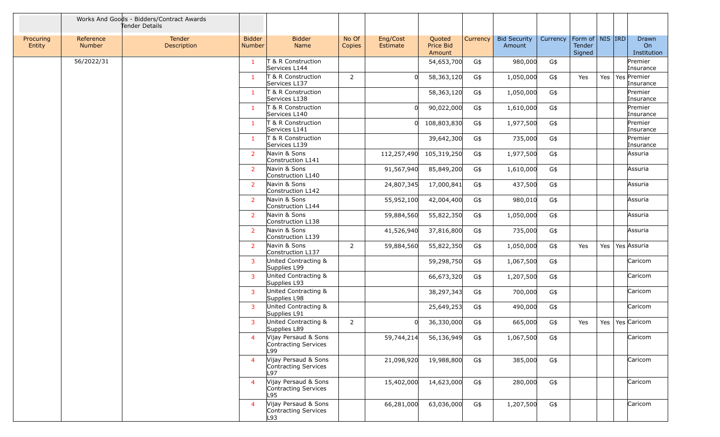|                     |                            | Works And Goods - Bidders/Contract Awards<br>Tender Details |                                |                                                     |                 |                      |                                      |                 |                               |          |                                         |     |                            |
|---------------------|----------------------------|-------------------------------------------------------------|--------------------------------|-----------------------------------------------------|-----------------|----------------------|--------------------------------------|-----------------|-------------------------------|----------|-----------------------------------------|-----|----------------------------|
| Procuring<br>Entity | Reference<br><b>Number</b> | Tender<br>Description                                       | <b>Bidder</b><br><b>Number</b> | <b>Bidder</b><br>Name                               | No Of<br>Copies | Eng/Cost<br>Estimate | Quoted<br><b>Price Bid</b><br>Amount | <b>Currency</b> | <b>Bid Security</b><br>Amount | Currency | Form of   NIS   IRD<br>Tender<br>Signed |     | Drawn<br>On<br>Institution |
|                     | 56/2022/31                 |                                                             | $\mathbf{1}$                   | <b>T &amp; R Construction</b><br>Services L144      |                 |                      | 54,653,700                           | G\$             | 980,000                       | G\$      |                                         |     | Premier<br>Insurance       |
|                     |                            |                                                             | 1                              | <b>8 R Construction</b><br>Services L137            | $\overline{2}$  |                      | 58,363,120                           | G\$             | 1,050,000                     | G\$      | Yes                                     | Yes | Yes Premier<br>Insurance   |
|                     |                            |                                                             | 1                              | T & R Construction<br>Services L138                 |                 |                      | 58,363,120                           | G\$             | 1,050,000                     | G\$      |                                         |     | Premier<br>Insurance       |
|                     |                            |                                                             | 1                              | T & R Construction<br>Services L140                 |                 |                      | 90,022,000                           | G\$             | 1,610,000                     | G\$      |                                         |     | Premier<br>Insurance       |
|                     |                            |                                                             | $\mathbf{1}$                   | T & R Construction<br>Services L141                 |                 |                      | 108,803,830                          | G\$             | 1,977,500                     | G\$      |                                         |     | Premier<br>Insurance       |
|                     |                            |                                                             | $\mathbf{1}$                   | T & R Construction<br>Services L139                 |                 |                      | 39,642,300                           | G\$             | 735,000                       | G\$      |                                         |     | Premier<br>Insurance       |
|                     |                            |                                                             | $\overline{2}$                 | Navin & Sons<br>Construction L141                   |                 | 112,257,490          | 105,319,250                          | G\$             | 1,977,500                     | G\$      |                                         |     | Assuria                    |
|                     |                            |                                                             | $\overline{2}$                 | Navin & Sons<br>Construction L140                   |                 | 91,567,940           | 85,849,200                           | G\$             | 1,610,000                     | G\$      |                                         |     | Assuria                    |
|                     |                            |                                                             | $\overline{2}$                 | Navin & Sons<br>Construction L142                   |                 | 24,807,345           | 17,000,841                           | G\$             | 437,500                       | G\$      |                                         |     | Assuria                    |
|                     |                            |                                                             | $\overline{2}$                 | Navin & Sons<br>Construction L144                   |                 | 55,952,100           | 42,004,400                           | G\$             | 980,010                       | G\$      |                                         |     | Assuria                    |
|                     |                            |                                                             | $\overline{2}$                 | Navin & Sons<br>Construction L138                   |                 | 59,884,560           | 55,822,350                           | G\$             | 1,050,000                     | G\$      |                                         |     | Assuria                    |
|                     |                            |                                                             | $\overline{2}$                 | Navin & Sons<br>Construction L139                   |                 | 41,526,940           | 37,816,800                           | G\$             | 735,000                       | G\$      |                                         |     | Assuria                    |
|                     |                            |                                                             | $\overline{2}$                 | Navin & Sons<br>Construction L137                   | $\overline{2}$  | 59,884,560           | 55,822,350                           | G\$             | 1,050,000                     | G\$      | Yes                                     | Yes | Yes Assuria                |
|                     |                            |                                                             | 3                              | United Contracting &<br>Supplies L99                |                 |                      | 59,298,750                           | G\$             | 1,067,500                     | G\$      |                                         |     | Caricom                    |
|                     |                            |                                                             | 3                              | United Contracting &<br>Supplies L93                |                 |                      | 66,673,320                           | G\$             | 1,207,500                     | G\$      |                                         |     | Caricom                    |
|                     |                            |                                                             | 3                              | United Contracting &<br>Supplies L98                |                 |                      | 38,297,343                           | G\$             | 700,000                       | G\$      |                                         |     | Caricom                    |
|                     |                            |                                                             | 3                              | United Contracting &<br>Supplies L91                |                 |                      | 25,649,253                           | G\$             | 490,000                       | G\$      |                                         |     | Caricom                    |
|                     |                            |                                                             | 3                              | United Contracting &<br>Supplies L89                | $\overline{2}$  |                      | 36,330,000                           | G\$             | 665,000                       | G\$      | Yes                                     | Yes | Yes Caricom                |
|                     |                            |                                                             | $\overline{4}$                 | Vijay Persaud & Sons<br>Contracting Services<br>L99 |                 | 59,744,214           | 56,136,949                           | G\$             | 1,067,500                     | G\$      |                                         |     | Caricom                    |
|                     |                            |                                                             | $\overline{4}$                 | Vijay Persaud & Sons<br>Contracting Services<br>L97 |                 | 21,098,920           | 19,988,800                           | G\$             | 385,000                       | G\$      |                                         |     | Caricom                    |
|                     |                            |                                                             | $\overline{4}$                 | Vijay Persaud & Sons<br>Contracting Services<br>L95 |                 | 15,402,000           | 14,623,000                           | G\$             | 280,000                       | G\$      |                                         |     | Caricom                    |
|                     |                            |                                                             | $\overline{4}$                 | Vijay Persaud & Sons<br>Contracting Services<br>L93 |                 | 66,281,000           | 63,036,000                           | G\$             | 1,207,500                     | G\$      |                                         |     | Caricom                    |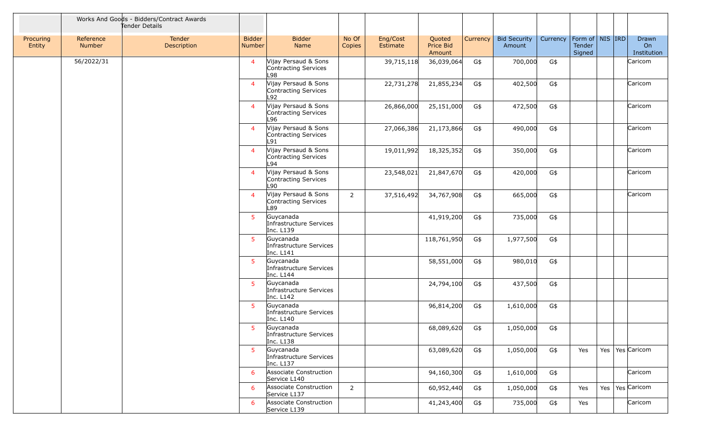|                     |                            | Works And Goods - Bidders/Contract Awards<br>Tender Details |                                |                                                     |                 |                      |                               |          |                               |          |                                         |  |                            |
|---------------------|----------------------------|-------------------------------------------------------------|--------------------------------|-----------------------------------------------------|-----------------|----------------------|-------------------------------|----------|-------------------------------|----------|-----------------------------------------|--|----------------------------|
| Procuring<br>Entity | Reference<br><b>Number</b> | Tender<br>Description                                       | <b>Bidder</b><br><b>Number</b> | <b>Bidder</b><br>Name                               | No Of<br>Copies | Eng/Cost<br>Estimate | Quoted<br>Price Bid<br>Amount | Currency | <b>Bid Security</b><br>Amount | Currency | Form of   NIS   IRD<br>Tender<br>Signed |  | Drawn<br>On<br>Institution |
|                     | 56/2022/31                 |                                                             | $\overline{4}$                 | Vijay Persaud & Sons<br>Contracting Services<br>L98 |                 | 39,715,118           | 36,039,064                    | G\$      | 700,000                       | G\$      |                                         |  | Caricom                    |
|                     |                            |                                                             | $\overline{4}$                 | Vijay Persaud & Sons<br>Contracting Services<br>L92 |                 | 22,731,278           | 21,855,234                    | G\$      | 402,500                       | G\$      |                                         |  | Caricom                    |
|                     |                            |                                                             | $\overline{4}$                 | Vijay Persaud & Sons<br>Contracting Services<br>L96 |                 | 26,866,000           | 25,151,000                    | G\$      | 472,500                       | G\$      |                                         |  | Caricom                    |
|                     |                            |                                                             | $\overline{4}$                 | Vijay Persaud & Sons<br>Contracting Services<br>L91 |                 | 27,066,386           | 21,173,866                    | G\$      | 490,000                       | G\$      |                                         |  | Caricom                    |
|                     |                            |                                                             | $\overline{4}$                 | Vijay Persaud & Sons<br>Contracting Services<br>L94 |                 | 19,011,992           | 18,325,352                    | G\$      | 350,000                       | G\$      |                                         |  | Caricom                    |
|                     |                            |                                                             | $\overline{4}$                 | Vijay Persaud & Sons<br>Contracting Services<br>L90 |                 | 23,548,021           | 21,847,670                    | G\$      | 420,000                       | G\$      |                                         |  | Caricom                    |
|                     |                            |                                                             | $\overline{4}$                 | Vijay Persaud & Sons<br>Contracting Services<br>L89 | $\overline{2}$  | 37,516,492           | 34,767,908                    | G\$      | 665,000                       | G\$      |                                         |  | Caricom                    |
|                     |                            |                                                             | 5                              | Guycanada<br>Infrastructure Services<br>Inc. L139   |                 |                      | 41,919,200                    | G\$      | 735,000                       | G\$      |                                         |  |                            |
|                     |                            |                                                             | 5                              | Guycanada<br>Infrastructure Services<br>Inc. L141   |                 |                      | 118,761,950                   | G\$      | 1,977,500                     | G\$      |                                         |  |                            |
|                     |                            |                                                             | 5                              | Guycanada<br>Infrastructure Services<br>Inc. L144   |                 |                      | 58,551,000                    | G\$      | 980,010                       | G\$      |                                         |  |                            |
|                     |                            |                                                             | 5                              | Guycanada<br>Infrastructure Services<br>Inc. L142   |                 |                      | 24,794,100                    | G\$      | 437,500                       | G\$      |                                         |  |                            |
|                     |                            |                                                             | 5                              | Guycanada<br>Infrastructure Services<br>Inc. L140   |                 |                      | 96,814,200                    | G\$      | 1,610,000                     | G\$      |                                         |  |                            |
|                     |                            |                                                             | 5                              | Guycanada<br>Infrastructure Services<br>Inc. L138   |                 |                      | 68,089,620                    | G\$      | 1,050,000                     | G\$      |                                         |  |                            |
|                     |                            |                                                             | 5                              | Guycanada<br>Infrastructure Services<br>Inc. L137   |                 |                      | 63,089,620                    | G\$      | 1,050,000                     | G\$      | Yes                                     |  | Yes   Yes   Caricom        |
|                     |                            |                                                             | 6                              | Associate Construction<br>Service L140              |                 |                      | 94,160,300                    | G\$      | 1,610,000                     | G\$      |                                         |  | Caricom                    |
|                     |                            |                                                             | 6                              | Associate Construction<br>Service L137              | $\overline{2}$  |                      | 60,952,440                    | G\$      | 1,050,000                     | G\$      | Yes                                     |  | Yes   Yes   Caricom        |
|                     |                            |                                                             | 6                              | Associate Construction<br>Service L139              |                 |                      | 41,243,400                    | G\$      | 735,000                       | G\$      | Yes                                     |  | Caricom                    |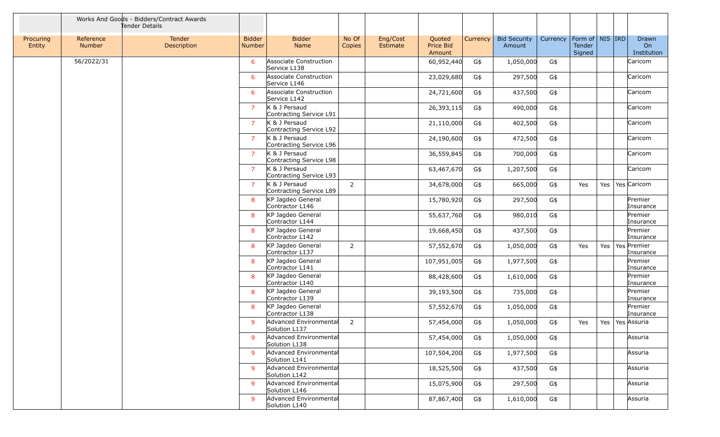|                     |                            | Works And Goods - Bidders/Contract Awards<br>Tender Details |                         |                                          |                 |                      |                               |          |                               |          |                                         |     |                                   |
|---------------------|----------------------------|-------------------------------------------------------------|-------------------------|------------------------------------------|-----------------|----------------------|-------------------------------|----------|-------------------------------|----------|-----------------------------------------|-----|-----------------------------------|
| Procuring<br>Entity | Reference<br><b>Number</b> | Tender<br>Description                                       | <b>Bidder</b><br>Number | <b>Bidder</b><br>Name                    | No Of<br>Copies | Eng/Cost<br>Estimate | Quoted<br>Price Bid<br>Amount | Currency | <b>Bid Security</b><br>Amount | Currency | Form of   NIS   IRD<br>Tender<br>Signed |     | <b>Drawn</b><br>On<br>Institution |
|                     | 56/2022/31                 |                                                             | 6                       | Associate Construction<br>Service L138   |                 |                      | 60,952,440                    | G\$      | 1,050,000                     | G\$      |                                         |     | Caricom                           |
|                     |                            |                                                             | 6                       | Associate Construction<br>Service L146   |                 |                      | 23,029,680                    | G\$      | 297,500                       | G\$      |                                         |     | Caricom                           |
|                     |                            |                                                             | 6                       | Associate Construction<br>Service L142   |                 |                      | 24,721,600                    | G\$      | 437,500                       | G\$      |                                         |     | Caricom                           |
|                     |                            |                                                             | $\overline{7}$          | K & J Persaud<br>Contracting Service L91 |                 |                      | 26,393,115                    | G\$      | 490,000                       | G\$      |                                         |     | Caricom                           |
|                     |                            |                                                             | $\overline{7}$          | K & J Persaud<br>Contracting Service L92 |                 |                      | 21,110,000                    | G\$      | 402,500                       | G\$      |                                         |     | Caricom                           |
|                     |                            |                                                             | $\overline{7}$          | K & J Persaud<br>Contracting Service L96 |                 |                      | 24,190,600                    | G\$      | 472,500                       | G\$      |                                         |     | Caricom                           |
|                     |                            |                                                             | $\overline{7}$          | K & J Persaud<br>Contracting Service L98 |                 |                      | 36,559,845                    | G\$      | 700,000                       | G\$      |                                         |     | Caricom                           |
|                     |                            |                                                             | $\overline{7}$          | K & J Persaud<br>Contracting Service L93 |                 |                      | 63,467,670                    | G\$      | 1,207,500                     | G\$      |                                         |     | Caricom                           |
|                     |                            |                                                             | $\overline{7}$          | K & J Persaud<br>Contracting Service L89 | $\overline{2}$  |                      | 34,678,000                    | G\$      | 665,000                       | G\$      | Yes                                     | Yes | Yes Caricom                       |
|                     |                            |                                                             | 8                       | KP Jagdeo General<br>Contractor L146     |                 |                      | 15,780,920                    | G\$      | 297,500                       | G\$      |                                         |     | Premier<br>Insurance              |
|                     |                            |                                                             | 8                       | KP Jagdeo General<br>Contractor L144     |                 |                      | 55,637,760                    | G\$      | 980,010                       | G\$      |                                         |     | Premier<br>Insurance              |
|                     |                            |                                                             | 8                       | KP Jagdeo General<br>Contractor L142     |                 |                      | 19,668,450                    | G\$      | 437,500                       | G\$      |                                         |     | Premier<br>Insurance              |
|                     |                            |                                                             | 8                       | KP Jagdeo General<br>Contractor L137     | $\overline{2}$  |                      | 57,552,670                    | G\$      | 1,050,000                     | G\$      | Yes                                     | Yes | Yes Premier<br>Insurance          |
|                     |                            |                                                             | 8                       | KP Jagdeo General<br>Contractor L141     |                 |                      | 107,951,005                   | G\$      | 1,977,500                     | G\$      |                                         |     | Premier<br>Insurance              |
|                     |                            |                                                             | 8                       | KP Jagdeo General<br>Contractor L140     |                 |                      | 88,428,600                    | G\$      | 1,610,000                     | G\$      |                                         |     | Premier<br>Insurance              |
|                     |                            |                                                             | 8                       | KP Jagdeo General<br>Contractor L139     |                 |                      | 39,193,500                    | G\$      | 735,000                       | G\$      |                                         |     | Premier<br>Insurance              |
|                     |                            |                                                             | 8                       | KP Jagdeo General<br>Contractor L138     |                 |                      | 57,552,670                    | G\$      | 1,050,000                     | G\$      |                                         |     | Premier<br>Insurance              |
|                     |                            |                                                             | 9                       | Advanced Environmental<br>Solution L137  | 2               |                      | 57,454,000                    | G\$      | 1,050,000                     | G\$      | Yes                                     | Yes | Yes Assuria                       |
|                     |                            |                                                             | 9                       | Advanced Environmental<br>Solution L138  |                 |                      | 57,454,000                    | G\$      | 1,050,000                     | G\$      |                                         |     | Assuria                           |
|                     |                            |                                                             | 9                       | Advanced Environmental<br>Solution L141  |                 |                      | 107,504,200                   | G\$      | 1,977,500                     | G\$      |                                         |     | Assuria                           |
|                     |                            |                                                             | 9                       | Advanced Environmental<br>Solution L142  |                 |                      | 18,525,500                    | G\$      | 437,500                       | G\$      |                                         |     | Assuria                           |
|                     |                            |                                                             | 9                       | Advanced Environmental<br>Solution L146  |                 |                      | 15,075,900                    | G\$      | 297,500                       | G\$      |                                         |     | Assuria                           |
|                     |                            |                                                             | 9                       | Advanced Environmental<br>Solution L140  |                 |                      | 87,867,400                    | G\$      | 1,610,000                     | G\$      |                                         |     | Assuria                           |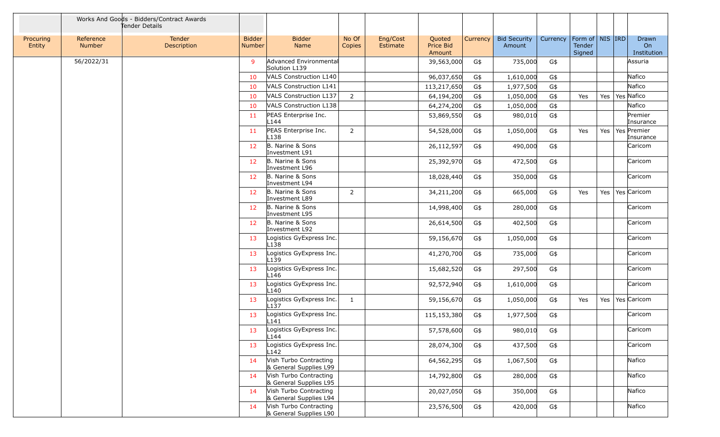|                     |                            | Works And Goods - Bidders/Contract Awards<br>Tender Details |                                |                                                  |                 |                      |                               |          |                               |          |                                         |     |                            |
|---------------------|----------------------------|-------------------------------------------------------------|--------------------------------|--------------------------------------------------|-----------------|----------------------|-------------------------------|----------|-------------------------------|----------|-----------------------------------------|-----|----------------------------|
| Procuring<br>Entity | Reference<br><b>Number</b> | Tender<br>Description                                       | <b>Bidder</b><br><b>Number</b> | <b>Bidder</b><br>Name                            | No Of<br>Copies | Eng/Cost<br>Estimate | Quoted<br>Price Bid<br>Amount | Currency | <b>Bid Security</b><br>Amount | Currency | Form of   NIS   IRD<br>Tender<br>Signed |     | Drawn<br>On<br>Institution |
|                     | 56/2022/31                 |                                                             | 9                              | Advanced Environmental<br>Solution L139          |                 |                      | 39,563,000                    | G\$      | 735,000                       | G\$      |                                         |     | Assuria                    |
|                     |                            |                                                             | 10                             | <b>VALS Construction L140</b>                    |                 |                      | 96,037,650                    | G\$      | 1,610,000                     | G\$      |                                         |     | Nafico                     |
|                     |                            |                                                             | 10                             | <b>VALS Construction L141</b>                    |                 |                      | 113,217,650                   | G\$      | 1,977,500                     | G\$      |                                         |     | Nafico                     |
|                     |                            |                                                             | 10                             | <b>VALS Construction L137</b>                    | $\overline{2}$  |                      | 64,194,200                    | G\$      | 1,050,000                     | G\$      | Yes                                     | Yes | Yes Nafico                 |
|                     |                            |                                                             | 10                             | VALS Construction L138                           |                 |                      | 64,274,200                    | G\$      | 1,050,000                     | G\$      |                                         |     | Nafico                     |
|                     |                            |                                                             | 11                             | PEAS Enterprise Inc.<br>L144                     |                 |                      | 53,869,550                    | G\$      | 980,010                       | G\$      |                                         |     | Premier<br>Insurance       |
|                     |                            |                                                             | 11                             | PEAS Enterprise Inc.<br>-138                     | $\overline{2}$  |                      | 54,528,000                    | G\$      | 1,050,000                     | G\$      | Yes                                     | Yes | Yes Premier<br>Insurance   |
|                     |                            |                                                             | 12                             | B. Narine & Sons<br>Investment L91               |                 |                      | 26,112,597                    | G\$      | 490,000                       | G\$      |                                         |     | Caricom                    |
|                     |                            |                                                             | 12 <sup>7</sup>                | B. Narine & Sons<br>Investment L96               |                 |                      | 25,392,970                    | G\$      | 472,500                       | G\$      |                                         |     | Caricom                    |
|                     |                            |                                                             | 12                             | B. Narine & Sons<br>Investment L94               |                 |                      | 18,028,440                    | G\$      | 350,000                       | G\$      |                                         |     | Caricom                    |
|                     |                            |                                                             | 12                             | B. Narine & Sons<br>Investment L89               | $\overline{2}$  |                      | 34,211,200                    | G\$      | 665,000                       | G\$      | Yes                                     | Yes | Yes Caricom                |
|                     |                            |                                                             | 12                             | B. Narine & Sons<br>Investment L95               |                 |                      | 14,998,400                    | G\$      | 280,000                       | G\$      |                                         |     | Caricom                    |
|                     |                            |                                                             | 12                             | B. Narine & Sons<br>Investment L92               |                 |                      | 26,614,500                    | G\$      | 402,500                       | G\$      |                                         |     | Caricom                    |
|                     |                            |                                                             | 13                             | Logistics GyExpress Inc.<br>L138                 |                 |                      | 59,156,670                    | G\$      | 1,050,000                     | G\$      |                                         |     | Caricom                    |
|                     |                            |                                                             | 13                             | Logistics GyExpress Inc.<br>L139                 |                 |                      | 41,270,700                    | G\$      | 735,000                       | G\$      |                                         |     | Caricom                    |
|                     |                            |                                                             | 13                             | Logistics GyExpress Inc.<br>L146                 |                 |                      | 15,682,520                    | G\$      | 297,500                       | G\$      |                                         |     | Caricom                    |
|                     |                            |                                                             | 13                             | Logistics GyExpress Inc.<br>-140                 |                 |                      | 92,572,940                    | G\$      | 1,610,000                     | G\$      |                                         |     | Caricom                    |
|                     |                            |                                                             | 13                             | Logistics GyExpress Inc.<br>L137                 | 1               |                      | 59,156,670                    | G\$      | 1,050,000                     | G\$      | Yes                                     | Yes | Yes Caricom                |
|                     |                            |                                                             | 13                             | Logistics GyExpress Inc.<br>L141                 |                 |                      | 115,153,380                   | G\$      | 1,977,500                     | G\$      |                                         |     | Caricom                    |
|                     |                            |                                                             | 13                             | Logistics GyExpress Inc.<br>L <sub>144</sub>     |                 |                      | 57,578,600                    | G\$      | 980,010                       | G\$      |                                         |     | Caricom                    |
|                     |                            |                                                             | 13                             | Logistics GyExpress Inc.<br>L142                 |                 |                      | 28,074,300                    | G\$      | 437,500                       | G\$      |                                         |     | Caricom                    |
|                     |                            |                                                             | 14                             | Vish Turbo Contracting<br>& General Supplies L99 |                 |                      | 64,562,295                    | G\$      | 1,067,500                     | G\$      |                                         |     | Nafico                     |
|                     |                            |                                                             | 14                             | Vish Turbo Contracting<br>& General Supplies L95 |                 |                      | 14,792,800                    | G\$      | 280,000                       | G\$      |                                         |     | Nafico                     |
|                     |                            |                                                             | 14                             | Vish Turbo Contracting<br>& General Supplies L94 |                 |                      | 20,027,050                    | G\$      | 350,000                       | G\$      |                                         |     | Nafico                     |
|                     |                            |                                                             | 14                             | Vish Turbo Contracting<br>& General Supplies L90 |                 |                      | 23,576,500                    | G\$      | 420,000                       | G\$      |                                         |     | Nafico                     |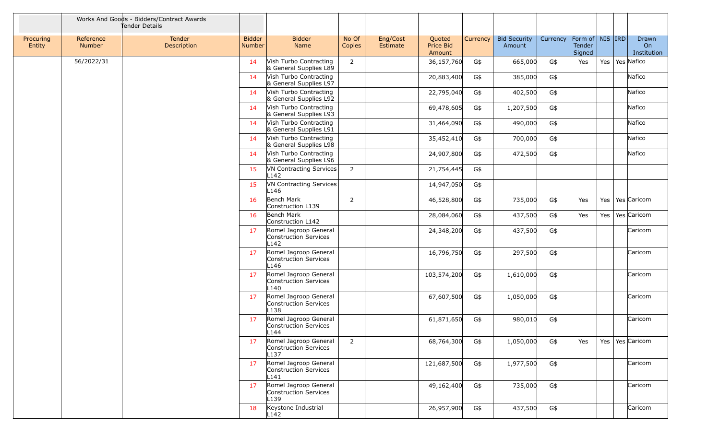|                     |                     | Works And Goods - Bidders/Contract Awards<br>Tender Details |                                |                                                                    |                 |                      |                               |          |                               |          |                                         |     |                            |
|---------------------|---------------------|-------------------------------------------------------------|--------------------------------|--------------------------------------------------------------------|-----------------|----------------------|-------------------------------|----------|-------------------------------|----------|-----------------------------------------|-----|----------------------------|
| Procuring<br>Entity | Reference<br>Number | Tender<br><b>Description</b>                                | <b>Bidder</b><br><b>Number</b> | <b>Bidder</b><br>Name                                              | No Of<br>Copies | Eng/Cost<br>Estimate | Quoted<br>Price Bid<br>Amount | Currency | <b>Bid Security</b><br>Amount | Currency | Form of   NIS   IRD<br>Tender<br>Signed |     | Drawn<br>On<br>Institution |
|                     | 56/2022/31          |                                                             | 14                             | Vish Turbo Contracting<br>& General Supplies L89                   | 2               |                      | 36,157,760                    | G\$      | 665,000                       | G\$      | Yes                                     | Yes | Yes Nafico                 |
|                     |                     |                                                             | 14                             | Vish Turbo Contracting<br>& General Supplies L97                   |                 |                      | 20,883,400                    | G\$      | 385,000                       | G\$      |                                         |     | Nafico                     |
|                     |                     |                                                             | 14                             | Vish Turbo Contracting<br>& General Supplies L92                   |                 |                      | 22,795,040                    | G\$      | 402,500                       | G\$      |                                         |     | Nafico                     |
|                     |                     |                                                             | 14                             | Vish Turbo Contracting<br>& General Supplies L93                   |                 |                      | 69,478,605                    | G\$      | 1,207,500                     | G\$      |                                         |     | Nafico                     |
|                     |                     |                                                             | 14                             | Vish Turbo Contracting<br>& General Supplies L91                   |                 |                      | 31,464,090                    | G\$      | 490,000                       | G\$      |                                         |     | Nafico                     |
|                     |                     |                                                             | 14                             | Vish Turbo Contracting<br>& General Supplies L98                   |                 |                      | 35,452,410                    | G\$      | 700,000                       | G\$      |                                         |     | Nafico                     |
|                     |                     |                                                             | 14                             | Vish Turbo Contracting<br>& General Supplies L96                   |                 |                      | 24,907,800                    | G\$      | 472,500                       | G\$      |                                         |     | Nafico                     |
|                     |                     |                                                             | 15                             | VN Contracting Services<br>L142                                    | 2               |                      | 21,754,445                    | G\$      |                               |          |                                         |     |                            |
|                     |                     |                                                             | 15                             | VN Contracting Services<br>L146                                    |                 |                      | 14,947,050                    | G\$      |                               |          |                                         |     |                            |
|                     |                     |                                                             | 16                             | Bench Mark<br>Construction L139                                    | $\overline{2}$  |                      | 46,528,800                    | G\$      | 735,000                       | G\$      | Yes                                     | Yes | Yes Caricom                |
|                     |                     |                                                             | 16                             | Bench Mark<br>Construction L142                                    |                 |                      | 28,084,060                    | G\$      | 437,500                       | G\$      | Yes                                     | Yes | Yes Caricom                |
|                     |                     |                                                             | 17                             | Romel Jagroop General<br>Construction Services<br>L142             |                 |                      | 24,348,200                    | G\$      | 437,500                       | G\$      |                                         |     | Caricom                    |
|                     |                     |                                                             | 17                             | Romel Jagroop General<br>Construction Services<br>L146             |                 |                      | 16,796,750                    | G\$      | 297,500                       | G\$      |                                         |     | Caricom                    |
|                     |                     |                                                             | 17                             | Romel Jagroop General<br>Construction Services<br>L140             |                 |                      | 103,574,200                   | G\$      | 1,610,000                     | G\$      |                                         |     | Caricom                    |
|                     |                     |                                                             | 17                             | Romel Jagroop General<br>Construction Services<br>L <sub>138</sub> |                 |                      | 67,607,500                    | G\$      | 1,050,000                     | G\$      |                                         |     | Caricom                    |
|                     |                     |                                                             | 17                             | Romel Jagroop General<br>Construction Services<br>L144             |                 |                      | 61,871,650                    | G\$      | 980,010                       | G\$      |                                         |     | Caricom                    |
|                     |                     |                                                             | 17                             | Romel Jagroop General<br>Construction Services<br>L <sub>137</sub> | $\overline{2}$  |                      | 68,764,300                    | G\$      | 1,050,000                     | G\$      | Yes                                     | Yes | Yes Caricom                |
|                     |                     |                                                             | 17                             | Romel Jagroop General<br>Construction Services<br>L141             |                 |                      | 121,687,500                   | G\$      | 1,977,500                     | G\$      |                                         |     | Caricom                    |
|                     |                     |                                                             | 17                             | Romel Jagroop General<br>Construction Services<br>L139             |                 |                      | 49,162,400                    | G\$      | 735,000                       | G\$      |                                         |     | Caricom                    |
|                     |                     |                                                             | 18                             | Keystone Industrial<br>L142                                        |                 |                      | 26,957,900                    | G\$      | 437,500                       | G\$      |                                         |     | Caricom                    |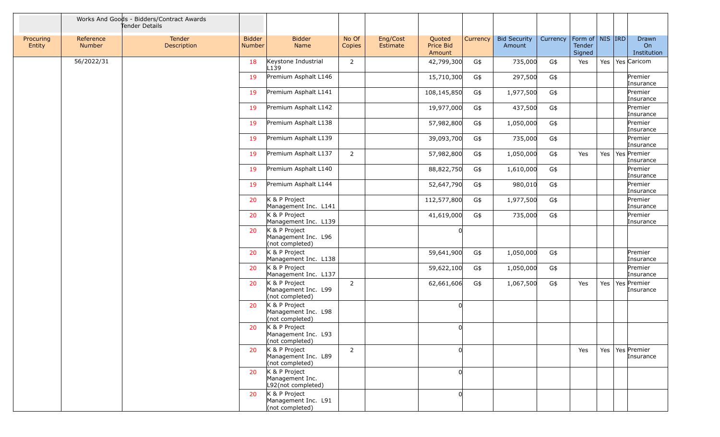|                     |                     | Works And Goods - Bidders/Contract Awards<br>Tender Details |                         |                                                           |                 |                      |                               |          |                               |          |                                             |     |                                  |
|---------------------|---------------------|-------------------------------------------------------------|-------------------------|-----------------------------------------------------------|-----------------|----------------------|-------------------------------|----------|-------------------------------|----------|---------------------------------------------|-----|----------------------------------|
| Procuring<br>Entity | Reference<br>Number | Tender<br>Description                                       | <b>Bidder</b><br>Number | <b>Bidder</b><br>Name                                     | No Of<br>Copies | Eng/Cost<br>Estimate | Quoted<br>Price Bid<br>Amount | Currency | <b>Bid Security</b><br>Amount | Currency | Form of $\vert$ NIS IRD<br>Tender<br>Signed |     | Drawn<br>On<br>Institution       |
|                     | 56/2022/31          |                                                             | 18                      | Keystone Industrial<br>L139                               | 2               |                      | 42,799,300                    | G\$      | 735,000                       | G\$      | Yes                                         | Yes | Yes Caricom                      |
|                     |                     |                                                             | 19                      | Premium Asphalt L146                                      |                 |                      | 15,710,300                    | G\$      | 297,500                       | G\$      |                                             |     | Premier<br>Insurance             |
|                     |                     |                                                             | 19                      | Premium Asphalt L141                                      |                 |                      | 108,145,850                   | G\$      | 1,977,500                     | G\$      |                                             |     | Premier<br>Insurance             |
|                     |                     |                                                             | 19                      | Premium Asphalt L142                                      |                 |                      | 19,977,000                    | G\$      | 437,500                       | G\$      |                                             |     | Premier<br>Insurance             |
|                     |                     |                                                             | 19                      | Premium Asphalt L138                                      |                 |                      | 57,982,800                    | G\$      | 1,050,000                     | G\$      |                                             |     | Premier<br>Insurance             |
|                     |                     |                                                             | 19                      | Premium Asphalt L139                                      |                 |                      | 39,093,700                    | G\$      | 735,000                       | G\$      |                                             |     | Premier<br>Insurance             |
|                     |                     |                                                             | 19                      | Premium Asphalt L137                                      | $\overline{2}$  |                      | 57,982,800                    | G\$      | 1,050,000                     | G\$      | Yes                                         | Yes | Yes Premier<br>Insurance         |
|                     |                     |                                                             | 19                      | Premium Asphalt L140                                      |                 |                      | 88,822,750                    | G\$      | 1,610,000                     | G\$      |                                             |     | Premier<br>Insurance             |
|                     |                     |                                                             | 19                      | Premium Asphalt L144                                      |                 |                      | 52,647,790                    | G\$      | 980,010                       | G\$      |                                             |     | Premier<br>Insurance             |
|                     |                     |                                                             | 20                      | K & P Project<br>Management Inc. L141                     |                 |                      | 112,577,800                   | G\$      | 1,977,500                     | G\$      |                                             |     | Premier<br>Insurance             |
|                     |                     |                                                             | 20                      | K & P Project<br>Management Inc. L139                     |                 |                      | 41,619,000                    | G\$      | 735,000                       | G\$      |                                             |     | Premier<br>Insurance             |
|                     |                     |                                                             | 20                      | K & P Project<br>Management Inc. L96<br>(not completed)   |                 |                      | U                             |          |                               |          |                                             |     |                                  |
|                     |                     |                                                             | 20                      | K & P Project<br>Management Inc. L138                     |                 |                      | 59,641,900                    | G\$      | 1,050,000                     | G\$      |                                             |     | Premier<br>Insurance             |
|                     |                     |                                                             | 20                      | K & P Project<br>Management Inc. L137                     |                 |                      | 59,622,100                    | G\$      | 1,050,000                     | G\$      |                                             |     | Premier<br>Insurance             |
|                     |                     |                                                             | 20                      | K & P Project<br>Management Inc. L99<br>(not completed)   | 2               |                      | 62,661,606                    | G\$      | 1,067,500                     | G\$      | Yes                                         |     | Yes   Yes   Premier<br>Insurance |
|                     |                     |                                                             | 20                      | K & P Project<br>Management Inc. L98<br>(not completed)   |                 |                      |                               |          |                               |          |                                             |     |                                  |
|                     |                     |                                                             | 20                      | $K$ & P Project<br>Management Inc. L93<br>(not completed) |                 |                      | <sup>0</sup>                  |          |                               |          |                                             |     |                                  |
|                     |                     |                                                             | 20                      | K & P Project<br>Management Inc. L89<br>(not completed)   | $\overline{2}$  |                      |                               |          |                               |          | Yes                                         |     | Yes   Yes   Premier<br>Insurance |
|                     |                     |                                                             | 20                      | K & P Project<br>Management Inc.<br>L92(not completed)    |                 |                      |                               |          |                               |          |                                             |     |                                  |
|                     |                     |                                                             | 20                      | K & P Project<br>Management Inc. L91<br>(not completed)   |                 |                      |                               |          |                               |          |                                             |     |                                  |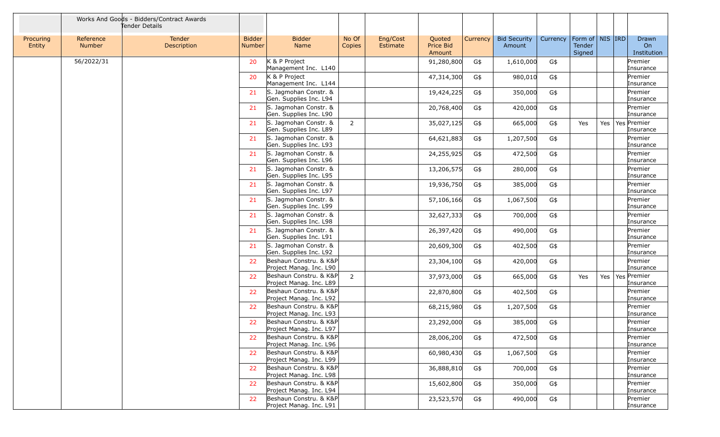|                     |                            | Works And Goods - Bidders/Contract Awards<br>Tender Details |                         |                                                   |                 |                      |                                      |          |                               |          |                                         |     |                                        |
|---------------------|----------------------------|-------------------------------------------------------------|-------------------------|---------------------------------------------------|-----------------|----------------------|--------------------------------------|----------|-------------------------------|----------|-----------------------------------------|-----|----------------------------------------|
| Procuring<br>Entity | Reference<br><b>Number</b> | Tender<br>Description                                       | <b>Bidder</b><br>Number | <b>Bidder</b><br><b>Name</b>                      | No Of<br>Copies | Eng/Cost<br>Estimate | Quoted<br><b>Price Bid</b><br>Amount | Currency | <b>Bid Security</b><br>Amount | Currency | Form of   NIS   IRD<br>Tender<br>Signed |     | Drawn<br>O <sub>n</sub><br>Institution |
|                     | 56/2022/31                 |                                                             | 20                      | K & P Project<br>Management Inc. L140             |                 |                      | 91,280,800                           | G\$      | 1,610,000                     | G\$      |                                         |     | Premier<br>Insurance                   |
|                     |                            |                                                             | 20                      | K & P Project<br>Management Inc. L144             |                 |                      | 47,314,300                           | G\$      | 980,010                       | G\$      |                                         |     | Premier<br>Insurance                   |
|                     |                            |                                                             | 21                      | S. Jagmohan Constr. &<br>Gen. Supplies Inc. L94   |                 |                      | 19,424,225                           | G\$      | 350,000                       | $G\$     |                                         |     | Premier<br>Insurance                   |
|                     |                            |                                                             | 21                      | S. Jagmohan Constr. &<br>Gen. Supplies Inc. L90   |                 |                      | 20,768,400                           | G\$      | 420,000                       | G\$      |                                         |     | Premier<br>Insurance                   |
|                     |                            |                                                             | 21                      | S. Jagmohan Constr. &<br>Gen. Supplies Inc. L89   | $\overline{2}$  |                      | 35,027,125                           | G\$      | 665,000                       | G\$      | Yes                                     | Yes | Yes Premier<br>Insurance               |
|                     |                            |                                                             | 21                      | S. Jagmohan Constr. &<br>Gen. Supplies Inc. L93   |                 |                      | 64,621,883                           | G\$      | 1,207,500                     | G\$      |                                         |     | Premier<br>Insurance                   |
|                     |                            |                                                             | 21                      | S. Jagmohan Constr. &<br>Gen. Supplies Inc. L96   |                 |                      | 24,255,925                           | G\$      | 472,500                       | $G\$     |                                         |     | Premier<br>Insurance                   |
|                     |                            |                                                             | 21                      | S. Jagmohan Constr. &<br>Gen. Supplies Inc. L95   |                 |                      | 13,206,575                           | G\$      | 280,000                       | G\$      |                                         |     | Premier<br>Insurance                   |
|                     |                            |                                                             | 21                      | S. Jagmohan Constr. &<br>Gen. Supplies Inc. L97   |                 |                      | 19,936,750                           | G\$      | 385,000                       | G\$      |                                         |     | Premier<br>Insurance                   |
|                     |                            |                                                             | 21                      | S. Jagmohan Constr. &<br>Gen. Supplies Inc. L99   |                 |                      | 57,106,166                           | G\$      | 1,067,500                     | G\$      |                                         |     | Premier<br>Insurance                   |
|                     |                            |                                                             | 21                      | S. Jagmohan Constr. &<br>Gen. Supplies Inc. L98   |                 |                      | 32,627,333                           | G\$      | 700,000                       | G\$      |                                         |     | Premier<br>Insurance                   |
|                     |                            |                                                             | 21                      | S. Jagmohan Constr. &<br>Gen. Supplies Inc. L91   |                 |                      | 26,397,420                           | G\$      | 490,000                       | G\$      |                                         |     | Premier<br>Insurance                   |
|                     |                            |                                                             | 21                      | S. Jagmohan Constr. &<br>Gen. Supplies Inc. L92   |                 |                      | 20,609,300                           | G\$      | 402,500                       | G\$      |                                         |     | Premier<br>Insurance                   |
|                     |                            |                                                             | 22                      | Beshaun Constru. & K&P<br>Project Manag. Inc. L90 |                 |                      | 23,304,100                           | G\$      | 420,000                       | G\$      |                                         |     | Premier<br>Insurance                   |
|                     |                            |                                                             | 22                      | Beshaun Constru. & K&P<br>Project Manag. Inc. L89 | $\overline{2}$  |                      | 37,973,000                           | G\$      | 665,000                       | G\$      | Yes                                     | Yes | Yes Premier<br>Insurance               |
|                     |                            |                                                             | 22                      | Beshaun Constru. & K&P<br>Project Manag. Inc. L92 |                 |                      | 22,870,800                           | G\$      | 402,500                       | G\$      |                                         |     | Premier<br>Insurance                   |
|                     |                            |                                                             | 22                      | Beshaun Constru. & K&P<br>Project Manag. Inc. L93 |                 |                      | 68,215,980                           | G\$      | 1,207,500                     | $G\$     |                                         |     | Premier<br>Insurance                   |
|                     |                            |                                                             | 22                      | Beshaun Constru. & K&P<br>Project Manag. Inc. L97 |                 |                      | 23,292,000                           | G\$      | 385,000                       | G\$      |                                         |     | Premier<br>Insurance                   |
|                     |                            |                                                             | 22                      | Beshaun Constru. & K&P<br>Project Manag. Inc. L96 |                 |                      | 28,006,200                           | G\$      | 472,500                       | $G\$     |                                         |     | Premier<br>Insurance                   |
|                     |                            |                                                             | 22                      | Beshaun Constru. & K&P<br>Project Manag. Inc. L99 |                 |                      | 60,980,430                           | G\$      | 1,067,500                     | G\$      |                                         |     | Premier<br>Insurance                   |
|                     |                            |                                                             | 22                      | Beshaun Constru. & K&P<br>Project Manag. Inc. L98 |                 |                      | 36,888,810                           | G\$      | 700,000                       | G\$      |                                         |     | Premier<br>Insurance                   |
|                     |                            |                                                             | 22                      | Beshaun Constru. & K&P<br>Project Manag. Inc. L94 |                 |                      | 15,602,800                           | G\$      | 350,000                       | G\$      |                                         |     | Premier<br>Insurance                   |
|                     |                            |                                                             | 22                      | Beshaun Constru. & K&P<br>Project Manag. Inc. L91 |                 |                      | 23,523,570                           | G\$      | 490,000                       | G\$      |                                         |     | Premier<br>Insurance                   |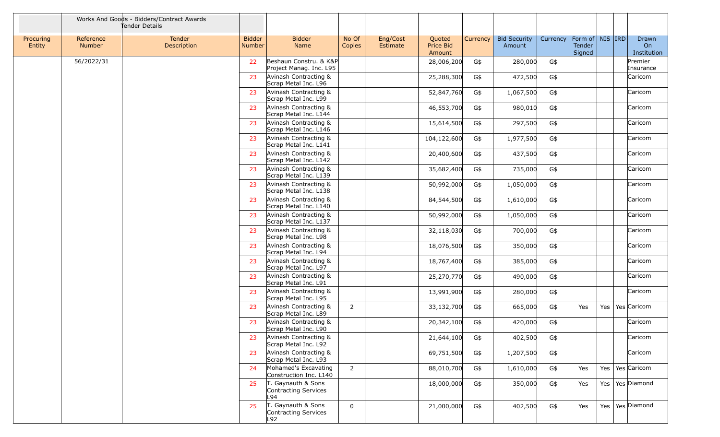|                     |                            | Works And Goods - Bidders/Contract Awards<br>Tender Details |                                |                                                   |                 |                      |                               |          |                               |          |                                         |         |                            |
|---------------------|----------------------------|-------------------------------------------------------------|--------------------------------|---------------------------------------------------|-----------------|----------------------|-------------------------------|----------|-------------------------------|----------|-----------------------------------------|---------|----------------------------|
| Procuring<br>Entity | Reference<br><b>Number</b> | Tender<br>Description                                       | <b>Bidder</b><br><b>Number</b> | <b>Bidder</b><br>Name                             | No Of<br>Copies | Eng/Cost<br>Estimate | Quoted<br>Price Bid<br>Amount | Currency | <b>Bid Security</b><br>Amount | Currency | Form of   NIS   IRD<br>Tender<br>Signed |         | Drawn<br>On<br>Institution |
|                     | 56/2022/31                 |                                                             | 22                             | Beshaun Constru. & K&P<br>Project Manag. Inc. L95 |                 |                      | 28,006,200                    | G\$      | 280,000                       | G\$      |                                         |         | Premier<br>Insurance       |
|                     |                            |                                                             | 23                             | Avinash Contracting &<br>Scrap Metal Inc. L96     |                 |                      | 25,288,300                    | G\$      | 472,500                       | G\$      |                                         |         | Caricom                    |
|                     |                            |                                                             | 23                             | Avinash Contracting &<br>Scrap Metal Inc. L99     |                 |                      | 52,847,760                    | G\$      | 1,067,500                     | G\$      |                                         |         | Caricom                    |
|                     |                            |                                                             | 23                             | Avinash Contracting &<br>Scrap Metal Inc. L144    |                 |                      | 46,553,700                    | G\$      | 980,010                       | G\$      |                                         |         | Caricom                    |
|                     |                            |                                                             | 23                             | Avinash Contracting &<br>Scrap Metal Inc. L146    |                 |                      | 15,614,500                    | G\$      | 297,500                       | G\$      |                                         |         | Caricom                    |
|                     |                            |                                                             | 23                             | Avinash Contracting &<br>Scrap Metal Inc. L141    |                 |                      | 104,122,600                   | G\$      | 1,977,500                     | G\$      |                                         |         | Caricom                    |
|                     |                            |                                                             | 23                             | Avinash Contracting &<br>Scrap Metal Inc. L142    |                 |                      | 20,400,600                    | G\$      | 437,500                       | G\$      |                                         |         | Caricom                    |
|                     |                            |                                                             | 23                             | Avinash Contracting &<br>Scrap Metal Inc. L139    |                 |                      | 35,682,400                    | G\$      | 735,000                       | G\$      |                                         |         | Caricom                    |
|                     |                            |                                                             | 23                             | Avinash Contracting &<br>Scrap Metal Inc. L138    |                 |                      | 50,992,000                    | G\$      | 1,050,000                     | G\$      |                                         |         | Caricom                    |
|                     |                            |                                                             | 23                             | Avinash Contracting &<br>Scrap Metal Inc. L140    |                 |                      | 84,544,500                    | G\$      | 1,610,000                     | G\$      |                                         |         | Caricom                    |
|                     |                            |                                                             | 23                             | Avinash Contracting &<br>Scrap Metal Inc. L137    |                 |                      | 50,992,000                    | G\$      | 1,050,000                     | G\$      |                                         |         | Caricom                    |
|                     |                            |                                                             | 23                             | Avinash Contracting &<br>Scrap Metal Inc. L98     |                 |                      | 32,118,030                    | G\$      | 700,000                       | G\$      |                                         |         | Caricom                    |
|                     |                            |                                                             | 23                             | Avinash Contracting &<br>Scrap Metal Inc. L94     |                 |                      | 18,076,500                    | G\$      | 350,000                       | G\$      |                                         |         | Caricom                    |
|                     |                            |                                                             | 23                             | Avinash Contracting &<br>Scrap Metal Inc. L97     |                 |                      | 18,767,400                    | G\$      | 385,000                       | G\$      |                                         |         | Caricom                    |
|                     |                            |                                                             | 23                             | Avinash Contracting &<br>Scrap Metal Inc. L91     |                 |                      | 25,270,770                    | G\$      | 490,000                       | G\$      |                                         |         | Caricom                    |
|                     |                            |                                                             | 23                             | Avinash Contracting &<br>Scrap Metal Inc. L95     |                 |                      | 13,991,900                    | G\$      | 280,000                       | G\$      |                                         |         | Caricom                    |
|                     |                            |                                                             | 23                             | Avinash Contracting &<br>Scrap Metal Inc. L89     | $\overline{2}$  |                      | 33,132,700                    | G\$      | 665,000                       | G\$      | Yes                                     | Yes     | Yes Caricom                |
|                     |                            |                                                             | 23                             | Avinash Contracting &<br>Scrap Metal Inc. L90     |                 |                      | 20,342,100                    | G\$      | 420,000                       | G\$      |                                         |         | Caricom                    |
|                     |                            |                                                             | 23                             | Avinash Contracting &<br>Scrap Metal Inc. L92     |                 |                      | 21,644,100                    | G\$      | 402,500                       | G\$      |                                         |         | Caricom                    |
|                     |                            |                                                             | 23                             | Avinash Contracting &<br>Scrap Metal Inc. L93     |                 |                      | 69,751,500                    | G\$      | 1,207,500                     | G\$      |                                         |         | Caricom                    |
|                     |                            |                                                             | 24                             | Mohamed's Excavating<br>Construction Inc. L140    | $\overline{2}$  |                      | 88,010,700                    | G\$      | 1,610,000                     | G\$      | Yes                                     | Yes $ $ | Yes Caricom                |
|                     |                            |                                                             | 25                             | T. Gaynauth & Sons<br>Contracting Services<br>L94 |                 |                      | 18,000,000                    | G\$      | 350,000                       | G\$      | Yes                                     |         | Yes   Yes   Diamond        |
|                     |                            |                                                             | 25                             | T. Gaynauth & Sons<br>Contracting Services<br>L92 | 0               |                      | 21,000,000                    | G\$      | 402,500                       | G\$      | Yes                                     | Yes     | Yes Diamond                |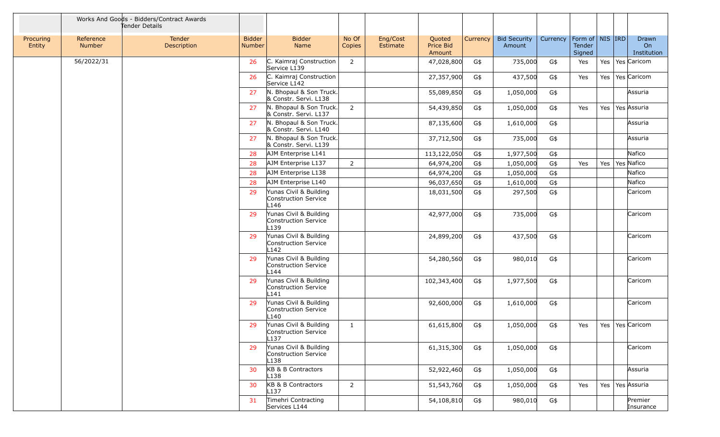|                     |                            | Works And Goods - Bidders/Contract Awards<br>Tender Details |                                |                                                                    |                 |                      |                               |          |                               |          |                                         |     |                            |
|---------------------|----------------------------|-------------------------------------------------------------|--------------------------------|--------------------------------------------------------------------|-----------------|----------------------|-------------------------------|----------|-------------------------------|----------|-----------------------------------------|-----|----------------------------|
| Procuring<br>Entity | Reference<br><b>Number</b> | Tender<br>Description                                       | <b>Bidder</b><br><b>Number</b> | <b>Bidder</b><br>Name                                              | No Of<br>Copies | Eng/Cost<br>Estimate | Quoted<br>Price Bid<br>Amount | Currency | <b>Bid Security</b><br>Amount | Currency | Form of   NIS   IRD<br>Tender<br>Signed |     | Drawn<br>On<br>Institution |
|                     | 56/2022/31                 |                                                             | 26                             | C. Kaimraj Construction<br>Service L139                            | 2               |                      | 47,028,800                    | G\$      | 735,000                       | G\$      | Yes                                     | Yes | Yes Caricom                |
|                     |                            |                                                             | 26                             | C. Kaimraj Construction<br>Service L142                            |                 |                      | 27,357,900                    | G\$      | 437,500                       | G\$      | Yes                                     | Yes | Yes Caricom                |
|                     |                            |                                                             | 27                             | N. Bhopaul & Son Truck.<br>& Constr. Servi. L138                   |                 |                      | 55,089,850                    | G\$      | 1,050,000                     | G\$      |                                         |     | Assuria                    |
|                     |                            |                                                             | 27                             | N. Bhopaul & Son Truck.<br>& Constr. Servi. L137                   | 2               |                      | 54,439,850                    | G\$      | 1,050,000                     | G\$      | Yes                                     | Yes | Yes Assuria                |
|                     |                            |                                                             | 27                             | N. Bhopaul & Son Truck.<br>& Constr. Servi. L140                   |                 |                      | 87,135,600                    | G\$      | 1,610,000                     | G\$      |                                         |     | Assuria                    |
|                     |                            |                                                             | 27                             | N. Bhopaul & Son Truck.<br>& Constr. Servi. L139                   |                 |                      | 37,712,500                    | G\$      | 735,000                       | G\$      |                                         |     | Assuria                    |
|                     |                            |                                                             | 28                             | AJM Enterprise L141                                                |                 |                      | 113,122,050                   | G\$      | 1,977,500                     | G\$      |                                         |     | Nafico                     |
|                     |                            |                                                             | 28                             | AJM Enterprise L137                                                | $\overline{2}$  |                      | 64,974,200                    | G\$      | 1,050,000                     | G\$      | Yes                                     | Yes | Yes Nafico                 |
|                     |                            |                                                             | 28                             | AJM Enterprise L138                                                |                 |                      | 64,974,200                    | G\$      | 1,050,000                     | G\$      |                                         |     | Nafico                     |
|                     |                            |                                                             | 28                             | AJM Enterprise L140                                                |                 |                      | 96,037,650                    | G\$      | 1,610,000                     | G\$      |                                         |     | Nafico                     |
|                     |                            |                                                             | 29                             | Yunas Civil & Building<br>Construction Service<br>L <sub>146</sub> |                 |                      | 18,031,500                    | G\$      | 297,500                       | G\$      |                                         |     | Caricom                    |
|                     |                            |                                                             | 29                             | Yunas Civil & Building<br>Construction Service<br>L139             |                 |                      | 42,977,000                    | G\$      | 735,000                       | G\$      |                                         |     | Caricom                    |
|                     |                            |                                                             | 29                             | Yunas Civil & Building<br>Construction Service<br>L142             |                 |                      | 24,899,200                    | G\$      | 437,500                       | G\$      |                                         |     | Caricom                    |
|                     |                            |                                                             | 29                             | Yunas Civil & Building<br>Construction Service<br>L <sub>144</sub> |                 |                      | 54,280,560                    | G\$      | 980,010                       | G\$      |                                         |     | Caricom                    |
|                     |                            |                                                             | 29                             | Yunas Civil & Building<br>Construction Service<br>L141             |                 |                      | 102,343,400                   | G\$      | 1,977,500                     | G\$      |                                         |     | Caricom                    |
|                     |                            |                                                             | 29                             | Yunas Civil & Building<br>Construction Service<br>L <sub>140</sub> |                 |                      | 92,600,000                    | G\$      | 1,610,000                     | G\$      |                                         |     | Caricom                    |
|                     |                            |                                                             | 29                             | Yunas Civil & Building<br>Construction Service<br>L137             | $\mathbf{1}$    |                      | 61,615,800                    | G\$      | 1,050,000                     | G\$      | Yes                                     | Yes | Yes Caricom                |
|                     |                            |                                                             | 29                             | Yunas Civil & Building<br>Construction Service<br>L <sub>138</sub> |                 |                      | 61,315,300                    | G\$      | 1,050,000                     | G\$      |                                         |     | Caricom                    |
|                     |                            |                                                             | 30                             | KB & B Contractors<br>L <sub>138</sub>                             |                 |                      | 52,922,460                    | G\$      | 1,050,000                     | G\$      |                                         |     | Assuria                    |
|                     |                            |                                                             | 30                             | KB & B Contractors<br>L137                                         | $\overline{2}$  |                      | 51,543,760                    | G\$      | 1,050,000                     | G\$      | Yes                                     | Yes | Yes Assuria                |
|                     |                            |                                                             | 31                             | Timehri Contracting<br>Services L144                               |                 |                      | 54,108,810                    | G\$      | 980,010                       | G\$      |                                         |     | Premier<br>Insurance       |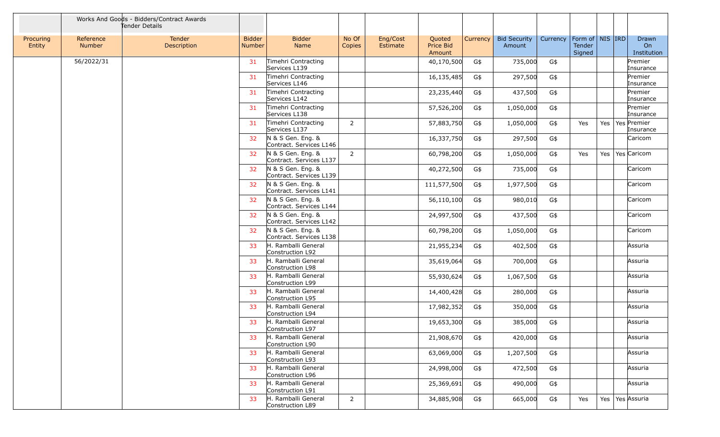|                     |                            | Works And Goods - Bidders/Contract Awards<br>Tender Details |                                |                                              |                 |                      |                               |          |                               |          |                                         |     |                            |
|---------------------|----------------------------|-------------------------------------------------------------|--------------------------------|----------------------------------------------|-----------------|----------------------|-------------------------------|----------|-------------------------------|----------|-----------------------------------------|-----|----------------------------|
| Procuring<br>Entity | Reference<br><b>Number</b> | Tender<br>Description                                       | <b>Bidder</b><br><b>Number</b> | <b>Bidder</b><br>Name                        | No Of<br>Copies | Eng/Cost<br>Estimate | Quoted<br>Price Bid<br>Amount | Currency | <b>Bid Security</b><br>Amount | Currency | Form of   NIS   IRD<br>Tender<br>Signed |     | Drawn<br>On<br>Institution |
|                     | 56/2022/31                 |                                                             | 31                             | Timehri Contracting<br>Services L139         |                 |                      | 40,170,500                    | G\$      | 735,000                       | G\$      |                                         |     | Premier<br>Insurance       |
|                     |                            |                                                             | 31                             | Timehri Contracting<br>Services L146         |                 |                      | 16,135,485                    | G\$      | 297,500                       | G\$      |                                         |     | Premier<br>Insurance       |
|                     |                            |                                                             | 31                             | Timehri Contracting<br>Services L142         |                 |                      | 23,235,440                    | G\$      | 437,500                       | G\$      |                                         |     | Premier<br>Insurance       |
|                     |                            |                                                             | 31                             | Timehri Contracting<br>Services L138         |                 |                      | 57,526,200                    | G\$      | 1,050,000                     | G\$      |                                         |     | Premier<br>Insurance       |
|                     |                            |                                                             | 31                             | Timehri Contracting<br>Services L137         | $\overline{2}$  |                      | 57,883,750                    | G\$      | 1,050,000                     | G\$      | Yes                                     | Yes | Yes Premier<br>Insurance   |
|                     |                            |                                                             | 32                             | N & S Gen. Eng. &<br>Contract. Services L146 |                 |                      | 16,337,750                    | G\$      | 297,500                       | G\$      |                                         |     | Caricom                    |
|                     |                            |                                                             | 32                             | N & S Gen. Eng. &<br>Contract. Services L137 | $\overline{2}$  |                      | 60,798,200                    | G\$      | 1,050,000                     | G\$      | Yes                                     | Yes | Yes Caricom                |
|                     |                            |                                                             | 32                             | N & S Gen. Eng. &<br>Contract. Services L139 |                 |                      | 40,272,500                    | G\$      | 735,000                       | G\$      |                                         |     | Caricom                    |
|                     |                            |                                                             | 32                             | N & S Gen. Eng. &<br>Contract. Services L141 |                 |                      | 111,577,500                   | G\$      | 1,977,500                     | G\$      |                                         |     | Caricom                    |
|                     |                            |                                                             | 32                             | N & S Gen. Eng. &<br>Contract. Services L144 |                 |                      | 56,110,100                    | G\$      | 980,010                       | G\$      |                                         |     | Caricom                    |
|                     |                            |                                                             | 32                             | N & S Gen. Eng. &<br>Contract. Services L142 |                 |                      | 24,997,500                    | G\$      | 437,500                       | G\$      |                                         |     | Caricom                    |
|                     |                            |                                                             | 32                             | N & S Gen. Eng. &<br>Contract. Services L138 |                 |                      | 60,798,200                    | G\$      | 1,050,000                     | G\$      |                                         |     | Caricom                    |
|                     |                            |                                                             | 33                             | H. Ramballi General<br>Construction L92      |                 |                      | 21,955,234                    | G\$      | 402,500                       | G\$      |                                         |     | Assuria                    |
|                     |                            |                                                             | 33                             | H. Ramballi General<br>Construction L98      |                 |                      | 35,619,064                    | G\$      | 700,000                       | G\$      |                                         |     | Assuria                    |
|                     |                            |                                                             | 33                             | H. Ramballi General<br>Construction L99      |                 |                      | 55,930,624                    | G\$      | 1,067,500                     | G\$      |                                         |     | Assuria                    |
|                     |                            |                                                             | 33                             | H. Ramballi General<br>Construction L95      |                 |                      | 14,400,428                    | G\$      | 280,000                       | G\$      |                                         |     | Assuria                    |
|                     |                            |                                                             | 33                             | H. Ramballi General<br>Construction L94      |                 |                      | 17,982,352                    | G\$      | 350,000                       | G\$      |                                         |     | Assuria                    |
|                     |                            |                                                             | 33                             | H. Ramballi General<br>Construction L97      |                 |                      | 19,653,300                    | G\$      | 385,000                       | G\$      |                                         |     | Assuria                    |
|                     |                            |                                                             | 33                             | H. Ramballi General<br>Construction L90      |                 |                      | 21,908,670                    | G\$      | 420,000                       | G\$      |                                         |     | Assuria                    |
|                     |                            |                                                             | 33                             | H. Ramballi General<br>Construction L93      |                 |                      | 63,069,000                    | G\$      | 1,207,500                     | G\$      |                                         |     | Assuria                    |
|                     |                            |                                                             | 33                             | H. Ramballi General<br>Construction L96      |                 |                      | 24,998,000                    | G\$      | 472,500                       | G\$      |                                         |     | Assuria                    |
|                     |                            |                                                             | 33                             | H. Ramballi General<br>Construction L91      |                 |                      | 25,369,691                    | G\$      | 490,000                       | G\$      |                                         |     | Assuria                    |
|                     |                            |                                                             | 33                             | H. Ramballi General<br>Construction L89      | $\overline{2}$  |                      | 34,885,908                    | G\$      | 665,000                       | G\$      | Yes                                     | Yes | Yes Assuria                |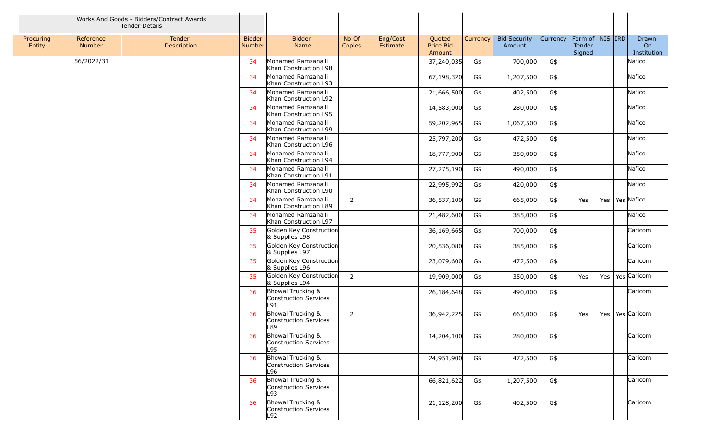|                     |                            | Works And Goods - Bidders/Contract Awards<br>Tender Details |                         |                                                   |                 |                      |                               |          |                               |          |                                         |         |                                   |
|---------------------|----------------------------|-------------------------------------------------------------|-------------------------|---------------------------------------------------|-----------------|----------------------|-------------------------------|----------|-------------------------------|----------|-----------------------------------------|---------|-----------------------------------|
| Procuring<br>Entity | Reference<br><b>Number</b> | Tender<br>Description                                       | <b>Bidder</b><br>Number | <b>Bidder</b><br>Name                             | No Of<br>Copies | Eng/Cost<br>Estimate | Quoted<br>Price Bid<br>Amount | Currency | <b>Bid Security</b><br>Amount | Currency | Form of   NIS   IRD<br>Tender<br>Signed |         | <b>Drawn</b><br>On<br>Institution |
|                     | 56/2022/31                 |                                                             | 34                      | Mohamed Ramzanalli<br>Khan Construction L98       |                 |                      | 37,240,035                    | G\$      | 700,000                       | G\$      |                                         |         | Nafico                            |
|                     |                            |                                                             | 34                      | Mohamed Ramzanalli<br>Khan Construction L93       |                 |                      | 67,198,320                    | G\$      | 1,207,500                     | G\$      |                                         |         | Nafico                            |
|                     |                            |                                                             | 34                      | Mohamed Ramzanalli<br>Khan Construction L92       |                 |                      | 21,666,500                    | G\$      | 402,500                       | G\$      |                                         |         | Nafico                            |
|                     |                            |                                                             | 34                      | Mohamed Ramzanalli<br>Khan Construction L95       |                 |                      | 14,583,000                    | G\$      | 280,000                       | G\$      |                                         |         | Nafico                            |
|                     |                            |                                                             | 34                      | Mohamed Ramzanalli<br>Khan Construction L99       |                 |                      | 59,202,965                    | G\$      | 1,067,500                     | G\$      |                                         |         | Nafico                            |
|                     |                            |                                                             | 34                      | Mohamed Ramzanalli<br>Khan Construction L96       |                 |                      | 25,797,200                    | G\$      | 472,500                       | G\$      |                                         |         | Nafico                            |
|                     |                            |                                                             | 34                      | Mohamed Ramzanalli<br>Khan Construction L94       |                 |                      | 18,777,900                    | G\$      | 350,000                       | G\$      |                                         |         | Nafico                            |
|                     |                            |                                                             | 34                      | Mohamed Ramzanalli<br>Khan Construction L91       |                 |                      | 27,275,190                    | G\$      | 490,000                       | G\$      |                                         |         | Nafico                            |
|                     |                            |                                                             | 34                      | Mohamed Ramzanalli<br>Khan Construction L90       |                 |                      | 22,995,992                    | G\$      | 420,000                       | G\$      |                                         |         | Nafico                            |
|                     |                            |                                                             | 34                      | Mohamed Ramzanalli<br>Khan Construction L89       | $\overline{2}$  |                      | 36,537,100                    | G\$      | 665,000                       | G\$      | Yes                                     | Yes $ $ | Yes Nafico                        |
|                     |                            |                                                             | 34                      | Mohamed Ramzanalli<br>Khan Construction L97       |                 |                      | 21,482,600                    | G\$      | 385,000                       | G\$      |                                         |         | Nafico                            |
|                     |                            |                                                             | 35                      | Golden Key Construction<br>& Supplies L98         |                 |                      | 36,169,665                    | G\$      | 700,000                       | G\$      |                                         |         | Caricom                           |
|                     |                            |                                                             | 35                      | Golden Key Construction<br>& Supplies L97         |                 |                      | 20,536,080                    | G\$      | 385,000                       | G\$      |                                         |         | Caricom                           |
|                     |                            |                                                             | 35                      | Golden Key Construction<br>& Supplies L96         |                 |                      | 23,079,600                    | G\$      | 472,500                       | G\$      |                                         |         | Caricom                           |
|                     |                            |                                                             | 35                      | Golden Key Construction<br>& Supplies L94         | 2               |                      | 19,909,000                    | G\$      | 350,000                       | G\$      | Yes                                     | Yes     | Yes Caricom                       |
|                     |                            |                                                             | 36                      | Bhowal Trucking &<br>Construction Services<br>L91 |                 |                      | 26,184,648                    | G\$      | 490,000                       | G\$      |                                         |         | Caricom                           |
|                     |                            |                                                             | 36                      | Bhowal Trucking &<br>Construction Services<br>L89 | 2               |                      | 36,942,225                    | G\$      | 665,000                       | G\$      | Yes                                     | Yes     | Yes Caricom                       |
|                     |                            |                                                             | 36                      | Bhowal Trucking &<br>Construction Services<br>L95 |                 |                      | 14,204,100                    | G\$      | 280,000                       | G\$      |                                         |         | Caricom                           |
|                     |                            |                                                             | 36                      | Bhowal Trucking &<br>Construction Services<br>L96 |                 |                      | 24,951,900                    | G\$      | 472,500                       | G\$      |                                         |         | Caricom                           |
|                     |                            |                                                             | 36                      | Bhowal Trucking &<br>Construction Services<br>L93 |                 |                      | 66,821,622                    | G\$      | 1,207,500                     | G\$      |                                         |         | Caricom                           |
|                     |                            |                                                             | 36                      | Bhowal Trucking &<br>Construction Services<br>L92 |                 |                      | 21,128,200                    | G\$      | 402,500                       | G\$      |                                         |         | Caricom                           |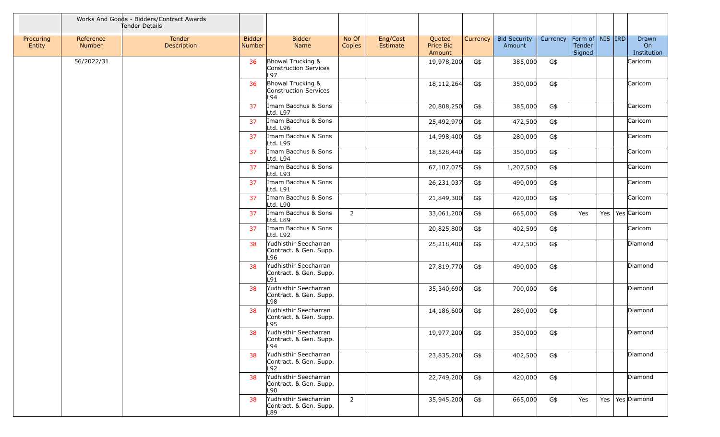|                     |                            | Works And Goods - Bidders/Contract Awards<br>Tender Details |                                |                                                           |                 |                      |                               |          |                               |          |                                         |     |                            |
|---------------------|----------------------------|-------------------------------------------------------------|--------------------------------|-----------------------------------------------------------|-----------------|----------------------|-------------------------------|----------|-------------------------------|----------|-----------------------------------------|-----|----------------------------|
| Procuring<br>Entity | Reference<br><b>Number</b> | Tender<br>Description                                       | <b>Bidder</b><br><b>Number</b> | <b>Bidder</b><br>Name                                     | No Of<br>Copies | Eng/Cost<br>Estimate | Quoted<br>Price Bid<br>Amount | Currency | <b>Bid Security</b><br>Amount | Currency | Form of   NIS   IRD<br>Tender<br>Signed |     | Drawn<br>On<br>Institution |
|                     | 56/2022/31                 |                                                             | 36                             | Bhowal Trucking &<br>Construction Services<br>L97         |                 |                      | 19,978,200                    | G\$      | 385,000                       | G\$      |                                         |     | Caricom                    |
|                     |                            |                                                             | 36                             | Bhowal Trucking &<br>Construction Services<br>L94         |                 |                      | 18,112,264                    | G\$      | 350,000                       | G\$      |                                         |     | Caricom                    |
|                     |                            |                                                             | 37                             | Imam Bacchus & Sons<br>Ltd. L97                           |                 |                      | 20,808,250                    | G\$      | 385,000                       | G\$      |                                         |     | Caricom                    |
|                     |                            |                                                             | 37                             | Imam Bacchus & Sons<br>Ltd. L96                           |                 |                      | 25,492,970                    | G\$      | 472,500                       | G\$      |                                         |     | Caricom                    |
|                     |                            |                                                             | 37                             | Imam Bacchus & Sons<br>Ltd. L95                           |                 |                      | 14,998,400                    | G\$      | 280,000                       | G\$      |                                         |     | Caricom                    |
|                     |                            |                                                             | 37                             | Imam Bacchus & Sons<br>Ltd. L94                           |                 |                      | 18,528,440                    | G\$      | 350,000                       | G\$      |                                         |     | Caricom                    |
|                     |                            |                                                             | 37                             | Imam Bacchus & Sons<br>Ltd. L93                           |                 |                      | 67,107,075                    | G\$      | 1,207,500                     | G\$      |                                         |     | Caricom                    |
|                     |                            |                                                             | 37                             | Imam Bacchus & Sons<br>Ltd. L91                           |                 |                      | 26,231,037                    | G\$      | 490,000                       | G\$      |                                         |     | Caricom                    |
|                     |                            |                                                             | 37                             | Imam Bacchus & Sons<br>Ltd. L90                           |                 |                      | 21,849,300                    | G\$      | 420,000                       | G\$      |                                         |     | Caricom                    |
|                     |                            |                                                             | 37                             | Imam Bacchus & Sons<br>Ltd. L89                           | $\overline{2}$  |                      | 33,061,200                    | G\$      | 665,000                       | G\$      | Yes                                     | Yes | Yes Caricom                |
|                     |                            |                                                             | 37                             | Imam Bacchus & Sons<br>Ltd. L92                           |                 |                      | 20,825,800                    | G\$      | 402,500                       | G\$      |                                         |     | Caricom                    |
|                     |                            |                                                             | 38                             | Yudhisthir Seecharran<br>Contract. & Gen. Supp.<br>L96    |                 |                      | 25,218,400                    | G\$      | 472,500                       | G\$      |                                         |     | Diamond                    |
|                     |                            |                                                             | 38                             | Yudhisthir Seecharran<br>Contract. & Gen. Supp.<br>L91    |                 |                      | 27,819,770                    | G\$      | 490,000                       | G\$      |                                         |     | Diamond                    |
|                     |                            |                                                             | 38                             | Yudhisthir Seecharran<br>Contract. & Gen. Supp.<br>L98    |                 |                      | 35,340,690                    | G\$      | 700,000                       | G\$      |                                         |     | Diamond                    |
|                     |                            |                                                             | 38                             | Yudhisthir Seecharran<br>Contract. & Gen. Supp.<br>L95    |                 |                      | 14,186,600                    | G\$      | 280,000                       | G\$      |                                         |     | Diamond                    |
|                     |                            |                                                             |                                | 38 Yudhisthir Seecharran<br>Contract. & Gen. Supp.<br>L94 |                 |                      | 19,977,200 G\$                |          | 350,000 G\$                   |          |                                         |     | Diamond                    |
|                     |                            |                                                             | 38                             | Yudhisthir Seecharran<br>Contract. & Gen. Supp.<br>L92    |                 |                      | 23,835,200                    | G\$      | 402,500                       | G\$      |                                         |     | Diamond                    |
|                     |                            |                                                             | 38                             | Yudhisthir Seecharran<br>Contract. & Gen. Supp.<br>L90    |                 |                      | 22,749,200                    | G\$      | 420,000                       | G\$      |                                         |     | Diamond                    |
|                     |                            |                                                             | 38                             | Yudhisthir Seecharran<br>Contract. & Gen. Supp.<br>L89    | $\overline{2}$  |                      | 35,945,200                    | G\$      | 665,000                       | G\$      | Yes                                     |     | Yes   Yes   Diamond        |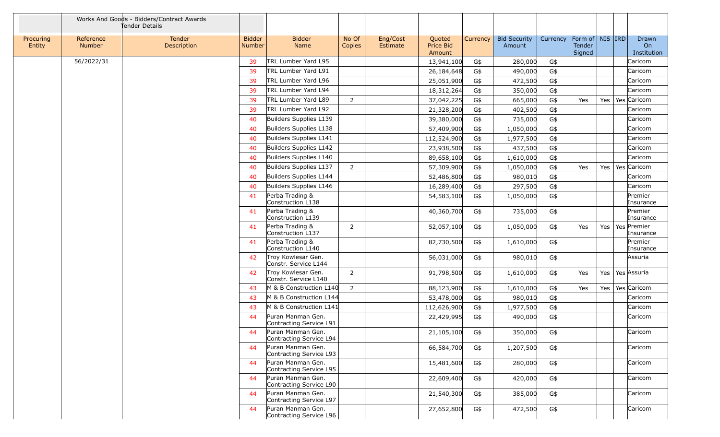|                     |                            | Works And Goods - Bidders/Contract Awards<br>Tender Details |                                |                                              |                 |                      |                               |          |                               |          |                                         |     |                            |
|---------------------|----------------------------|-------------------------------------------------------------|--------------------------------|----------------------------------------------|-----------------|----------------------|-------------------------------|----------|-------------------------------|----------|-----------------------------------------|-----|----------------------------|
| Procuring<br>Entity | Reference<br><b>Number</b> | Tender<br>Description                                       | <b>Bidder</b><br><b>Number</b> | <b>Bidder</b><br>Name                        | No Of<br>Copies | Eng/Cost<br>Estimate | Quoted<br>Price Bid<br>Amount | Currency | <b>Bid Security</b><br>Amount | Currency | Form of   NIS   IRD<br>Tender<br>Signed |     | Drawn<br>On<br>Institution |
|                     | 56/2022/31                 |                                                             | 39                             | TRL Lumber Yard L95                          |                 |                      | 13,941,100                    | G\$      | 280,000                       | G\$      |                                         |     | Caricom                    |
|                     |                            |                                                             | 39                             | TRL Lumber Yard L91                          |                 |                      | 26,184,648                    | G\$      | 490,000                       | G\$      |                                         |     | Caricom                    |
|                     |                            |                                                             | 39                             | TRL Lumber Yard L96                          |                 |                      | 25,051,900                    | G\$      | 472,500                       | G\$      |                                         |     | Caricom                    |
|                     |                            |                                                             | 39                             | TRL Lumber Yard L94                          |                 |                      | 18,312,264                    | G\$      | 350,000                       | G\$      |                                         |     | Caricom                    |
|                     |                            |                                                             | 39                             | TRL Lumber Yard L89                          | $\overline{2}$  |                      | 37,042,225                    | G\$      | 665,000                       | G\$      | Yes                                     | Yes | Yes Caricom                |
|                     |                            |                                                             | 39                             | TRL Lumber Yard L92                          |                 |                      | 21,328,200                    | G\$      | 402,500                       | G\$      |                                         |     | Caricom                    |
|                     |                            |                                                             | 40                             | Builders Supplies L139                       |                 |                      | 39,380,000                    | G\$      | 735,000                       | G\$      |                                         |     | Caricom                    |
|                     |                            |                                                             | 40                             | Builders Supplies L138                       |                 |                      | 57,409,900                    | G\$      | 1,050,000                     | G\$      |                                         |     | Caricom                    |
|                     |                            |                                                             | 40                             | Builders Supplies L141                       |                 |                      | 112,524,900                   | G\$      | 1,977,500                     | G\$      |                                         |     | Caricom                    |
|                     |                            |                                                             | 40                             | Builders Supplies L142                       |                 |                      | 23,938,500                    | G\$      | 437,500                       | G\$      |                                         |     | Caricom                    |
|                     |                            |                                                             | 40                             | Builders Supplies L140                       |                 |                      | 89,658,100                    | G\$      | 1,610,000                     | G\$      |                                         |     | Caricom                    |
|                     |                            |                                                             | 40                             | Builders Supplies L137                       | $\overline{2}$  |                      | 57,309,900                    | G\$      | 1,050,000                     | G\$      | Yes                                     | Yes | Yes Caricom                |
|                     |                            |                                                             | 40                             | Builders Supplies L144                       |                 |                      | 52,486,800                    | G\$      | 980,010                       | G\$      |                                         |     | Caricom                    |
|                     |                            |                                                             | 40                             | Builders Supplies L146                       |                 |                      | 16,289,400                    | G\$      | 297,500                       | G\$      |                                         |     | Caricom                    |
|                     |                            |                                                             | 41                             | Perba Trading &<br>Construction L138         |                 |                      | 54,583,100                    | G\$      | 1,050,000                     | G\$      |                                         |     | Premier<br>Insurance       |
|                     |                            |                                                             | 41                             | Perba Trading &<br>Construction L139         |                 |                      | 40,360,700                    | G\$      | 735,000                       | G\$      |                                         |     | Premier<br>Insurance       |
|                     |                            |                                                             | 41                             | Perba Trading &<br>Construction L137         | 2               |                      | 52,057,100                    | G\$      | 1,050,000                     | G\$      | Yes                                     | Yes | Yes Premier<br>Insurance   |
|                     |                            |                                                             | 41                             | Perba Trading &<br>Construction L140         |                 |                      | 82,730,500                    | G\$      | 1,610,000                     | G\$      |                                         |     | Premier<br>Insurance       |
|                     |                            |                                                             | 42                             | Troy Kowlesar Gen.<br>Constr. Service L144   |                 |                      | 56,031,000                    | G\$      | 980,010                       | G\$      |                                         |     | Assuria                    |
|                     |                            |                                                             | 42                             | Troy Kowlesar Gen.<br>Constr. Service L140   | 2               |                      | 91,798,500                    | G\$      | 1,610,000                     | G\$      | Yes                                     | Yes | Yes Assuria                |
|                     |                            |                                                             | 43                             | M & B Construction L140                      | 2               |                      | 88,123,900                    | G\$      | 1,610,000                     | G\$      | Yes                                     | Yes | Yes Caricom                |
|                     |                            |                                                             | 43                             | M & B Construction L144                      |                 |                      | 53,478,000                    | G\$      | 980,010                       | G\$      |                                         |     | Caricom                    |
|                     |                            |                                                             | 43                             | M & B Construction L141                      |                 |                      | 112,626,900                   | G\$      | 1,977,500                     | G\$      |                                         |     | Caricom                    |
|                     |                            |                                                             | 44                             | Puran Manman Gen.<br>Contracting Service L91 |                 |                      | 22,429,995                    | G\$      | 490,000                       | G\$      |                                         |     | Caricom                    |
|                     |                            |                                                             | 44                             | Puran Manman Gen.<br>Contracting Service L94 |                 |                      | 21,105,100                    | G\$      | 350,000                       | $G\$     |                                         |     | Caricom                    |
|                     |                            |                                                             | 44                             | Puran Manman Gen.<br>Contracting Service L93 |                 |                      | 66,584,700                    | G\$      | 1,207,500                     | G\$      |                                         |     | Caricom                    |
|                     |                            |                                                             | 44                             | Puran Manman Gen.<br>Contracting Service L95 |                 |                      | 15,481,600                    | G\$      | 280,000                       | G\$      |                                         |     | Caricom                    |
|                     |                            |                                                             | 44                             | Puran Manman Gen.<br>Contracting Service L90 |                 |                      | 22,609,400                    | G\$      | 420,000                       | G\$      |                                         |     | Caricom                    |
|                     |                            |                                                             | 44                             | Puran Manman Gen.<br>Contracting Service L97 |                 |                      | 21,540,300                    | G\$      | 385,000                       | G\$      |                                         |     | Caricom                    |
|                     |                            |                                                             | 44                             | Puran Manman Gen.<br>Contracting Service L96 |                 |                      | 27,652,800                    | G\$      | 472,500                       | G\$      |                                         |     | Caricom                    |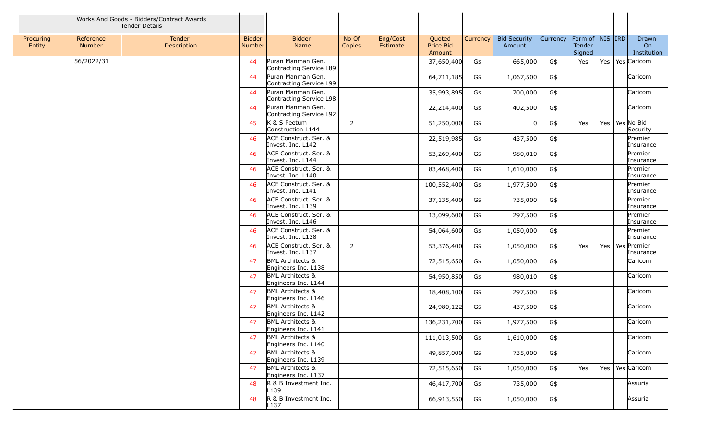|                     |                            | Works And Goods - Bidders/Contract Awards<br>Tender Details |                                |                                                    |                 |                      |                               |          |                               |          |                                         |         |                            |
|---------------------|----------------------------|-------------------------------------------------------------|--------------------------------|----------------------------------------------------|-----------------|----------------------|-------------------------------|----------|-------------------------------|----------|-----------------------------------------|---------|----------------------------|
| Procuring<br>Entity | Reference<br><b>Number</b> | Tender<br>Description                                       | <b>Bidder</b><br><b>Number</b> | <b>Bidder</b><br>Name                              | No Of<br>Copies | Eng/Cost<br>Estimate | Quoted<br>Price Bid<br>Amount | Currency | <b>Bid Security</b><br>Amount | Currency | Form of   NIS   IRD<br>Tender<br>Signed |         | Drawn<br>On<br>Institution |
|                     | 56/2022/31                 |                                                             | 44                             | Puran Manman Gen.<br>Contracting Service L89       |                 |                      | 37,650,400                    | G\$      | 665,000                       | G\$      | Yes                                     | Yes     | Yes Caricom                |
|                     |                            |                                                             | 44                             | Puran Manman Gen.<br>Contracting Service L99       |                 |                      | 64,711,185                    | G\$      | 1,067,500                     | G\$      |                                         |         | Caricom                    |
|                     |                            |                                                             | 44                             | Puran Manman Gen.<br>Contracting Service L98       |                 |                      | 35,993,895                    | G\$      | 700,000                       | G\$      |                                         |         | Caricom                    |
|                     |                            |                                                             | 44                             | Puran Manman Gen.<br>Contracting Service L92       |                 |                      | 22,214,400                    | G\$      | 402,500                       | G\$      |                                         |         | Caricom                    |
|                     |                            |                                                             | 45                             | K & S Peetum<br>Construction L144                  | $\overline{2}$  |                      | 51,250,000                    | G\$      |                               | G\$      | Yes                                     | Yes $ $ | Yes No Bid<br>Security     |
|                     |                            |                                                             | 46                             | ACE Construct. Ser. &<br>Invest. Inc. L142         |                 |                      | 22,519,985                    | G\$      | 437,500                       | G\$      |                                         |         | Premier<br>Insurance       |
|                     |                            |                                                             | 46                             | ACE Construct. Ser. &<br>Invest. Inc. L144         |                 |                      | 53,269,400                    | G\$      | 980,010                       | G\$      |                                         |         | Premier<br>Insurance       |
|                     |                            |                                                             | 46                             | ACE Construct. Ser. &<br>Invest. Inc. L140         |                 |                      | 83,468,400                    | G\$      | 1,610,000                     | G\$      |                                         |         | Premier<br>Insurance       |
|                     |                            |                                                             | 46                             | ACE Construct. Ser. &<br>Invest. Inc. L141         |                 |                      | 100,552,400                   | G\$      | 1,977,500                     | G\$      |                                         |         | Premier<br>Insurance       |
|                     |                            |                                                             | 46                             | ACE Construct. Ser. &<br>Invest. Inc. L139         |                 |                      | 37,135,400                    | G\$      | 735,000                       | G\$      |                                         |         | Premier<br>Insurance       |
|                     |                            |                                                             | 46                             | ACE Construct. Ser. &<br>Invest. Inc. L146         |                 |                      | 13,099,600                    | G\$      | 297,500                       | G\$      |                                         |         | Premier<br>Insurance       |
|                     |                            |                                                             | 46                             | ACE Construct. Ser. &<br>Invest. Inc. L138         |                 |                      | 54,064,600                    | G\$      | 1,050,000                     | G\$      |                                         |         | Premier<br>Insurance       |
|                     |                            |                                                             | 46                             | ACE Construct. Ser. &<br>Invest. Inc. L137         | 2               |                      | 53,376,400                    | G\$      | 1,050,000                     | G\$      | Yes                                     | Yes     | Yes Premier<br>Insurance   |
|                     |                            |                                                             | 47                             | <b>BML Architects &amp;</b><br>Engineers Inc. L138 |                 |                      | 72,515,650                    | G\$      | 1,050,000                     | G\$      |                                         |         | Caricom                    |
|                     |                            |                                                             | 47                             | <b>BML Architects &amp;</b><br>Engineers Inc. L144 |                 |                      | 54,950,850                    | G\$      | 980,010                       | G\$      |                                         |         | Caricom                    |
|                     |                            |                                                             | 47                             | <b>BML Architects &amp;</b><br>Engineers Inc. L146 |                 |                      | 18,408,100                    | G\$      | 297,500                       | G\$      |                                         |         | Caricom                    |
|                     |                            |                                                             | 47                             | <b>BML Architects &amp;</b><br>Engineers Inc. L142 |                 |                      | 24,980,122                    | G\$      | 437,500                       | G\$      |                                         |         | Caricom                    |
|                     |                            |                                                             | 47                             | <b>BML Architects &amp;</b><br>Engineers Inc. L141 |                 |                      | 136,231,700                   | G\$      | 1,977,500                     | G\$      |                                         |         | Caricom                    |
|                     |                            |                                                             | 47                             | <b>BML Architects &amp;</b><br>Engineers Inc. L140 |                 |                      | 111,013,500                   | G\$      | 1,610,000                     | G\$      |                                         |         | Caricom                    |
|                     |                            |                                                             | 47                             | <b>BML Architects &amp;</b><br>Engineers Inc. L139 |                 |                      | 49,857,000                    | G\$      | 735,000                       | G\$      |                                         |         | Caricom                    |
|                     |                            |                                                             | 47                             | <b>BML Architects &amp;</b><br>Engineers Inc. L137 |                 |                      | 72,515,650                    | G\$      | 1,050,000                     | G\$      | Yes                                     | Yes     | Yes Caricom                |
|                     |                            |                                                             | 48                             | R & B Investment Inc.<br>L <sub>139</sub>          |                 |                      | 46,417,700                    | G\$      | 735,000                       | G\$      |                                         |         | Assuria                    |
|                     |                            |                                                             | 48                             | R & B Investment Inc.<br>L <sub>137</sub>          |                 |                      | 66,913,550                    | G\$      | 1,050,000                     | G\$      |                                         |         | Assuria                    |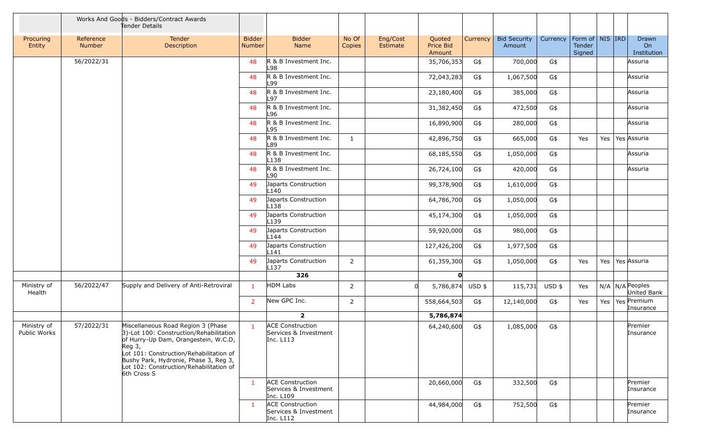|                             |                     | Works And Goods - Bidders/Contract Awards<br>Tender Details                                                                                                                                                                                                                   |                         |                                                               |                 |                             |                               |          |                               |          |                                                     |     |                                  |
|-----------------------------|---------------------|-------------------------------------------------------------------------------------------------------------------------------------------------------------------------------------------------------------------------------------------------------------------------------|-------------------------|---------------------------------------------------------------|-----------------|-----------------------------|-------------------------------|----------|-------------------------------|----------|-----------------------------------------------------|-----|----------------------------------|
| Procuring<br>Entity         | Reference<br>Number | Tender<br>Description                                                                                                                                                                                                                                                         | <b>Bidder</b><br>Number | <b>Bidder</b><br>Name                                         | No Of<br>Copies | Eng/Cost<br><b>Estimate</b> | Quoted<br>Price Bid<br>Amount | Currency | <b>Bid Security</b><br>Amount | Currency | Form of $\vert$ NIS $\vert$ IRD<br>Tender<br>Signed |     | Drawn<br>On<br>Institution       |
|                             | 56/2022/31          |                                                                                                                                                                                                                                                                               | 48                      | R & B Investment Inc.<br>L98                                  |                 |                             | 35,706,353                    | G\$      | 700,000                       | G\$      |                                                     |     | Assuria                          |
|                             |                     |                                                                                                                                                                                                                                                                               | 48                      | R & B Investment Inc.<br>L99                                  |                 |                             | 72,043,283                    | G\$      | 1,067,500                     | G\$      |                                                     |     | Assuria                          |
|                             |                     |                                                                                                                                                                                                                                                                               | 48                      | R & B Investment Inc.<br>L97                                  |                 |                             | 23,180,400                    | G\$      | 385,000                       | G\$      |                                                     |     | Assuria                          |
|                             |                     |                                                                                                                                                                                                                                                                               | 48                      | R & B Investment Inc.<br>L96                                  |                 |                             | 31,382,450                    | G\$      | 472,500                       | G\$      |                                                     |     | Assuria                          |
|                             |                     |                                                                                                                                                                                                                                                                               | 48                      | R & B Investment Inc.<br>L95                                  |                 |                             | 16,890,900                    | G\$      | 280,000                       | G\$      |                                                     |     | Assuria                          |
|                             |                     |                                                                                                                                                                                                                                                                               | 48                      | R & B Investment Inc.<br>L89                                  | 1               |                             | 42,896,750                    | G\$      | 665,000                       | G\$      | Yes                                                 | Yes | Yes Assuria                      |
|                             |                     |                                                                                                                                                                                                                                                                               | 48                      | R & B Investment Inc.<br>L <sub>138</sub>                     |                 |                             | 68,185,550                    | G\$      | 1,050,000                     | G\$      |                                                     |     | Assuria                          |
|                             |                     |                                                                                                                                                                                                                                                                               | 48                      | R & B Investment Inc.<br>L90                                  |                 |                             | 26,724,100                    | G\$      | 420,000                       | G\$      |                                                     |     | Assuria                          |
|                             |                     |                                                                                                                                                                                                                                                                               | 49                      | Japarts Construction<br>L140                                  |                 |                             | 99,378,900                    | G\$      | 1,610,000                     | G\$      |                                                     |     |                                  |
|                             |                     |                                                                                                                                                                                                                                                                               | 49                      | Japarts Construction<br>L <sub>138</sub>                      |                 |                             | 64,786,700                    | G\$      | 1,050,000                     | G\$      |                                                     |     |                                  |
|                             |                     |                                                                                                                                                                                                                                                                               | 49                      | Japarts Construction<br>L <sub>139</sub>                      |                 |                             | 45,174,300                    | G\$      | 1,050,000                     | G\$      |                                                     |     |                                  |
|                             |                     |                                                                                                                                                                                                                                                                               | 49                      | Japarts Construction<br>L144                                  |                 |                             | 59,920,000                    | G\$      | 980,000                       | G\$      |                                                     |     |                                  |
|                             |                     |                                                                                                                                                                                                                                                                               | 49                      | Japarts Construction<br>L <sub>141</sub>                      |                 |                             | 127,426,200                   | G\$      | 1,977,500                     | G\$      |                                                     |     |                                  |
|                             |                     |                                                                                                                                                                                                                                                                               | 49                      | Japarts Construction<br>L <sub>137</sub>                      | 2               |                             | 61,359,300                    | G\$      | 1,050,000                     | G\$      | Yes                                                 |     | Yes   Yes   Assuria              |
|                             |                     |                                                                                                                                                                                                                                                                               |                         | 326                                                           |                 |                             | $\mathbf{o}$                  |          |                               |          |                                                     |     |                                  |
| Ministry of<br>Health       | 56/2022/47          | Supply and Delivery of Anti-Retroviral                                                                                                                                                                                                                                        | $\mathbf{1}$            | HDM Labs                                                      | $\overline{2}$  |                             | 5,786,874                     | $USD$ \$ | 115,731                       | USD \$   | Yes                                                 |     | $N/A$ N/A Peoples<br>United Bank |
|                             |                     |                                                                                                                                                                                                                                                                               | $\overline{2}$          | New GPC Inc.                                                  | 2               |                             | 558,664,503                   | G\$      | 12,140,000                    | G\$      | Yes                                                 |     | Yes   Yes   Premium<br>Insurance |
|                             |                     |                                                                                                                                                                                                                                                                               |                         | $\overline{2}$                                                |                 |                             | 5,786,874                     |          |                               |          |                                                     |     |                                  |
| Ministry of<br>Public Works | 57/2022/31          | Miscellaneous Road Region 3 (Phase<br>3)-Lot 100: Construction/Rehabilitation<br>of Hurry-Up Dam, Orangestein, W.C.D,<br>Reg 3,<br>Lot 101: Construction/Rehabilitation of<br>Bushy Park, Hydronie, Phase 3, Reg 3,<br>Lot 102: Construction/Rehabilitation of<br>6th Cross S | $\mathbf{1}$            | <b>ACE Construction</b><br>Services & Investment<br>Inc. L113 |                 |                             | 64,240,600                    | G\$      | 1,085,000                     | G\$      |                                                     |     | Premier<br>Insurance             |
|                             |                     |                                                                                                                                                                                                                                                                               | $\mathbf{1}$            | <b>ACE Construction</b><br>Services & Investment<br>Inc. L109 |                 |                             | 20,660,000                    | G\$      | 332,500                       | G\$      |                                                     |     | Premier<br>Insurance             |
|                             |                     |                                                                                                                                                                                                                                                                               | $\mathbf{1}$            | <b>ACE Construction</b><br>Services & Investment<br>Inc. L112 |                 |                             | 44,984,000                    | G\$      | 752,500                       | G\$      |                                                     |     | Premier<br>Insurance             |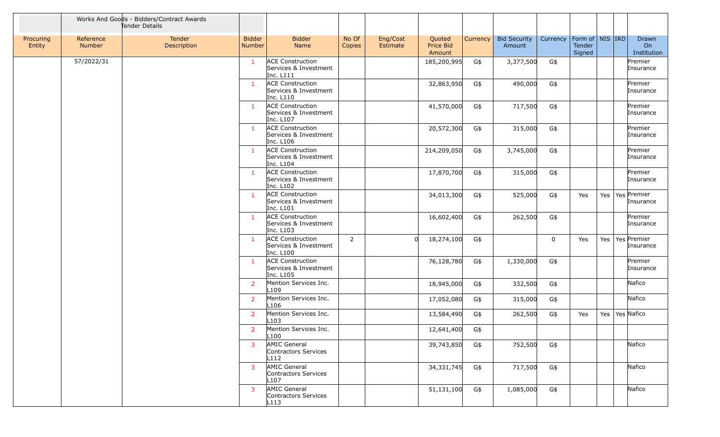|                     |                            | Works And Goods - Bidders/Contract Awards<br>Tender Details |                                |                                                               |                 |                      |                               |                 |                               |             |                                         |     |                                  |
|---------------------|----------------------------|-------------------------------------------------------------|--------------------------------|---------------------------------------------------------------|-----------------|----------------------|-------------------------------|-----------------|-------------------------------|-------------|-----------------------------------------|-----|----------------------------------|
| Procuring<br>Entity | Reference<br><b>Number</b> | Tender<br>Description                                       | <b>Bidder</b><br><b>Number</b> | <b>Bidder</b><br>Name                                         | No Of<br>Copies | Eng/Cost<br>Estimate | Quoted<br>Price Bid<br>Amount | <b>Currency</b> | <b>Bid Security</b><br>Amount | Currency    | Form of   NIS   IRD<br>Tender<br>Signed |     | Drawn<br>On<br>Institution       |
|                     | 57/2022/31                 |                                                             | $\mathbf{1}$                   | <b>ACE Construction</b><br>Services & Investment<br>Inc. L111 |                 |                      | 185,200,995                   | G\$             | 3,377,500                     | G\$         |                                         |     | Premier<br>Insurance             |
|                     |                            |                                                             | $\mathbf{1}$                   | <b>ACE Construction</b><br>Services & Investment<br>Inc. L110 |                 |                      | 32,863,950                    | G\$             | 490,000                       | G\$         |                                         |     | Premier<br>Insurance             |
|                     |                            |                                                             | $\mathbf{1}$                   | <b>ACE Construction</b><br>Services & Investment<br>Inc. L107 |                 |                      | 41,570,000                    | G\$             | 717,500                       | G\$         |                                         |     | Premier<br>Insurance             |
|                     |                            |                                                             | $\mathbf{1}$                   | <b>ACE Construction</b><br>Services & Investment<br>Inc. L106 |                 |                      | 20,572,300                    | G\$             | 315,000                       | G\$         |                                         |     | Premier<br>Insurance             |
|                     |                            |                                                             | $\mathbf{1}$                   | <b>ACE Construction</b><br>Services & Investment<br>Inc. L104 |                 |                      | 214,209,050                   | G\$             | 3,745,000                     | G\$         |                                         |     | Premier<br>Insurance             |
|                     |                            |                                                             | $\mathbf{1}$                   | <b>ACE Construction</b><br>Services & Investment<br>Inc. L102 |                 |                      | 17,870,700                    | G\$             | 315,000                       | G\$         |                                         |     | Premier<br>Insurance             |
|                     |                            |                                                             | $\mathbf{1}$                   | <b>ACE Construction</b><br>Services & Investment<br>Inc. L101 |                 |                      | 34,013,300                    | G\$             | 525,000                       | G\$         | Yes                                     | Yes | Yes Premier<br>Insurance         |
|                     |                            |                                                             | $\mathbf{1}$                   | <b>ACE Construction</b><br>Services & Investment<br>Inc. L103 |                 |                      | 16,602,400                    | G\$             | 262,500                       | G\$         |                                         |     | Premier<br>Insurance             |
|                     |                            |                                                             | $\mathbf{1}$                   | <b>ACE Construction</b><br>Services & Investment<br>Inc. L100 | $\overline{2}$  |                      | 18,274,100<br><sub>0</sub>    | G\$             |                               | $\mathbf 0$ | Yes                                     |     | Yes   Yes   Premier<br>Insurance |
|                     |                            |                                                             | $\mathbf{1}$                   | <b>ACE Construction</b><br>Services & Investment<br>Inc. L105 |                 |                      | 76,128,780                    | G\$             | 1,330,000                     | G\$         |                                         |     | Premier<br>Insurance             |
|                     |                            |                                                             | $\overline{2}$                 | Mention Services Inc.<br>L <sub>109</sub>                     |                 |                      | 18,945,000                    | G\$             | 332,500                       | G\$         |                                         |     | Nafico                           |
|                     |                            |                                                             | $\overline{2}$                 | Mention Services Inc.<br>L <sub>106</sub>                     |                 |                      | 17,052,080                    | G\$             | 315,000                       | G\$         |                                         |     | Nafico                           |
|                     |                            |                                                             | $\overline{2}$                 | Mention Services Inc.<br>L <sub>103</sub>                     |                 |                      | 13,584,490                    | G\$             | 262,500                       | G\$         | Yes                                     | Yes | Yes Nafico                       |
|                     |                            |                                                             | 2                              | Mention Services Inc.<br>L <sub>100</sub>                     |                 |                      | 12,641,400                    | G\$             |                               |             |                                         |     |                                  |
|                     |                            |                                                             | 3                              | AMIC General<br>Contractors Services<br>L112                  |                 |                      | 39,743,850                    | G\$             | 752,500                       | G\$         |                                         |     | Nafico                           |
|                     |                            |                                                             | $\mathbf{3}$                   | AMIC General<br>Contractors Services<br>L <sub>107</sub>      |                 |                      | 34,331,745                    | G\$             | 717,500                       | G\$         |                                         |     | Nafico                           |
|                     |                            |                                                             | 3                              | AMIC General<br>Contractors Services<br>L113                  |                 |                      | 51,131,100                    | G\$             | 1,085,000                     | G\$         |                                         |     | Nafico                           |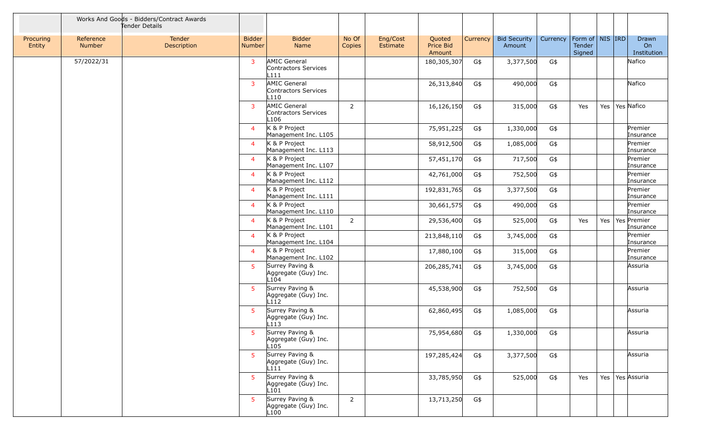|                     |                            | Works And Goods - Bidders/Contract Awards<br>Tender Details |                                |                                                               |                 |                      |                               |          |                               |          |                                         |     |                            |
|---------------------|----------------------------|-------------------------------------------------------------|--------------------------------|---------------------------------------------------------------|-----------------|----------------------|-------------------------------|----------|-------------------------------|----------|-----------------------------------------|-----|----------------------------|
| Procuring<br>Entity | Reference<br><b>Number</b> | Tender<br>Description                                       | <b>Bidder</b><br><b>Number</b> | <b>Bidder</b><br>Name                                         | No Of<br>Copies | Eng/Cost<br>Estimate | Quoted<br>Price Bid<br>Amount | Currency | <b>Bid Security</b><br>Amount | Currency | Form of   NIS   IRD<br>Tender<br>Signed |     | Drawn<br>On<br>Institution |
|                     | 57/2022/31                 |                                                             | 3                              | AMIC General<br>Contractors Services<br>L111                  |                 |                      | 180,305,307                   | G\$      | 3,377,500                     | G\$      |                                         |     | Nafico                     |
|                     |                            |                                                             | 3                              | AMIC General<br>Contractors Services<br>L110                  |                 |                      | 26,313,840                    | G\$      | 490,000                       | G\$      |                                         |     | Nafico                     |
|                     |                            |                                                             | 3                              | AMIC General<br>Contractors Services<br>L <sub>106</sub>      | $\overline{2}$  |                      | 16,126,150                    | G\$      | 315,000                       | G\$      | Yes                                     | Yes | Yes Nafico                 |
|                     |                            |                                                             | 4                              | K & P Project<br>Management Inc. L105                         |                 |                      | 75,951,225                    | G\$      | 1,330,000                     | G\$      |                                         |     | Premier<br>Insurance       |
|                     |                            |                                                             | $\overline{4}$                 | K & P Project<br>Management Inc. L113                         |                 |                      | 58,912,500                    | G\$      | 1,085,000                     | G\$      |                                         |     | Premier<br>Insurance       |
|                     |                            |                                                             | $\overline{4}$                 | K & P Project<br>Management Inc. L107                         |                 |                      | 57,451,170                    | G\$      | 717,500                       | G\$      |                                         |     | Premier<br>Insurance       |
|                     |                            |                                                             | $\overline{4}$                 | K & P Project<br>Management Inc. L112                         |                 |                      | 42,761,000                    | G\$      | 752,500                       | G\$      |                                         |     | Premier<br>Insurance       |
|                     |                            |                                                             | $\overline{4}$                 | K & P Project<br>Management Inc. L111                         |                 |                      | 192,831,765                   | G\$      | 3,377,500                     | G\$      |                                         |     | Premier<br>Insurance       |
|                     |                            |                                                             | $\overline{4}$                 | K & P Project<br>Management Inc. L110                         |                 |                      | 30,661,575                    | G\$      | 490,000                       | G\$      |                                         |     | Premier<br>Insurance       |
|                     |                            |                                                             | $\overline{4}$                 | K & P Project<br>Management Inc. L101                         | $\overline{2}$  |                      | 29,536,400                    | G\$      | 525,000                       | G\$      | Yes                                     | Yes | Yes Premier<br>Insurance   |
|                     |                            |                                                             | 4                              | K & P Project<br>Management Inc. L104                         |                 |                      | 213,848,110                   | G\$      | 3,745,000                     | G\$      |                                         |     | Premier<br>Insurance       |
|                     |                            |                                                             | $\overline{4}$                 | K & P Project<br>Management Inc. L102                         |                 |                      | 17,880,100                    | G\$      | 315,000                       | G\$      |                                         |     | Premier<br>Insurance       |
|                     |                            |                                                             | 5                              | Surrey Paving &<br>Aggregate (Guy) Inc.<br>L104               |                 |                      | 206,285,741                   | G\$      | 3,745,000                     | G\$      |                                         |     | Assuria                    |
|                     |                            |                                                             | 5                              | Surrey Paving &<br>Aggregate (Guy) Inc.<br>L112               |                 |                      | 45,538,900                    | G\$      | 752,500                       | G\$      |                                         |     | Assuria                    |
|                     |                            |                                                             | 5                              | Surrey Paving &<br>Aggregate (Guy) Inc.<br>L113               |                 |                      | 62,860,495                    | G\$      | 1,085,000                     | G\$      |                                         |     | Assuria                    |
|                     |                            |                                                             |                                | 5 Surrey Paving &<br>Aggregate (Guy) Inc.<br>L <sub>105</sub> |                 |                      | 75,954,680 G\$                |          | 1,330,000                     | G\$      |                                         |     | Assuria                    |
|                     |                            |                                                             | 5 <sup>1</sup>                 | Surrey Paving &<br>Aggregate (Guy) Inc.<br>L111               |                 |                      | 197,285,424                   | G\$      | 3,377,500                     | G\$      |                                         |     | Assuria                    |
|                     |                            |                                                             | 5 <sup>1</sup>                 | Surrey Paving &<br>Aggregate (Guy) Inc.<br>L101               |                 |                      | 33,785,950                    | G\$      | 525,000                       | G\$      | Yes                                     | Yes | Yes Assuria                |
|                     |                            |                                                             | 5                              | Surrey Paving &<br>Aggregate (Guy) Inc.<br>L100               | $\overline{2}$  |                      | 13,713,250                    | G\$      |                               |          |                                         |     |                            |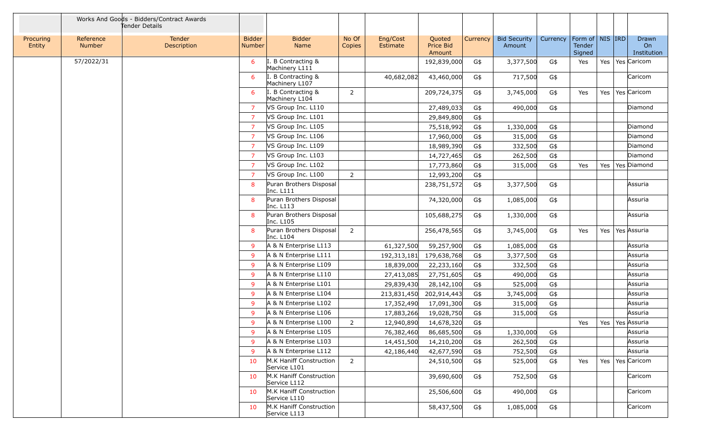|                     |                            | Works And Goods - Bidders/Contract Awards<br>Tender Details |                                |                                          |                 |                      |                               |          |                               |          |                                         |     |                            |
|---------------------|----------------------------|-------------------------------------------------------------|--------------------------------|------------------------------------------|-----------------|----------------------|-------------------------------|----------|-------------------------------|----------|-----------------------------------------|-----|----------------------------|
| Procuring<br>Entity | Reference<br><b>Number</b> | Tender<br>Description                                       | <b>Bidder</b><br><b>Number</b> | <b>Bidder</b><br>Name                    | No Of<br>Copies | Eng/Cost<br>Estimate | Quoted<br>Price Bid<br>Amount | Currency | <b>Bid Security</b><br>Amount | Currency | Form of   NIS   IRD<br>Tender<br>Signed |     | Drawn<br>On<br>Institution |
|                     | 57/2022/31                 |                                                             | 6                              | <b>B</b> Contracting &<br>Machinery L111 |                 |                      | 192,839,000                   | G\$      | 3,377,500                     | G\$      | Yes                                     | Yes | Yes Caricom                |
|                     |                            |                                                             | 6                              | <b>B</b> Contracting &<br>Machinery L107 |                 | 40,682,082           | 43,460,000                    | G\$      | 717,500                       | G\$      |                                         |     | Caricom                    |
|                     |                            |                                                             | 6                              | <b>B</b> Contracting &<br>Machinery L104 | $\overline{2}$  |                      | 209,724,375                   | G\$      | 3,745,000                     | G\$      | Yes                                     | Yes | Yes Caricom                |
|                     |                            |                                                             | $\overline{7}$                 | VS Group Inc. L110                       |                 |                      | 27,489,033                    | G\$      | 490,000                       | G\$      |                                         |     | Diamond                    |
|                     |                            |                                                             | 7                              | VS Group Inc. L101                       |                 |                      | 29,849,800                    | G\$      |                               |          |                                         |     |                            |
|                     |                            |                                                             | 7                              | VS Group Inc. L105                       |                 |                      | 75,518,992                    | G\$      | 1,330,000                     | G\$      |                                         |     | Diamond                    |
|                     |                            |                                                             | 7                              | VS Group Inc. L106                       |                 |                      | 17,960,000                    | G\$      | 315,000                       | G\$      |                                         |     | Diamond                    |
|                     |                            |                                                             | 7                              | VS Group Inc. L109                       |                 |                      | 18,989,390                    | G\$      | 332,500                       | G\$      |                                         |     | Diamond                    |
|                     |                            |                                                             | 7                              | VS Group Inc. L103                       |                 |                      | 14,727,465                    | G\$      | 262,500                       | G\$      |                                         |     | Diamond                    |
|                     |                            |                                                             | $\overline{7}$                 | VS Group Inc. L102                       |                 |                      | 17,773,860                    | G\$      | 315,000                       | G\$      | Yes                                     | Yes | Yes Diamond                |
|                     |                            |                                                             | 7                              | VS Group Inc. L100                       | $\overline{2}$  |                      | 12,993,200                    | G\$      |                               |          |                                         |     |                            |
|                     |                            |                                                             | 8                              | Puran Brothers Disposal<br>Inc. L111     |                 |                      | 238,751,572                   | G\$      | 3,377,500                     | G\$      |                                         |     | Assuria                    |
|                     |                            |                                                             | 8                              | Puran Brothers Disposal<br>Inc. L113     |                 |                      | 74,320,000                    | G\$      | 1,085,000                     | G\$      |                                         |     | Assuria                    |
|                     |                            |                                                             | 8                              | Puran Brothers Disposal<br>Inc. L105     |                 |                      | 105,688,275                   | G\$      | 1,330,000                     | G\$      |                                         |     | Assuria                    |
|                     |                            |                                                             | 8                              | Puran Brothers Disposal<br>Inc. L104     | $\overline{2}$  |                      | 256,478,565                   | G\$      | 3,745,000                     | G\$      | Yes                                     | Yes | Yes Assuria                |
|                     |                            |                                                             | 9                              | A & N Enterprise L113                    |                 | 61,327,500           | 59,257,900                    | G\$      | 1,085,000                     | G\$      |                                         |     | Assuria                    |
|                     |                            |                                                             | 9                              | A & N Enterprise L111                    |                 | 192,313,181          | 179,638,768                   | G\$      | 3,377,500                     | G\$      |                                         |     | Assuria                    |
|                     |                            |                                                             | 9                              | A & N Enterprise L109                    |                 | 18,839,000           | 22,233,160                    | G\$      | 332,500                       | G\$      |                                         |     | Assuria                    |
|                     |                            |                                                             | 9                              | A & N Enterprise L110                    |                 | 27,413,085           | 27,751,605                    | G\$      | 490,000                       | G\$      |                                         |     | Assuria                    |
|                     |                            |                                                             | 9                              | A & N Enterprise L101                    |                 | 29,839,430           | 28,142,100                    | G\$      | 525,000                       | G\$      |                                         |     | Assuria                    |
|                     |                            |                                                             | 9                              | A & N Enterprise L104                    |                 | 213,831,450          | 202,914,443                   | G\$      | 3,745,000                     | G\$      |                                         |     | Assuria                    |
|                     |                            |                                                             | 9                              | A & N Enterprise L102                    |                 | 17,352,490           | 17,091,300                    | G\$      | 315,000                       | G\$      |                                         |     | Assuria                    |
|                     |                            |                                                             | 9                              | A & N Enterprise L106                    |                 | 17,883,266           | 19,028,750                    | G\$      | 315,000                       | G\$      |                                         |     | Assuria                    |
|                     |                            |                                                             | 9                              | A & N Enterprise L100                    | $\overline{2}$  | 12,940,890           | 14,678,320                    | G\$      |                               |          | Yes                                     | Yes | Yes Assuria                |
|                     |                            |                                                             | 9                              | A & N Enterprise L105                    |                 | 76,382,460           | 86,685,500                    | G\$      | 1,330,000                     | G\$      |                                         |     | Assuria                    |
|                     |                            |                                                             | 9                              | A & N Enterprise L103                    |                 | 14,451,500           | 14,210,200                    | G\$      | 262,500                       | G\$      |                                         |     | Assuria                    |
|                     |                            |                                                             | 9                              | A & N Enterprise L112                    |                 | 42,186,440           | 42,677,590                    | G\$      | 752,500                       | G\$      |                                         |     | Assuria                    |
|                     |                            |                                                             | 10                             | M.K Haniff Construction<br>Service L101  | 2               |                      | 24,510,500                    | G\$      | 525,000                       | G\$      | Yes                                     | Yes | Yes Caricom                |
|                     |                            |                                                             | 10                             | M.K Haniff Construction<br>Service L112  |                 |                      | 39,690,600                    | G\$      | 752,500                       | G\$      |                                         |     | Caricom                    |
|                     |                            |                                                             | 10                             | M.K Haniff Construction<br>Service L110  |                 |                      | 25,506,600                    | G\$      | 490,000                       | G\$      |                                         |     | Caricom                    |
|                     |                            |                                                             | 10                             | M.K Haniff Construction<br>Service L113  |                 |                      | 58,437,500                    | G\$      | 1,085,000                     | G\$      |                                         |     | Caricom                    |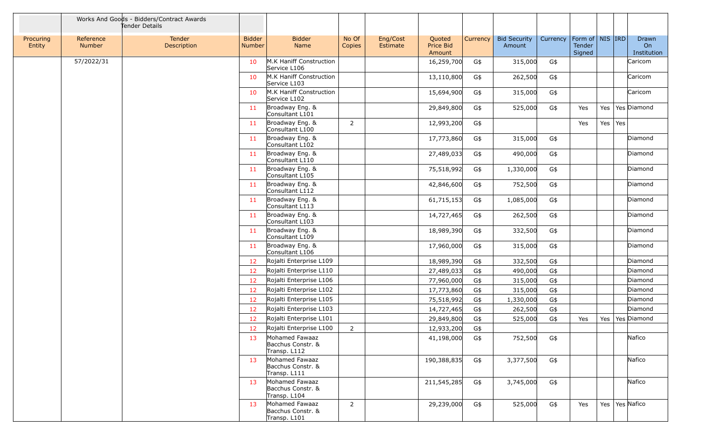|                     |                     | Works And Goods - Bidders/Contract Awards<br>Tender Details |                                |                                                     |                 |                      |                               |                 |                               |          |                                         |     |            |                            |
|---------------------|---------------------|-------------------------------------------------------------|--------------------------------|-----------------------------------------------------|-----------------|----------------------|-------------------------------|-----------------|-------------------------------|----------|-----------------------------------------|-----|------------|----------------------------|
| Procuring<br>Entity | Reference<br>Number | Tender<br>Description                                       | <b>Bidder</b><br><b>Number</b> | <b>Bidder</b><br><b>Name</b>                        | No Of<br>Copies | Eng/Cost<br>Estimate | Quoted<br>Price Bid<br>Amount | <b>Currency</b> | <b>Bid Security</b><br>Amount | Currency | Form of   NIS   IRD<br>Tender<br>Signed |     |            | Drawn<br>On<br>Institution |
|                     | 57/2022/31          |                                                             | 10                             | M.K Haniff Construction<br>Service L106             |                 |                      | 16,259,700                    | G\$             | 315,000                       | G\$      |                                         |     |            | Caricom                    |
|                     |                     |                                                             | 10                             | M.K Haniff Construction<br>Service L103             |                 |                      | 13,110,800                    | G\$             | 262,500                       | G\$      |                                         |     |            | Caricom                    |
|                     |                     |                                                             | 10                             | M.K Haniff Construction<br>Service L102             |                 |                      | 15,694,900                    | G\$             | 315,000                       | G\$      |                                         |     |            | Caricom                    |
|                     |                     |                                                             | 11                             | Broadway Eng. &<br>Consultant L101                  |                 |                      | 29,849,800                    | G\$             | 525,000                       | G\$      | Yes                                     | Yes |            | Yes Diamond                |
|                     |                     |                                                             | 11                             | Broadway Eng. &<br>Consultant L100                  | $\overline{2}$  |                      | 12,993,200                    | G\$             |                               |          | Yes                                     | Yes | Yes        |                            |
|                     |                     |                                                             | 11                             | Broadway Eng. &<br>Consultant L102                  |                 |                      | 17,773,860                    | G\$             | 315,000                       | G\$      |                                         |     |            | Diamond                    |
|                     |                     |                                                             | 11                             | Broadway Eng. &<br>Consultant L110                  |                 |                      | 27,489,033                    | G\$             | 490,000                       | $G\$     |                                         |     |            | Diamond                    |
|                     |                     |                                                             | 11                             | Broadway Eng. &<br>Consultant L105                  |                 |                      | 75,518,992                    | G\$             | 1,330,000                     | $G\$     |                                         |     |            | Diamond                    |
|                     |                     |                                                             | 11                             | Broadway Eng. &<br>Consultant L112                  |                 |                      | 42,846,600                    | G\$             | 752,500                       | G\$      |                                         |     |            | Diamond                    |
|                     |                     |                                                             | 11                             | Broadway Eng. &<br>Consultant L113                  |                 |                      | 61,715,153                    | G\$             | 1,085,000                     | G\$      |                                         |     |            | Diamond                    |
|                     |                     |                                                             | 11                             | Broadway Eng. &<br>Consultant L103                  |                 |                      | 14,727,465                    | G\$             | 262,500                       | G\$      |                                         |     |            | Diamond                    |
|                     |                     |                                                             | 11                             | Broadway Eng. &<br>Consultant L109                  |                 |                      | 18,989,390                    | G\$             | 332,500                       | G\$      |                                         |     |            | Diamond                    |
|                     |                     |                                                             | 11                             | Broadway Eng. &<br>Consultant L106                  |                 |                      | 17,960,000                    | G\$             | 315,000                       | G\$      |                                         |     |            | Diamond                    |
|                     |                     |                                                             | 12                             | Rojalti Enterprise L109                             |                 |                      | 18,989,390                    | G\$             | 332,500                       | G\$      |                                         |     |            | Diamond                    |
|                     |                     |                                                             | 12                             | Rojalti Enterprise L110                             |                 |                      | 27,489,033                    | G\$             | 490,000                       | G\$      |                                         |     |            | Diamond                    |
|                     |                     |                                                             | 12                             | Rojalti Enterprise L106                             |                 |                      | 77,960,000                    | G\$             | 315,000                       | G\$      |                                         |     |            | Diamond                    |
|                     |                     |                                                             | 12                             | Rojalti Enterprise L102                             |                 |                      | 17,773,860                    | G\$             | 315,000                       | G\$      |                                         |     |            | Diamond                    |
|                     |                     |                                                             | 12                             | Rojalti Enterprise L105                             |                 |                      | 75,518,992                    | G\$             | 1,330,000                     | G\$      |                                         |     |            | Diamond                    |
|                     |                     |                                                             | 12                             | Rojalti Enterprise L103                             |                 |                      | 14,727,465                    | G\$             | 262,500                       | G\$      |                                         |     |            | Diamond                    |
|                     |                     |                                                             | 12                             | Rojalti Enterprise L101                             |                 |                      | 29,849,800                    | G\$             | 525,000                       | G\$      | Yes                                     | Yes |            | Yes Diamond                |
|                     |                     |                                                             | 12                             | Rojalti Enterprise L100                             | $\overline{2}$  |                      | 12,933,200                    | G\$             |                               |          |                                         |     |            |                            |
|                     |                     |                                                             | 13                             | Mohamed Fawaaz<br>Bacchus Constr. &<br>Transp. L112 |                 |                      | 41,198,000                    | G\$             | 752,500                       | G\$      |                                         |     |            | Nafico                     |
|                     |                     |                                                             | 13                             | Mohamed Fawaaz<br>Bacchus Constr. &<br>Transp. L111 |                 |                      | 190,388,835                   | G\$             | 3,377,500                     | G\$      |                                         |     |            | Nafico                     |
|                     |                     |                                                             | 13                             | Mohamed Fawaaz<br>Bacchus Constr. &<br>Transp. L104 |                 |                      | 211,545,285                   | G\$             | 3,745,000                     | G\$      |                                         |     |            | Nafico                     |
|                     |                     |                                                             | 13                             | Mohamed Fawaaz<br>Bacchus Constr. &<br>Transp. L101 | $\overline{2}$  |                      | 29,239,000                    | G\$             | 525,000                       | G\$      | Yes                                     | Yes | Yes Nafico |                            |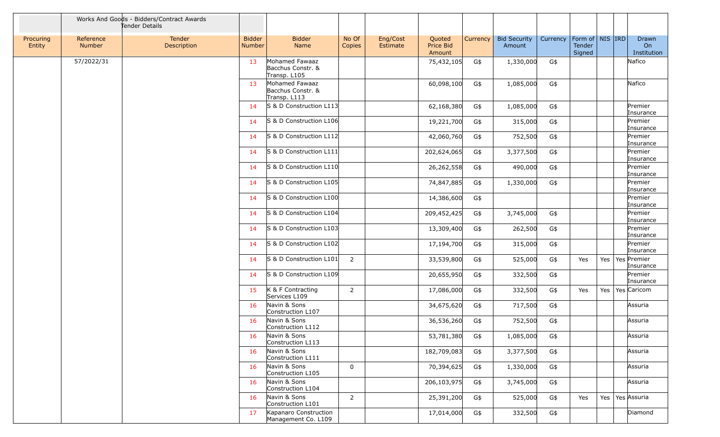|                     |                     | Works And Goods - Bidders/Contract Awards<br>Tender Details |                         |                                                                   |                 |                      |                               |                 |                               |          |                                         |     |                                  |
|---------------------|---------------------|-------------------------------------------------------------|-------------------------|-------------------------------------------------------------------|-----------------|----------------------|-------------------------------|-----------------|-------------------------------|----------|-----------------------------------------|-----|----------------------------------|
| Procuring<br>Entity | Reference<br>Number | Tender<br>Description                                       | <b>Bidder</b><br>Number | <b>Bidder</b><br>Name                                             | No Of<br>Copies | Eng/Cost<br>Estimate | Quoted<br>Price Bid<br>Amount | <b>Currency</b> | <b>Bid Security</b><br>Amount | Currency | Form of   NIS   IRD<br>Tender<br>Signed |     | Drawn<br>On<br>Institution       |
|                     | 57/2022/31          |                                                             | 13                      | Mohamed Fawaaz<br>Bacchus Constr. &<br>Transp. L105               |                 |                      | 75,432,105                    | G\$             | 1,330,000                     | G\$      |                                         |     | Nafico                           |
|                     |                     |                                                             | 13                      | Mohamed Fawaaz<br>Bacchus Constr. &<br>Transp. L113               |                 |                      | 60,098,100                    | G\$             | 1,085,000                     | G\$      |                                         |     | Nafico                           |
|                     |                     |                                                             | 14                      | S & D Construction L113                                           |                 |                      | 62,168,380                    | G\$             | 1,085,000                     | G\$      |                                         |     | Premier<br>Insurance             |
|                     |                     |                                                             | 14                      | S & D Construction L106                                           |                 |                      | 19,221,700                    | G\$             | 315,000                       | G\$      |                                         |     | Premier<br>Insurance             |
|                     |                     |                                                             | 14                      | S & D Construction L112                                           |                 |                      | 42,060,760                    | G\$             | 752,500                       | G\$      |                                         |     | Premier<br>Insurance             |
|                     |                     |                                                             | 14                      | S & D Construction L111                                           |                 |                      | 202,624,065                   | G\$             | 3,377,500                     | G\$      |                                         |     | Premier<br>Insurance             |
|                     |                     |                                                             | 14                      | S & D Construction L110                                           |                 |                      | 26,262,558                    | G\$             | 490,000                       | G\$      |                                         |     | Premier<br>Insurance             |
|                     |                     |                                                             | 14                      | S & D Construction L105                                           |                 |                      | 74,847,885                    | G\$             | 1,330,000                     | G\$      |                                         |     | Premier<br>Insurance             |
|                     |                     |                                                             | 14                      | S & D Construction L100                                           |                 |                      | 14,386,600                    | G\$             |                               |          |                                         |     | Premier<br>Insurance             |
|                     |                     |                                                             | 14                      | S & D Construction L104                                           |                 |                      | 209,452,425                   | G\$             | 3,745,000                     | G\$      |                                         |     | Premier<br>Insurance             |
|                     |                     |                                                             | 14                      | S & D Construction L103                                           |                 |                      | 13,309,400                    | G\$             | 262,500                       | G\$      |                                         |     | Premier<br>Insurance             |
|                     |                     |                                                             | 14                      | S & D Construction L102                                           |                 |                      | 17,194,700                    | G\$             | 315,000                       | G\$      |                                         |     | Premier<br>Insurance             |
|                     |                     |                                                             | 14                      | S & D Construction L101                                           | 2               |                      | 33,539,800                    | G\$             | 525,000                       | G\$      | Yes                                     |     | Yes   Yes   Premier<br>Insurance |
|                     |                     |                                                             | 14                      | S & D Construction L109                                           |                 |                      | 20,655,950                    | G\$             | 332,500                       | G\$      |                                         |     | Premier<br>Insurance             |
|                     |                     |                                                             | 15                      | K & F Contracting<br>Services L109                                | $\overline{2}$  |                      | 17,086,000                    | G\$             | 332,500                       | G\$      | Yes                                     | Yes | Yes Caricom                      |
|                     |                     |                                                             | 16                      | Navin & Sons<br>Construction L107                                 |                 |                      | 34,675,620                    | G\$             | 717,500                       | G\$      |                                         |     | Assuria                          |
|                     |                     |                                                             | 16                      | Navin & Sons<br>Construction L112                                 |                 |                      | 36,536,260                    | G\$             | 752,500                       | G\$      |                                         |     | Assuria                          |
|                     |                     |                                                             | 16                      | Navin & Sons<br>Construction L113                                 |                 |                      | 53,781,380                    | G\$             | 1,085,000                     | G\$      |                                         |     | Assuria                          |
|                     |                     |                                                             | 16                      | Navin & Sons                                                      |                 |                      | 182,709,083                   | G\$             | 3,377,500                     | G\$      |                                         |     | Assuria                          |
|                     |                     |                                                             | 16                      | Construction L111<br>Navin & Sons                                 | 0               |                      | 70,394,625                    | G\$             | 1,330,000                     | G\$      |                                         |     | Assuria                          |
|                     |                     |                                                             | 16                      | Construction L105<br>Navin & Sons                                 |                 |                      | 206,103,975                   | G\$             | 3,745,000                     | G\$      |                                         |     | Assuria                          |
|                     |                     |                                                             | 16                      | Construction L104<br>Navin & Sons                                 | $\overline{2}$  |                      | 25,391,200                    | G\$             | 525,000                       | G\$      | Yes                                     | Yes | Yes Assuria                      |
|                     |                     |                                                             | 17                      | Construction L101<br>Kapanaro Construction<br>Management Co. L109 |                 |                      | 17,014,000                    | G\$             | 332,500                       | G\$      |                                         |     | Diamond                          |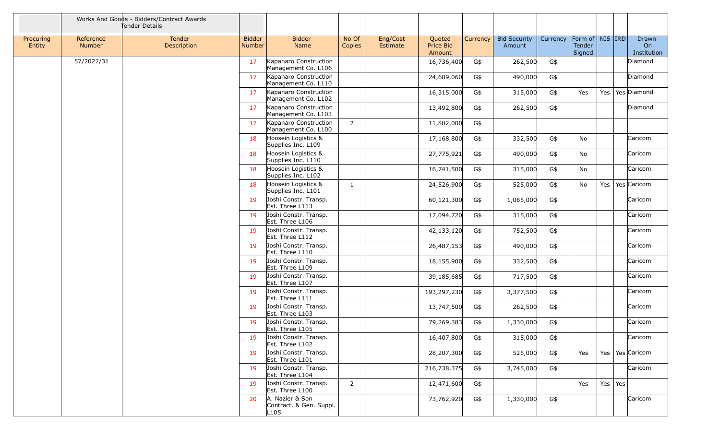|                     |                            | Works And Goods - Bidders/Contract Awards<br>Tender Details |                         |                                                                |                 |                      |                               |          |                               |          |                                                |                 |                            |
|---------------------|----------------------------|-------------------------------------------------------------|-------------------------|----------------------------------------------------------------|-----------------|----------------------|-------------------------------|----------|-------------------------------|----------|------------------------------------------------|-----------------|----------------------------|
| Procuring<br>Entity | Reference<br><b>Number</b> | Tender<br>Description                                       | <b>Bidder</b><br>Number | <b>Bidder</b><br>Name                                          | No Of<br>Copies | Eng/Cost<br>Estimate | Quoted<br>Price Bid<br>Amount | Currency | <b>Bid Security</b><br>Amount | Currency | Form of   NIS   IRD<br><b>Tender</b><br>Signed |                 | Drawn<br>On<br>Institution |
|                     | 57/2022/31                 |                                                             | 17                      | Kapanaro Construction<br>Management Co. L106                   |                 |                      | 16,736,400                    | G\$      | 262,500                       | G\$      |                                                |                 | Diamond                    |
|                     |                            |                                                             | 17                      | Kapanaro Construction<br>Management Co. L110                   |                 |                      | 24,609,060                    | G\$      | 490,000                       | G\$      |                                                |                 | Diamond                    |
|                     |                            |                                                             | 17                      | Kapanaro Construction<br>Management Co. L102                   |                 |                      | 16,315,000                    | G\$      | 315,000                       | G\$      | Yes                                            | Yes $ $         | Yes Diamond                |
|                     |                            |                                                             | 17                      | Kapanaro Construction<br>Management Co. L103                   |                 |                      | 13,492,800                    | G\$      | 262,500                       | G\$      |                                                |                 | Diamond                    |
|                     |                            |                                                             | 17                      | Kapanaro Construction<br>Management Co. L100                   | $\overline{2}$  |                      | 11,882,000                    | G\$      |                               |          |                                                |                 |                            |
|                     |                            |                                                             | 18                      | Hoosein Logistics &<br>Supplies Inc. L109                      |                 |                      | 17,168,800                    | G\$      | 332,500                       | G\$      | <b>No</b>                                      |                 | Caricom                    |
|                     |                            |                                                             | 18                      | Hoosein Logistics &<br>Supplies Inc. L110                      |                 |                      | 27,775,921                    | G\$      | 490,000                       | G\$      | No                                             |                 | Caricom                    |
|                     |                            |                                                             | 18                      | Hoosein Logistics &<br>Supplies Inc. L102                      |                 |                      | 16,741,500                    | G\$      | 315,000                       | G\$      | No                                             |                 | Caricom                    |
|                     |                            |                                                             | 18                      | Hoosein Logistics &<br>Supplies Inc. L101                      | $\mathbf{1}$    |                      | 24,526,900                    | G\$      | 525,000                       | G\$      | No                                             | Yes             | Yes Caricom                |
|                     |                            |                                                             | 19                      | Joshi Constr. Transp.<br>Est. Three L113                       |                 |                      | 60,121,300                    | G\$      | 1,085,000                     | G\$      |                                                |                 | Caricom                    |
|                     |                            |                                                             | 19                      | Joshi Constr. Transp.<br>Est. Three L106                       |                 |                      | 17,094,720                    | G\$      | 315,000                       | G\$      |                                                |                 | Caricom                    |
|                     |                            |                                                             | 19                      | Joshi Constr. Transp.<br>Est. Three L112                       |                 |                      | 42,133,120                    | G\$      | 752,500                       | G\$      |                                                |                 | Caricom                    |
|                     |                            |                                                             | 19                      | Joshi Constr. Transp.<br>Est. Three L110                       |                 |                      | 26,487,153                    | G\$      | 490,000                       | G\$      |                                                |                 | Caricom                    |
|                     |                            |                                                             | 19                      | Joshi Constr. Transp.<br>Est. Three L109                       |                 |                      | 18,155,900                    | G\$      | 332,500                       | G\$      |                                                |                 | Caricom                    |
|                     |                            |                                                             | 19                      | Joshi Constr. Transp.<br>Est. Three L107                       |                 |                      | 39,185,685                    | G\$      | 717,500                       | G\$      |                                                |                 | Caricom                    |
|                     |                            |                                                             | 19                      | Joshi Constr. Transp.<br>Est. Three L111                       |                 |                      | 193,297,230                   | G\$      | 3,377,500                     | G\$      |                                                |                 | Caricom                    |
|                     |                            |                                                             | 19                      | Joshi Constr. Transp.<br>Est. Three L103                       |                 |                      | 13,747,500                    | G\$      | 262,500                       | G\$      |                                                |                 | Caricom                    |
|                     |                            |                                                             | 19                      | Joshi Constr. Transp.<br>Est. Three L105                       |                 |                      | 79,269,383                    | G\$      | 1,330,000                     | G\$      |                                                |                 | Caricom                    |
|                     |                            |                                                             | 19                      | Joshi Constr. Transp.<br>Est. Three L102                       |                 |                      | 16,407,800                    | G\$      | 315,000                       | G\$      |                                                |                 | Caricom                    |
|                     |                            |                                                             | 19                      | Joshi Constr. Transp.<br>Est. Three L101                       |                 |                      | 28,207,300                    | G\$      | 525,000                       | G\$      | Yes                                            |                 | Yes   Yes   Caricom        |
|                     |                            |                                                             | 19                      | Joshi Constr. Transp.<br>Est. Three L104                       |                 |                      | 216,738,375                   | G\$      | 3,745,000                     | G\$      |                                                |                 | Caricom                    |
|                     |                            |                                                             | 19                      | Joshi Constr. Transp.<br>Est. Three L100                       | 2               |                      | 12,471,600                    | G\$      |                               |          | Yes                                            | Yes $\vert$ Yes |                            |
|                     |                            |                                                             | 20                      | A. Nazier & Son<br>Contract. & Gen. Suppl.<br>L <sub>105</sub> |                 |                      | 73,762,920                    | G\$      | 1,330,000                     | G\$      |                                                |                 | Caricom                    |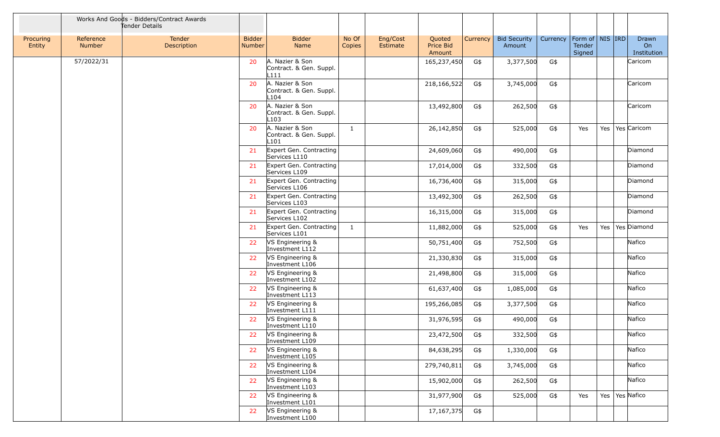|                     |                     | Works And Goods - Bidders/Contract Awards<br>Tender Details |                                |                                                                |                 |                      |                               |          |                               |          |                                         |     |                            |
|---------------------|---------------------|-------------------------------------------------------------|--------------------------------|----------------------------------------------------------------|-----------------|----------------------|-------------------------------|----------|-------------------------------|----------|-----------------------------------------|-----|----------------------------|
| Procuring<br>Entity | Reference<br>Number | Tender<br>Description                                       | <b>Bidder</b><br><b>Number</b> | <b>Bidder</b><br>Name                                          | No Of<br>Copies | Eng/Cost<br>Estimate | Quoted<br>Price Bid<br>Amount | Currency | <b>Bid Security</b><br>Amount | Currency | Form of   NIS   IRD<br>Tender<br>Signed |     | Drawn<br>On<br>Institution |
|                     | 57/2022/31          |                                                             | 20                             | A. Nazier & Son<br>Contract. & Gen. Suppl.<br>L111             |                 |                      | 165,237,450                   | G\$      | 3,377,500                     | G\$      |                                         |     | Caricom                    |
|                     |                     |                                                             | 20                             | A. Nazier & Son<br>Contract. & Gen. Suppl.<br>L <sub>104</sub> |                 |                      | 218,166,522                   | G\$      | 3,745,000                     | G\$      |                                         |     | Caricom                    |
|                     |                     |                                                             | 20                             | A. Nazier & Son<br>Contract. & Gen. Suppl.<br>L <sub>103</sub> |                 |                      | 13,492,800                    | G\$      | 262,500                       | G\$      |                                         |     | Caricom                    |
|                     |                     |                                                             | 20                             | A. Nazier & Son<br>Contract. & Gen. Suppl.<br>L <sub>101</sub> | 1               |                      | 26,142,850                    | G\$      | 525,000                       | G\$      | Yes                                     | Yes | Yes Caricom                |
|                     |                     |                                                             | 21                             | Expert Gen. Contracting<br>Services L110                       |                 |                      | 24,609,060                    | G\$      | 490,000                       | G\$      |                                         |     | Diamond                    |
|                     |                     |                                                             | 21                             | Expert Gen. Contracting<br>Services L109                       |                 |                      | 17,014,000                    | G\$      | 332,500                       | G\$      |                                         |     | Diamond                    |
|                     |                     |                                                             | 21                             | Expert Gen. Contracting<br>Services L106                       |                 |                      | 16,736,400                    | G\$      | 315,000                       | G\$      |                                         |     | Diamond                    |
|                     |                     |                                                             | 21                             | Expert Gen. Contracting<br>Services L103                       |                 |                      | 13,492,300                    | G\$      | 262,500                       | G\$      |                                         |     | Diamond                    |
|                     |                     |                                                             | 21                             | Expert Gen. Contracting<br>Services L102                       |                 |                      | 16,315,000                    | G\$      | 315,000                       | G\$      |                                         |     | Diamond                    |
|                     |                     |                                                             | 21                             | Expert Gen. Contracting<br>Services L101                       | $\mathbf{1}$    |                      | 11,882,000                    | G\$      | 525,000                       | G\$      | Yes                                     | Yes | Yes Diamond                |
|                     |                     |                                                             | 22                             | VS Engineering &<br>Investment L112                            |                 |                      | 50,751,400                    | G\$      | 752,500                       | G\$      |                                         |     | Nafico                     |
|                     |                     |                                                             | 22                             | VS Engineering &<br>Investment L106                            |                 |                      | 21,330,830                    | G\$      | 315,000                       | G\$      |                                         |     | Nafico                     |
|                     |                     |                                                             | 22                             | <b>NS Engineering &amp;</b><br>Investment L102                 |                 |                      | 21,498,800                    | G\$      | 315,000                       | G\$      |                                         |     | Nafico                     |
|                     |                     |                                                             | 22                             | VS Engineering &<br>Investment L113                            |                 |                      | 61,637,400                    | G\$      | 1,085,000                     | G\$      |                                         |     | Nafico                     |
|                     |                     |                                                             | 22                             | VS Engineering &<br>Investment L111                            |                 |                      | 195,266,085                   | G\$      | 3,377,500                     | G\$      |                                         |     | Nafico                     |
|                     |                     |                                                             | 22                             | VS Engineering &<br>Investment L110                            |                 |                      | 31,976,595                    | G\$      | 490,000                       | G\$      |                                         |     | Nafico                     |
|                     |                     |                                                             |                                | VS Engineering &<br>Investment L109                            |                 |                      | 23,472,500                    | G\$      | 332,500                       | G\$      |                                         |     | Nafico                     |
|                     |                     |                                                             | 22                             | VS Engineering &<br>Investment L105                            |                 |                      | 84,638,295                    | G\$      | 1,330,000                     | G\$      |                                         |     | Nafico                     |
|                     |                     |                                                             | 22                             | VS Engineering &<br>Investment L104                            |                 |                      | 279,740,811                   | G\$      | 3,745,000                     | G\$      |                                         |     | Nafico                     |
|                     |                     |                                                             | 22                             | VS Engineering &<br>Investment L103                            |                 |                      | 15,902,000                    | G\$      | 262,500                       | G\$      |                                         |     | Nafico                     |
|                     |                     |                                                             | 22                             | VS Engineering &<br>Investment L101                            |                 |                      | 31,977,900                    | G\$      | 525,000                       | $G\$     | Yes                                     | Yes | Yes Nafico                 |
|                     |                     |                                                             | 22                             | VS Engineering &<br>Investment L100                            |                 |                      | 17,167,375                    | G\$      |                               |          |                                         |     |                            |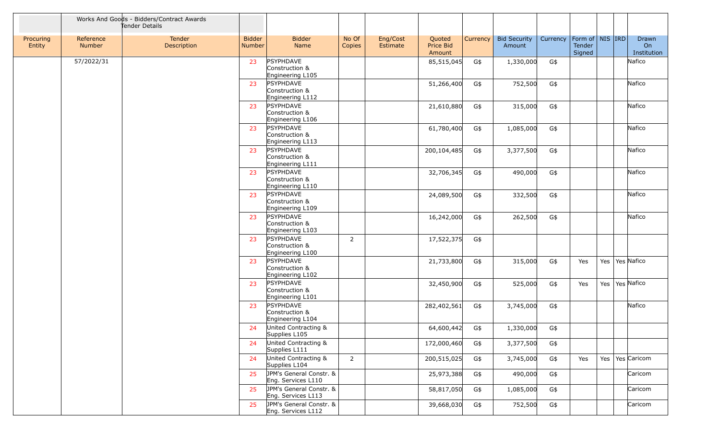|                     |                            | Works And Goods - Bidders/Contract Awards<br>Tender Details |                         |                                                        |                 |                      |                               |          |                               |          |                                         |     |                            |
|---------------------|----------------------------|-------------------------------------------------------------|-------------------------|--------------------------------------------------------|-----------------|----------------------|-------------------------------|----------|-------------------------------|----------|-----------------------------------------|-----|----------------------------|
| Procuring<br>Entity | Reference<br><b>Number</b> | Tender<br>Description                                       | <b>Bidder</b><br>Number | <b>Bidder</b><br>Name                                  | No Of<br>Copies | Eng/Cost<br>Estimate | Quoted<br>Price Bid<br>Amount | Currency | <b>Bid Security</b><br>Amount | Currency | Form of   NIS   IRD<br>Tender<br>Signed |     | Drawn<br>On<br>Institution |
|                     | 57/2022/31                 |                                                             | 23                      | <b>PSYPHDAVE</b><br>Construction &<br>Engineering L105 |                 |                      | 85,515,045                    | G\$      | 1,330,000                     | G\$      |                                         |     | Nafico                     |
|                     |                            |                                                             | 23                      | PSYPHDAVE<br>Construction &<br>Engineering L112        |                 |                      | 51,266,400                    | G\$      | 752,500                       | G\$      |                                         |     | Nafico                     |
|                     |                            |                                                             | 23                      | PSYPHDAVE<br>Construction &<br>Engineering L106        |                 |                      | 21,610,880                    | G\$      | 315,000                       | G\$      |                                         |     | Nafico                     |
|                     |                            |                                                             | 23                      | PSYPHDAVE<br>Construction &<br>Engineering L113        |                 |                      | 61,780,400                    | G\$      | 1,085,000                     | G\$      |                                         |     | Nafico                     |
|                     |                            |                                                             | 23                      | PSYPHDAVE<br>Construction &<br>Engineering L111        |                 |                      | 200,104,485                   | G\$      | 3,377,500                     | G\$      |                                         |     | Nafico                     |
|                     |                            |                                                             | 23                      | PSYPHDAVE<br>Construction &<br>Engineering L110        |                 |                      | 32,706,345                    | G\$      | 490,000                       | G\$      |                                         |     | Nafico                     |
|                     |                            |                                                             | 23                      | PSYPHDAVE<br>Construction &<br>Engineering L109        |                 |                      | 24,089,500                    | G\$      | 332,500                       | G\$      |                                         |     | Nafico                     |
|                     |                            |                                                             | 23                      | <b>PSYPHDAVE</b><br>Construction &<br>Engineering L103 |                 |                      | 16,242,000                    | G\$      | 262,500                       | G\$      |                                         |     | Nafico                     |
|                     |                            |                                                             | 23                      | PSYPHDAVE<br>Construction &<br>Engineering L100        | $\overline{2}$  |                      | 17,522,375                    | G\$      |                               |          |                                         |     |                            |
|                     |                            |                                                             | 23                      | PSYPHDAVE<br>Construction &<br>Engineering L102        |                 |                      | 21,733,800                    | G\$      | 315,000                       | G\$      | Yes                                     | Yes | Yes Nafico                 |
|                     |                            |                                                             | 23                      | PSYPHDAVE<br>Construction &<br>Engineering L101        |                 |                      | 32,450,900                    | G\$      | 525,000                       | G\$      | Yes                                     | Yes | Yes Nafico                 |
|                     |                            |                                                             | 23                      | PSYPHDAVE<br>Construction &<br>Engineering L104        |                 |                      | 282,402,561                   | G\$      | 3,745,000                     | G\$      |                                         |     | Nafico                     |
|                     |                            |                                                             | 24                      | United Contracting &<br>Supplies L105                  |                 |                      | 64,600,442                    | G\$      | 1,330,000                     | G\$      |                                         |     |                            |
|                     |                            |                                                             | 24                      | United Contracting &<br>Supplies L111                  |                 |                      | 172,000,460                   | G\$      | 3,377,500                     | G\$      |                                         |     |                            |
|                     |                            |                                                             | 24                      | United Contracting &<br>Supplies L104                  | $\overline{2}$  |                      | 200,515,025                   | G\$      | 3,745,000                     | G\$      | Yes                                     |     | Yes   Yes   Caricom        |
|                     |                            |                                                             | 25                      | JPM's General Constr. &<br>Eng. Services L110          |                 |                      | 25,973,388                    | G\$      | 490,000                       | G\$      |                                         |     | Caricom                    |
|                     |                            |                                                             | 25                      | JPM's General Constr. &<br>Eng. Services L113          |                 |                      | 58,817,050                    | G\$      | 1,085,000                     | G\$      |                                         |     | Caricom                    |
|                     |                            |                                                             | 25                      | JPM's General Constr. &<br>Eng. Services L112          |                 |                      | 39,668,030                    | G\$      | 752,500                       | G\$      |                                         |     | Caricom                    |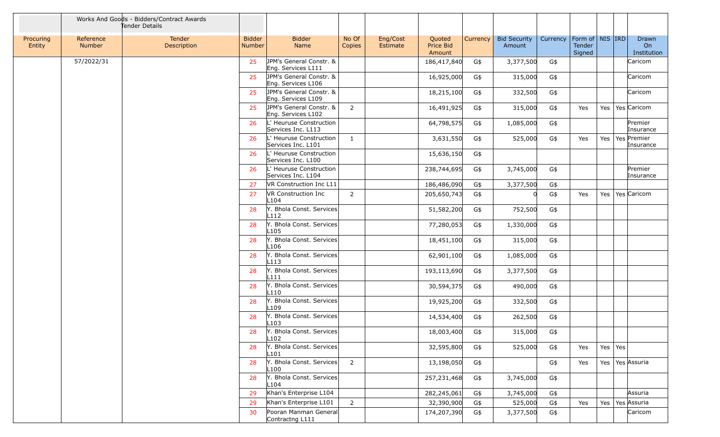|                     |                     | Works And Goods - Bidders/Contract Awards<br>Tender Details |                         |                                               |                 |                      |                               |          |                               |          |                                         |           |                            |
|---------------------|---------------------|-------------------------------------------------------------|-------------------------|-----------------------------------------------|-----------------|----------------------|-------------------------------|----------|-------------------------------|----------|-----------------------------------------|-----------|----------------------------|
| Procuring<br>Entity | Reference<br>Number | Tender<br>Description                                       | <b>Bidder</b><br>Number | <b>Bidder</b><br>Name                         | No Of<br>Copies | Eng/Cost<br>Estimate | Quoted<br>Price Bid<br>Amount | Currency | <b>Bid Security</b><br>Amount | Currency | Form of   NIS   IRD<br>Tender<br>Signed |           | Drawn<br>On<br>Institution |
|                     | 57/2022/31          |                                                             | 25                      | JPM's General Constr. &<br>Eng. Services L111 |                 |                      | 186,417,840                   | G\$      | 3,377,500                     | G\$      |                                         |           | Caricom                    |
|                     |                     |                                                             | 25                      | JPM's General Constr. &<br>Eng. Services L106 |                 |                      | 16,925,000                    | G\$      | 315,000                       | G\$      |                                         |           | Caricom                    |
|                     |                     |                                                             | 25                      | JPM's General Constr. &<br>Eng. Services L109 |                 |                      | 18,215,100                    | G\$      | 332,500                       | G\$      |                                         |           | Caricom                    |
|                     |                     |                                                             | 25                      | JPM's General Constr. &<br>Eng. Services L102 | 2               |                      | 16,491,925                    | G\$      | 315,000                       | G\$      | Yes                                     | Yes       | Yes Caricom                |
|                     |                     |                                                             | 26                      | L' Heuruse Construction<br>Services Inc. L113 |                 |                      | 64,798,575                    | G\$      | 1,085,000                     | G\$      |                                         |           | Premier<br>Insurance       |
|                     |                     |                                                             | 26                      | L' Heuruse Construction<br>Services Inc. L101 | 1               |                      | 3,631,550                     | G\$      | 525,000                       | G\$      | Yes                                     | Yes       | Yes Premier<br>Insurance   |
|                     |                     |                                                             | 26                      | L' Heuruse Construction<br>Services Inc. L100 |                 |                      | 15,636,150                    | G\$      |                               |          |                                         |           |                            |
|                     |                     |                                                             | 26                      | L' Heuruse Construction<br>Services Inc. L104 |                 |                      | 238,744,695                   | G\$      | 3,745,000                     | G\$      |                                         |           | Premier<br>Insurance       |
|                     |                     |                                                             | 27                      | VR Construction Inc L11                       |                 |                      | 186,486,090                   | G\$      | 3,377,500                     | G\$      |                                         |           |                            |
|                     |                     |                                                             | 27                      | VR Construction Inc<br>L <sub>104</sub>       | $\overline{2}$  |                      | 205,650,743                   | G\$      |                               | G\$      | Yes                                     | Yes       | Yes Caricom                |
|                     |                     |                                                             | 28                      | Y. Bhola Const. Services<br>L <sub>112</sub>  |                 |                      | 51,582,200                    | G\$      | 752,500                       | G\$      |                                         |           |                            |
|                     |                     |                                                             | 28                      | Y. Bhola Const. Services<br>L105              |                 |                      | 77,280,053                    | G\$      | 1,330,000                     | G\$      |                                         |           |                            |
|                     |                     |                                                             | 28                      | Y. Bhola Const. Services<br>L <sub>106</sub>  |                 |                      | 18,451,100                    | G\$      | 315,000                       | G\$      |                                         |           |                            |
|                     |                     |                                                             | 28                      | Y. Bhola Const. Services<br>L113              |                 |                      | 62,901,100                    | G\$      | 1,085,000                     | G\$      |                                         |           |                            |
|                     |                     |                                                             | 28                      | Y. Bhola Const. Services<br>L111              |                 |                      | 193,113,690                   | G\$      | 3,377,500                     | G\$      |                                         |           |                            |
|                     |                     |                                                             | 28                      | Y. Bhola Const. Services<br>L110              |                 |                      | 30,594,375                    | G\$      | 490,000                       | G\$      |                                         |           |                            |
|                     |                     |                                                             | 28                      | Y. Bhola Const. Services<br>L <sub>109</sub>  |                 |                      | 19,925,200                    | G\$      | 332,500                       | G\$      |                                         |           |                            |
|                     |                     |                                                             | 28                      | Y. Bhola Const. Services<br>L <sub>103</sub>  |                 |                      | 14,534,400                    | G\$      | 262,500                       | G\$      |                                         |           |                            |
|                     |                     |                                                             | 28                      | Y. Bhola Const. Services<br>L <sub>102</sub>  |                 |                      | 18,003,400                    | G\$      | 315,000                       | $G\$     |                                         |           |                            |
|                     |                     |                                                             | 28                      | Y. Bhola Const. Services<br>L101              |                 |                      | 32,595,800                    | G\$      | 525,000                       | G\$      | Yes                                     | Yes   Yes |                            |
|                     |                     |                                                             | 28                      | Y. Bhola Const. Services<br>L <sub>100</sub>  | $\overline{2}$  |                      | 13,198,050                    | G\$      |                               | G\$      | Yes                                     |           | Yes   Yes   Assuria        |
|                     |                     |                                                             | 28                      | Y. Bhola Const. Services<br>L104              |                 |                      | 257,231,468                   | G\$      | 3,745,000                     | G\$      |                                         |           |                            |
|                     |                     |                                                             | 29                      | Khan's Enterprise L104                        |                 |                      | 282,245,061                   | G\$      | 3,745,000                     | G\$      |                                         |           | Assuria                    |
|                     |                     |                                                             | 29                      | Khan's Enterprise L101                        | 2               |                      | 32,390,900                    | G\$      | 525,000                       | G\$      | Yes                                     | Yes       | Yes Assuria                |
|                     |                     |                                                             | 30                      | Pooran Manman General<br>Contractng L111      |                 |                      | 174,207,390                   | G\$      | 3,377,500                     | G\$      |                                         |           | Caricom                    |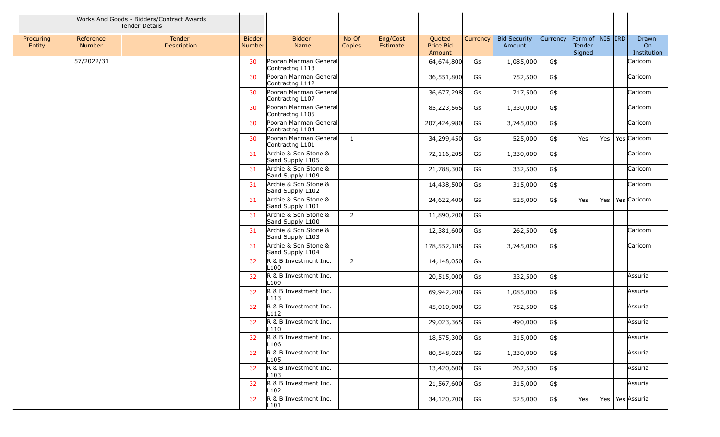|                     |                     | Works And Goods - Bidders/Contract Awards<br>Tender Details |                         |                                           |                 |                      |                               |          |                               |          |                                         |     |                            |
|---------------------|---------------------|-------------------------------------------------------------|-------------------------|-------------------------------------------|-----------------|----------------------|-------------------------------|----------|-------------------------------|----------|-----------------------------------------|-----|----------------------------|
| Procuring<br>Entity | Reference<br>Number | Tender<br>Description                                       | <b>Bidder</b><br>Number | <b>Bidder</b><br>Name                     | No Of<br>Copies | Eng/Cost<br>Estimate | Quoted<br>Price Bid<br>Amount | Currency | <b>Bid Security</b><br>Amount | Currency | Form of   NIS   IRD<br>Tender<br>Signed |     | Drawn<br>On<br>Institution |
|                     | 57/2022/31          |                                                             | 30                      | Pooran Manman General<br>Contractng L113  |                 |                      | 64,674,800                    | G\$      | 1,085,000                     | G\$      |                                         |     | Caricom                    |
|                     |                     |                                                             | 30                      | Pooran Manman General<br>Contractng L112  |                 |                      | 36,551,800                    | G\$      | 752,500                       | G\$      |                                         |     | Caricom                    |
|                     |                     |                                                             | 30                      | Pooran Manman General<br>Contractng L107  |                 |                      | 36,677,298                    | G\$      | 717,500                       | G\$      |                                         |     | Caricom                    |
|                     |                     |                                                             | 30                      | Pooran Manman General<br>Contractng L105  |                 |                      | 85,223,565                    | G\$      | 1,330,000                     | G\$      |                                         |     | Caricom                    |
|                     |                     |                                                             | 30                      | Pooran Manman General<br>Contractng L104  |                 |                      | 207,424,980                   | G\$      | 3,745,000                     | G\$      |                                         |     | Caricom                    |
|                     |                     |                                                             | 30                      | Pooran Manman General<br>Contractng L101  | 1               |                      | 34,299,450                    | G\$      | 525,000                       | G\$      | Yes                                     | Yes | Yes Caricom                |
|                     |                     |                                                             | 31                      | Archie & Son Stone &<br>Sand Supply L105  |                 |                      | 72,116,205                    | G\$      | 1,330,000                     | G\$      |                                         |     | Caricom                    |
|                     |                     |                                                             | 31                      | Archie & Son Stone &<br>Sand Supply L109  |                 |                      | 21,788,300                    | G\$      | 332,500                       | G\$      |                                         |     | Caricom                    |
|                     |                     |                                                             | 31                      | Archie & Son Stone &<br>Sand Supply L102  |                 |                      | 14,438,500                    | G\$      | 315,000                       | G\$      |                                         |     | Caricom                    |
|                     |                     |                                                             | 31                      | Archie & Son Stone &<br>Sand Supply L101  |                 |                      | 24,622,400                    | G\$      | 525,000                       | G\$      | Yes                                     | Yes | Yes Caricom                |
|                     |                     |                                                             | 31                      | Archie & Son Stone &<br>Sand Supply L100  | $\overline{2}$  |                      | 11,890,200                    | G\$      |                               |          |                                         |     |                            |
|                     |                     |                                                             | 31                      | Archie & Son Stone &<br>Sand Supply L103  |                 |                      | 12,381,600                    | G\$      | 262,500                       | G\$      |                                         |     | Caricom                    |
|                     |                     |                                                             | 31                      | Archie & Son Stone &<br>Sand Supply L104  |                 |                      | 178,552,185                   | G\$      | 3,745,000                     | G\$      |                                         |     | Caricom                    |
|                     |                     |                                                             | 32 <sub>2</sub>         | R & B Investment Inc.<br>L <sub>100</sub> | $\overline{2}$  |                      | 14,148,050                    | G\$      |                               |          |                                         |     |                            |
|                     |                     |                                                             | 32                      | R & B Investment Inc.<br>L <sub>109</sub> |                 |                      | 20,515,000                    | G\$      | 332,500                       | G\$      |                                         |     | Assuria                    |
|                     |                     |                                                             | 32                      | R & B Investment Inc.<br>L113             |                 |                      | 69,942,200                    | G\$      | 1,085,000                     | G\$      |                                         |     | Assuria                    |
|                     |                     |                                                             | 32                      | R & B Investment Inc.<br>L <sub>112</sub> |                 |                      | 45,010,000                    | G\$      | 752,500                       | G\$      |                                         |     | Assuria                    |
|                     |                     |                                                             | 32                      | R & B Investment Inc.<br>L <sub>110</sub> |                 |                      | 29,023,365                    | G\$      | 490,000                       | G\$      |                                         |     | Assuria                    |
|                     |                     |                                                             | 32                      | R & B Investment Inc.<br>L106             |                 |                      | 18,575,300                    | G\$      | 315,000                       | G\$      |                                         |     | Assuria                    |
|                     |                     |                                                             | 32                      | R & B Investment Inc.<br>L <sub>105</sub> |                 |                      | 80,548,020                    | G\$      | 1,330,000                     | G\$      |                                         |     | Assuria                    |
|                     |                     |                                                             | 32                      | R & B Investment Inc.<br>L103             |                 |                      | 13,420,600                    | G\$      | 262,500                       | G\$      |                                         |     | Assuria                    |
|                     |                     |                                                             | 32                      | R & B Investment Inc.<br>L <sub>102</sub> |                 |                      | 21,567,600                    | G\$      | 315,000                       | G\$      |                                         |     | Assuria                    |
|                     |                     |                                                             | 32                      | R & B Investment Inc.<br>L101             |                 |                      | 34,120,700                    | G\$      | 525,000                       | G\$      | Yes                                     |     | Yes   Yes   Assuria        |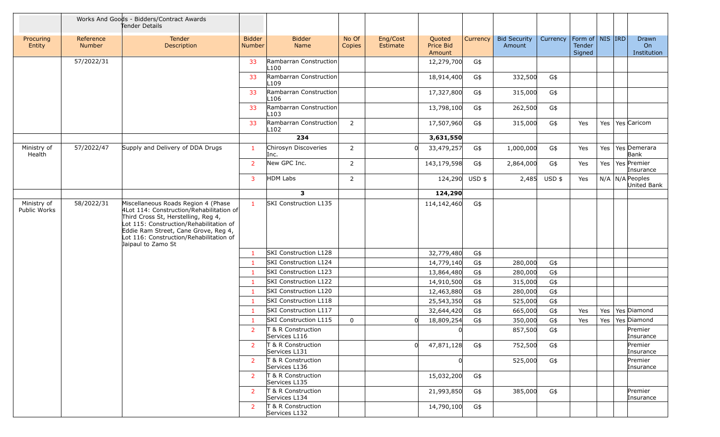|                             |                            | Works And Goods - Bidders/Contract Awards<br>Tender Details                                                                                                                                                                                                                |                                |                                                |                 |                      |                               |            |                               |             |                                         |            |                                  |
|-----------------------------|----------------------------|----------------------------------------------------------------------------------------------------------------------------------------------------------------------------------------------------------------------------------------------------------------------------|--------------------------------|------------------------------------------------|-----------------|----------------------|-------------------------------|------------|-------------------------------|-------------|-----------------------------------------|------------|----------------------------------|
| Procuring<br>Entity         | Reference<br><b>Number</b> | Tender<br>Description                                                                                                                                                                                                                                                      | <b>Bidder</b><br><b>Number</b> | <b>Bidder</b><br>Name                          | No Of<br>Copies | Eng/Cost<br>Estimate | Quoted<br>Price Bid<br>Amount | Currency   | <b>Bid Security</b><br>Amount | Currency    | Form of   NIS   IRD<br>Tender<br>Signed |            | Drawn<br>On<br>Institution       |
|                             | 57/2022/31                 |                                                                                                                                                                                                                                                                            | 33                             | Rambarran Construction<br>L <sub>100</sub>     |                 |                      | 12,279,700                    | G\$        |                               |             |                                         |            |                                  |
|                             |                            |                                                                                                                                                                                                                                                                            | 33                             | Rambarran Construction<br>L <sub>109</sub>     |                 |                      | 18,914,400                    | G\$        | 332,500                       | G\$         |                                         |            |                                  |
|                             |                            |                                                                                                                                                                                                                                                                            | 33                             | Rambarran Construction<br>L <sub>106</sub>     |                 |                      | 17,327,800                    | G\$        | 315,000                       | G\$         |                                         |            |                                  |
|                             |                            |                                                                                                                                                                                                                                                                            | 33                             | Rambarran Construction<br>L103                 |                 |                      | 13,798,100                    | G\$        | 262,500                       | G\$         |                                         |            |                                  |
|                             |                            |                                                                                                                                                                                                                                                                            | 33                             | Rambarran Construction<br>L <sub>102</sub>     | $\overline{2}$  |                      | 17,507,960                    | G\$        | 315,000                       | G\$         | Yes                                     | Yes        | Yes Caricom                      |
|                             |                            |                                                                                                                                                                                                                                                                            |                                | 234                                            |                 |                      | 3,631,550                     |            |                               |             |                                         |            |                                  |
| Ministry of<br>Health       | 57/2022/47                 | Supply and Delivery of DDA Drugs                                                                                                                                                                                                                                           | $\mathbf{1}$                   | Chirosyn Discoveries<br>Inc.                   | $\overline{2}$  |                      | 33,479,257                    | G\$        | 1,000,000                     | G\$         | Yes                                     | Yes        | Yes Demerara<br>Bank             |
|                             |                            |                                                                                                                                                                                                                                                                            | $\overline{2}$                 | New GPC Inc.                                   | $\overline{2}$  |                      | 143,179,598                   | G\$        | 2,864,000                     | G\$         | Yes                                     |            | Yes   Yes   Premier<br>Insurance |
|                             |                            |                                                                                                                                                                                                                                                                            | $\overline{3}$                 | HDM Labs                                       | $\overline{2}$  |                      | 124,290 USD \$                |            | 2,485                         | $USD$ \$    | Yes                                     |            | $N/A$ N/A Peoples<br>United Bank |
|                             |                            |                                                                                                                                                                                                                                                                            |                                | 3                                              |                 |                      | 124,290                       |            |                               |             |                                         |            |                                  |
| Ministry of<br>Public Works | 58/2022/31                 | Miscellaneous Roads Region 4 (Phase<br>4Lot 114: Construction/Rehabilitation of<br>Third Cross St, Herstelling, Reg 4,<br>Lot 115: Construction/Rehabilitation of<br>Eddie Ram Street, Cane Grove, Reg 4,<br>Lot 116: Construction/Rehabilitation of<br>Jaipaul to Zamo St | $\mathbf{1}$                   | SKI Construction L135                          |                 |                      | 114,142,460                   | G\$        |                               |             |                                         |            |                                  |
|                             |                            |                                                                                                                                                                                                                                                                            | $\mathbf{1}$                   | SKI Construction L128                          |                 |                      | 32,779,480                    | G\$        |                               |             |                                         |            |                                  |
|                             |                            |                                                                                                                                                                                                                                                                            | $\mathbf{1}$                   | <b>SKI Construction L124</b>                   |                 |                      | 14,779,140                    | G\$        | 280,000                       | G\$         |                                         |            |                                  |
|                             |                            |                                                                                                                                                                                                                                                                            | $\mathbf{1}$                   | SKI Construction L123                          |                 |                      | 13,864,480                    | G\$        | 280,000                       | G\$         |                                         |            |                                  |
|                             |                            |                                                                                                                                                                                                                                                                            | $\mathbf{1}$                   | SKI Construction L122                          |                 |                      | 14,910,500                    | G\$        | 315,000                       | G\$         |                                         |            |                                  |
|                             |                            |                                                                                                                                                                                                                                                                            | $\mathbf{1}$                   | SKI Construction L120                          |                 |                      | 12,463,880                    | G\$        | 280,000                       | G\$         |                                         |            |                                  |
|                             |                            |                                                                                                                                                                                                                                                                            | $\mathbf{1}$                   | SKI Construction L118<br>SKI Construction L117 |                 |                      | 25,543,350                    | G\$        | 525,000                       | G\$         |                                         |            |                                  |
|                             |                            |                                                                                                                                                                                                                                                                            | $\mathbf{1}$<br>1              | SKI Construction L115                          | 0               |                      | 32,644,420<br>18,809,254      | G\$<br>G\$ | 665,000<br>350,000            | G\$<br>$G\$ | Yes<br>Yes                              | Yes<br>Yes | Yes Diamond<br>Yes Diamond       |
|                             |                            |                                                                                                                                                                                                                                                                            | $\overline{2}$                 | T & R Construction<br>Services L116            |                 |                      |                               |            | 857,500                       | G\$         |                                         |            | Premier<br>Insurance             |
|                             |                            |                                                                                                                                                                                                                                                                            | $\overline{2}$                 | T & R Construction<br>Services L131            |                 | 0l                   | 47,871,128                    | G\$        | 752,500                       | G\$         |                                         |            | Premier<br>Insurance             |
|                             |                            |                                                                                                                                                                                                                                                                            | $\overline{2}$                 | T & R Construction<br>Services L136            |                 |                      | 0l                            |            | 525,000                       | G\$         |                                         |            | Premier<br>Insurance             |
|                             |                            |                                                                                                                                                                                                                                                                            | $\overline{2}$                 | T & R Construction<br>Services L135            |                 |                      | 15,032,200                    | G\$        |                               |             |                                         |            |                                  |
|                             |                            |                                                                                                                                                                                                                                                                            | $\mathbf{2}$                   | T & R Construction<br>Services L134            |                 |                      | 21,993,850                    | G\$        | 385,000                       | G\$         |                                         |            | Premier<br>Insurance             |
|                             |                            |                                                                                                                                                                                                                                                                            | $\mathbf{2}$                   | T & R Construction<br>Services L132            |                 |                      | 14,790,100                    | G\$        |                               |             |                                         |            |                                  |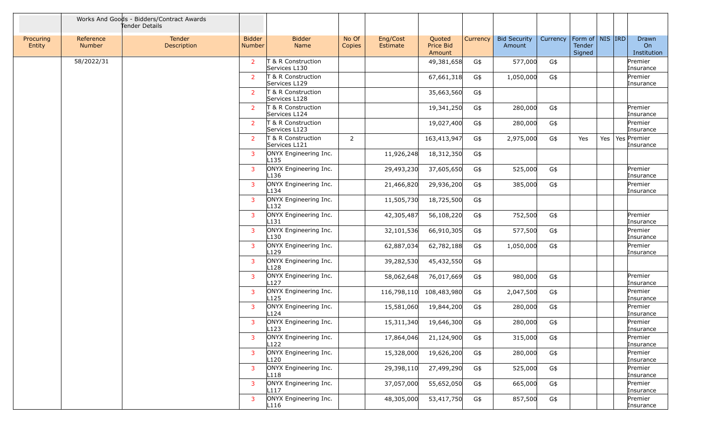|                     |                            | Works And Goods - Bidders/Contract Awards<br>Tender Details |                                |                                           |                 |                      |                                      |          |                               |          |                                         |     |                                        |
|---------------------|----------------------------|-------------------------------------------------------------|--------------------------------|-------------------------------------------|-----------------|----------------------|--------------------------------------|----------|-------------------------------|----------|-----------------------------------------|-----|----------------------------------------|
| Procuring<br>Entity | Reference<br><b>Number</b> | Tender<br>Description                                       | <b>Bidder</b><br><b>Number</b> | <b>Bidder</b><br><b>Name</b>              | No Of<br>Copies | Eng/Cost<br>Estimate | Quoted<br><b>Price Bid</b><br>Amount | Currency | <b>Bid Security</b><br>Amount | Currency | Form of   NIS   IRD<br>Tender<br>Signed |     | Drawn<br>O <sub>n</sub><br>Institution |
|                     | 58/2022/31                 |                                                             | $\overline{2}$                 | T & R Construction<br>Services L130       |                 |                      | 49,381,658                           | G\$      | 577,000                       | G\$      |                                         |     | Premier<br>Insurance                   |
|                     |                            |                                                             | $\overline{2}$                 | T & R Construction<br>Services L129       |                 |                      | 67,661,318                           | G\$      | 1,050,000                     | G\$      |                                         |     | Premier<br>Insurance                   |
|                     |                            |                                                             | $\overline{2}$                 | T & R Construction<br>Services L128       |                 |                      | 35,663,560                           | G\$      |                               |          |                                         |     |                                        |
|                     |                            |                                                             | $\overline{2}$                 | T & R Construction<br>Services L124       |                 |                      | 19,341,250                           | G\$      | 280,000                       | G\$      |                                         |     | Premier<br>Insurance                   |
|                     |                            |                                                             | $\overline{2}$                 | T & R Construction<br>Services L123       |                 |                      | 19,027,400                           | G\$      | 280,000                       | G\$      |                                         |     | Premier<br>Insurance                   |
|                     |                            |                                                             | $\overline{2}$                 | T & R Construction<br>Services L121       | $\overline{2}$  |                      | 163,413,947                          | G\$      | 2,975,000                     | G\$      | Yes                                     | Yes | Yes Premier<br>Insurance               |
|                     |                            |                                                             | $\overline{3}$                 | ONYX Engineering Inc.<br>L <sub>135</sub> |                 | 11,926,248           | 18,312,350                           | G\$      |                               |          |                                         |     |                                        |
|                     |                            |                                                             | 3                              | ONYX Engineering Inc.<br>L136             |                 | 29,493,230           | 37,605,650                           | G\$      | 525,000                       | G\$      |                                         |     | Premier<br>Insurance                   |
|                     |                            |                                                             | 3                              | ONYX Engineering Inc.<br>L134             |                 | 21,466,820           | 29,936,200                           | G\$      | 385,000                       | G\$      |                                         |     | Premier<br>Insurance                   |
|                     |                            |                                                             | $\overline{3}$                 | ONYX Engineering Inc.<br>L <sub>132</sub> |                 | 11,505,730           | 18,725,500                           | G\$      |                               |          |                                         |     |                                        |
|                     |                            |                                                             | $\overline{3}$                 | ONYX Engineering Inc.<br>L <sub>131</sub> |                 | 42,305,487           | 56,108,220                           | G\$      | 752,500                       | G\$      |                                         |     | Premier<br>Insurance                   |
|                     |                            |                                                             | $\overline{3}$                 | ONYX Engineering Inc.<br>L <sub>130</sub> |                 | 32,101,536           | 66,910,305                           | G\$      | 577,500                       | G\$      |                                         |     | Premier<br>Insurance                   |
|                     |                            |                                                             | 3                              | ONYX Engineering Inc.<br>L <sub>129</sub> |                 | 62,887,034           | 62,782,188                           | G\$      | 1,050,000                     | G\$      |                                         |     | Premier<br>Insurance                   |
|                     |                            |                                                             | $\overline{3}$                 | ONYX Engineering Inc.<br>L128             |                 | 39,282,530           | 45,432,550                           | G\$      |                               |          |                                         |     |                                        |
|                     |                            |                                                             | 3                              | ONYX Engineering Inc.<br>L127             |                 | 58,062,648           | 76,017,669                           | G\$      | 980,000                       | G\$      |                                         |     | Premier<br>Insurance                   |
|                     |                            |                                                             | $\overline{3}$                 | ONYX Engineering Inc.<br>L <sub>125</sub> |                 | 116,798,110          | 108,483,980                          | G\$      | 2,047,500                     | G\$      |                                         |     | Premier<br>Insurance                   |
|                     |                            |                                                             | $\overline{3}$                 | ONYX Engineering Inc.<br>L124             |                 | 15,581,060           | 19,844,200                           | G\$      | 280,000                       | G\$      |                                         |     | Premier<br>Insurance                   |
|                     |                            |                                                             | 3                              | ONYX Engineering Inc.<br>L123             |                 | 15,311,340           | 19,646,300                           | G\$      | 280,000                       | G\$      |                                         |     | Premier<br>Insurance                   |
|                     |                            |                                                             | 3                              | ONYX Engineering Inc.<br>L <sub>122</sub> |                 | 17,864,046           | 21,124,900                           | G\$      | 315,000                       | G\$      |                                         |     | Premier<br>Insurance                   |
|                     |                            |                                                             | 3                              | ONYX Engineering Inc.<br>L <sub>120</sub> |                 | 15,328,000           | 19,626,200                           | G\$      | 280,000                       | G\$      |                                         |     | Premier<br>Insurance                   |
|                     |                            |                                                             | 3                              | ONYX Engineering Inc.<br>L118             |                 | 29,398,110           | 27,499,290                           | G\$      | 525,000                       | G\$      |                                         |     | Premier<br>Insurance                   |
|                     |                            |                                                             | 3                              | ONYX Engineering Inc.<br>L117             |                 | 37,057,000           | 55,652,050                           | G\$      | 665,000                       | G\$      |                                         |     | Premier<br>Insurance                   |
|                     |                            |                                                             | 3                              | ONYX Engineering Inc.<br>L116             |                 | 48,305,000           | 53,417,750                           | G\$      | 857,500                       | G\$      |                                         |     | Premier<br>Insurance                   |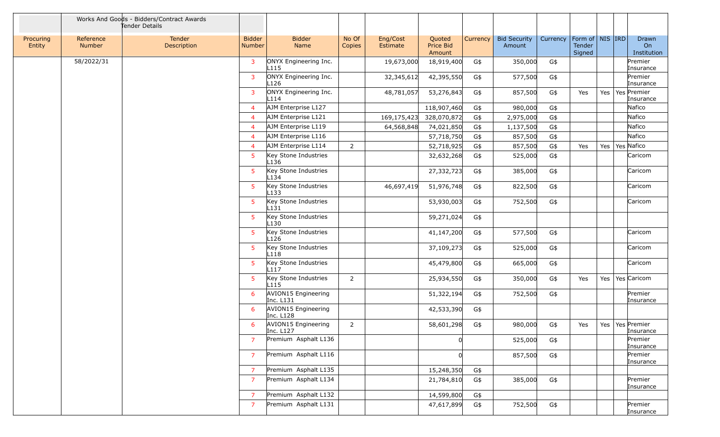|                     |                     | Works And Goods - Bidders/Contract Awards<br>Tender Details |                                |                                           |                 |                      |                               |          |                               |          |                                         |     |                            |
|---------------------|---------------------|-------------------------------------------------------------|--------------------------------|-------------------------------------------|-----------------|----------------------|-------------------------------|----------|-------------------------------|----------|-----------------------------------------|-----|----------------------------|
| Procuring<br>Entity | Reference<br>Number | Tender<br>Description                                       | <b>Bidder</b><br><b>Number</b> | <b>Bidder</b><br>Name                     | No Of<br>Copies | Eng/Cost<br>Estimate | Quoted<br>Price Bid<br>Amount | Currency | <b>Bid Security</b><br>Amount | Currency | Form of   NIS   IRD<br>Tender<br>Signed |     | Drawn<br>On<br>Institution |
|                     | 58/2022/31          |                                                             | 3                              | ONYX Engineering Inc.<br>L <sub>115</sub> |                 | 19,673,000           | 18,919,400                    | G\$      | 350,000                       | G\$      |                                         |     | Premier<br>Insurance       |
|                     |                     |                                                             | 3                              | ONYX Engineering Inc.<br>L126             |                 | 32,345,612           | 42,395,550                    | G\$      | 577,500                       | G\$      |                                         |     | Premier<br>Insurance       |
|                     |                     |                                                             | 3                              | ONYX Engineering Inc.<br>L114             |                 | 48,781,057           | 53,276,843                    | G\$      | 857,500                       | G\$      | Yes                                     | Yes | Yes Premier<br>Insurance   |
|                     |                     |                                                             | $\overline{4}$                 | AJM Enterprise L127                       |                 |                      | 118,907,460                   | G\$      | 980,000                       | G\$      |                                         |     | Nafico                     |
|                     |                     |                                                             | 4                              | AJM Enterprise L121                       |                 | 169,175,423          | 328,070,872                   | G\$      | 2,975,000                     | G\$      |                                         |     | Nafico                     |
|                     |                     |                                                             | 4                              | AJM Enterprise L119                       |                 | 64,568,848           | 74,021,850                    | G\$      | 1,137,500                     | G\$      |                                         |     | Nafico                     |
|                     |                     |                                                             | 4                              | AJM Enterprise L116                       |                 |                      | 57,718,750                    | G\$      | 857,500                       | G\$      |                                         |     | Nafico                     |
|                     |                     |                                                             | $\overline{4}$                 | AJM Enterprise L114                       | $\overline{2}$  |                      | 52,718,925                    | G\$      | 857,500                       | G\$      | Yes                                     | Yes | Yes Nafico                 |
|                     |                     |                                                             | 5                              | Key Stone Industries<br>L <sub>136</sub>  |                 |                      | 32,632,268                    | G\$      | 525,000                       | G\$      |                                         |     | Caricom                    |
|                     |                     |                                                             | 5                              | Key Stone Industries<br>L <sub>134</sub>  |                 |                      | 27,332,723                    | G\$      | 385,000                       | G\$      |                                         |     | Caricom                    |
|                     |                     |                                                             | 5                              | Key Stone Industries<br>$L$ 133           |                 | 46,697,419           | 51,976,748                    | G\$      | 822,500                       | G\$      |                                         |     | Caricom                    |
|                     |                     |                                                             | 5                              | Key Stone Industries<br>$L$ 131           |                 |                      | 53,930,003                    | G\$      | 752,500                       | G\$      |                                         |     | Caricom                    |
|                     |                     |                                                             | 5                              | Key Stone Industries<br>L <sub>130</sub>  |                 |                      | 59,271,024                    | G\$      |                               |          |                                         |     |                            |
|                     |                     |                                                             | 5                              | Key Stone Industries<br>L <sub>126</sub>  |                 |                      | 41,147,200                    | G\$      | 577,500                       | G\$      |                                         |     | Caricom                    |
|                     |                     |                                                             | 5                              | Key Stone Industries<br>L <sub>118</sub>  |                 |                      | 37,109,273                    | G\$      | 525,000                       | G\$      |                                         |     | Caricom                    |
|                     |                     |                                                             | 5                              | Key Stone Industries<br>L117              |                 |                      | 45,479,800                    | G\$      | 665,000                       | G\$      |                                         |     | Caricom                    |
|                     |                     |                                                             | 5                              | Key Stone Industries<br>L <sub>115</sub>  | $\overline{2}$  |                      | 25,934,550                    | G\$      | 350,000                       | G\$      | Yes                                     | Yes | Yes Caricom                |
|                     |                     |                                                             | 6                              | AVION15 Engineering<br>Inc. L131          |                 |                      | 51,322,194                    | G\$      | 752,500                       | G\$      |                                         |     | Premier<br>Insurance       |
|                     |                     |                                                             | 6                              | AVION15 Engineering<br>Inc. L128          |                 |                      | 42,533,390                    | G\$      |                               |          |                                         |     |                            |
|                     |                     |                                                             | 6                              | AVION15 Engineering<br>Inc. L127          | $\overline{2}$  |                      | 58,601,298                    | G\$      | 980,000                       | G\$      | Yes                                     | Yes | Yes Premier<br>Insurance   |
|                     |                     |                                                             | 7                              | Premium Asphalt L136                      |                 |                      |                               |          | 525,000                       | G\$      |                                         |     | Premier<br>Insurance       |
|                     |                     |                                                             | 7                              | Premium Asphalt L116                      |                 |                      |                               |          | 857,500                       | G\$      |                                         |     | Premier<br>Insurance       |
|                     |                     |                                                             | $\overline{7}$                 | Premium Asphalt L135                      |                 |                      | 15,248,350                    | G\$      |                               |          |                                         |     |                            |
|                     |                     |                                                             | $\overline{7}$                 | Premium Asphalt L134                      |                 |                      | 21,784,810                    | G\$      | 385,000                       | G\$      |                                         |     | Premier<br>Insurance       |
|                     |                     |                                                             | $\overline{7}$                 | Premium Asphalt L132                      |                 |                      | 14,599,800                    | G\$      |                               |          |                                         |     |                            |
|                     |                     |                                                             | $\overline{7}$                 | Premium Asphalt L131                      |                 |                      | 47,617,899                    | G\$      | 752,500                       | $G\$     |                                         |     | Premier<br>Insurance       |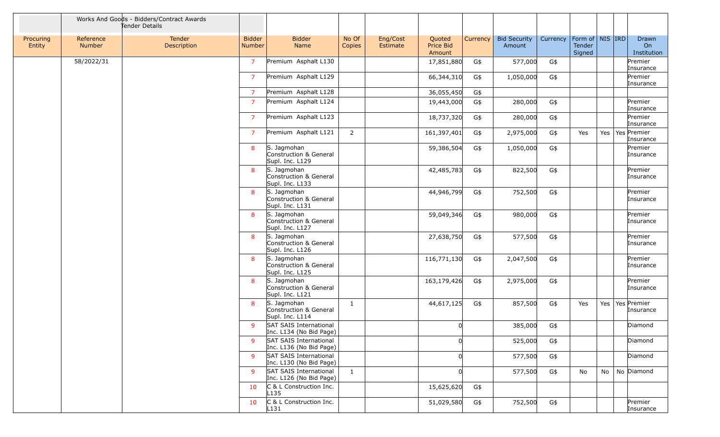|                     |                            | Works And Goods - Bidders/Contract Awards<br>Tender Details |                                |                                                          |                 |                      |                               |          |                               |          |                                         |     |                            |
|---------------------|----------------------------|-------------------------------------------------------------|--------------------------------|----------------------------------------------------------|-----------------|----------------------|-------------------------------|----------|-------------------------------|----------|-----------------------------------------|-----|----------------------------|
| Procuring<br>Entity | Reference<br><b>Number</b> | Tender<br>Description                                       | <b>Bidder</b><br><b>Number</b> | <b>Bidder</b><br>Name                                    | No Of<br>Copies | Eng/Cost<br>Estimate | Quoted<br>Price Bid<br>Amount | Currency | <b>Bid Security</b><br>Amount | Currency | Form of   NIS   IRD<br>Tender<br>Signed |     | Drawn<br>On<br>Institution |
|                     | 58/2022/31                 |                                                             | $\overline{7}$                 | Premium Asphalt L130                                     |                 |                      | 17,851,880                    | G\$      | 577,000                       | G\$      |                                         |     | Premier<br>Insurance       |
|                     |                            |                                                             | $\overline{7}$                 | Premium Asphalt L129                                     |                 |                      | 66,344,310                    | G\$      | 1,050,000                     | G\$      |                                         |     | Premier<br>Insurance       |
|                     |                            |                                                             | $\overline{7}$                 | Premium Asphalt L128                                     |                 |                      | 36,055,450                    | G\$      |                               |          |                                         |     |                            |
|                     |                            |                                                             | $\overline{7}$                 | Premium Asphalt L124                                     |                 |                      | 19,443,000                    | G\$      | 280,000                       | G\$      |                                         |     | Premier<br>Insurance       |
|                     |                            |                                                             | $\overline{7}$                 | Premium Asphalt L123                                     |                 |                      | 18,737,320                    | G\$      | 280,000                       | G\$      |                                         |     | Premier<br>Insurance       |
|                     |                            |                                                             | $\overline{7}$                 | Premium Asphalt L121                                     | $\overline{2}$  |                      | 161,397,401                   | G\$      | 2,975,000                     | G\$      | Yes                                     | Yes | Yes Premier<br>Insurance   |
|                     |                            |                                                             | 8                              | S. Jagmohan<br>Construction & General<br>Supl. Inc. L129 |                 |                      | 59,386,504                    | G\$      | 1,050,000                     | G\$      |                                         |     | Premier<br>Insurance       |
|                     |                            |                                                             | 8                              | S. Jagmohan<br>Construction & General<br>Supl. Inc. L133 |                 |                      | 42,485,783                    | G\$      | 822,500                       | G\$      |                                         |     | Premier<br>Insurance       |
|                     |                            |                                                             | 8                              | S. Jagmohan<br>Construction & General<br>Supl. Inc. L131 |                 |                      | 44,946,799                    | G\$      | 752,500                       | G\$      |                                         |     | Premier<br>Insurance       |
|                     |                            |                                                             | 8                              | S. Jagmohan<br>Construction & General<br>Supl. Inc. L127 |                 |                      | 59,049,346                    | G\$      | 980,000                       | G\$      |                                         |     | Premier<br>Insurance       |
|                     |                            |                                                             | 8                              | S. Jagmohan<br>Construction & General<br>Supl. Inc. L126 |                 |                      | 27,638,750                    | G\$      | 577,500                       | G\$      |                                         |     | Premier<br>Insurance       |
|                     |                            |                                                             | 8                              | S. Jagmohan<br>Construction & General<br>Supl. Inc. L125 |                 |                      | 116,771,130                   | G\$      | 2,047,500                     | G\$      |                                         |     | Premier<br>Insurance       |
|                     |                            |                                                             | 8                              | S. Jagmohan<br>Construction & General<br>Supl. Inc. L121 |                 |                      | 163,179,426                   | G\$      | 2,975,000                     | G\$      |                                         |     | Premier<br>Insurance       |
|                     |                            |                                                             | 8                              | S. Jagmohan<br>Construction & General<br>Supl. Inc. L114 | 1               |                      | 44,617,125                    | G\$      | 857,500                       | G\$      | Yes                                     | Yes | Yes Premier<br>Insurance   |
|                     |                            |                                                             | 9                              | SAT SAIS International<br>Inc. L134 (No Bid Page)        |                 |                      |                               |          | 385,000                       | G\$      |                                         |     | Diamond                    |
|                     |                            |                                                             | 9                              | <b>SAT SAIS International</b><br>Inc. L136 (No Bid Page) |                 |                      | ΩI                            |          | 525,000                       | G\$      |                                         |     | Diamond                    |
|                     |                            |                                                             | 9                              | SAT SAIS International<br>Inc. L130 (No Bid Page)        |                 |                      |                               |          | 577,500                       | G\$      |                                         |     | Diamond                    |
|                     |                            |                                                             | 9                              | SAT SAIS International<br>Inc. L126 (No Bid Page)        | $\mathbf{1}$    |                      | <sub>0</sub>                  |          | 577,500                       | G\$      | No                                      | No  | No Diamond                 |
|                     |                            |                                                             | 10                             | C & L Construction Inc.<br>L <sub>135</sub>              |                 |                      | 15,625,620                    | G\$      |                               |          |                                         |     |                            |
|                     |                            |                                                             | 10                             | C & L Construction Inc.<br>$L$ 131                       |                 |                      | 51,029,580                    | G\$      | 752,500                       | G\$      |                                         |     | Premier<br>Insurance       |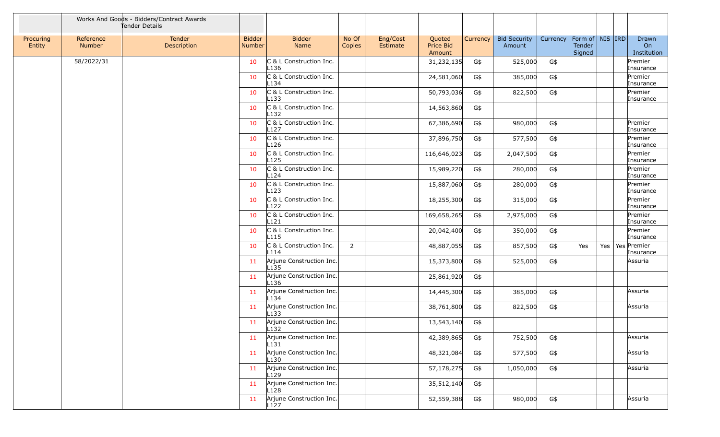|                     |                            | Works And Goods - Bidders/Contract Awards<br>Tender Details |                                |                                              |                 |                      |                               |          |                               |          |                                         |     |                            |
|---------------------|----------------------------|-------------------------------------------------------------|--------------------------------|----------------------------------------------|-----------------|----------------------|-------------------------------|----------|-------------------------------|----------|-----------------------------------------|-----|----------------------------|
| Procuring<br>Entity | Reference<br><b>Number</b> | Tender<br>Description                                       | <b>Bidder</b><br><b>Number</b> | <b>Bidder</b><br>Name                        | No Of<br>Copies | Eng/Cost<br>Estimate | Quoted<br>Price Bid<br>Amount | Currency | <b>Bid Security</b><br>Amount | Currency | Form of   NIS   IRD<br>Tender<br>Signed |     | Drawn<br>On<br>Institution |
|                     | 58/2022/31                 |                                                             | 10                             | C & L Construction Inc.<br>L <sub>136</sub>  |                 |                      | 31,232,135                    | G\$      | 525,000                       | G\$      |                                         |     | Premier<br>Insurance       |
|                     |                            |                                                             | 10                             | C & L Construction Inc.<br>L134              |                 |                      | 24,581,060                    | G\$      | 385,000                       | G\$      |                                         |     | Premier<br>Insurance       |
|                     |                            |                                                             | 10                             | C & L Construction Inc.<br>$L$ 133           |                 |                      | 50,793,036                    | G\$      | 822,500                       | G\$      |                                         |     | Premier<br>Insurance       |
|                     |                            |                                                             | 10                             | C & L Construction Inc.<br>L <sub>132</sub>  |                 |                      | 14,563,860                    | G\$      |                               |          |                                         |     |                            |
|                     |                            |                                                             | 10                             | C & L Construction Inc.<br>L <sub>127</sub>  |                 |                      | 67,386,690                    | G\$      | 980,000                       | G\$      |                                         |     | Premier<br>Insurance       |
|                     |                            |                                                             | 10                             | C & L Construction Inc.<br>L <sub>126</sub>  |                 |                      | 37,896,750                    | G\$      | 577,500                       | G\$      |                                         |     | Premier<br>Insurance       |
|                     |                            |                                                             | 10                             | C & L Construction Inc.<br>L <sub>125</sub>  |                 |                      | 116,646,023                   | G\$      | 2,047,500                     | G\$      |                                         |     | Premier<br>Insurance       |
|                     |                            |                                                             | 10                             | C & L Construction Inc.<br>L124              |                 |                      | 15,989,220                    | G\$      | 280,000                       | G\$      |                                         |     | Premier<br>Insurance       |
|                     |                            |                                                             | 10                             | C & L Construction Inc.<br>L123              |                 |                      | 15,887,060                    | G\$      | 280,000                       | G\$      |                                         |     | Premier<br>Insurance       |
|                     |                            |                                                             | 10                             | C & L Construction Inc.<br>L122              |                 |                      | 18,255,300                    | G\$      | 315,000                       | G\$      |                                         |     | Premier<br>Insurance       |
|                     |                            |                                                             | 10                             | C & L Construction Inc.<br>L121              |                 |                      | 169,658,265                   | G\$      | 2,975,000                     | G\$      |                                         |     | Premier<br>Insurance       |
|                     |                            |                                                             | 10                             | C & L Construction Inc.<br>L <sub>115</sub>  |                 |                      | 20,042,400                    | G\$      | 350,000                       | G\$      |                                         |     | Premier<br>Insurance       |
|                     |                            |                                                             | 10                             | C & L Construction Inc.<br>L114              | $\overline{2}$  |                      | 48,887,055                    | G\$      | 857,500                       | G\$      | Yes                                     | Yes | Yes Premier<br>Insurance   |
|                     |                            |                                                             | 11                             | Arjune Construction Inc.<br>L <sub>135</sub> |                 |                      | 15,373,800                    | G\$      | 525,000                       | G\$      |                                         |     | Assuria                    |
|                     |                            |                                                             | 11                             | Arjune Construction Inc.<br>L <sub>136</sub> |                 |                      | 25,861,920                    | G\$      |                               |          |                                         |     |                            |
|                     |                            |                                                             | 11                             | Arjune Construction Inc.<br>L134             |                 |                      | 14,445,300                    | G\$      | 385,000                       | G\$      |                                         |     | Assuria                    |
|                     |                            |                                                             | 11                             | Arjune Construction Inc.<br>L133             |                 |                      | 38,761,800                    | G\$      | 822,500                       | G\$      |                                         |     | Assuria                    |
|                     |                            |                                                             | 11                             | Arjune Construction Inc.<br>L <sub>132</sub> |                 |                      | 13,543,140                    | G\$      |                               |          |                                         |     |                            |
|                     |                            |                                                             | 11                             | Arjune Construction Inc.<br>$L$ 131          |                 |                      | 42,389,865                    | G\$      | 752,500                       | G\$      |                                         |     | Assuria                    |
|                     |                            |                                                             | 11                             | Arjune Construction Inc.<br>L <sub>130</sub> |                 |                      | 48,321,084                    | G\$      | 577,500                       | G\$      |                                         |     | Assuria                    |
|                     |                            |                                                             | 11                             | Arjune Construction Inc.<br>L <sub>129</sub> |                 |                      | 57,178,275                    | G\$      | 1,050,000                     | G\$      |                                         |     | Assuria                    |
|                     |                            |                                                             | 11                             | Arjune Construction Inc.<br>L <sub>128</sub> |                 |                      | 35,512,140                    | G\$      |                               |          |                                         |     |                            |
|                     |                            |                                                             | 11                             | Arjune Construction Inc.<br>L127             |                 |                      | 52,559,388                    | G\$      | 980,000                       | G\$      |                                         |     | Assuria                    |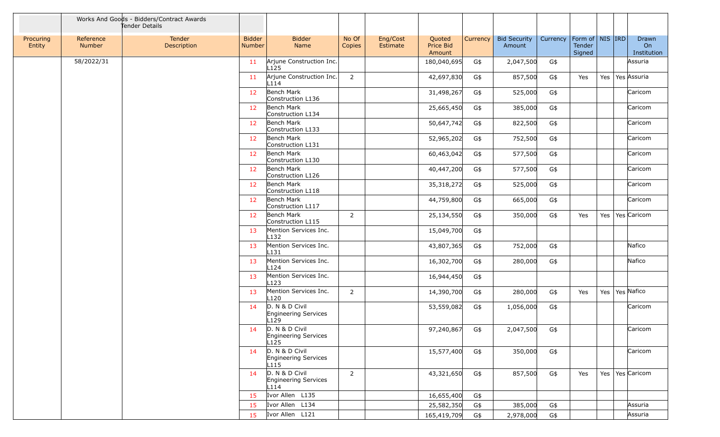|                     |                     | Works And Goods - Bidders/Contract Awards<br>Tender Details |                         |                                                                   |                 |                      |                               |          |                               |          |                                         |     |                            |
|---------------------|---------------------|-------------------------------------------------------------|-------------------------|-------------------------------------------------------------------|-----------------|----------------------|-------------------------------|----------|-------------------------------|----------|-----------------------------------------|-----|----------------------------|
| Procuring<br>Entity | Reference<br>Number | Tender<br>Description                                       | <b>Bidder</b><br>Number | <b>Bidder</b><br>Name                                             | No Of<br>Copies | Eng/Cost<br>Estimate | Quoted<br>Price Bid<br>Amount | Currency | <b>Bid Security</b><br>Amount | Currency | Form of   NIS   IRD<br>Tender<br>Signed |     | Drawn<br>On<br>Institution |
|                     | 58/2022/31          |                                                             | 11                      | Arjune Construction Inc.<br>L <sub>125</sub>                      |                 |                      | 180,040,695                   | G\$      | 2,047,500                     | G\$      |                                         |     | Assuria                    |
|                     |                     |                                                             | 11                      | Arjune Construction Inc.<br>L114                                  | $\overline{2}$  |                      | 42,697,830                    | G\$      | 857,500                       | G\$      | Yes                                     | Yes | Yes Assuria                |
|                     |                     |                                                             | 12                      | Bench Mark<br>Construction L136                                   |                 |                      | 31,498,267                    | G\$      | 525,000                       | G\$      |                                         |     | Caricom                    |
|                     |                     |                                                             | 12                      | Bench Mark<br>Construction L134                                   |                 |                      | 25,665,450                    | G\$      | 385,000                       | G\$      |                                         |     | Caricom                    |
|                     |                     |                                                             | 12                      | Bench Mark<br>Construction L133                                   |                 |                      | 50,647,742                    | G\$      | 822,500                       | G\$      |                                         |     | Caricom                    |
|                     |                     |                                                             | 12                      | Bench Mark<br>Construction L131                                   |                 |                      | 52,965,202                    | G\$      | 752,500                       | G\$      |                                         |     | Caricom                    |
|                     |                     |                                                             | 12                      | Bench Mark<br>Construction L130                                   |                 |                      | 60,463,042                    | G\$      | 577,500                       | G\$      |                                         |     | Caricom                    |
|                     |                     |                                                             | 12                      | Bench Mark<br>Construction L126                                   |                 |                      | 40,447,200                    | G\$      | 577,500                       | G\$      |                                         |     | Caricom                    |
|                     |                     |                                                             | 12                      | Bench Mark<br>Construction L118                                   |                 |                      | 35,318,272                    | G\$      | 525,000                       | G\$      |                                         |     | Caricom                    |
|                     |                     |                                                             | 12                      | Bench Mark<br>Construction L117                                   |                 |                      | 44,759,800                    | G\$      | 665,000                       | G\$      |                                         |     | Caricom                    |
|                     |                     |                                                             | 12                      | Bench Mark<br>Construction L115                                   | $\overline{2}$  |                      | 25,134,550                    | G\$      | 350,000                       | G\$      | Yes                                     | Yes | Yes Caricom                |
|                     |                     |                                                             | 13                      | Mention Services Inc.<br>L <sub>132</sub>                         |                 |                      | 15,049,700                    | G\$      |                               |          |                                         |     |                            |
|                     |                     |                                                             | 13                      | Mention Services Inc.<br>L131                                     |                 |                      | 43,807,365                    | G\$      | 752,000                       | G\$      |                                         |     | Nafico                     |
|                     |                     |                                                             | 13                      | Mention Services Inc.<br>L124                                     |                 |                      | 16,302,700                    | G\$      | 280,000                       | G\$      |                                         |     | Nafico                     |
|                     |                     |                                                             | 13                      | Mention Services Inc.<br>L123                                     |                 |                      | 16,944,450                    | G\$      |                               |          |                                         |     |                            |
|                     |                     |                                                             | 13                      | Mention Services Inc.<br>L <sub>120</sub>                         | $\overline{2}$  |                      | 14,390,700                    | G\$      | 280,000                       | G\$      | Yes                                     | Yes | Yes Nafico                 |
|                     |                     |                                                             | 14                      | D. N & D Civil<br><b>Engineering Services</b><br>L <sub>129</sub> |                 |                      | 53,559,082                    | G\$      | 1,056,000                     | G\$      |                                         |     | Caricom                    |
|                     |                     |                                                             | 14                      | D. N & D Civil<br>Engineering Services<br>L <sub>125</sub>        |                 |                      | 97,240,867                    | G\$      | 2,047,500                     | G\$      |                                         |     | Caricom                    |
|                     |                     |                                                             | 14                      | D. N & D Civil<br><b>Engineering Services</b><br>L <sub>115</sub> |                 |                      | 15,577,400                    | G\$      | 350,000                       | G\$      |                                         |     | Caricom                    |
|                     |                     |                                                             | 14                      | D. N & D Civil<br><b>Engineering Services</b><br>L114             | $\overline{2}$  |                      | 43,321,650                    | G\$      | 857,500                       | G\$      | Yes                                     | Yes | Yes Caricom                |
|                     |                     |                                                             | 15                      | Ivor Allen L135                                                   |                 |                      | 16,655,400                    | G\$      |                               |          |                                         |     |                            |
|                     |                     |                                                             | 15                      | Ivor Allen L134                                                   |                 |                      | 25,582,350                    | G\$      | 385,000                       | G\$      |                                         |     | Assuria                    |
|                     |                     |                                                             | 15                      | Ivor Allen L121                                                   |                 |                      | 165,419,709                   | G\$      | 2,978,000                     | $G$ \$   |                                         |     | Assuria                    |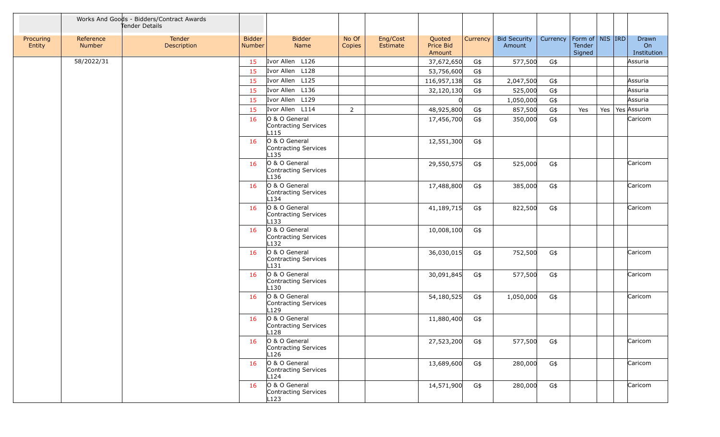|                     |                     | Works And Goods - Bidders/Contract Awards<br>Tender Details |                                |                                                           |                 |                      |                               |          |                               |          |                                         |     |                            |
|---------------------|---------------------|-------------------------------------------------------------|--------------------------------|-----------------------------------------------------------|-----------------|----------------------|-------------------------------|----------|-------------------------------|----------|-----------------------------------------|-----|----------------------------|
| Procuring<br>Entity | Reference<br>Number | Tender<br>Description                                       | <b>Bidder</b><br><b>Number</b> | <b>Bidder</b><br>Name                                     | No Of<br>Copies | Eng/Cost<br>Estimate | Quoted<br>Price Bid<br>Amount | Currency | <b>Bid Security</b><br>Amount | Currency | Form of   NIS   IRD<br>Tender<br>Signed |     | Drawn<br>On<br>Institution |
|                     | 58/2022/31          |                                                             | 15                             | Ivor Allen L126                                           |                 |                      | 37,672,650                    | G\$      | 577,500                       | G\$      |                                         |     | Assuria                    |
|                     |                     |                                                             | 15                             | Ivor Allen L128                                           |                 |                      | 53,756,600                    | G\$      |                               |          |                                         |     |                            |
|                     |                     |                                                             | 15                             | Ivor Allen L125                                           |                 |                      | 116,957,138                   | G\$      | 2,047,500                     | G\$      |                                         |     | Assuria                    |
|                     |                     |                                                             | 15                             | Ivor Allen L136                                           |                 |                      | 32,120,130                    | G\$      | 525,000                       | G\$      |                                         |     | Assuria                    |
|                     |                     |                                                             | 15                             | Ivor Allen L129                                           |                 |                      |                               |          | 1,050,000                     | G\$      |                                         |     | Assuria                    |
|                     |                     |                                                             | 15                             | Ivor Allen L114                                           | $\overline{2}$  |                      | 48,925,800                    | G\$      | 857,500                       | G\$      | Yes                                     | Yes | Yes Assuria                |
|                     |                     |                                                             | 16                             | O & O General<br>Contracting Services<br>L <sub>115</sub> |                 |                      | 17,456,700                    | G\$      | 350,000                       | G\$      |                                         |     | Caricom                    |
|                     |                     |                                                             | 16                             | O & O General<br>Contracting Services<br>L <sub>135</sub> |                 |                      | 12,551,300                    | G\$      |                               |          |                                         |     |                            |
|                     |                     |                                                             | 16                             | O & O General<br>Contracting Services<br>L136             |                 |                      | 29,550,575                    | G\$      | 525,000                       | G\$      |                                         |     | Caricom                    |
|                     |                     |                                                             | 16                             | O & O General<br>Contracting Services<br>L134             |                 |                      | 17,488,800                    | G\$      | 385,000                       | G\$      |                                         |     | Caricom                    |
|                     |                     |                                                             | 16                             | O & O General<br>Contracting Services<br>L133             |                 |                      | 41,189,715                    | G\$      | 822,500                       | G\$      |                                         |     | Caricom                    |
|                     |                     |                                                             | 16                             | O & O General<br>Contracting Services<br>L <sub>132</sub> |                 |                      | 10,008,100                    | G\$      |                               |          |                                         |     |                            |
|                     |                     |                                                             | 16                             | O & O General<br>Contracting Services<br>$L$ 131          |                 |                      | 36,030,015                    | G\$      | 752,500                       | G\$      |                                         |     | Caricom                    |
|                     |                     |                                                             | 16                             | O & O General<br>Contracting Services<br>L <sub>130</sub> |                 |                      | 30,091,845                    | G\$      | 577,500                       | G\$      |                                         |     | Caricom                    |
|                     |                     |                                                             | 16                             | O & O General<br>Contracting Services<br>L129             |                 |                      | 54,180,525                    | G\$      | 1,050,000                     | G\$      |                                         |     | Caricom                    |
|                     |                     |                                                             | 16                             | O & O General<br>Contracting Services<br>L128             |                 |                      | 11,880,400                    | G\$      |                               |          |                                         |     |                            |
|                     |                     |                                                             | 16                             | O & O General<br>Contracting Services<br>L <sub>126</sub> |                 |                      | 27,523,200                    | G\$      | 577,500                       | G\$      |                                         |     | Caricom                    |
|                     |                     |                                                             | 16                             | O & O General<br>Contracting Services<br>L124             |                 |                      | 13,689,600                    | G\$      | 280,000                       | G\$      |                                         |     | Caricom                    |
|                     |                     |                                                             | 16                             | O & O General<br>Contracting Services<br>L123             |                 |                      | 14,571,900                    | G\$      | 280,000                       | G\$      |                                         |     | Caricom                    |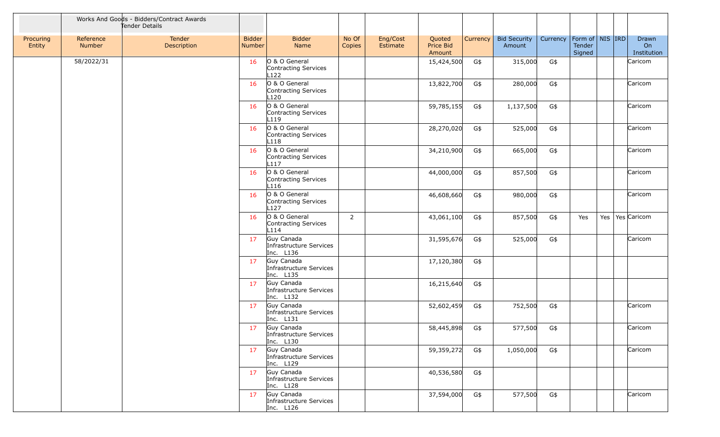|                     |                     | Works And Goods - Bidders/Contract Awards<br>Tender Details |                         |                                                           |                 |                      |                               |          |                               |          |                                         |     |                            |
|---------------------|---------------------|-------------------------------------------------------------|-------------------------|-----------------------------------------------------------|-----------------|----------------------|-------------------------------|----------|-------------------------------|----------|-----------------------------------------|-----|----------------------------|
| Procuring<br>Entity | Reference<br>Number | Tender<br>Description                                       | <b>Bidder</b><br>Number | <b>Bidder</b><br>Name                                     | No Of<br>Copies | Eng/Cost<br>Estimate | Quoted<br>Price Bid<br>Amount | Currency | <b>Bid Security</b><br>Amount | Currency | Form of   NIS   IRD<br>Tender<br>Signed |     | Drawn<br>On<br>Institution |
|                     | 58/2022/31          |                                                             | 16                      | O & O General<br>Contracting Services<br>L122             |                 |                      | 15,424,500                    | G\$      | 315,000                       | G\$      |                                         |     | Caricom                    |
|                     |                     |                                                             | 16                      | O & O General<br>Contracting Services<br>L120             |                 |                      | 13,822,700                    | G\$      | 280,000                       | G\$      |                                         |     | Caricom                    |
|                     |                     |                                                             | 16                      | O & O General<br>Contracting Services<br>L119             |                 |                      | 59,785,155                    | G\$      | 1,137,500                     | G\$      |                                         |     | Caricom                    |
|                     |                     |                                                             | 16                      | O & O General<br>Contracting Services<br>L <sub>118</sub> |                 |                      | 28,270,020                    | G\$      | 525,000                       | $G\$     |                                         |     | Caricom                    |
|                     |                     |                                                             | 16                      | O & O General<br>Contracting Services<br>L <sub>117</sub> |                 |                      | 34,210,900                    | G\$      | 665,000                       | G\$      |                                         |     | Caricom                    |
|                     |                     |                                                             | 16                      | O & O General<br>Contracting Services<br>L <sub>116</sub> |                 |                      | 44,000,000                    | G\$      | 857,500                       | G\$      |                                         |     | Caricom                    |
|                     |                     |                                                             | 16                      | O & O General<br>Contracting Services<br>L127             |                 |                      | 46,608,660                    | G\$      | 980,000                       | G\$      |                                         |     | Caricom                    |
|                     |                     |                                                             | 16                      | O & O General<br>Contracting Services<br>L114             | $\overline{2}$  |                      | 43,061,100                    | G\$      | 857,500                       | G\$      | Yes                                     | Yes | Yes Caricom                |
|                     |                     |                                                             | 17                      | Guy Canada<br>Infrastructure Services<br>Inc. L136        |                 |                      | 31,595,676                    | G\$      | 525,000                       | G\$      |                                         |     | Caricom                    |
|                     |                     |                                                             | 17                      | Guy Canada<br>Infrastructure Services<br>Inc. L135        |                 |                      | 17,120,380                    | G\$      |                               |          |                                         |     |                            |
|                     |                     |                                                             | 17                      | Guy Canada<br>Infrastructure Services<br>Inc. L132        |                 |                      | 16,215,640                    | G\$      |                               |          |                                         |     |                            |
|                     |                     |                                                             | 17                      | Guy Canada<br>Infrastructure Services<br>Inc. L131        |                 |                      | 52,602,459                    | G\$      | 752,500                       | G\$      |                                         |     | Caricom                    |
|                     |                     |                                                             | 17                      | Guy Canada<br>Infrastructure Services<br>Inc. $L130$      |                 |                      | 58,445,898                    | G\$      | 577,500                       | G\$      |                                         |     | Caricom                    |
|                     |                     |                                                             | 17                      | Guy Canada<br>Infrastructure Services<br>Inc. L129        |                 |                      | 59,359,272                    | G\$      | 1,050,000                     | G\$      |                                         |     | Caricom                    |
|                     |                     |                                                             | 17                      | Guy Canada<br>Infrastructure Services<br>Inc. L128        |                 |                      | 40,536,580                    | G\$      |                               |          |                                         |     |                            |
|                     |                     |                                                             | 17                      | Guy Canada<br>Infrastructure Services<br>Inc. L126        |                 |                      | 37,594,000                    | G\$      | 577,500                       | G\$      |                                         |     | Caricom                    |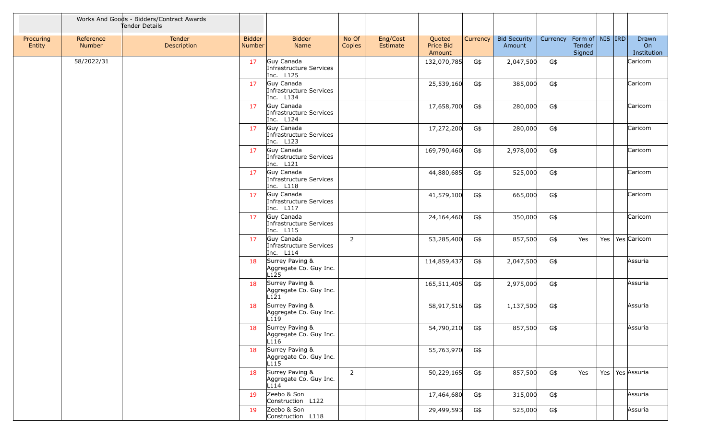|                     |                     | Works And Goods - Bidders/Contract Awards<br>Tender Details |                                |                                                               |                 |                      |                               |          |                               |          |                                                     |     |                            |
|---------------------|---------------------|-------------------------------------------------------------|--------------------------------|---------------------------------------------------------------|-----------------|----------------------|-------------------------------|----------|-------------------------------|----------|-----------------------------------------------------|-----|----------------------------|
| Procuring<br>Entity | Reference<br>Number | Tender<br><b>Description</b>                                | <b>Bidder</b><br><b>Number</b> | <b>Bidder</b><br>Name                                         | No Of<br>Copies | Eng/Cost<br>Estimate | Quoted<br>Price Bid<br>Amount | Currency | <b>Bid Security</b><br>Amount | Currency | Form of $\vert$ NIS $\vert$ IRD<br>Tender<br>Signed |     | Drawn<br>On<br>Institution |
|                     | 58/2022/31          |                                                             | 17                             | Guy Canada<br>Infrastructure Services<br>Inc. L125            |                 |                      | 132,070,785                   | G\$      | 2,047,500                     | G\$      |                                                     |     | Caricom                    |
|                     |                     |                                                             | 17                             | Guy Canada<br>Infrastructure Services<br>Inc. L134            |                 |                      | 25,539,160                    | G\$      | 385,000                       | $G\$     |                                                     |     | Caricom                    |
|                     |                     |                                                             | 17                             | Guy Canada<br>Infrastructure Services<br>Inc. L124            |                 |                      | 17,658,700                    | G\$      | 280,000                       | G\$      |                                                     |     | Caricom                    |
|                     |                     |                                                             | 17                             | Guy Canada<br>Infrastructure Services<br>Inc. L123            |                 |                      | 17,272,200                    | G\$      | 280,000                       | $G\$     |                                                     |     | Caricom                    |
|                     |                     |                                                             | 17                             | Guy Canada<br>Infrastructure Services<br>Inc. L121            |                 |                      | 169,790,460                   | G\$      | 2,978,000                     | G\$      |                                                     |     | Caricom                    |
|                     |                     |                                                             | 17                             | Guy Canada<br>Infrastructure Services<br>Inc. L118            |                 |                      | 44,880,685                    | G\$      | 525,000                       | G\$      |                                                     |     | Caricom                    |
|                     |                     |                                                             | 17                             | Guy Canada<br>Infrastructure Services<br>Inc. L117            |                 |                      | 41,579,100                    | G\$      | 665,000                       | G\$      |                                                     |     | Caricom                    |
|                     |                     |                                                             | 17                             | Guy Canada<br>Infrastructure Services<br>Inc. L115            |                 |                      | 24,164,460                    | G\$      | 350,000                       | G\$      |                                                     |     | Caricom                    |
|                     |                     |                                                             | 17                             | Guy Canada<br>Infrastructure Services<br>Inc. L114            | $\overline{2}$  |                      | 53,285,400                    | G\$      | 857,500                       | G\$      | Yes                                                 | Yes | Yes Caricom                |
|                     |                     |                                                             | 18                             | Surrey Paving &<br>Aggregate Co. Guy Inc.<br>L <sub>125</sub> |                 |                      | 114,859,437                   | G\$      | 2,047,500                     | G\$      |                                                     |     | Assuria                    |
|                     |                     |                                                             | 18                             | Surrey Paving &<br>Aggregate Co. Guy Inc.<br>L121             |                 |                      | 165,511,405                   | G\$      | 2,975,000                     | G\$      |                                                     |     | Assuria                    |
|                     |                     |                                                             | 18                             | Surrey Paving &<br>Aggregate Co. Guy Inc.<br>L119             |                 |                      | 58,917,516                    | G\$      | 1,137,500                     | G\$      |                                                     |     | Assuria                    |
|                     |                     |                                                             | 18                             | Surrey Paving &<br>Aggregate Co. Guy Inc.<br>L116             |                 |                      | 54,790,210                    | G\$      | 857,500                       | G\$      |                                                     |     | Assuria                    |
|                     |                     |                                                             | 18                             | Surrey Paving &<br>Aggregate Co. Guy Inc.<br>L115             |                 |                      | 55,763,970                    | G\$      |                               |          |                                                     |     |                            |
|                     |                     |                                                             | 18                             | Surrey Paving &<br>Aggregate Co. Guy Inc.<br>L114             | 2               |                      | 50,229,165                    | G\$      | 857,500                       | G\$      | Yes                                                 | Yes | Yes Assuria                |
|                     |                     |                                                             | 19                             | Zeebo & Son<br>Construction L122                              |                 |                      | 17,464,680                    | G\$      | 315,000                       | G\$      |                                                     |     | Assuria                    |
|                     |                     |                                                             | 19                             | Zeebo & Son<br>Construction L118                              |                 |                      | 29,499,593                    | G\$      | 525,000                       | G\$      |                                                     |     | Assuria                    |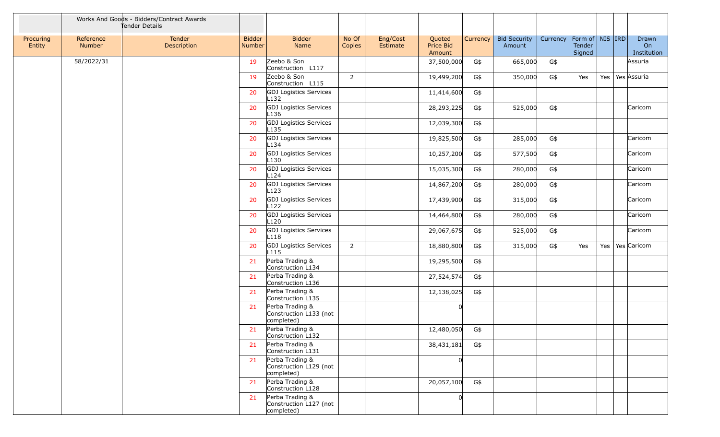|                     |                     | Works And Goods - Bidders/Contract Awards<br>Tender Details |                         |                                                         |                 |                      |                               |          |                               |          |                                         |         |                            |
|---------------------|---------------------|-------------------------------------------------------------|-------------------------|---------------------------------------------------------|-----------------|----------------------|-------------------------------|----------|-------------------------------|----------|-----------------------------------------|---------|----------------------------|
| Procuring<br>Entity | Reference<br>Number | Tender<br>Description                                       | <b>Bidder</b><br>Number | <b>Bidder</b><br>Name                                   | No Of<br>Copies | Eng/Cost<br>Estimate | Quoted<br>Price Bid<br>Amount | Currency | <b>Bid Security</b><br>Amount | Currency | Form of   NIS   IRD<br>Tender<br>Signed |         | Drawn<br>On<br>Institution |
|                     | 58/2022/31          |                                                             | 19                      | Zeebo & Son<br>Construction L117                        |                 |                      | 37,500,000                    | G\$      | 665,000                       | G\$      |                                         |         | Assuria                    |
|                     |                     |                                                             | 19                      | Zeebo & Son<br>Construction L115                        | $\overline{2}$  |                      | 19,499,200                    | G\$      | 350,000                       | G\$      | Yes                                     | Yes $ $ | Yes Assuria                |
|                     |                     |                                                             | 20                      | <b>GDJ</b> Logistics Services<br>$L$ 132                |                 |                      | 11,414,600                    | G\$      |                               |          |                                         |         |                            |
|                     |                     |                                                             | 20                      | GDJ Logistics Services<br>L <sub>136</sub>              |                 |                      | 28,293,225                    | G\$      | 525,000                       | G\$      |                                         |         | Caricom                    |
|                     |                     |                                                             | 20                      | GDJ Logistics Services<br>L <sub>135</sub>              |                 |                      | 12,039,300                    | G\$      |                               |          |                                         |         |                            |
|                     |                     |                                                             | 20                      | GDJ Logistics Services<br>L134                          |                 |                      | 19,825,500                    | G\$      | 285,000                       | G\$      |                                         |         | Caricom                    |
|                     |                     |                                                             | 20                      | GDJ Logistics Services<br>$L$ 130                       |                 |                      | 10,257,200                    | G\$      | 577,500                       | G\$      |                                         |         | Caricom                    |
|                     |                     |                                                             | 20                      | GDJ Logistics Services<br>L124                          |                 |                      | 15,035,300                    | G\$      | 280,000                       | G\$      |                                         |         | Caricom                    |
|                     |                     |                                                             | 20                      | GDJ Logistics Services<br>L123                          |                 |                      | 14,867,200                    | G\$      | 280,000                       | G\$      |                                         |         | Caricom                    |
|                     |                     |                                                             | 20                      | GDJ Logistics Services<br>L <sub>122</sub>              |                 |                      | 17,439,900                    | G\$      | 315,000                       | G\$      |                                         |         | Caricom                    |
|                     |                     |                                                             | 20                      | GDJ Logistics Services<br>L <sub>120</sub>              |                 |                      | 14,464,800                    | G\$      | 280,000                       | G\$      |                                         |         | Caricom                    |
|                     |                     |                                                             | 20                      | GDJ Logistics Services<br>L <sub>118</sub>              |                 |                      | 29,067,675                    | G\$      | 525,000                       | G\$      |                                         |         | Caricom                    |
|                     |                     |                                                             | 20                      | GDJ Logistics Services<br>L <sub>115</sub>              | $\overline{2}$  |                      | 18,880,800                    | G\$      | 315,000                       | G\$      | Yes                                     | Yes $ $ | Yes Caricom                |
|                     |                     |                                                             | 21                      | Perba Trading &<br>Construction L134                    |                 |                      | 19,295,500                    | G\$      |                               |          |                                         |         |                            |
|                     |                     |                                                             | 21                      | Perba Trading &<br>Construction L136                    |                 |                      | 27,524,574                    | G\$      |                               |          |                                         |         |                            |
|                     |                     |                                                             | 21                      | Perba Trading &<br>Construction L135                    |                 |                      | 12,138,025                    | G\$      |                               |          |                                         |         |                            |
|                     |                     |                                                             | 21                      | Perba Trading &<br>Construction L133 (not<br>completed) |                 |                      | <sup>0</sup>                  |          |                               |          |                                         |         |                            |
|                     |                     |                                                             | 21                      | Perba Trading &<br>Construction L132                    |                 |                      | 12,480,050                    | G\$      |                               |          |                                         |         |                            |
|                     |                     |                                                             | 21                      | Perba Trading &<br>Construction L131                    |                 |                      | 38,431,181                    | G\$      |                               |          |                                         |         |                            |
|                     |                     |                                                             | 21                      | Perba Trading &<br>Construction L129 (not<br>completed) |                 |                      | $\Omega$                      |          |                               |          |                                         |         |                            |
|                     |                     |                                                             | 21                      | Perba Trading &<br>Construction L128                    |                 |                      | 20,057,100                    | G\$      |                               |          |                                         |         |                            |
|                     |                     |                                                             | 21                      | Perba Trading &<br>Construction L127 (not<br>completed) |                 |                      | 0                             |          |                               |          |                                         |         |                            |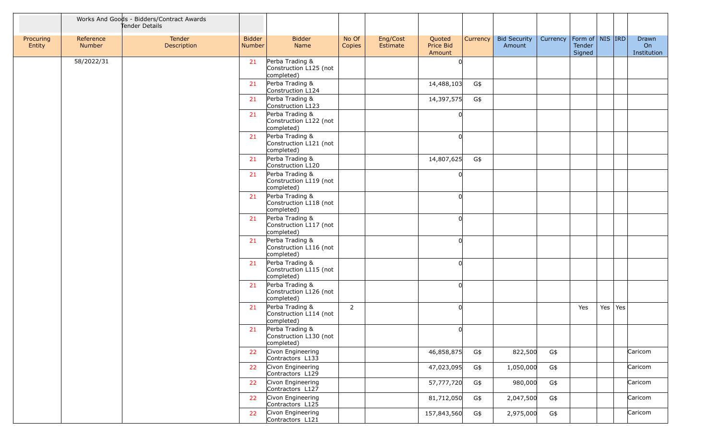|                     |                     | Works And Goods - Bidders/Contract Awards<br>Tender Details |                         |                                                         |                 |                      |                               |     |                                   |          |                                     |           |                            |
|---------------------|---------------------|-------------------------------------------------------------|-------------------------|---------------------------------------------------------|-----------------|----------------------|-------------------------------|-----|-----------------------------------|----------|-------------------------------------|-----------|----------------------------|
| Procuring<br>Entity | Reference<br>Number | Tender<br>Description                                       | <b>Bidder</b><br>Number | <b>Bidder</b><br>Name                                   | No Of<br>Copies | Eng/Cost<br>Estimate | Quoted<br>Price Bid<br>Amount |     | Currency   Bid Security<br>Amount | Currency | Form of NIS IRD<br>Tender<br>Signed |           | Drawn<br>On<br>Institution |
|                     | 58/2022/31          |                                                             | 21                      | Perba Trading &<br>Construction L125 (not<br>completed) |                 |                      |                               |     |                                   |          |                                     |           |                            |
|                     |                     |                                                             | 21                      | Perba Trading &<br>Construction L124                    |                 |                      | 14,488,103                    | G\$ |                                   |          |                                     |           |                            |
|                     |                     |                                                             | 21                      | Perba Trading &<br>Construction L123                    |                 |                      | 14,397,575                    | G\$ |                                   |          |                                     |           |                            |
|                     |                     |                                                             | 21                      | Perba Trading &<br>Construction L122 (not<br>completed) |                 |                      |                               |     |                                   |          |                                     |           |                            |
|                     |                     |                                                             | 21                      | Perba Trading &<br>Construction L121 (not<br>completed) |                 |                      |                               |     |                                   |          |                                     |           |                            |
|                     |                     |                                                             | 21                      | Perba Trading &<br>Construction L120                    |                 |                      | 14,807,625                    | G\$ |                                   |          |                                     |           |                            |
|                     |                     |                                                             | 21                      | Perba Trading &<br>Construction L119 (not<br>completed) |                 |                      |                               |     |                                   |          |                                     |           |                            |
|                     |                     |                                                             | 21                      | Perba Trading &<br>Construction L118 (not<br>completed) |                 |                      |                               |     |                                   |          |                                     |           |                            |
|                     |                     |                                                             | 21                      | Perba Trading &<br>Construction L117 (not<br>completed) |                 |                      |                               |     |                                   |          |                                     |           |                            |
|                     |                     |                                                             | 21                      | Perba Trading &<br>Construction L116 (not<br>completed) |                 |                      |                               |     |                                   |          |                                     |           |                            |
|                     |                     |                                                             | 21                      | Perba Trading &<br>Construction L115 (not<br>completed) |                 |                      |                               |     |                                   |          |                                     |           |                            |
|                     |                     |                                                             | 21                      | Perba Trading &<br>Construction L126 (not<br>completed) |                 |                      |                               |     |                                   |          |                                     |           |                            |
|                     |                     |                                                             | 21                      | Perba Trading &<br>Construction L114 (not<br>completed) | $\overline{2}$  |                      |                               |     |                                   |          | Yes                                 | Yes   Yes |                            |
|                     |                     |                                                             | 21                      | Perba Trading &<br>Construction L130 (not<br>completed) |                 |                      |                               |     |                                   |          |                                     |           |                            |
|                     |                     |                                                             | 22                      | Civon Engineering<br>Contractors L133                   |                 |                      | 46,858,875                    | G\$ | 822,500                           | G\$      |                                     |           | Caricom                    |
|                     |                     |                                                             | 22                      | Civon Engineering<br>Contractors L129                   |                 |                      | 47,023,095                    | G\$ | 1,050,000                         | G\$      |                                     |           | Caricom                    |
|                     |                     |                                                             | 22                      | Civon Engineering<br>Contractors L127                   |                 |                      | 57,777,720                    | G\$ | 980,000                           | G\$      |                                     |           | Caricom                    |
|                     |                     |                                                             | 22                      | Civon Engineering<br>Contractors L125                   |                 |                      | 81,712,050                    | G\$ | 2,047,500                         | G\$      |                                     |           | Caricom                    |
|                     |                     |                                                             | 22                      | Civon Engineering<br>Contractors L121                   |                 |                      | 157,843,560                   | G\$ | 2,975,000                         | G\$      |                                     |           | Caricom                    |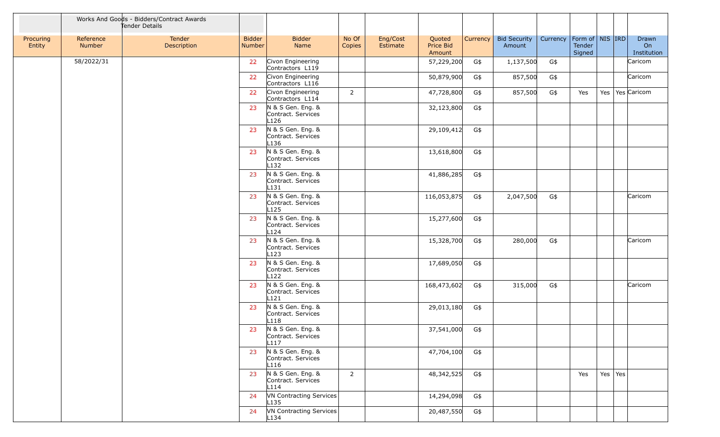|                     |                     | Works And Goods - Bidders/Contract Awards<br>Tender Details |                                |                                                             |                 |                      |                               |          |                               |                                |                  |           |                            |
|---------------------|---------------------|-------------------------------------------------------------|--------------------------------|-------------------------------------------------------------|-----------------|----------------------|-------------------------------|----------|-------------------------------|--------------------------------|------------------|-----------|----------------------------|
| Procuring<br>Entity | Reference<br>Number | Tender<br>Description                                       | <b>Bidder</b><br><b>Number</b> | <b>Bidder</b><br>Name                                       | No Of<br>Copies | Eng/Cost<br>Estimate | Quoted<br>Price Bid<br>Amount | Currency | <b>Bid Security</b><br>Amount | Currency   Form of   NIS   IRD | Tender<br>Signed |           | Drawn<br>On<br>Institution |
|                     | 58/2022/31          |                                                             | 22                             | Civon Engineering<br>Contractors L119                       |                 |                      | 57,229,200                    | G\$      | 1,137,500                     | G\$                            |                  |           | Caricom                    |
|                     |                     |                                                             | 22                             | Civon Engineering<br>Contractors L116                       |                 |                      | 50,879,900                    | G\$      | 857,500                       | G\$                            |                  |           | Caricom                    |
|                     |                     |                                                             | 22                             | Civon Engineering<br>Contractors L114                       | $\overline{2}$  |                      | 47,728,800                    | G\$      | 857,500                       | G\$                            | Yes              |           | Yes   Yes   Caricom        |
|                     |                     |                                                             | 23                             | N & S Gen. Eng. &<br>Contract. Services<br>L <sub>126</sub> |                 |                      | 32,123,800                    | G\$      |                               |                                |                  |           |                            |
|                     |                     |                                                             | 23                             | N & S Gen. Eng. &<br>Contract. Services<br>L <sub>136</sub> |                 |                      | 29,109,412                    | G\$      |                               |                                |                  |           |                            |
|                     |                     |                                                             | 23                             | N & S Gen. Eng. &<br>Contract. Services<br>L <sub>132</sub> |                 |                      | 13,618,800                    | G\$      |                               |                                |                  |           |                            |
|                     |                     |                                                             | 23                             | N & S Gen. Eng. &<br>Contract. Services<br>$L$ 131          |                 |                      | 41,886,285                    | G\$      |                               |                                |                  |           |                            |
|                     |                     |                                                             | 23                             | N & S Gen. Eng. &<br>Contract. Services<br>L <sub>125</sub> |                 |                      | 116,053,875                   | G\$      | 2,047,500                     | G\$                            |                  |           | Caricom                    |
|                     |                     |                                                             | 23                             | N & S Gen. Eng. &<br>Contract. Services<br>L124             |                 |                      | 15,277,600                    | G\$      |                               |                                |                  |           |                            |
|                     |                     |                                                             | 23                             | N & S Gen. Eng. &<br>Contract. Services<br>L123             |                 |                      | 15,328,700                    | G\$      | 280,000                       | G\$                            |                  |           | Caricom                    |
|                     |                     |                                                             | 23                             | N & S Gen. Eng. &<br>Contract. Services<br>L <sub>122</sub> |                 |                      | 17,689,050                    | G\$      |                               |                                |                  |           |                            |
|                     |                     |                                                             | 23                             | N & S Gen. Eng. &<br>Contract. Services<br>L121             |                 |                      | 168,473,602                   | G\$      | 315,000                       | G\$                            |                  |           | Caricom                    |
|                     |                     |                                                             | 23                             | N & S Gen. Eng. &<br>Contract. Services<br>L118             |                 |                      | 29,013,180                    | G\$      |                               |                                |                  |           |                            |
|                     |                     |                                                             | 23                             | N & S Gen. Eng. &<br>Contract. Services<br>L117             |                 |                      | 37,541,000                    | G\$      |                               |                                |                  |           |                            |
|                     |                     |                                                             | 23                             | N & S Gen. Eng. &<br>Contract. Services<br>L116             |                 |                      | 47,704,100                    | G\$      |                               |                                |                  |           |                            |
|                     |                     |                                                             | 23                             | N & S Gen. Eng. &<br>Contract. Services<br>L114             | $\overline{2}$  |                      | 48,342,525                    | G\$      |                               |                                | Yes              | Yes   Yes |                            |
|                     |                     |                                                             | 24                             | VN Contracting Services<br>$L$ 135                          |                 |                      | 14,294,098                    | G\$      |                               |                                |                  |           |                            |
|                     |                     |                                                             | 24                             | VN Contracting Services<br>L134                             |                 |                      | 20,487,550                    | G\$      |                               |                                |                  |           |                            |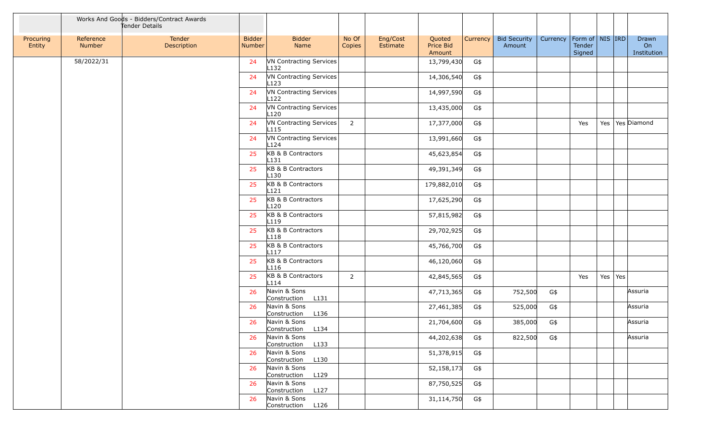|                     |                     | Works And Goods - Bidders/Contract Awards<br>Tender Details |                         |                                             |                 |                      |                               |          |                               |          |                                                                 |     |     |                            |
|---------------------|---------------------|-------------------------------------------------------------|-------------------------|---------------------------------------------|-----------------|----------------------|-------------------------------|----------|-------------------------------|----------|-----------------------------------------------------------------|-----|-----|----------------------------|
| Procuring<br>Entity | Reference<br>Number | Tender<br>Description                                       | <b>Bidder</b><br>Number | <b>Bidder</b><br>Name                       | No Of<br>Copies | Eng/Cost<br>Estimate | Quoted<br>Price Bid<br>Amount | Currency | <b>Bid Security</b><br>Amount | Currency | $\mid$ Form of $\mid$ NIS $\mid$ IRD $\mid$<br>Tender<br>Signed |     |     | Drawn<br>On<br>Institution |
|                     | 58/2022/31          |                                                             | 24                      | VN Contracting Services<br>L132             |                 |                      | 13,799,430                    | G\$      |                               |          |                                                                 |     |     |                            |
|                     |                     |                                                             | 24                      | VN Contracting Services<br>L123             |                 |                      | 14,306,540                    | G\$      |                               |          |                                                                 |     |     |                            |
|                     |                     |                                                             | 24                      | VN Contracting Services<br>L122             |                 |                      | 14,997,590                    | G\$      |                               |          |                                                                 |     |     |                            |
|                     |                     |                                                             | 24                      | VN Contracting Services<br>$L$ 120          |                 |                      | 13,435,000                    | G\$      |                               |          |                                                                 |     |     |                            |
|                     |                     |                                                             | 24                      | VN Contracting Services<br>L <sub>115</sub> | $\overline{2}$  |                      | 17,377,000                    | G\$      |                               |          | Yes                                                             | Yes |     | Yes Diamond                |
|                     |                     |                                                             | 24                      | VN Contracting Services<br>L124             |                 |                      | 13,991,660                    | G\$      |                               |          |                                                                 |     |     |                            |
|                     |                     |                                                             | 25                      | KB & B Contractors<br>$L$ 131               |                 |                      | 45,623,854                    | G\$      |                               |          |                                                                 |     |     |                            |
|                     |                     |                                                             | 25                      | KB & B Contractors<br>L <sub>130</sub>      |                 |                      | 49,391,349                    | G\$      |                               |          |                                                                 |     |     |                            |
|                     |                     |                                                             | 25                      | KB & B Contractors<br>L <sub>121</sub>      |                 |                      | 179,882,010                   | G\$      |                               |          |                                                                 |     |     |                            |
|                     |                     |                                                             | 25                      | KB & B Contractors<br>L <sub>120</sub>      |                 |                      | 17,625,290                    | G\$      |                               |          |                                                                 |     |     |                            |
|                     |                     |                                                             | 25                      | KB & B Contractors<br>L119                  |                 |                      | 57,815,982                    | G\$      |                               |          |                                                                 |     |     |                            |
|                     |                     |                                                             | 25                      | KB & B Contractors<br>L118                  |                 |                      | 29,702,925                    | G\$      |                               |          |                                                                 |     |     |                            |
|                     |                     |                                                             | 25                      | KB & B Contractors<br>L117                  |                 |                      | 45,766,700                    | G\$      |                               |          |                                                                 |     |     |                            |
|                     |                     |                                                             | 25                      | KB & B Contractors<br>L <sub>116</sub>      |                 |                      | 46,120,060                    | G\$      |                               |          |                                                                 |     |     |                            |
|                     |                     |                                                             | 25                      | KB & B Contractors<br>L114                  | $\overline{2}$  |                      | 42,845,565                    | G\$      |                               |          | Yes                                                             | Yes | Yes |                            |
|                     |                     |                                                             | 26                      | Navin & Sons<br>Construction<br>L131        |                 |                      | 47,713,365                    | G\$      | 752,500                       | G\$      |                                                                 |     |     | Assuria                    |
|                     |                     |                                                             | 26                      | Navin & Sons<br>Construction<br>L136        |                 |                      | 27,461,385                    | G\$      | 525,000                       | G\$      |                                                                 |     |     | Assuria                    |
|                     |                     |                                                             | 26                      | Navin & Sons<br>L134<br>Construction        |                 |                      | 21,704,600                    | G\$      | 385,000                       | G\$      |                                                                 |     |     | Assuria                    |
|                     |                     |                                                             | 26                      | Navin & Sons<br>Construction L133           |                 |                      | 44,202,638                    | G\$      | 822,500                       | G\$      |                                                                 |     |     | Assuria                    |
|                     |                     |                                                             | 26                      | Navin & Sons<br>Construction L130           |                 |                      | 51,378,915                    | G\$      |                               |          |                                                                 |     |     |                            |
|                     |                     |                                                             | -26                     | Navin & Sons<br>Construction L129           |                 |                      | 52,158,173                    | G\$      |                               |          |                                                                 |     |     |                            |
|                     |                     |                                                             | -26                     | Navin & Sons<br>Construction L127           |                 |                      | 87,750,525                    | G\$      |                               |          |                                                                 |     |     |                            |
|                     |                     |                                                             | 26                      | Navin & Sons<br>Construction L126           |                 |                      | 31,114,750                    | G\$      |                               |          |                                                                 |     |     |                            |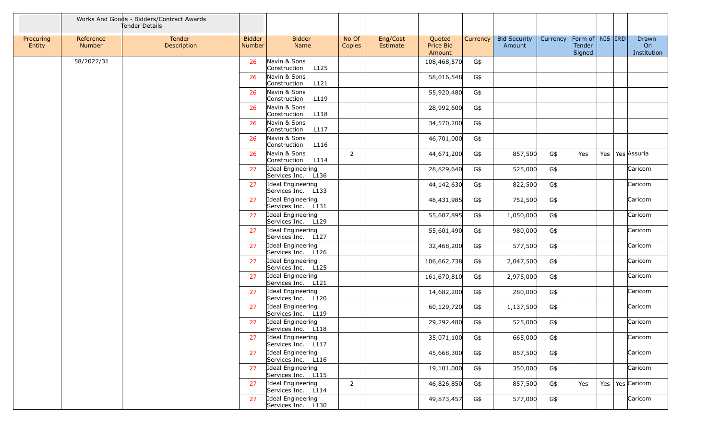|                     |                            | Works And Goods - Bidders/Contract Awards<br>Tender Details |                         |                                         |                 |                      |                               |          |                               |          |                                         |     |                            |
|---------------------|----------------------------|-------------------------------------------------------------|-------------------------|-----------------------------------------|-----------------|----------------------|-------------------------------|----------|-------------------------------|----------|-----------------------------------------|-----|----------------------------|
| Procuring<br>Entity | Reference<br><b>Number</b> | Tender<br>Description                                       | <b>Bidder</b><br>Number | <b>Bidder</b><br>Name                   | No Of<br>Copies | Eng/Cost<br>Estimate | Quoted<br>Price Bid<br>Amount | Currency | <b>Bid Security</b><br>Amount | Currency | Form of   NIS   IRD<br>Tender<br>Signed |     | Drawn<br>On<br>Institution |
|                     | 58/2022/31                 |                                                             | 26                      | Navin & Sons<br>L125<br>Construction    |                 |                      | 108,468,570                   | G\$      |                               |          |                                         |     |                            |
|                     |                            |                                                             | 26                      | Navin & Sons<br>L121<br>Construction    |                 |                      | 58,016,548                    | G\$      |                               |          |                                         |     |                            |
|                     |                            |                                                             | 26                      | Navin & Sons<br>Construction<br>L119    |                 |                      | 55,920,480                    | G\$      |                               |          |                                         |     |                            |
|                     |                            |                                                             | 26                      | Navin & Sons<br>Construction<br>L118    |                 |                      | 28,992,600                    | G\$      |                               |          |                                         |     |                            |
|                     |                            |                                                             | 26                      | Navin & Sons<br>L117<br>Construction    |                 |                      | 34,570,200                    | G\$      |                               |          |                                         |     |                            |
|                     |                            |                                                             | 26                      | Navin & Sons<br>Construction<br>L116    |                 |                      | 46,701,000                    | G\$      |                               |          |                                         |     |                            |
|                     |                            |                                                             | 26                      | Navin & Sons<br>Construction<br>L114    | $\overline{2}$  |                      | 44,671,200                    | G\$      | 857,500                       | G\$      | Yes                                     | Yes | Yes Assuria                |
|                     |                            |                                                             | 27                      | Ideal Engineering<br>Services Inc. L136 |                 |                      | 28,829,640                    | G\$      | 525,000                       | G\$      |                                         |     | Caricom                    |
|                     |                            |                                                             | 27                      | Ideal Engineering<br>Services Inc. L133 |                 |                      | 44,142,630                    | G\$      | 822,500                       | G\$      |                                         |     | Caricom                    |
|                     |                            |                                                             | 27                      | Ideal Engineering<br>Services Inc. L131 |                 |                      | 48,431,985                    | G\$      | 752,500                       | G\$      |                                         |     | Caricom                    |
|                     |                            |                                                             | 27                      | Ideal Engineering<br>Services Inc. L129 |                 |                      | 55,607,895                    | G\$      | 1,050,000                     | G\$      |                                         |     | Caricom                    |
|                     |                            |                                                             | 27                      | Ideal Engineering<br>Services Inc. L127 |                 |                      | 55,601,490                    | G\$      | 980,000                       | G\$      |                                         |     | Caricom                    |
|                     |                            |                                                             | 27                      | Ideal Engineering<br>Services Inc. L126 |                 |                      | 32,468,200                    | G\$      | 577,500                       | G\$      |                                         |     | Caricom                    |
|                     |                            |                                                             | 27                      | Ideal Engineering<br>Services Inc. L125 |                 |                      | 106,662,738                   | G\$      | 2,047,500                     | G\$      |                                         |     | Caricom                    |
|                     |                            |                                                             | 27                      | Ideal Engineering<br>Services Inc. L121 |                 |                      | 161,670,810                   | G\$      | 2,975,000                     | G\$      |                                         |     | Caricom                    |
|                     |                            |                                                             | 27                      | Ideal Engineering<br>Services Inc. L120 |                 |                      | 14,682,200                    | G\$      | 280,000                       | G\$      |                                         |     | Caricom                    |
|                     |                            |                                                             | 27                      | Ideal Engineering<br>Services Inc. L119 |                 |                      | 60,129,720                    | G\$      | 1,137,500                     | G\$      |                                         |     | Caricom                    |
|                     |                            |                                                             | 27                      | Ideal Engineering<br>Services Inc. L118 |                 |                      | 29,292,480                    | G\$      | 525,000                       | G\$      |                                         |     | Caricom                    |
|                     |                            |                                                             | 27                      | Ideal Engineering<br>Services Inc. L117 |                 |                      | 35,071,100                    | G\$      | 665,000                       | G\$      |                                         |     | Caricom                    |
|                     |                            |                                                             | 27                      | Ideal Engineering<br>Services Inc. L116 |                 |                      | 45,668,300                    | G\$      | 857,500                       | G\$      |                                         |     | Caricom                    |
|                     |                            |                                                             | 27                      | Ideal Engineering<br>Services Inc. L115 |                 |                      | 19,101,000                    | G\$      | 350,000                       | G\$      |                                         |     | Caricom                    |
|                     |                            |                                                             | 27                      | Ideal Engineering<br>Services Inc. L114 | $\overline{2}$  |                      | 46,826,850                    | G\$      | 857,500                       | G\$      | Yes                                     |     | Yes   Yes   Caricom        |
|                     |                            |                                                             | 27                      | Ideal Engineering<br>Services Inc. L130 |                 |                      | 49,873,457                    | G\$      | 577,000                       | G\$      |                                         |     | Caricom                    |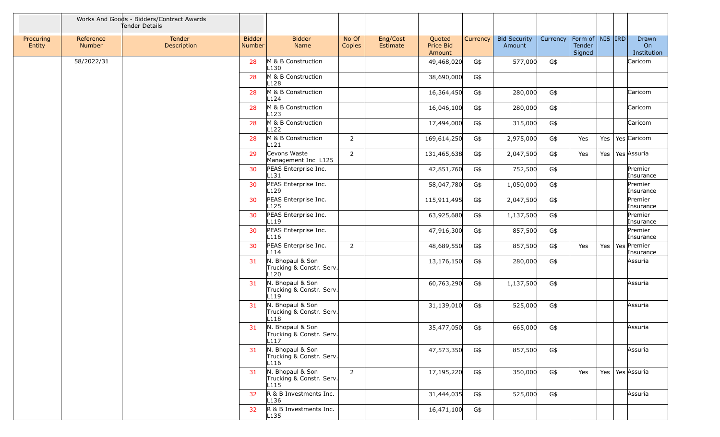|                     |                     | Works And Goods - Bidders/Contract Awards<br>Tender Details |                                |                                                                  |                 |                      |                               |          |                               |          |                                         |         |                            |
|---------------------|---------------------|-------------------------------------------------------------|--------------------------------|------------------------------------------------------------------|-----------------|----------------------|-------------------------------|----------|-------------------------------|----------|-----------------------------------------|---------|----------------------------|
| Procuring<br>Entity | Reference<br>Number | Tender<br>Description                                       | <b>Bidder</b><br><b>Number</b> | <b>Bidder</b><br>Name                                            | No Of<br>Copies | Eng/Cost<br>Estimate | Quoted<br>Price Bid<br>Amount | Currency | <b>Bid Security</b><br>Amount | Currency | Form of   NIS   IRD<br>Tender<br>Signed |         | Drawn<br>On<br>Institution |
|                     | 58/2022/31          |                                                             | 28                             | M & B Construction<br>L <sub>130</sub>                           |                 |                      | 49,468,020                    | G\$      | 577,000                       | G\$      |                                         |         | Caricom                    |
|                     |                     |                                                             | 28                             | M & B Construction<br>L <sub>128</sub>                           |                 |                      | 38,690,000                    | G\$      |                               |          |                                         |         |                            |
|                     |                     |                                                             | 28                             | M & B Construction<br>L124                                       |                 |                      | 16,364,450                    | G\$      | 280,000                       | G\$      |                                         |         | Caricom                    |
|                     |                     |                                                             | 28                             | M & B Construction<br>L123                                       |                 |                      | 16,046,100                    | G\$      | 280,000                       | G\$      |                                         |         | Caricom                    |
|                     |                     |                                                             | 28                             | M & B Construction<br>L <sub>122</sub>                           |                 |                      | 17,494,000                    | G\$      | 315,000                       | G\$      |                                         |         | Caricom                    |
|                     |                     |                                                             | 28                             | M & B Construction<br>L121                                       | $\overline{2}$  |                      | 169,614,250                   | G\$      | 2,975,000                     | G\$      | Yes                                     | Yes     | Yes Caricom                |
|                     |                     |                                                             | 29                             | Cevons Waste<br>Management Inc L125                              | $\overline{2}$  |                      | 131,465,638                   | G\$      | 2,047,500                     | G\$      | Yes                                     | Yes     | Yes Assuria                |
|                     |                     |                                                             | 30                             | PEAS Enterprise Inc.<br>$L$ 131                                  |                 |                      | 42,851,760                    | G\$      | 752,500                       | G\$      |                                         |         | Premier<br>Insurance       |
|                     |                     |                                                             | 30                             | PEAS Enterprise Inc.<br>L129                                     |                 |                      | 58,047,780                    | G\$      | 1,050,000                     | G\$      |                                         |         | Premier<br>Insurance       |
|                     |                     |                                                             | 30                             | PEAS Enterprise Inc.<br>L <sub>125</sub>                         |                 |                      | 115,911,495                   | G\$      | 2,047,500                     | G\$      |                                         |         | Premier<br>Insurance       |
|                     |                     |                                                             | 30                             | PEAS Enterprise Inc.<br>L119                                     |                 |                      | 63,925,680                    | G\$      | 1,137,500                     | G\$      |                                         |         | Premier<br>Insurance       |
|                     |                     |                                                             | 30                             | PEAS Enterprise Inc.<br>L <sub>116</sub>                         |                 |                      | 47,916,300                    | G\$      | 857,500                       | G\$      |                                         |         | Premier<br>Insurance       |
|                     |                     |                                                             | 30                             | PEAS Enterprise Inc.<br>L114                                     | $\overline{2}$  |                      | 48,689,550                    | G\$      | 857,500                       | G\$      | Yes                                     | Yes     | Yes Premier<br>Insurance   |
|                     |                     |                                                             | 31                             | N. Bhopaul & Son<br>Trucking & Constr. Serv.<br>L <sub>120</sub> |                 |                      | 13,176,150                    | G\$      | 280,000                       | G\$      |                                         |         | Assuria                    |
|                     |                     |                                                             | 31                             | N. Bhopaul & Son<br>Trucking & Constr. Serv.<br>L119             |                 |                      | 60,763,290                    | G\$      | 1,137,500                     | G\$      |                                         |         | Assuria                    |
|                     |                     |                                                             | 31                             | N. Bhopaul & Son<br>Trucking & Constr. Serv.<br>L118             |                 |                      | 31,139,010                    | G\$      | 525,000                       | G\$      |                                         |         | Assuria                    |
|                     |                     |                                                             | 31                             | N. Bhopaul & Son<br>Trucking & Constr. Serv.<br>L117             |                 |                      | 35,477,050                    | G\$      | 665,000                       | G\$      |                                         |         | Assuria                    |
|                     |                     |                                                             | 31                             | N. Bhopaul & Son<br>Trucking & Constr. Serv.<br>L116             |                 |                      | 47,573,350                    | G\$      | 857,500                       | G\$      |                                         |         | Assuria                    |
|                     |                     |                                                             | 31                             | N. Bhopaul & Son<br>Trucking & Constr. Serv.<br>L115             | $\overline{2}$  |                      | 17,195,220                    | G\$      | 350,000                       | G\$      | Yes                                     | Yes $ $ | Yes Assuria                |
|                     |                     |                                                             | 32                             | R & B Investments Inc.<br>L <sub>136</sub>                       |                 |                      | 31,444,035                    | G\$      | 525,000                       | G\$      |                                         |         | Assuria                    |
|                     |                     |                                                             | 32                             | R & B Investments Inc.<br>L <sub>135</sub>                       |                 |                      | 16,471,100                    | G\$      |                               |          |                                         |         |                            |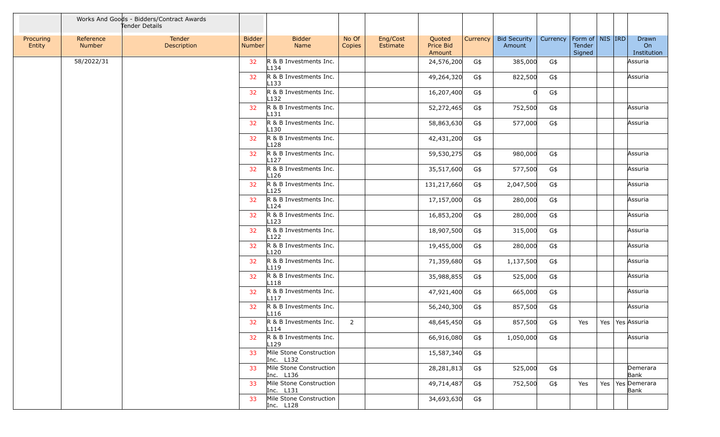|                     |                            | Works And Goods - Bidders/Contract Awards<br>Tender Details |                         |                                            |                 |                      |                               |          |                               |          |                                         |         |                              |
|---------------------|----------------------------|-------------------------------------------------------------|-------------------------|--------------------------------------------|-----------------|----------------------|-------------------------------|----------|-------------------------------|----------|-----------------------------------------|---------|------------------------------|
| Procuring<br>Entity | Reference<br><b>Number</b> | Tender<br>Description                                       | <b>Bidder</b><br>Number | <b>Bidder</b><br>Name                      | No Of<br>Copies | Eng/Cost<br>Estimate | Quoted<br>Price Bid<br>Amount | Currency | <b>Bid Security</b><br>Amount | Currency | Form of   NIS   IRD<br>Tender<br>Signed |         | Drawn<br>On<br>Institution   |
|                     | 58/2022/31                 |                                                             | 32                      | R & B Investments Inc.<br>L <sub>134</sub> |                 |                      | 24,576,200                    | G\$      | 385,000                       | G\$      |                                         |         | Assuria                      |
|                     |                            |                                                             | 32                      | R & B Investments Inc.<br>L <sub>133</sub> |                 |                      | 49,264,320                    | G\$      | 822,500                       | G\$      |                                         |         | Assuria                      |
|                     |                            |                                                             | 32                      | R & B Investments Inc.<br>L <sub>132</sub> |                 |                      | 16,207,400                    | G\$      | 0l                            | G\$      |                                         |         |                              |
|                     |                            |                                                             | 32                      | R & B Investments Inc.<br>L131             |                 |                      | 52,272,465                    | G\$      | 752,500                       | G\$      |                                         |         | Assuria                      |
|                     |                            |                                                             | 32                      | R & B Investments Inc.<br>L <sub>130</sub> |                 |                      | 58,863,630                    | G\$      | 577,000                       | G\$      |                                         |         | Assuria                      |
|                     |                            |                                                             | 32                      | R & B Investments Inc.<br>L <sub>128</sub> |                 |                      | 42,431,200                    | G\$      |                               |          |                                         |         |                              |
|                     |                            |                                                             | 32                      | R & B Investments Inc.<br>L127             |                 |                      | 59,530,275                    | G\$      | 980,000                       | G\$      |                                         |         | Assuria                      |
|                     |                            |                                                             | 32                      | R & B Investments Inc.<br>L126             |                 |                      | 35,517,600                    | G\$      | 577,500                       | G\$      |                                         |         | Assuria                      |
|                     |                            |                                                             | 32                      | R & B Investments Inc.<br>L <sub>125</sub> |                 |                      | 131,217,660                   | G\$      | 2,047,500                     | G\$      |                                         |         | Assuria                      |
|                     |                            |                                                             | 32                      | R & B Investments Inc.<br>L124             |                 |                      | 17,157,000                    | G\$      | 280,000                       | G\$      |                                         |         | Assuria                      |
|                     |                            |                                                             | 32                      | R & B Investments Inc.<br>L <sub>123</sub> |                 |                      | 16,853,200                    | G\$      | 280,000                       | G\$      |                                         |         | Assuria                      |
|                     |                            |                                                             | 32                      | R & B Investments Inc.<br>L <sub>122</sub> |                 |                      | 18,907,500                    | G\$      | 315,000                       | G\$      |                                         |         | Assuria                      |
|                     |                            |                                                             | 32                      | R & B Investments Inc.<br>L <sub>120</sub> |                 |                      | 19,455,000                    | G\$      | 280,000                       | G\$      |                                         |         | Assuria                      |
|                     |                            |                                                             | 32                      | R & B Investments Inc.<br>L <sub>119</sub> |                 |                      | 71,359,680                    | G\$      | 1,137,500                     | G\$      |                                         |         | Assuria                      |
|                     |                            |                                                             | 32 <sub>2</sub>         | R & B Investments Inc.<br>L118             |                 |                      | 35,988,855                    | G\$      | 525,000                       | G\$      |                                         |         | Assuria                      |
|                     |                            |                                                             | 32                      | R & B Investments Inc.<br>L <sub>117</sub> |                 |                      | 47,921,400                    | G\$      | 665,000                       | G\$      |                                         |         | Assuria                      |
|                     |                            |                                                             | 32                      | R & B Investments Inc.<br>L116             |                 |                      | 56,240,300                    | G\$      | 857,500                       | G\$      |                                         |         | Assuria                      |
|                     |                            |                                                             | 32                      | R & B Investments Inc.<br>L114             | $\overline{2}$  |                      | 48,645,450                    | G\$      | 857,500                       | G\$      | Yes                                     | Yes $ $ | Yes Assuria                  |
|                     |                            |                                                             | 32                      | R & B Investments Inc.<br>L <sub>129</sub> |                 |                      | 66,916,080                    | G\$      | 1,050,000                     | G\$      |                                         |         | Assuria                      |
|                     |                            |                                                             | 33                      | Mile Stone Construction<br>Inc. L132       |                 |                      | 15,587,340                    | G\$      |                               |          |                                         |         |                              |
|                     |                            |                                                             | 33                      | Mile Stone Construction<br>Inc. L136       |                 |                      | 28, 281, 813                  | G\$      | 525,000                       | G\$      |                                         |         | Demerara<br>Bank             |
|                     |                            |                                                             | 33                      | Mile Stone Construction<br>Inc. L131       |                 |                      | 49,714,487                    | G\$      | 752,500                       | G\$      | Yes                                     |         | Yes   Yes   Demerara<br>Bank |
|                     |                            |                                                             | 33                      | Mile Stone Construction<br>Inc. L128       |                 |                      | 34,693,630                    | G\$      |                               |          |                                         |         |                              |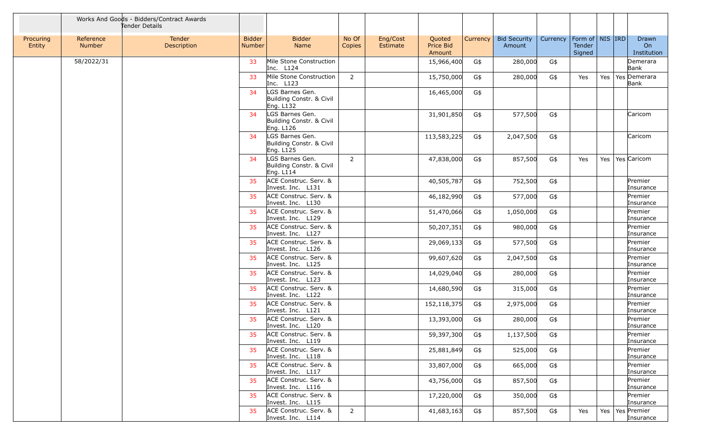|                     |                            | Works And Goods - Bidders/Contract Awards<br>Tender Details |                                |                                                            |                 |                      |                               |          |                               |          |                                         |     |                            |
|---------------------|----------------------------|-------------------------------------------------------------|--------------------------------|------------------------------------------------------------|-----------------|----------------------|-------------------------------|----------|-------------------------------|----------|-----------------------------------------|-----|----------------------------|
| Procuring<br>Entity | Reference<br><b>Number</b> | Tender<br>Description                                       | <b>Bidder</b><br><b>Number</b> | <b>Bidder</b><br>Name                                      | No Of<br>Copies | Eng/Cost<br>Estimate | Quoted<br>Price Bid<br>Amount | Currency | <b>Bid Security</b><br>Amount | Currency | Form of   NIS   IRD<br>Tender<br>Signed |     | Drawn<br>On<br>Institution |
|                     | 58/2022/31                 |                                                             | 33                             | Mile Stone Construction<br>Inc. L124                       |                 |                      | 15,966,400                    | G\$      | 280,000                       | G\$      |                                         |     | Demerara<br>Bank           |
|                     |                            |                                                             | 33                             | Mile Stone Construction<br>Inc. $L123$                     | 2               |                      | 15,750,000                    | G\$      | 280,000                       | G\$      | Yes                                     | Yes | Yes Demerara<br>Bank       |
|                     |                            |                                                             | 34                             | LGS Barnes Gen.<br>Building Constr. & Civil<br>Eng. L132   |                 |                      | 16,465,000                    | G\$      |                               |          |                                         |     |                            |
|                     |                            |                                                             | 34                             | LGS Barnes Gen.<br>Building Constr. & Civil<br>Eng. L126   |                 |                      | 31,901,850                    | G\$      | 577,500                       | G\$      |                                         |     | Caricom                    |
|                     |                            |                                                             | 34                             | LGS Barnes Gen.<br>Building Constr. & Civil<br>Eng. L125   |                 |                      | 113,583,225                   | G\$      | 2,047,500                     | G\$      |                                         |     | Caricom                    |
|                     |                            |                                                             | 34                             | LGS Barnes Gen.<br>Building Constr. & Civil<br>Eng. $L114$ | $\overline{2}$  |                      | 47,838,000                    | G\$      | 857,500                       | G\$      | Yes                                     | Yes | Yes Caricom                |
|                     |                            |                                                             | 35                             | ACE Construc. Serv. &<br>Invest. Inc. L131                 |                 |                      | 40,505,787                    | G\$      | 752,500                       | G\$      |                                         |     | Premier<br>Insurance       |
|                     |                            |                                                             | 35                             | ACE Construc. Serv. &<br>Invest. Inc. L130                 |                 |                      | 46,182,990                    | G\$      | 577,000                       | G\$      |                                         |     | Premier<br>Insurance       |
|                     |                            |                                                             | 35                             | ACE Construc. Serv. &<br>Invest. Inc. L129                 |                 |                      | 51,470,066                    | G\$      | 1,050,000                     | G\$      |                                         |     | Premier<br>Insurance       |
|                     |                            |                                                             | 35                             | ACE Construc. Serv. &<br>Invest. Inc. L127                 |                 |                      | 50,207,351                    | G\$      | 980,000                       | G\$      |                                         |     | Premier<br>Insurance       |
|                     |                            |                                                             | 35                             | ACE Construc. Serv. &<br>Invest. Inc. L126                 |                 |                      | 29,069,133                    | G\$      | 577,500                       | G\$      |                                         |     | Premier<br>Insurance       |
|                     |                            |                                                             | 35                             | ACE Construc. Serv. &<br>Invest. Inc. L125                 |                 |                      | 99,607,620                    | G\$      | 2,047,500                     | G\$      |                                         |     | Premier<br>Insurance       |
|                     |                            |                                                             | 35                             | ACE Construc. Serv. &<br>Invest. Inc. L123                 |                 |                      | 14,029,040                    | G\$      | 280,000                       | G\$      |                                         |     | Premier<br>Insurance       |
|                     |                            |                                                             | 35                             | ACE Construc. Serv. &<br>Invest. Inc. L122                 |                 |                      | 14,680,590                    | G\$      | 315,000                       | G\$      |                                         |     | Premier<br>Insurance       |
|                     |                            |                                                             | 35                             | ACE Construc. Serv. &<br>Invest. Inc. L121                 |                 |                      | 152,118,375                   | G\$      | 2,975,000                     | G\$      |                                         |     | Premier<br>Insurance       |
|                     |                            |                                                             | 35                             | ACE Construc. Serv. &<br>Invest. Inc. L120                 |                 |                      | 13,393,000                    | G\$      | 280,000                       | G\$      |                                         |     | Premier<br>Insurance       |
|                     |                            |                                                             |                                | ACE Construc. Serv. &<br>Invest. Inc. L119                 |                 |                      | 59,397,300                    | G\$      | 1,137,500                     | G\$      |                                         |     | Premier<br>Insurance       |
|                     |                            |                                                             | 35                             | ACE Construc. Serv. &<br>Invest. Inc. L118                 |                 |                      | 25,881,849                    | G\$      | 525,000                       | G\$      |                                         |     | Premier<br>Insurance       |
|                     |                            |                                                             | 35                             | ACE Construc. Serv. &<br>Invest. Inc. L117                 |                 |                      | 33,807,000                    | G\$      | 665,000                       | G\$      |                                         |     | Premier<br>Insurance       |
|                     |                            |                                                             | 35                             | ACE Construc. Serv. &<br>Invest. Inc. L116                 |                 |                      | 43,756,000                    | G\$      | 857,500                       | G\$      |                                         |     | Premier<br>Insurance       |
|                     |                            |                                                             | 35                             | ACE Construc. Serv. &<br>Invest. Inc. L115                 |                 |                      | 17,220,000                    | G\$      | 350,000                       | G\$      |                                         |     | Premier<br>Insurance       |
|                     |                            |                                                             | 35                             | ACE Construc. Serv. &<br>Invest. Inc. L114                 | $\overline{2}$  |                      | 41,683,163                    | G\$      | 857,500                       | G\$      | Yes                                     | Yes | Yes Premier<br>Insurance   |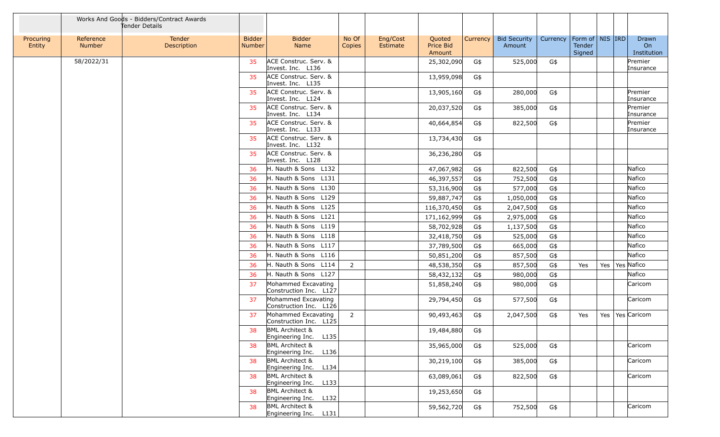|                     |                            | Works And Goods - Bidders/Contract Awards<br>Tender Details |                                |                                                     |                 |                      |                                      |          |                               |          |                                         |     |                            |
|---------------------|----------------------------|-------------------------------------------------------------|--------------------------------|-----------------------------------------------------|-----------------|----------------------|--------------------------------------|----------|-------------------------------|----------|-----------------------------------------|-----|----------------------------|
| Procuring<br>Entity | Reference<br><b>Number</b> | Tender<br>Description                                       | <b>Bidder</b><br><b>Number</b> | <b>Bidder</b><br>Name                               | No Of<br>Copies | Eng/Cost<br>Estimate | Quoted<br><b>Price Bid</b><br>Amount | Currency | <b>Bid Security</b><br>Amount | Currency | Form of   NIS   IRD<br>Tender<br>Signed |     | Drawn<br>On<br>Institution |
|                     | 58/2022/31                 |                                                             | 35                             | ACE Construc. Serv. &<br>Invest. Inc. L136          |                 |                      | 25,302,090                           | G\$      | 525,000                       | G\$      |                                         |     | Premier<br>Insurance       |
|                     |                            |                                                             | 35                             | ACE Construc. Serv. &<br>Invest. Inc. L135          |                 |                      | 13,959,098                           | G\$      |                               |          |                                         |     |                            |
|                     |                            |                                                             | 35                             | ACE Construc. Serv. &<br>Invest. Inc. L124          |                 |                      | 13,905,160                           | G\$      | 280,000                       | G\$      |                                         |     | Premier<br>Insurance       |
|                     |                            |                                                             | 35                             | ACE Construc. Serv. &<br>Invest. Inc. L134          |                 |                      | 20,037,520                           | G\$      | 385,000                       | G\$      |                                         |     | Premier<br>Insurance       |
|                     |                            |                                                             | 35                             | ACE Construc. Serv. &<br>Invest. Inc. L133          |                 |                      | 40,664,854                           | G\$      | 822,500                       | G\$      |                                         |     | Premier<br>Insurance       |
|                     |                            |                                                             | 35                             | ACE Construc. Serv. &<br>Invest. Inc. L132          |                 |                      | 13,734,430                           | G\$      |                               |          |                                         |     |                            |
|                     |                            |                                                             | 35                             | ACE Construc. Serv. &<br>Invest. Inc. L128          |                 |                      | 36,236,280                           | G\$      |                               |          |                                         |     |                            |
|                     |                            |                                                             | 36                             | H. Nauth & Sons L132                                |                 |                      | 47,067,982                           | G\$      | 822,500                       | G\$      |                                         |     | Nafico                     |
|                     |                            |                                                             | 36                             | H. Nauth & Sons L131                                |                 |                      | 46,397,557                           | G\$      | 752,500                       | G\$      |                                         |     | Nafico                     |
|                     |                            |                                                             | 36                             | H. Nauth & Sons L130                                |                 |                      | 53,316,900                           | G\$      | 577,000                       | G\$      |                                         |     | Nafico                     |
|                     |                            |                                                             | 36                             | H. Nauth & Sons L129                                |                 |                      | 59,887,747                           | G\$      | 1,050,000                     | G\$      |                                         |     | Nafico                     |
|                     |                            |                                                             | 36                             | H. Nauth & Sons L125                                |                 |                      | 116,370,450                          | G\$      | 2,047,500                     | G\$      |                                         |     | Nafico                     |
|                     |                            |                                                             | 36                             | H. Nauth & Sons L121                                |                 |                      | 171,162,999                          | G\$      | 2,975,000                     | G\$      |                                         |     | Nafico                     |
|                     |                            |                                                             | 36                             | H. Nauth & Sons L119                                |                 |                      | 58,702,928                           | G\$      | 1,137,500                     | G\$      |                                         |     | Nafico                     |
|                     |                            |                                                             | 36                             | H. Nauth & Sons L118                                |                 |                      | 32,418,750                           | G\$      | 525,000                       | G\$      |                                         |     | Nafico                     |
|                     |                            |                                                             | 36                             | H. Nauth & Sons L117                                |                 |                      | 37,789,500                           | G\$      | 665,000                       | G\$      |                                         |     | Nafico                     |
|                     |                            |                                                             | 36                             | H. Nauth & Sons L116                                |                 |                      | 50,851,200                           | G\$      | 857,500                       | G\$      |                                         |     | Nafico                     |
|                     |                            |                                                             | 36                             | H. Nauth & Sons L114                                | $\overline{2}$  |                      | 48,538,350                           | G\$      | 857,500                       | G\$      | Yes                                     | Yes | Yes Nafico                 |
|                     |                            |                                                             | 36                             | H. Nauth & Sons L127                                |                 |                      | 58,432,132                           | G\$      | 980,000                       | G\$      |                                         |     | Nafico                     |
|                     |                            |                                                             | 37                             | Mohammed Excavating<br>Construction Inc. L127       |                 |                      | 51,858,240                           | G\$      | 980,000                       | G\$      |                                         |     | Caricom                    |
|                     |                            |                                                             | 37                             | Mohammed Excavating<br>Construction Inc. L126       |                 |                      | 29,794,450                           | G\$      | 577,500                       | G\$      |                                         |     | Caricom                    |
|                     |                            |                                                             | 37                             | Mohammed Excavating<br>Construction Inc. L125       | $\overline{2}$  |                      | 90,493,463                           | G\$      | 2,047,500                     | G\$      | Yes                                     |     | Yes   Yes   Caricom        |
|                     |                            |                                                             | 38                             | <b>BML Architect &amp;</b><br>Engineering Inc. L135 |                 |                      | 19,484,880                           | G\$      |                               |          |                                         |     |                            |
|                     |                            |                                                             | 38                             | <b>BML Architect &amp;</b><br>Engineering Inc. L136 |                 |                      | 35,965,000                           | G\$      | 525,000                       | G\$      |                                         |     | Caricom                    |
|                     |                            |                                                             | 38                             | <b>BML Architect &amp;</b><br>Engineering Inc. L134 |                 |                      | 30,219,100                           | G\$      | 385,000                       | G\$      |                                         |     | Caricom                    |
|                     |                            |                                                             | 38                             | <b>BML Architect &amp;</b><br>Engineering Inc. L133 |                 |                      | 63,089,061                           | G\$      | 822,500                       | G\$      |                                         |     | Caricom                    |
|                     |                            |                                                             | 38                             | <b>BML Architect &amp;</b><br>Engineering Inc. L132 |                 |                      | 19,253,650                           | G\$      |                               |          |                                         |     |                            |
|                     |                            |                                                             | 38                             | <b>BML Architect &amp;</b><br>Engineering Inc. L131 |                 |                      | 59,562,720                           | G\$      | 752,500                       | G\$      |                                         |     | Caricom                    |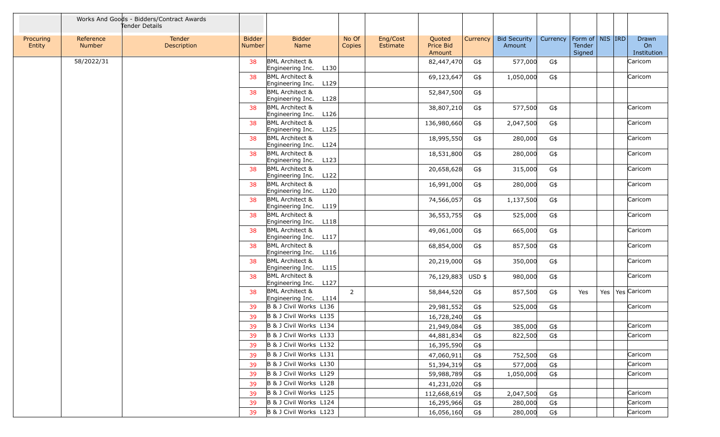|                     |                            | Works And Goods - Bidders/Contract Awards<br>Tender Details |                                |                                                        |                 |                      |                                      |            |                               |            |                                     |     |                            |
|---------------------|----------------------------|-------------------------------------------------------------|--------------------------------|--------------------------------------------------------|-----------------|----------------------|--------------------------------------|------------|-------------------------------|------------|-------------------------------------|-----|----------------------------|
| Procuring<br>Entity | Reference<br><b>Number</b> | Tender<br>Description                                       | <b>Bidder</b><br><b>Number</b> | <b>Bidder</b><br>Name                                  | No Of<br>Copies | Eng/Cost<br>Estimate | Quoted<br><b>Price Bid</b><br>Amount | Currency   | <b>Bid Security</b><br>Amount | Currency   | Form of NIS IRD<br>Tender<br>Signed |     | Drawn<br>On<br>Institution |
|                     | 58/2022/31                 |                                                             | 38                             | <b>BML Architect &amp;</b><br>Engineering Inc.<br>L130 |                 |                      | 82,447,470                           | G\$        | 577,000                       | G\$        |                                     |     | Caricom                    |
|                     |                            |                                                             | 38                             | <b>BML</b> Architect &<br>L129<br>Engineering Inc.     |                 |                      | 69,123,647                           | G\$        | 1,050,000                     | G\$        |                                     |     | Caricom                    |
|                     |                            |                                                             | 38                             | <b>BML Architect &amp;</b><br>L128<br>Engineering Inc. |                 |                      | 52,847,500                           | G\$        |                               |            |                                     |     |                            |
|                     |                            |                                                             | 38                             | <b>BML Architect &amp;</b><br>L126<br>Engineering Inc. |                 |                      | 38,807,210                           | G\$        | 577,500                       | G\$        |                                     |     | Caricom                    |
|                     |                            |                                                             | 38                             | <b>BML Architect &amp;</b><br>Engineering Inc.<br>L125 |                 |                      | 136,980,660                          | G\$        | 2,047,500                     | G\$        |                                     |     | Caricom                    |
|                     |                            |                                                             | 38                             | <b>BML Architect &amp;</b><br>L124<br>Engineering Inc. |                 |                      | 18,995,550                           | G\$        | 280,000                       | G\$        |                                     |     | Caricom                    |
|                     |                            |                                                             | 38                             | <b>BML Architect &amp;</b><br>Engineering Inc.<br>L123 |                 |                      | 18,531,800                           | G\$        | 280,000                       | G\$        |                                     |     | Caricom                    |
|                     |                            |                                                             | 38                             | <b>BML Architect &amp;</b><br>L122<br>Engineering Inc. |                 |                      | 20,658,628                           | G\$        | 315,000                       | G\$        |                                     |     | Caricom                    |
|                     |                            |                                                             | 38                             | <b>BML Architect &amp;</b><br>L120<br>Engineering Inc. |                 |                      | 16,991,000                           | G\$        | 280,000                       | G\$        |                                     |     | Caricom                    |
|                     |                            |                                                             | 38                             | <b>BML Architect &amp;</b><br>L119<br>Engineering Inc. |                 |                      | 74,566,057                           | G\$        | 1,137,500                     | G\$        |                                     |     | Caricom                    |
|                     |                            |                                                             | 38                             | <b>BML Architect &amp;</b><br>L118<br>Engineering Inc. |                 |                      | 36,553,755                           | G\$        | 525,000                       | G\$        |                                     |     | Caricom                    |
|                     |                            |                                                             | 38                             | <b>BML Architect &amp;</b><br>Engineering Inc.<br>L117 |                 |                      | 49,061,000                           | G\$        | 665,000                       | G\$        |                                     |     | Caricom                    |
|                     |                            |                                                             | 38                             | <b>BML Architect &amp;</b><br>L116<br>Engineering Inc. |                 |                      | 68,854,000                           | G\$        | 857,500                       | G\$        |                                     |     | Caricom                    |
|                     |                            |                                                             | 38                             | <b>BML Architect &amp;</b><br>L115<br>Engineering Inc. |                 |                      | 20,219,000                           | G\$        | 350,000                       | G\$        |                                     |     | Caricom                    |
|                     |                            |                                                             | 38                             | <b>BML Architect &amp;</b><br>L127<br>Engineering Inc. |                 |                      | 76,129,883                           | USD \$     | 980,000                       | G\$        |                                     |     | Caricom                    |
|                     |                            |                                                             | 38                             | <b>BML Architect &amp;</b><br>L114<br>Engineering Inc. | 2               |                      | 58,844,520                           | G\$        | 857,500                       | G\$        | Yes                                 | Yes | Yes Caricom                |
|                     |                            |                                                             | 39                             | B & J Civil Works L136                                 |                 |                      | 29,981,552                           | G\$        | 525,000                       | G\$        |                                     |     | Caricom                    |
|                     |                            |                                                             | 39                             | B & J Civil Works L135                                 |                 |                      | 16,728,240                           | G\$        |                               |            |                                     |     |                            |
|                     |                            |                                                             | 39                             | B & J Civil Works L134                                 |                 |                      | 21,949,084                           | G\$        | 385,000                       | G\$        |                                     |     | Caricom                    |
|                     |                            |                                                             | 39                             | B & J Civil Works L133                                 |                 |                      | 44,881,834                           | G\$        | 822,500                       | G\$        |                                     |     | Caricom                    |
|                     |                            |                                                             | 39                             | B & J Civil Works L132<br>B & J Civil Works L131       |                 |                      | 16,395,590                           | G\$        |                               |            |                                     |     | Caricom                    |
|                     |                            |                                                             | 39<br>39                       | B & J Civil Works L130                                 |                 |                      | 47,060,911<br>51,394,319             | G\$<br>G\$ | 752,500<br>577,000            | G\$<br>G\$ |                                     |     | Caricom                    |
|                     |                            |                                                             | 39                             | B & J Civil Works L129                                 |                 |                      | 59,988,789                           | G\$        | 1,050,000                     | G\$        |                                     |     | Caricom                    |
|                     |                            |                                                             | 39                             | B & J Civil Works L128                                 |                 |                      | 41,231,020                           | G\$        |                               |            |                                     |     |                            |
|                     |                            |                                                             | 39                             | B & J Civil Works L125                                 |                 |                      | 112,668,619                          | G\$        | 2,047,500                     | G\$        |                                     |     | Caricom                    |
|                     |                            |                                                             | 39                             | B & J Civil Works L124                                 |                 |                      | 16,295,966                           | G\$        | 280,000                       | G\$        |                                     |     | Caricom                    |
|                     |                            |                                                             | 39                             | B & J Civil Works L123                                 |                 |                      | 16,056,160                           | G\$        | 280,000                       | G\$        |                                     |     | Caricom                    |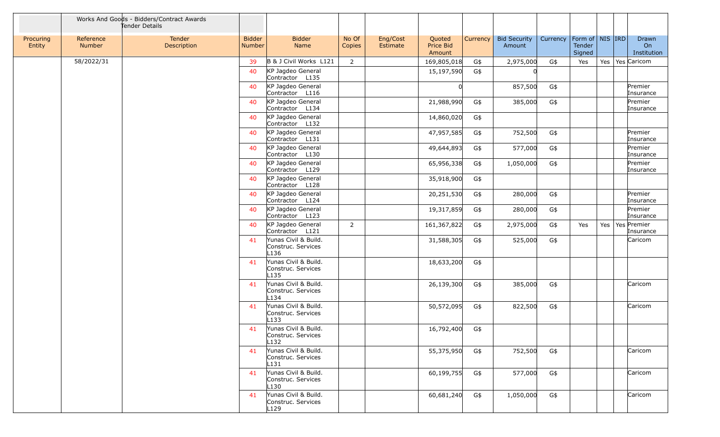|                     |                            | Works And Goods - Bidders/Contract Awards<br>Tender Details |                                |                                                                |                 |                      |                               |          |                               |          |                                         |     |                                  |
|---------------------|----------------------------|-------------------------------------------------------------|--------------------------------|----------------------------------------------------------------|-----------------|----------------------|-------------------------------|----------|-------------------------------|----------|-----------------------------------------|-----|----------------------------------|
| Procuring<br>Entity | Reference<br><b>Number</b> | Tender<br>Description                                       | <b>Bidder</b><br><b>Number</b> | <b>Bidder</b><br>Name                                          | No Of<br>Copies | Eng/Cost<br>Estimate | Quoted<br>Price Bid<br>Amount | Currency | <b>Bid Security</b><br>Amount | Currency | Form of   NIS   IRD<br>Tender<br>Signed |     | Drawn<br>On<br>Institution       |
|                     | 58/2022/31                 |                                                             | 39                             | B & J Civil Works L121                                         | 2               |                      | 169,805,018                   | G\$      | 2,975,000                     | G\$      | Yes                                     | Yes | Yes Caricom                      |
|                     |                            |                                                             | 40                             | KP Jagdeo General<br>Contractor L135                           |                 |                      | 15,197,590                    | G\$      |                               |          |                                         |     |                                  |
|                     |                            |                                                             | 40                             | KP Jagdeo General<br>Contractor L116                           |                 |                      |                               |          | 857,500                       | G\$      |                                         |     | Premier<br>Insurance             |
|                     |                            |                                                             | 40                             | KP Jagdeo General<br>Contractor L134                           |                 |                      | 21,988,990                    | G\$      | 385,000                       | G\$      |                                         |     | Premier<br>Insurance             |
|                     |                            |                                                             | 40                             | KP Jagdeo General<br>Contractor L132                           |                 |                      | 14,860,020                    | G\$      |                               |          |                                         |     |                                  |
|                     |                            |                                                             | 40                             | KP Jagdeo General<br>Contractor L131                           |                 |                      | 47,957,585                    | G\$      | 752,500                       | G\$      |                                         |     | Premier<br>Insurance             |
|                     |                            |                                                             | 40                             | KP Jagdeo General<br>Contractor L130                           |                 |                      | 49,644,893                    | G\$      | 577,000                       | G\$      |                                         |     | Premier<br>Insurance             |
|                     |                            |                                                             | 40                             | KP Jagdeo General<br>Contractor L129                           |                 |                      | 65,956,338                    | G\$      | 1,050,000                     | G\$      |                                         |     | Premier<br>Insurance             |
|                     |                            |                                                             | 40                             | KP Jagdeo General<br>Contractor L128                           |                 |                      | 35,918,900                    | G\$      |                               |          |                                         |     |                                  |
|                     |                            |                                                             | 40                             | KP Jagdeo General<br>Contractor L124                           |                 |                      | 20,251,530                    | G\$      | 280,000                       | G\$      |                                         |     | Premier<br>Insurance             |
|                     |                            |                                                             | 40                             | KP Jagdeo General<br>Contractor L123                           |                 |                      | 19,317,859                    | G\$      | 280,000                       | G\$      |                                         |     | Premier<br>Insurance             |
|                     |                            |                                                             | 40                             | KP Jagdeo General<br>Contractor L121                           | $\overline{2}$  |                      | 161,367,822                   | G\$      | 2,975,000                     | G\$      | Yes                                     |     | Yes   Yes   Premier<br>Insurance |
|                     |                            |                                                             | 41                             | Yunas Civil & Build.<br>Construc. Services<br>L <sub>136</sub> |                 |                      | 31,588,305                    | G\$      | 525,000                       | G\$      |                                         |     | Caricom                          |
|                     |                            |                                                             | 41                             | Yunas Civil & Build.<br>Construc. Services<br>L <sub>135</sub> |                 |                      | 18,633,200                    | G\$      |                               |          |                                         |     |                                  |
|                     |                            |                                                             | 41                             | Yunas Civil & Build.<br>Construc. Services<br>L134             |                 |                      | 26,139,300                    | G\$      | 385,000                       | G\$      |                                         |     | Caricom                          |
|                     |                            |                                                             | 41                             | Yunas Civil & Build.<br>Construc. Services<br>L133             |                 |                      | 50,572,095                    | G\$      | 822,500                       | G\$      |                                         |     | Caricom                          |
|                     |                            |                                                             | 41                             | Yunas Civil & Build.<br>Construc. Services<br>L132             |                 |                      | 16,792,400                    | G\$      |                               |          |                                         |     |                                  |
|                     |                            |                                                             | 41                             | Yunas Civil & Build.<br>Construc. Services<br>L131             |                 |                      | 55,375,950                    | G\$      | 752,500                       | G\$      |                                         |     | Caricom                          |
|                     |                            |                                                             | 41                             | Yunas Civil & Build.<br>Construc. Services<br>L <sub>130</sub> |                 |                      | 60,199,755                    | G\$      | 577,000                       | G\$      |                                         |     | Caricom                          |
|                     |                            |                                                             | 41                             | Yunas Civil & Build.<br>Construc. Services<br>L129             |                 |                      | 60,681,240                    | G\$      | 1,050,000                     | G\$      |                                         |     | Caricom                          |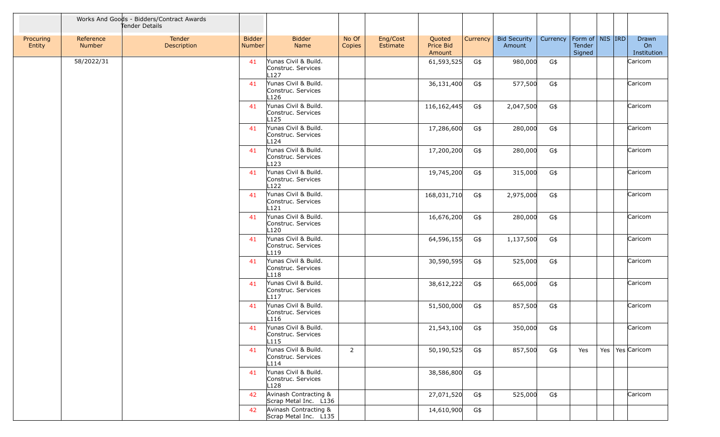|                     |                     | Works And Goods - Bidders/Contract Awards<br>Tender Details |                                |                                                                |                 |                      |                               |          |                               |          |                                         |  |                            |
|---------------------|---------------------|-------------------------------------------------------------|--------------------------------|----------------------------------------------------------------|-----------------|----------------------|-------------------------------|----------|-------------------------------|----------|-----------------------------------------|--|----------------------------|
| Procuring<br>Entity | Reference<br>Number | Tender<br>Description                                       | <b>Bidder</b><br><b>Number</b> | <b>Bidder</b><br>Name                                          | No Of<br>Copies | Eng/Cost<br>Estimate | Quoted<br>Price Bid<br>Amount | Currency | <b>Bid Security</b><br>Amount | Currency | Form of   NIS   IRD<br>Tender<br>Signed |  | Drawn<br>On<br>Institution |
|                     | 58/2022/31          |                                                             | 41                             | Yunas Civil & Build.<br>Construc. Services<br>L127             |                 |                      | 61,593,525                    | G\$      | 980,000                       | G\$      |                                         |  | Caricom                    |
|                     |                     |                                                             | 41                             | Yunas Civil & Build.<br>Construc. Services<br>L <sub>126</sub> |                 |                      | 36,131,400                    | G\$      | 577,500                       | G\$      |                                         |  | Caricom                    |
|                     |                     |                                                             | 41                             | Yunas Civil & Build.<br>Construc. Services<br>L <sub>125</sub> |                 |                      | 116,162,445                   | G\$      | 2,047,500                     | G\$      |                                         |  | Caricom                    |
|                     |                     |                                                             | 41                             | Yunas Civil & Build.<br>Construc. Services<br>L124             |                 |                      | 17,286,600                    | G\$      | 280,000                       | G\$      |                                         |  | Caricom                    |
|                     |                     |                                                             | 41                             | Yunas Civil & Build.<br>Construc. Services<br>L123             |                 |                      | 17,200,200                    | G\$      | 280,000                       | G\$      |                                         |  | Caricom                    |
|                     |                     |                                                             | 41                             | Yunas Civil & Build.<br>Construc. Services<br>L <sub>122</sub> |                 |                      | 19,745,200                    | G\$      | 315,000                       | G\$      |                                         |  | Caricom                    |
|                     |                     |                                                             | 41                             | Yunas Civil & Build.<br>Construc. Services<br>L <sub>121</sub> |                 |                      | 168,031,710                   | G\$      | 2,975,000                     | G\$      |                                         |  | Caricom                    |
|                     |                     |                                                             | 41                             | Yunas Civil & Build.<br>Construc. Services<br>L <sub>120</sub> |                 |                      | 16,676,200                    | G\$      | 280,000                       | $G\$     |                                         |  | Caricom                    |
|                     |                     |                                                             | 41                             | Yunas Civil & Build.<br>Construc. Services<br>L119             |                 |                      | 64,596,155                    | G\$      | 1,137,500                     | G\$      |                                         |  | Caricom                    |
|                     |                     |                                                             | 41                             | Yunas Civil & Build.<br>Construc. Services<br>L <sub>118</sub> |                 |                      | 30,590,595                    | G\$      | 525,000                       | $G\$     |                                         |  | Caricom                    |
|                     |                     |                                                             | 41                             | Yunas Civil & Build.<br>Construc. Services<br>L117             |                 |                      | 38,612,222                    | G\$      | 665,000                       | G\$      |                                         |  | Caricom                    |
|                     |                     |                                                             | 41                             | Yunas Civil & Build.<br>Construc. Services<br>L <sub>116</sub> |                 |                      | 51,500,000                    | G\$      | 857,500                       | G\$      |                                         |  | Caricom                    |
|                     |                     |                                                             | 41                             | Yunas Civil & Build.<br>Construc. Services<br>L115             |                 |                      | 21,543,100                    | G\$      | 350,000                       | G\$      |                                         |  | Caricom                    |
|                     |                     |                                                             | 41                             | Yunas Civil & Build.<br>Construc. Services<br>L114             | $\overline{2}$  |                      | 50,190,525                    | G\$      | 857,500                       | G\$      | Yes                                     |  | Yes   Yes   Caricom        |
|                     |                     |                                                             | 41                             | Yunas Civil & Build.<br>Construc. Services<br>L <sub>128</sub> |                 |                      | 38,586,800                    | G\$      |                               |          |                                         |  |                            |
|                     |                     |                                                             | 42                             | Avinash Contracting &<br>Scrap Metal Inc. L136                 |                 |                      | 27,071,520                    | G\$      | 525,000                       | G\$      |                                         |  | Caricom                    |
|                     |                     |                                                             | 42                             | Avinash Contracting &<br>Scrap Metal Inc. L135                 |                 |                      | 14,610,900                    | G\$      |                               |          |                                         |  |                            |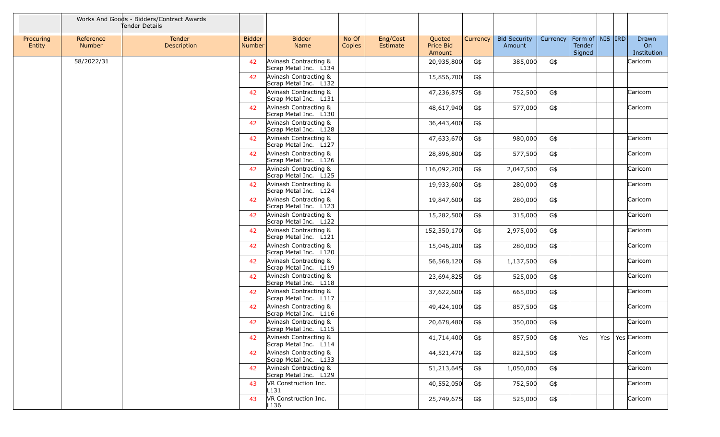|                     |                            | Works And Goods - Bidders/Contract Awards<br>Tender Details |                                |                                                |                 |                      |                               |          |                               |          |                                         |  |                            |
|---------------------|----------------------------|-------------------------------------------------------------|--------------------------------|------------------------------------------------|-----------------|----------------------|-------------------------------|----------|-------------------------------|----------|-----------------------------------------|--|----------------------------|
| Procuring<br>Entity | Reference<br><b>Number</b> | Tender<br>Description                                       | <b>Bidder</b><br><b>Number</b> | <b>Bidder</b><br>Name                          | No Of<br>Copies | Eng/Cost<br>Estimate | Quoted<br>Price Bid<br>Amount | Currency | <b>Bid Security</b><br>Amount | Currency | Form of   NIS   IRD<br>Tender<br>Signed |  | Drawn<br>On<br>Institution |
|                     | 58/2022/31                 |                                                             | 42                             | Avinash Contracting &<br>Scrap Metal Inc. L134 |                 |                      | 20,935,800                    | G\$      | 385,000                       | G\$      |                                         |  | Caricom                    |
|                     |                            |                                                             | 42                             | Avinash Contracting &<br>Scrap Metal Inc. L132 |                 |                      | 15,856,700                    | G\$      |                               |          |                                         |  |                            |
|                     |                            |                                                             | 42                             | Avinash Contracting &<br>Scrap Metal Inc. L131 |                 |                      | 47,236,875                    | G\$      | 752,500                       | G\$      |                                         |  | Caricom                    |
|                     |                            |                                                             | 42                             | Avinash Contracting &<br>Scrap Metal Inc. L130 |                 |                      | 48,617,940                    | G\$      | 577,000                       | G\$      |                                         |  | Caricom                    |
|                     |                            |                                                             | 42                             | Avinash Contracting &<br>Scrap Metal Inc. L128 |                 |                      | 36,443,400                    | G\$      |                               |          |                                         |  |                            |
|                     |                            |                                                             | 42                             | Avinash Contracting &<br>Scrap Metal Inc. L127 |                 |                      | 47,633,670                    | G\$      | 980,000                       | G\$      |                                         |  | Caricom                    |
|                     |                            |                                                             | 42                             | Avinash Contracting &<br>Scrap Metal Inc. L126 |                 |                      | 28,896,800                    | G\$      | 577,500                       | G\$      |                                         |  | Caricom                    |
|                     |                            |                                                             | 42                             | Avinash Contracting &<br>Scrap Metal Inc. L125 |                 |                      | 116,092,200                   | G\$      | 2,047,500                     | G\$      |                                         |  | Caricom                    |
|                     |                            |                                                             | 42                             | Avinash Contracting &<br>Scrap Metal Inc. L124 |                 |                      | 19,933,600                    | G\$      | 280,000                       | G\$      |                                         |  | Caricom                    |
|                     |                            |                                                             | 42                             | Avinash Contracting &<br>Scrap Metal Inc. L123 |                 |                      | 19,847,600                    | G\$      | 280,000                       | G\$      |                                         |  | Caricom                    |
|                     |                            |                                                             | 42                             | Avinash Contracting &<br>Scrap Metal Inc. L122 |                 |                      | 15,282,500                    | G\$      | 315,000                       | G\$      |                                         |  | Caricom                    |
|                     |                            |                                                             | 42                             | Avinash Contracting &<br>Scrap Metal Inc. L121 |                 |                      | 152,350,170                   | G\$      | 2,975,000                     | G\$      |                                         |  | Caricom                    |
|                     |                            |                                                             | 42                             | Avinash Contracting &<br>Scrap Metal Inc. L120 |                 |                      | 15,046,200                    | G\$      | 280,000                       | G\$      |                                         |  | Caricom                    |
|                     |                            |                                                             | 42                             | Avinash Contracting &<br>Scrap Metal Inc. L119 |                 |                      | 56,568,120                    | G\$      | 1,137,500                     | G\$      |                                         |  | Caricom                    |
|                     |                            |                                                             | 42                             | Avinash Contracting &<br>Scrap Metal Inc. L118 |                 |                      | 23,694,825                    | G\$      | 525,000                       | G\$      |                                         |  | Caricom                    |
|                     |                            |                                                             | 42                             | Avinash Contracting &<br>Scrap Metal Inc. L117 |                 |                      | 37,622,600                    | G\$      | 665,000                       | G\$      |                                         |  | Caricom                    |
|                     |                            |                                                             | 42                             | Avinash Contracting &<br>Scrap Metal Inc. L116 |                 |                      | 49,424,100                    | G\$      | 857,500                       | G\$      |                                         |  | Caricom                    |
|                     |                            |                                                             | 42                             | Avinash Contracting &<br>Scrap Metal Inc. L115 |                 |                      | 20,678,480                    | G\$      | 350,000                       | G\$      |                                         |  | Caricom                    |
|                     |                            |                                                             | 42                             | Avinash Contracting &<br>Scrap Metal Inc. L114 |                 |                      | 41,714,400                    | G\$      | 857,500                       | G\$      | Yes                                     |  | Yes   Yes   Caricom        |
|                     |                            |                                                             | 42                             | Avinash Contracting &<br>Scrap Metal Inc. L133 |                 |                      | 44,521,470                    | G\$      | 822,500                       | G\$      |                                         |  | Caricom                    |
|                     |                            |                                                             | 42                             | Avinash Contracting &<br>Scrap Metal Inc. L129 |                 |                      | 51,213,645                    | G\$      | 1,050,000                     | G\$      |                                         |  | Caricom                    |
|                     |                            |                                                             | 43                             | VR Construction Inc.<br>L131                   |                 |                      | 40,552,050                    | G\$      | 752,500                       | G\$      |                                         |  | Caricom                    |
|                     |                            |                                                             | 43                             | VR Construction Inc.<br>L <sub>136</sub>       |                 |                      | 25,749,675                    | G\$      | 525,000                       | G\$      |                                         |  | Caricom                    |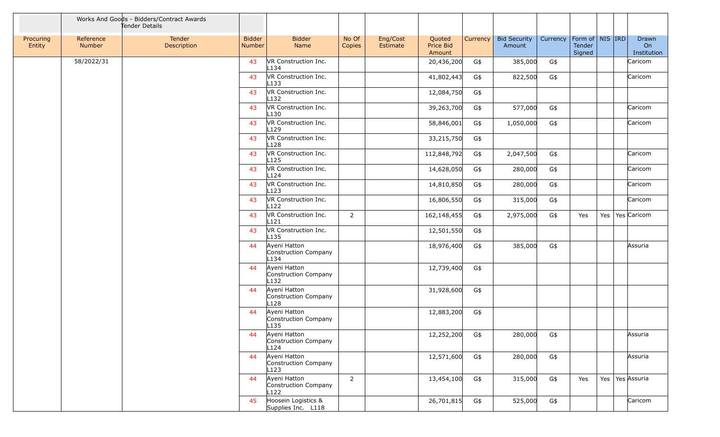|                     |                     | Works And Goods - Bidders/Contract Awards<br>Tender Details |                         |                                              |                 |                      |                               |                 |                               |          |                                                     |     |                            |
|---------------------|---------------------|-------------------------------------------------------------|-------------------------|----------------------------------------------|-----------------|----------------------|-------------------------------|-----------------|-------------------------------|----------|-----------------------------------------------------|-----|----------------------------|
| Procuring<br>Entity | Reference<br>Number | Tender<br>Description                                       | <b>Bidder</b><br>Number | <b>Bidder</b><br>Name                        | No Of<br>Copies | Eng/Cost<br>Estimate | Quoted<br>Price Bid<br>Amount | <b>Currency</b> | <b>Bid Security</b><br>Amount | Currency | Form of $\vert$ NIS $\vert$ IRD<br>Tender<br>Signed |     | Drawn<br>On<br>Institution |
|                     | 58/2022/31          |                                                             | 43                      | VR Construction Inc.<br>L134                 |                 |                      | 20,436,200                    | G\$             | 385,000                       | G\$      |                                                     |     | Caricom                    |
|                     |                     |                                                             | 43                      | VR Construction Inc.<br>L <sub>133</sub>     |                 |                      | 41,802,443                    | G\$             | 822,500                       | G\$      |                                                     |     | Caricom                    |
|                     |                     |                                                             | 43                      | VR Construction Inc.<br>L <sub>132</sub>     |                 |                      | 12,084,750                    | G\$             |                               |          |                                                     |     |                            |
|                     |                     |                                                             | 43                      | VR Construction Inc.<br>L130                 |                 |                      | 39,263,700                    | G\$             | 577,000                       | G\$      |                                                     |     | Caricom                    |
|                     |                     |                                                             | 43                      | VR Construction Inc.<br>L <sub>129</sub>     |                 |                      | 58,846,001                    | G\$             | 1,050,000                     | G\$      |                                                     |     | Caricom                    |
|                     |                     |                                                             | 43                      | VR Construction Inc.<br>L <sub>128</sub>     |                 |                      | 33,215,750                    | G\$             |                               |          |                                                     |     |                            |
|                     |                     |                                                             | 43                      | VR Construction Inc.<br>L <sub>125</sub>     |                 |                      | 112,848,792                   | G\$             | 2,047,500                     | G\$      |                                                     |     | Caricom                    |
|                     |                     |                                                             | 43                      | VR Construction Inc.<br>L124                 |                 |                      | 14,628,050                    | G\$             | 280,000                       | G\$      |                                                     |     | Caricom                    |
|                     |                     |                                                             | 43                      | VR Construction Inc.<br>L123                 |                 |                      | 14,810,850                    | G\$             | 280,000                       | G\$      |                                                     |     | Caricom                    |
|                     |                     |                                                             | 43                      | VR Construction Inc.<br>L122                 |                 |                      | 16,806,550                    | G\$             | 315,000                       | G\$      |                                                     |     | Caricom                    |
|                     |                     |                                                             | 43                      | VR Construction Inc.<br>L121                 | $\overline{2}$  |                      | 162,148,455                   | G\$             | 2,975,000                     | G\$      | Yes                                                 | Yes | Yes Caricom                |
|                     |                     |                                                             | 43                      | VR Construction Inc.<br>L <sub>135</sub>     |                 |                      | 12,501,550                    | G\$             |                               |          |                                                     |     |                            |
|                     |                     |                                                             | 44                      | Ayeni Hatton<br>Construction Company<br>L134 |                 |                      | 18,976,400                    | G\$             | 385,000                       | G\$      |                                                     |     | Assuria                    |
|                     |                     |                                                             | 44                      | Ayeni Hatton<br>Construction Company<br>L132 |                 |                      | 12,739,400                    | G\$             |                               |          |                                                     |     |                            |
|                     |                     |                                                             | 44                      | Ayeni Hatton<br>Construction Company<br>L128 |                 |                      | 31,928,600                    | G\$             |                               |          |                                                     |     |                            |
|                     |                     |                                                             | 44                      | Ayeni Hatton<br>Construction Company<br>L135 |                 |                      | 12,883,200                    | G\$             |                               |          |                                                     |     |                            |
|                     |                     |                                                             | 44                      | Ayeni Hatton<br>Construction Company<br>L124 |                 |                      | 12,252,200                    | G\$             | 280,000                       | G\$      |                                                     |     | Assuria                    |
|                     |                     |                                                             | 44                      | Ayeni Hatton<br>Construction Company<br>L123 |                 |                      | 12,571,600                    | G\$             | 280,000                       | G\$      |                                                     |     | Assuria                    |
|                     |                     |                                                             | 44                      | Ayeni Hatton<br>Construction Company<br>L122 | $\overline{2}$  |                      | 13,454,100                    | G\$             | 315,000                       | G\$      | Yes                                                 | Yes | Yes Assuria                |
|                     |                     |                                                             | 45                      | Hoosein Logistics &<br>Supplies Inc. L118    |                 |                      | 26,701,815                    | G\$             | 525,000                       | G\$      |                                                     |     | Caricom                    |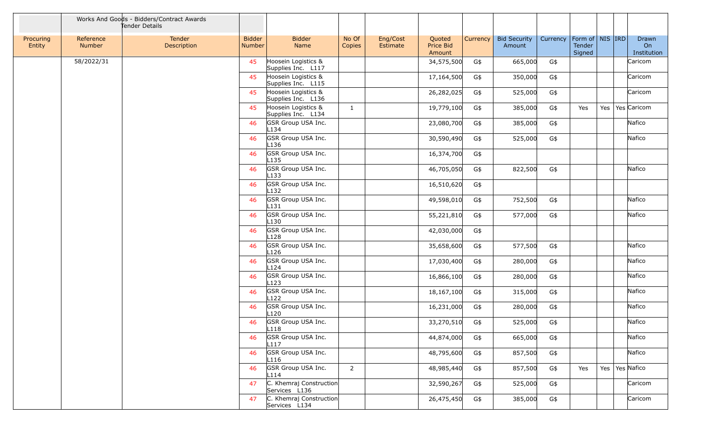|                     |                            | Works And Goods - Bidders/Contract Awards<br>Tender Details |                         |                                           |                 |                      |                               |          |                               |          |                                         |     |                            |
|---------------------|----------------------------|-------------------------------------------------------------|-------------------------|-------------------------------------------|-----------------|----------------------|-------------------------------|----------|-------------------------------|----------|-----------------------------------------|-----|----------------------------|
| Procuring<br>Entity | Reference<br><b>Number</b> | Tender<br>Description                                       | <b>Bidder</b><br>Number | <b>Bidder</b><br>Name                     | No Of<br>Copies | Eng/Cost<br>Estimate | Quoted<br>Price Bid<br>Amount | Currency | <b>Bid Security</b><br>Amount | Currency | Form of   NIS   IRD<br>Tender<br>Signed |     | Drawn<br>On<br>Institution |
|                     | 58/2022/31                 |                                                             | 45                      | Hoosein Logistics &<br>Supplies Inc. L117 |                 |                      | 34,575,500                    | G\$      | 665,000                       | G\$      |                                         |     | Caricom                    |
|                     |                            |                                                             | 45                      | Hoosein Logistics &<br>Supplies Inc. L115 |                 |                      | 17,164,500                    | G\$      | 350,000                       | G\$      |                                         |     | Caricom                    |
|                     |                            |                                                             | 45                      | Hoosein Logistics &<br>Supplies Inc. L136 |                 |                      | 26,282,025                    | G\$      | 525,000                       | $G\$     |                                         |     | Caricom                    |
|                     |                            |                                                             | 45                      | Hoosein Logistics &<br>Supplies Inc. L134 | $\mathbf{1}$    |                      | 19,779,100                    | G\$      | 385,000                       | G\$      | Yes                                     | Yes | Yes Caricom                |
|                     |                            |                                                             | 46                      | GSR Group USA Inc.<br>L134                |                 |                      | 23,080,700                    | G\$      | 385,000                       | G\$      |                                         |     | Nafico                     |
|                     |                            |                                                             | 46                      | GSR Group USA Inc.<br>L <sub>136</sub>    |                 |                      | 30,590,490                    | G\$      | 525,000                       | G\$      |                                         |     | Nafico                     |
|                     |                            |                                                             | 46                      | GSR Group USA Inc.<br>L <sub>135</sub>    |                 |                      | 16,374,700                    | G\$      |                               |          |                                         |     |                            |
|                     |                            |                                                             | 46                      | GSR Group USA Inc.<br>L <sub>133</sub>    |                 |                      | 46,705,050                    | G\$      | 822,500                       | G\$      |                                         |     | Nafico                     |
|                     |                            |                                                             | 46                      | GSR Group USA Inc.<br>L <sub>132</sub>    |                 |                      | 16,510,620                    | G\$      |                               |          |                                         |     |                            |
|                     |                            |                                                             | 46                      | GSR Group USA Inc.<br>L131                |                 |                      | 49,598,010                    | G\$      | 752,500                       | G\$      |                                         |     | Nafico                     |
|                     |                            |                                                             | 46                      | GSR Group USA Inc.<br>L <sub>130</sub>    |                 |                      | 55,221,810                    | G\$      | 577,000                       | G\$      |                                         |     | Nafico                     |
|                     |                            |                                                             | 46                      | GSR Group USA Inc.<br>L128                |                 |                      | 42,030,000                    | G\$      |                               |          |                                         |     |                            |
|                     |                            |                                                             | 46                      | GSR Group USA Inc.<br>L126                |                 |                      | 35,658,600                    | G\$      | 577,500                       | G\$      |                                         |     | Nafico                     |
|                     |                            |                                                             | 46                      | GSR Group USA Inc.<br>L124                |                 |                      | 17,030,400                    | G\$      | 280,000                       | G\$      |                                         |     | Nafico                     |
|                     |                            |                                                             | 46                      | GSR Group USA Inc.<br>L <sub>123</sub>    |                 |                      | 16,866,100                    | G\$      | 280,000                       | G\$      |                                         |     | Nafico                     |
|                     |                            |                                                             | 46                      | GSR Group USA Inc.<br>L <sub>122</sub>    |                 |                      | 18,167,100                    | G\$      | 315,000                       | G\$      |                                         |     | Nafico                     |
|                     |                            |                                                             | 46                      | GSR Group USA Inc.<br>L <sub>120</sub>    |                 |                      | 16,231,000                    | G\$      | 280,000                       | G\$      |                                         |     | Nafico                     |
|                     |                            |                                                             | 46                      | GSR Group USA Inc.<br>L118                |                 |                      | 33,270,510                    | G\$      | 525,000                       | G\$      |                                         |     | Nafico                     |
|                     |                            |                                                             | 46                      | GSR Group USA Inc.<br>L <sub>117</sub>    |                 |                      | 44,874,000                    | G\$      | 665,000                       | G\$      |                                         |     | Nafico                     |
|                     |                            |                                                             | 46                      | GSR Group USA Inc.<br>L116                |                 |                      | 48,795,600                    | G\$      | 857,500                       | G\$      |                                         |     | Nafico                     |
|                     |                            |                                                             | 46                      | GSR Group USA Inc.<br>L114                | $\overline{2}$  |                      | 48,985,440                    | G\$      | 857,500                       | G\$      | Yes                                     |     | Yes   Yes   Nafico         |
|                     |                            |                                                             | 47                      | C. Khemraj Construction<br>Services L136  |                 |                      | 32,590,267                    | G\$      | 525,000                       | G\$      |                                         |     | Caricom                    |
|                     |                            |                                                             | 47                      | C. Khemraj Construction<br>Services L134  |                 |                      | 26,475,450                    | G\$      | 385,000                       | G\$      |                                         |     | Caricom                    |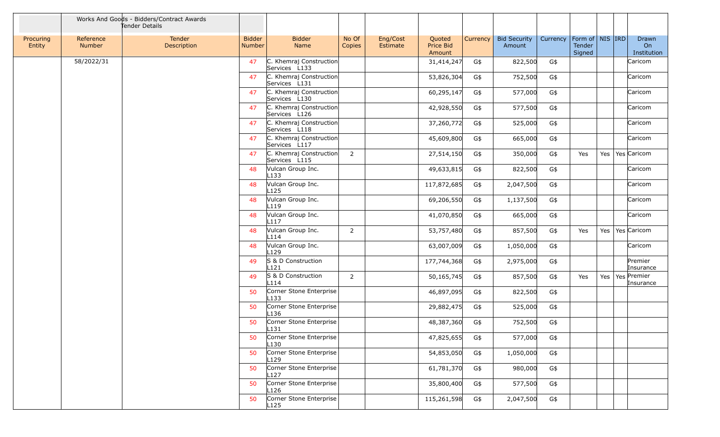|                     |                            | Works And Goods - Bidders/Contract Awards<br>Tender Details |                                |                                             |                 |                      |                               |          |                               |          |                                         |     |                            |
|---------------------|----------------------------|-------------------------------------------------------------|--------------------------------|---------------------------------------------|-----------------|----------------------|-------------------------------|----------|-------------------------------|----------|-----------------------------------------|-----|----------------------------|
| Procuring<br>Entity | Reference<br><b>Number</b> | Tender<br>Description                                       | <b>Bidder</b><br><b>Number</b> | <b>Bidder</b><br>Name                       | No Of<br>Copies | Eng/Cost<br>Estimate | Quoted<br>Price Bid<br>Amount | Currency | <b>Bid Security</b><br>Amount | Currency | Form of   NIS   IRD<br>Tender<br>Signed |     | Drawn<br>On<br>Institution |
|                     | 58/2022/31                 |                                                             | 47                             | C. Khemraj Construction<br>Services L133    |                 |                      | 31,414,247                    | G\$      | 822,500                       | G\$      |                                         |     | Caricom                    |
|                     |                            |                                                             | 47                             | C. Khemraj Construction<br>Services L131    |                 |                      | 53,826,304                    | G\$      | 752,500                       | G\$      |                                         |     | Caricom                    |
|                     |                            |                                                             | 47                             | C. Khemraj Construction<br>Services L130    |                 |                      | 60,295,147                    | G\$      | 577,000                       | G\$      |                                         |     | Caricom                    |
|                     |                            |                                                             | 47                             | C. Khemraj Construction<br>Services L126    |                 |                      | 42,928,550                    | G\$      | 577,500                       | G\$      |                                         |     | Caricom                    |
|                     |                            |                                                             | 47                             | C. Khemraj Construction<br>Services L118    |                 |                      | 37,260,772                    | G\$      | 525,000                       | G\$      |                                         |     | Caricom                    |
|                     |                            |                                                             | 47                             | C. Khemraj Construction<br>Services L117    |                 |                      | 45,609,800                    | G\$      | 665,000                       | G\$      |                                         |     | Caricom                    |
|                     |                            |                                                             | 47                             | C. Khemraj Construction<br>Services L115    | $\overline{2}$  |                      | 27,514,150                    | G\$      | 350,000                       | G\$      | Yes                                     | Yes | Yes Caricom                |
|                     |                            |                                                             | 48                             | Vulcan Group Inc.<br>$L$ 133                |                 |                      | 49,633,815                    | G\$      | 822,500                       | G\$      |                                         |     | Caricom                    |
|                     |                            |                                                             | 48                             | Vulcan Group Inc.<br>L <sub>125</sub>       |                 |                      | 117,872,685                   | G\$      | 2,047,500                     | G\$      |                                         |     | Caricom                    |
|                     |                            |                                                             | 48                             | Vulcan Group Inc.<br>L <sub>119</sub>       |                 |                      | 69,206,550                    | G\$      | 1,137,500                     | G\$      |                                         |     | Caricom                    |
|                     |                            |                                                             | 48                             | Vulcan Group Inc.<br>L117                   |                 |                      | 41,070,850                    | G\$      | 665,000                       | G\$      |                                         |     | Caricom                    |
|                     |                            |                                                             | 48                             | Vulcan Group Inc.<br>L114                   | $\overline{2}$  |                      | 53,757,480                    | G\$      | 857,500                       | G\$      | Yes                                     |     | Yes   Yes   Caricom        |
|                     |                            |                                                             | 48                             | Vulcan Group Inc.<br>L <sub>129</sub>       |                 |                      | 63,007,009                    | G\$      | 1,050,000                     | G\$      |                                         |     | Caricom                    |
|                     |                            |                                                             | 49                             | S & D Construction<br>L121                  |                 |                      | 177,744,368                   | G\$      | 2,975,000                     | G\$      |                                         |     | Premier<br>Insurance       |
|                     |                            |                                                             | 49                             | S & D Construction<br>L114                  | $\overline{2}$  |                      | 50,165,745                    | G\$      | 857,500                       | G\$      | Yes                                     | Yes | Yes Premier<br>Insurance   |
|                     |                            |                                                             | 50                             | Corner Stone Enterprise<br>L <sub>133</sub> |                 |                      | 46,897,095                    | G\$      | 822,500                       | G\$      |                                         |     |                            |
|                     |                            |                                                             | 50                             | Corner Stone Enterprise<br>L <sub>136</sub> |                 |                      | 29,882,475                    | G\$      | 525,000                       | G\$      |                                         |     |                            |
|                     |                            |                                                             | 50                             | Corner Stone Enterprise<br>$L$ 131          |                 |                      | 48,387,360                    | G\$      | 752,500                       | G\$      |                                         |     |                            |
|                     |                            |                                                             | 50                             | Corner Stone Enterprise<br>L <sub>130</sub> |                 |                      | 47,825,655                    | G\$      | 577,000                       | G\$      |                                         |     |                            |
|                     |                            |                                                             | 50                             | Corner Stone Enterprise<br>L <sub>129</sub> |                 |                      | 54,853,050                    | G\$      | 1,050,000                     | G\$      |                                         |     |                            |
|                     |                            |                                                             | 50                             | Corner Stone Enterprise<br>L <sub>127</sub> |                 |                      | 61,781,370                    | G\$      | 980,000                       | G\$      |                                         |     |                            |
|                     |                            |                                                             | 50                             | Corner Stone Enterprise<br>L <sub>126</sub> |                 |                      | 35,800,400                    | G\$      | 577,500                       | G\$      |                                         |     |                            |
|                     |                            |                                                             | 50                             | Corner Stone Enterprise<br>L <sub>125</sub> |                 |                      | 115,261,598                   | G\$      | 2,047,500                     | G\$      |                                         |     |                            |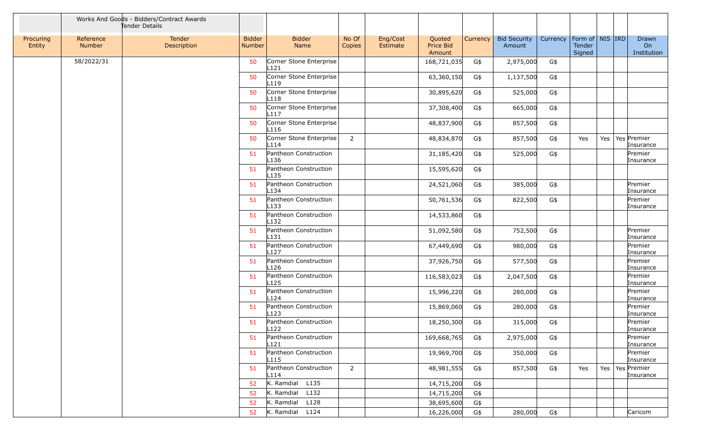|                     |                     | Works And Goods - Bidders/Contract Awards<br>Tender Details |                                |                                             |                 |                      |                               |          |                               |          |                                         |     |                                  |
|---------------------|---------------------|-------------------------------------------------------------|--------------------------------|---------------------------------------------|-----------------|----------------------|-------------------------------|----------|-------------------------------|----------|-----------------------------------------|-----|----------------------------------|
| Procuring<br>Entity | Reference<br>Number | Tender<br>Description                                       | <b>Bidder</b><br><b>Number</b> | <b>Bidder</b><br>Name                       | No Of<br>Copies | Eng/Cost<br>Estimate | Quoted<br>Price Bid<br>Amount | Currency | <b>Bid Security</b><br>Amount | Currency | Form of   NIS   IRD<br>Tender<br>Signed |     | Drawn<br>On<br>Institution       |
|                     | 58/2022/31          |                                                             | 50                             | Corner Stone Enterprise<br>L121             |                 |                      | 168,721,035                   | G\$      | 2,975,000                     | G\$      |                                         |     |                                  |
|                     |                     |                                                             | 50                             | Corner Stone Enterprise<br>L <sub>119</sub> |                 |                      | 63,360,150                    | G\$      | 1,137,500                     | G\$      |                                         |     |                                  |
|                     |                     |                                                             | 50                             | Corner Stone Enterprise<br>L <sub>118</sub> |                 |                      | 30,895,620                    | G\$      | 525,000                       | G\$      |                                         |     |                                  |
|                     |                     |                                                             | 50                             | Corner Stone Enterprise<br>L <sub>117</sub> |                 |                      | 37,308,400                    | G\$      | 665,000                       | G\$      |                                         |     |                                  |
|                     |                     |                                                             | 50                             | Corner Stone Enterprise<br>L116             |                 |                      | 48,837,900                    | G\$      | 857,500                       | G\$      |                                         |     |                                  |
|                     |                     |                                                             | 50                             | Corner Stone Enterprise<br>L <sub>114</sub> | 2               |                      | 48,834,870                    | G\$      | 857,500                       | G\$      | Yes                                     | Yes | Yes Premier<br>Insurance         |
|                     |                     |                                                             | 51                             | Pantheon Construction<br>L <sub>136</sub>   |                 |                      | 31,185,420                    | G\$      | 525,000                       | G\$      |                                         |     | Premier<br>Insurance             |
|                     |                     |                                                             | 51                             | Pantheon Construction<br>L <sub>135</sub>   |                 |                      | 15,595,620                    | G\$      |                               |          |                                         |     |                                  |
|                     |                     |                                                             | 51                             | Pantheon Construction<br>L134               |                 |                      | 24,521,060                    | G\$      | 385,000                       | G\$      |                                         |     | Premier<br>Insurance             |
|                     |                     |                                                             | 51                             | Pantheon Construction<br>$L$ 133            |                 |                      | 50,761,536                    | G\$      | 822,500                       | G\$      |                                         |     | Premier<br>Insurance             |
|                     |                     |                                                             | 51                             | Pantheon Construction<br>L <sub>132</sub>   |                 |                      | 14,533,860                    | G\$      |                               |          |                                         |     |                                  |
|                     |                     |                                                             | 51                             | Pantheon Construction<br>$L$ 131            |                 |                      | 51,092,580                    | G\$      | 752,500                       | G\$      |                                         |     | Premier<br>Insurance             |
|                     |                     |                                                             | 51                             | Pantheon Construction<br>L <sub>127</sub>   |                 |                      | 67,449,690                    | G\$      | 980,000                       | G\$      |                                         |     | Premier<br>Insurance             |
|                     |                     |                                                             | 51                             | Pantheon Construction<br>L <sub>126</sub>   |                 |                      | 37,926,750                    | G\$      | 577,500                       | G\$      |                                         |     | Premier<br>Insurance             |
|                     |                     |                                                             | 51                             | Pantheon Construction<br>L <sub>125</sub>   |                 |                      | 116,583,023                   | G\$      | 2,047,500                     | G\$      |                                         |     | Premier<br>Insurance             |
|                     |                     |                                                             | 51                             | Pantheon Construction<br>L124               |                 |                      | 15,996,220                    | G\$      | 280,000                       | G\$      |                                         |     | Premier<br>Insurance             |
|                     |                     |                                                             | 51                             | Pantheon Construction<br>L123               |                 |                      | 15,869,060                    | G\$      | 280,000                       | G\$      |                                         |     | Premier<br>Insurance             |
|                     |                     |                                                             | 51                             | Pantheon Construction<br>L122               |                 |                      | 18,250,300                    | G\$      | 315,000                       | G\$      |                                         |     | Premier<br>Insurance             |
|                     |                     |                                                             | -51                            | Pantheon Construction<br>L121               |                 |                      | 169,668,765                   | G\$      | 2,975,000                     | G\$      |                                         |     | Premier<br>Insurance             |
|                     |                     |                                                             | 51                             | Pantheon Construction<br>L <sub>115</sub>   |                 |                      | 19,969,700                    | G\$      | 350,000                       | G\$      |                                         |     | Premier<br>Insurance             |
|                     |                     |                                                             | 51                             | Pantheon Construction<br>L114               | $\overline{2}$  |                      | 48,981,555                    | G\$      | 857,500                       | G\$      | Yes                                     |     | Yes   Yes   Premier<br>Insurance |
|                     |                     |                                                             | 52                             | K. Ramdial L135                             |                 |                      | 14,715,200                    | G\$      |                               |          |                                         |     |                                  |
|                     |                     |                                                             | 52                             | $K.$ Ramdial $L132$                         |                 |                      | 14,715,200                    | G\$      |                               |          |                                         |     |                                  |
|                     |                     |                                                             | 52                             | K. Ramdial L128                             |                 |                      | 38,695,600                    | G\$      |                               |          |                                         |     |                                  |
|                     |                     |                                                             | 52                             | K. Ramdial L124                             |                 |                      | 16,226,000                    | G\$      | 280,000                       | G\$      |                                         |     | Caricom                          |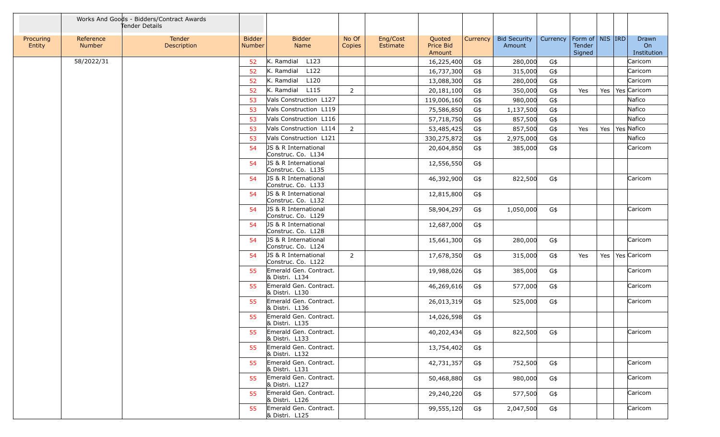|                     |                            | Works And Goods - Bidders/Contract Awards<br>Tender Details |                                |                                                       |                 |                      |                                      |          |                               |          |                                         |     |                            |
|---------------------|----------------------------|-------------------------------------------------------------|--------------------------------|-------------------------------------------------------|-----------------|----------------------|--------------------------------------|----------|-------------------------------|----------|-----------------------------------------|-----|----------------------------|
| Procuring<br>Entity | Reference<br><b>Number</b> | Tender<br>Description                                       | <b>Bidder</b><br><b>Number</b> | <b>Bidder</b><br>Name                                 | No Of<br>Copies | Eng/Cost<br>Estimate | Quoted<br><b>Price Bid</b><br>Amount | Currency | <b>Bid Security</b><br>Amount | Currency | Form of   NIS   IRD<br>Tender<br>Signed |     | Drawn<br>On<br>Institution |
|                     | 58/2022/31                 |                                                             | 52                             | $K.$ Ramdial $L123$                                   |                 |                      | 16,225,400                           | G\$      | 280,000                       | G\$      |                                         |     | Caricom                    |
|                     |                            |                                                             | 52                             | L122<br>K. Ramdial                                    |                 |                      | 16,737,300                           | G\$      | 315,000                       | G\$      |                                         |     | Caricom                    |
|                     |                            |                                                             | 52                             | K. Ramdial L120                                       |                 |                      | 13,088,300                           | G\$      | 280,000                       | G\$      |                                         |     | Caricom                    |
|                     |                            |                                                             | 52                             | K. Ramdial L115                                       | 2               |                      | 20,181,100                           | G\$      | 350,000                       | G\$      | Yes                                     | Yes | Yes Caricom                |
|                     |                            |                                                             | 53                             | Vals Construction L127                                |                 |                      | 119,006,160                          | G\$      | 980,000                       | G\$      |                                         |     | Nafico                     |
|                     |                            |                                                             | 53                             | Vals Construction L119                                |                 |                      | 75,586,850                           | G\$      | 1,137,500                     | G\$      |                                         |     | Nafico                     |
|                     |                            |                                                             | 53                             | Vals Construction L116                                |                 |                      | 57,718,750                           | G\$      | 857,500                       | G\$      |                                         |     | Nafico                     |
|                     |                            |                                                             | 53                             | Vals Construction L114                                | $\overline{2}$  |                      | 53,485,425                           | G\$      | 857,500                       | G\$      | Yes                                     | Yes | Yes Nafico                 |
|                     |                            |                                                             | 53                             | Vals Construction L121                                |                 |                      | 330,275,872                          | G\$      | 2,975,000                     | G\$      |                                         |     | Nafico                     |
|                     |                            |                                                             | 54                             | JS & R International<br>Construc. Co. L134            |                 |                      | 20,604,850                           | G\$      | 385,000                       | G\$      |                                         |     | Caricom                    |
|                     |                            |                                                             | 54                             | JS & R International<br>Construc. Co. L135            |                 |                      | 12,556,550                           | G\$      |                               |          |                                         |     |                            |
|                     |                            |                                                             | 54                             | JS & R International<br>Construc. Co. L133            |                 |                      | 46,392,900                           | G\$      | 822,500                       | G\$      |                                         |     | Caricom                    |
|                     |                            |                                                             | 54                             | JS & R International<br>Construc. Co. L132            |                 |                      | 12,815,800                           | G\$      |                               |          |                                         |     |                            |
|                     |                            |                                                             | 54                             | <b>JS &amp; R International</b><br>Construc. Co. L129 |                 |                      | 58,904,297                           | G\$      | 1,050,000                     | G\$      |                                         |     | Caricom                    |
|                     |                            |                                                             | 54                             | JS & R International<br>Construc. Co. L128            |                 |                      | 12,687,000                           | G\$      |                               |          |                                         |     |                            |
|                     |                            |                                                             | 54                             | JS & R International<br>Construc. Co. L124            |                 |                      | 15,661,300                           | G\$      | 280,000                       | G\$      |                                         |     | Caricom                    |
|                     |                            |                                                             | 54                             | JS & R International<br>Construc. Co. L122            | 2               |                      | 17,678,350                           | G\$      | 315,000                       | G\$      | Yes                                     |     | Yes   Yes   Caricom        |
|                     |                            |                                                             | 55                             | Emerald Gen. Contract.<br>& Distri. L134              |                 |                      | 19,988,026                           | G\$      | 385,000                       | G\$      |                                         |     | Caricom                    |
|                     |                            |                                                             | 55                             | Emerald Gen. Contract.<br>& Distri. L130              |                 |                      | 46,269,616                           | G\$      | 577,000                       | G\$      |                                         |     | Caricom                    |
|                     |                            |                                                             | 55                             | Emerald Gen. Contract.<br>& Distri. L136              |                 |                      | 26,013,319                           | G\$      | 525,000                       | G\$      |                                         |     | Caricom                    |
|                     |                            |                                                             | 55                             | Emerald Gen. Contract.<br>& Distri. L135              |                 |                      | 14,026,598                           | G\$      |                               |          |                                         |     |                            |
|                     |                            |                                                             |                                | 55 Emerald Gen. Contract.<br>& Distri. L133           |                 |                      | 40,202,434                           | G\$      | 822,500                       | G\$      |                                         |     | Caricom                    |
|                     |                            |                                                             | 55                             | Emerald Gen. Contract.<br>& Distri. L132              |                 |                      | 13,754,402                           | G\$      |                               |          |                                         |     |                            |
|                     |                            |                                                             | 55                             | Emerald Gen. Contract.<br>& Distri. L131              |                 |                      | 42,731,357                           | G\$      | 752,500                       | G\$      |                                         |     | Caricom                    |
|                     |                            |                                                             | 55                             | Emerald Gen. Contract.<br>& Distri. L127              |                 |                      | 50,468,880                           | G\$      | 980,000                       | G\$      |                                         |     | Caricom                    |
|                     |                            |                                                             | 55                             | Emerald Gen. Contract.<br>& Distri. L126              |                 |                      | 29,240,220                           | G\$      | 577,500                       | G\$      |                                         |     | Caricom                    |
|                     |                            |                                                             | 55                             | Emerald Gen. Contract.<br>& Distri. L125              |                 |                      | 99,555,120                           | G\$      | 2,047,500                     | G\$      |                                         |     | Caricom                    |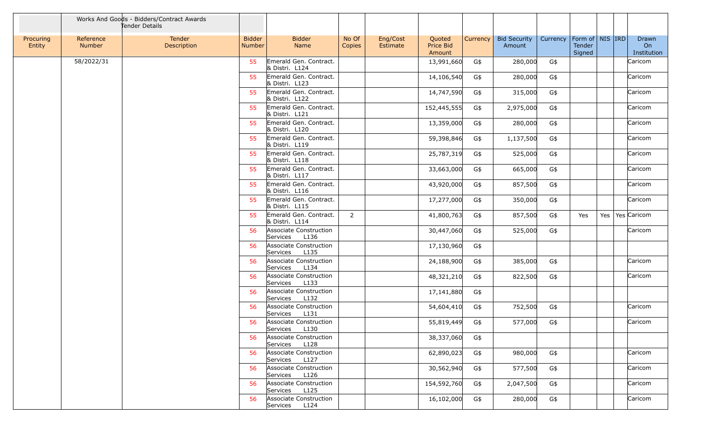|                     |                     | Works And Goods - Bidders/Contract Awards<br>Tender Details |                                |                                            |                 |                      |                                      |          |                               |          |                                     |         |                            |
|---------------------|---------------------|-------------------------------------------------------------|--------------------------------|--------------------------------------------|-----------------|----------------------|--------------------------------------|----------|-------------------------------|----------|-------------------------------------|---------|----------------------------|
| Procuring<br>Entity | Reference<br>Number | Tender<br>Description                                       | <b>Bidder</b><br><b>Number</b> | <b>Bidder</b><br>Name                      | No Of<br>Copies | Eng/Cost<br>Estimate | Quoted<br><b>Price Bid</b><br>Amount | Currency | <b>Bid Security</b><br>Amount | Currency | Form of NIS IRD<br>Tender<br>Signed |         | Drawn<br>On<br>Institution |
|                     | 58/2022/31          |                                                             | 55                             | Emerald Gen. Contract.<br>& Distri. L124   |                 |                      | 13,991,660                           | G\$      | 280,000                       | G\$      |                                     |         | Caricom                    |
|                     |                     |                                                             | 55                             | Emerald Gen. Contract.<br>& Distri, L123   |                 |                      | 14,106,540                           | G\$      | 280,000                       | G\$      |                                     |         | Caricom                    |
|                     |                     |                                                             | 55                             | Emerald Gen. Contract.<br>& Distri. L122   |                 |                      | 14,747,590                           | G\$      | 315,000                       | G\$      |                                     |         | Caricom                    |
|                     |                     |                                                             | 55                             | Emerald Gen. Contract.<br>& Distri. L121   |                 |                      | 152,445,555                          | G\$      | 2,975,000                     | G\$      |                                     |         | Caricom                    |
|                     |                     |                                                             | 55                             | Emerald Gen. Contract.<br>& Distri. L120   |                 |                      | 13,359,000                           | G\$      | 280,000                       | G\$      |                                     |         | Caricom                    |
|                     |                     |                                                             | 55                             | Emerald Gen. Contract.<br>& Distri. L119   |                 |                      | 59,398,846                           | G\$      | 1,137,500                     | G\$      |                                     |         | Caricom                    |
|                     |                     |                                                             | 55                             | Emerald Gen. Contract.<br>& Distri. L118   |                 |                      | 25,787,319                           | G\$      | 525,000                       | G\$      |                                     |         | Caricom                    |
|                     |                     |                                                             | 55                             | Emerald Gen. Contract.<br>& Distri. L117   |                 |                      | 33,663,000                           | G\$      | 665,000                       | G\$      |                                     |         | Caricom                    |
|                     |                     |                                                             | 55                             | Emerald Gen. Contract.<br>& Distri. L116   |                 |                      | 43,920,000                           | G\$      | 857,500                       | G\$      |                                     |         | Caricom                    |
|                     |                     |                                                             | 55                             | Emerald Gen. Contract.<br>& Distri. L115   |                 |                      | 17,277,000                           | G\$      | 350,000                       | G\$      |                                     |         | Caricom                    |
|                     |                     |                                                             | 55                             | Emerald Gen. Contract.<br>& Distri. L114   | 2               |                      | 41,800,763                           | G\$      | 857,500                       | G\$      | Yes                                 | Yes $ $ | Yes Caricom                |
|                     |                     |                                                             | 56                             | Associate Construction<br>Services<br>L136 |                 |                      | 30,447,060                           | G\$      | 525,000                       | G\$      |                                     |         | Caricom                    |
|                     |                     |                                                             | 56                             | Associate Construction<br>Services<br>L135 |                 |                      | 17,130,960                           | G\$      |                               |          |                                     |         |                            |
|                     |                     |                                                             | 56                             | Associate Construction<br>Services<br>L134 |                 |                      | 24,188,900                           | G\$      | 385,000                       | G\$      |                                     |         | Caricom                    |
|                     |                     |                                                             | 56                             | Associate Construction<br>Services<br>L133 |                 |                      | 48,321,210                           | G\$      | 822,500                       | G\$      |                                     |         | Caricom                    |
|                     |                     |                                                             | 56                             | Associate Construction<br>Services<br>L132 |                 |                      | 17,141,880                           | G\$      |                               |          |                                     |         |                            |
|                     |                     |                                                             | 56                             | Associate Construction<br>L131<br>Services |                 |                      | 54,604,410                           | G\$      | 752,500                       | G\$      |                                     |         | Caricom                    |
|                     |                     |                                                             | 56                             | Associate Construction<br>Services<br>L130 |                 |                      | 55,819,449                           | G\$      | 577,000                       | G\$      |                                     |         | Caricom                    |
|                     |                     |                                                             | 56                             | Associate Construction<br>Services L128    |                 |                      | 38,337,060                           | G\$      |                               |          |                                     |         |                            |
|                     |                     |                                                             | 56                             | Associate Construction<br>Services<br>L127 |                 |                      | 62,890,023                           | G\$      | 980,000                       | G\$      |                                     |         | Caricom                    |
|                     |                     |                                                             | 56                             | Associate Construction<br>Services<br>L126 |                 |                      | 30,562,940                           | G\$      | 577,500                       | G\$      |                                     |         | Caricom                    |
|                     |                     |                                                             | 56                             | Associate Construction<br>Services<br>L125 |                 |                      | 154,592,760                          | G\$      | 2,047,500                     | G\$      |                                     |         | Caricom                    |
|                     |                     |                                                             | 56                             | Associate Construction<br>Services<br>L124 |                 |                      | 16,102,000                           | G\$      | 280,000                       | G\$      |                                     |         | Caricom                    |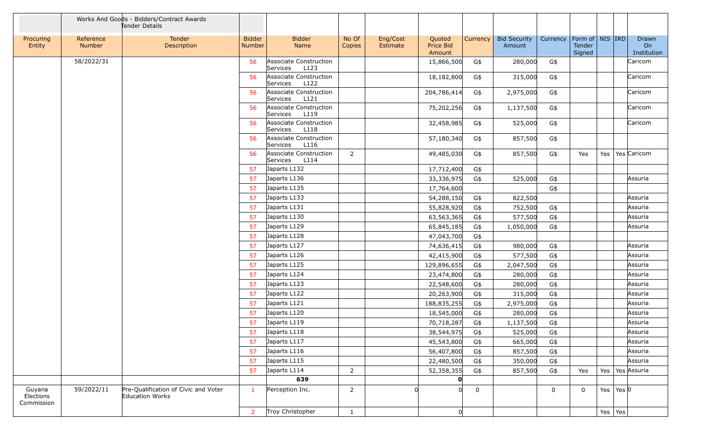|                                   |                     | Works And Goods - Bidders/Contract Awards<br>Tender Details |                                |                                            |                 |                      |                               |             |                               |             |                                         |            |                           |                            |
|-----------------------------------|---------------------|-------------------------------------------------------------|--------------------------------|--------------------------------------------|-----------------|----------------------|-------------------------------|-------------|-------------------------------|-------------|-----------------------------------------|------------|---------------------------|----------------------------|
| Procuring<br>Entity               | Reference<br>Number | Tender<br>Description                                       | <b>Bidder</b><br><b>Number</b> | <b>Bidder</b><br>Name                      | No Of<br>Copies | Eng/Cost<br>Estimate | Quoted<br>Price Bid<br>Amount | Currency    | <b>Bid Security</b><br>Amount | Currency    | Form of   NIS   IRD<br>Tender<br>Signed |            |                           | Drawn<br>On<br>Institution |
|                                   | 58/2022/31          |                                                             | 56                             | Associate Construction<br>L123<br>Services |                 |                      | 15,866,500                    | G\$         | 280,000                       | G\$         |                                         |            |                           | Caricom                    |
|                                   |                     |                                                             | 56                             | Associate Construction<br>L122<br>Services |                 |                      | 18,182,800                    | G\$         | 315,000                       | G\$         |                                         |            |                           | Caricom                    |
|                                   |                     |                                                             | 56                             | Associate Construction<br>L121<br>Services |                 |                      | 204,786,414                   | G\$         | 2,975,000                     | G\$         |                                         |            |                           | Caricom                    |
|                                   |                     |                                                             | 56                             | Associate Construction<br>L119<br>Services |                 |                      | 75,202,256                    | G\$         | 1,137,500                     | G\$         |                                         |            |                           | Caricom                    |
|                                   |                     |                                                             | 56                             | Associate Construction<br>Services<br>L118 |                 |                      | 32,458,985                    | G\$         | 525,000                       | G\$         |                                         |            |                           | Caricom                    |
|                                   |                     |                                                             | 56                             | Associate Construction<br>L116<br>Services |                 |                      | 57,180,340                    | G\$         | 857,500                       | G\$         |                                         |            |                           |                            |
|                                   |                     |                                                             | 56                             | Associate Construction<br>L114<br>Services | $\overline{2}$  |                      | 49,485,030                    | G\$         | 857,500                       | G\$         | Yes                                     | Yes        |                           | Yes Caricom                |
|                                   |                     |                                                             | 57                             | Japarts L132                               |                 |                      | 17,712,400                    | G\$         |                               |             |                                         |            |                           |                            |
|                                   |                     |                                                             | 57                             | Japarts L136                               |                 |                      | 33,336,975                    | G\$         | 525,000                       | G\$         |                                         |            |                           | Assuria                    |
|                                   |                     |                                                             | 57                             | Japarts L135                               |                 |                      | 17,764,600                    |             |                               | G\$         |                                         |            |                           |                            |
|                                   |                     |                                                             | 57                             | Japarts L133                               |                 |                      | 54,288,150                    | G\$         | 822,500                       |             |                                         |            |                           | Assuria                    |
|                                   |                     |                                                             | 57                             | Japarts L131                               |                 |                      | 55,828,920                    | G\$         | 752,500                       | G\$         |                                         |            |                           | Assuria                    |
|                                   |                     |                                                             | 57                             | Japarts L130                               |                 |                      | 63,563,365                    | G\$         | 577,500                       | G\$         |                                         |            |                           | Assuria                    |
|                                   |                     |                                                             | 57                             | Japarts L129                               |                 |                      | 65,845,185                    | G\$         | 1,050,000                     | G\$         |                                         |            |                           | Assuria                    |
|                                   |                     |                                                             | 57                             | Japarts L128                               |                 |                      | 47,043,700                    | G\$         |                               |             |                                         |            |                           |                            |
|                                   |                     |                                                             | 57                             | Japarts L127                               |                 |                      | 74,636,415                    | G\$         | 980,000                       | G\$         |                                         |            |                           | Assuria                    |
|                                   |                     |                                                             | 57                             | Japarts L126                               |                 |                      | 42,415,900                    | G\$         | 577,500                       | G\$         |                                         |            |                           | Assuria                    |
|                                   |                     |                                                             | 57                             | Japarts L125                               |                 |                      | 129,896,655                   | G\$         | 2,047,500                     | G\$         |                                         |            |                           | Assuria                    |
|                                   |                     |                                                             | 57                             | Japarts L124                               |                 |                      | 23,474,800                    | G\$         | 280,000                       | G\$         |                                         |            |                           | Assuria                    |
|                                   |                     |                                                             | 57                             | Japarts L123                               |                 |                      | 22,548,600                    | G\$         | 280,000                       | G\$         |                                         |            |                           | Assuria                    |
|                                   |                     |                                                             | 57                             | Japarts L122                               |                 |                      | 20,263,900                    | G\$         | 315,000                       | G\$         |                                         |            |                           | Assuria                    |
|                                   |                     |                                                             | 57                             | Japarts L121                               |                 |                      | 188,835,255                   | G\$         | 2,975,000                     | G\$         |                                         |            |                           | Assuria                    |
|                                   |                     |                                                             | 57                             | Japarts L120                               |                 |                      | 18,545,000                    | G\$         | 280,000                       | G\$         |                                         |            |                           | Assuria                    |
|                                   |                     |                                                             | 57                             | Japarts L119                               |                 |                      | 70,718,287                    | G\$         | 1,137,500                     | G\$         |                                         |            |                           | Assuria                    |
|                                   |                     |                                                             | 57                             | Japarts L118                               |                 |                      | 38,544,975                    | G\$         | 525,000                       | G\$         |                                         |            |                           | Assuria                    |
|                                   |                     |                                                             | 57                             | Japarts L117                               |                 |                      | 45,543,800                    | G\$         | 665,000                       | G\$         |                                         |            |                           | Assuria                    |
|                                   |                     |                                                             | 57                             | Japarts L116                               |                 |                      | 56,407,800                    | G\$         | 857,500                       | G\$         |                                         |            |                           | Assuria                    |
|                                   |                     |                                                             | 57                             | Japarts L115                               |                 |                      | 22,480,500                    | G\$         | 350,000                       | G\$         |                                         |            |                           | Assuria                    |
|                                   |                     |                                                             | 57                             | Japarts L114                               | $\overline{2}$  |                      | 52,358,355                    | G\$         | 857,500                       | G\$         | Yes                                     |            |                           | Yes   Yes Assuria          |
|                                   |                     |                                                             |                                | 639                                        |                 |                      | O                             |             |                               |             |                                         |            |                           |                            |
| Guyana<br>Elections<br>Commission | 59/2022/11          | Pre-Qualification of Civic and Voter<br>Education Works     | $\mathbf{1}$                   | Perception Inc.                            | $\overline{2}$  |                      | 0l                            | $\mathbf 0$ |                               | $\mathbf 0$ | $\mathbf{0}$                            |            | Yes $\vert$ Yes $\vert$ 0 |                            |
|                                   |                     |                                                             | $\overline{2}$                 | Troy Christopher                           | $\mathbf{1}$    |                      | 0                             |             |                               |             |                                         | Yes $ Yes$ |                           |                            |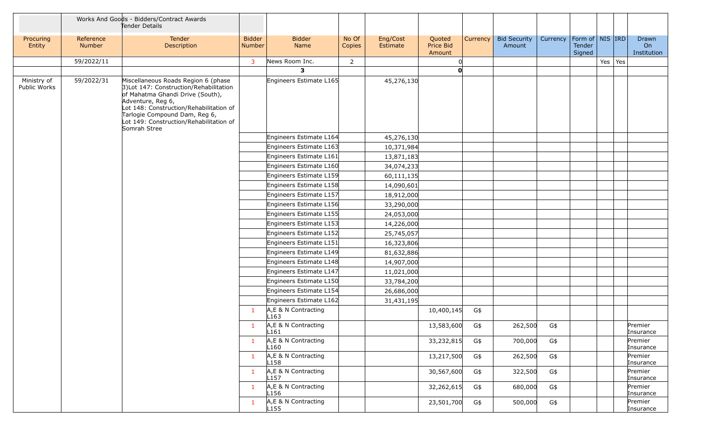|                             |                     | Works And Goods - Bidders/Contract Awards<br>Tender Details                                                                                                                                                                                                                    |                         |                                                    |                 |                          |                               |          |                               |          |                                         |                 |                            |
|-----------------------------|---------------------|--------------------------------------------------------------------------------------------------------------------------------------------------------------------------------------------------------------------------------------------------------------------------------|-------------------------|----------------------------------------------------|-----------------|--------------------------|-------------------------------|----------|-------------------------------|----------|-----------------------------------------|-----------------|----------------------------|
| Procuring<br>Entity         | Reference<br>Number | Tender<br>Description                                                                                                                                                                                                                                                          | <b>Bidder</b><br>Number | <b>Bidder</b><br>Name                              | No Of<br>Copies | Eng/Cost<br>Estimate     | Quoted<br>Price Bid<br>Amount | Currency | <b>Bid Security</b><br>Amount | Currency | Form of   NIS   IRD<br>Tender<br>Signed |                 | Drawn<br>On<br>Institution |
|                             | 59/2022/11          |                                                                                                                                                                                                                                                                                | $\overline{3}$          | News Room Inc.                                     | $\overline{2}$  |                          |                               |          |                               |          |                                         | Yes $\vert$ Yes |                            |
|                             |                     |                                                                                                                                                                                                                                                                                |                         | 3                                                  |                 |                          | $\mathbf{0}$                  |          |                               |          |                                         |                 |                            |
| Ministry of<br>Public Works | 59/2022/31          | Miscellaneous Roads Region 6 (phase<br>3) Lot 147: Construction/Rehabilitation<br>of Mahatma Ghandi Drive (South),<br>Adventure, Reg 6,<br>Lot 148: Construction/Rehabilitation of<br>Tarlogie Compound Dam, Reg 6,<br>Lot 149: Construction/Rehabilitation of<br>Somrah Stree |                         | Engineers Estimate L165                            |                 | 45,276,130               |                               |          |                               |          |                                         |                 |                            |
|                             |                     |                                                                                                                                                                                                                                                                                |                         | Engineers Estimate L164                            |                 | 45,276,130               |                               |          |                               |          |                                         |                 |                            |
|                             |                     |                                                                                                                                                                                                                                                                                |                         | Engineers Estimate L163                            |                 | 10,371,984               |                               |          |                               |          |                                         |                 |                            |
|                             |                     |                                                                                                                                                                                                                                                                                |                         | Engineers Estimate L161                            |                 | 13,871,183               |                               |          |                               |          |                                         |                 |                            |
|                             |                     |                                                                                                                                                                                                                                                                                |                         | Engineers Estimate L160                            |                 | 34,074,233               |                               |          |                               |          |                                         |                 |                            |
|                             |                     |                                                                                                                                                                                                                                                                                |                         | Engineers Estimate L159                            |                 | 60,111,135               |                               |          |                               |          |                                         |                 |                            |
|                             |                     |                                                                                                                                                                                                                                                                                |                         | Engineers Estimate L158                            |                 | 14,090,601               |                               |          |                               |          |                                         |                 |                            |
|                             |                     |                                                                                                                                                                                                                                                                                |                         | Engineers Estimate L157                            |                 | 18,912,000               |                               |          |                               |          |                                         |                 |                            |
|                             |                     |                                                                                                                                                                                                                                                                                |                         | Engineers Estimate L156                            |                 | 33,290,000               |                               |          |                               |          |                                         |                 |                            |
|                             |                     |                                                                                                                                                                                                                                                                                |                         | Engineers Estimate L155                            |                 | 24,053,000               |                               |          |                               |          |                                         |                 |                            |
|                             |                     |                                                                                                                                                                                                                                                                                |                         | Engineers Estimate L153                            |                 | 14,226,000               |                               |          |                               |          |                                         |                 |                            |
|                             |                     |                                                                                                                                                                                                                                                                                |                         | Engineers Estimate L152                            |                 | 25,745,057               |                               |          |                               |          |                                         |                 |                            |
|                             |                     |                                                                                                                                                                                                                                                                                |                         | Engineers Estimate L151                            |                 | 16,323,806               |                               |          |                               |          |                                         |                 |                            |
|                             |                     |                                                                                                                                                                                                                                                                                |                         | Engineers Estimate L149<br>Engineers Estimate L148 |                 | 81,632,886               |                               |          |                               |          |                                         |                 |                            |
|                             |                     |                                                                                                                                                                                                                                                                                |                         | Engineers Estimate L147                            |                 | 14,907,000<br>11,021,000 |                               |          |                               |          |                                         |                 |                            |
|                             |                     |                                                                                                                                                                                                                                                                                |                         | Engineers Estimate L150                            |                 | 33,784,200               |                               |          |                               |          |                                         |                 |                            |
|                             |                     |                                                                                                                                                                                                                                                                                |                         | Engineers Estimate L154                            |                 | 26,686,000               |                               |          |                               |          |                                         |                 |                            |
|                             |                     |                                                                                                                                                                                                                                                                                |                         | Engineers Estimate L162                            |                 | 31,431,195               |                               |          |                               |          |                                         |                 |                            |
|                             |                     |                                                                                                                                                                                                                                                                                | $\mathbf{1}$            | A, E & N Contracting<br>L <sub>163</sub>           |                 |                          | 10,400,145                    | G\$      |                               |          |                                         |                 |                            |
|                             |                     |                                                                                                                                                                                                                                                                                | $\mathbf{1}$            | A, E & N Contracting<br>L161                       |                 |                          | 13,583,600                    | G\$      | 262,500                       | G\$      |                                         |                 | Premier<br>Insurance       |
|                             |                     |                                                                                                                                                                                                                                                                                | $\mathbf{1}$            | A,E & N Contracting<br>L160                        |                 |                          | 33,232,815                    | G\$      | 700,000                       | G\$      |                                         |                 | Premier<br>Insurance       |
|                             |                     |                                                                                                                                                                                                                                                                                | $\mathbf{1}$            | A,E & N Contracting<br>L <sub>158</sub>            |                 |                          | 13,217,500                    | G\$      | 262,500                       | G\$      |                                         |                 | Premier<br>Insurance       |
|                             |                     |                                                                                                                                                                                                                                                                                | $\mathbf{1}$            | A,E & N Contracting<br>L <sub>157</sub>            |                 |                          | 30,567,600                    | G\$      | 322,500                       | G\$      |                                         |                 | Premier<br>Insurance       |
|                             |                     |                                                                                                                                                                                                                                                                                | $\mathbf{1}$            | A,E & N Contracting<br>L <sub>156</sub>            |                 |                          | 32,262,615                    | G\$      | 680,000                       | G\$      |                                         |                 | Premier<br>Insurance       |
|                             |                     |                                                                                                                                                                                                                                                                                | $\mathbf{1}$            | A,E & N Contracting<br>L155                        |                 |                          | 23,501,700                    | G\$      | 500,000                       | G\$      |                                         |                 | Premier<br>Insurance       |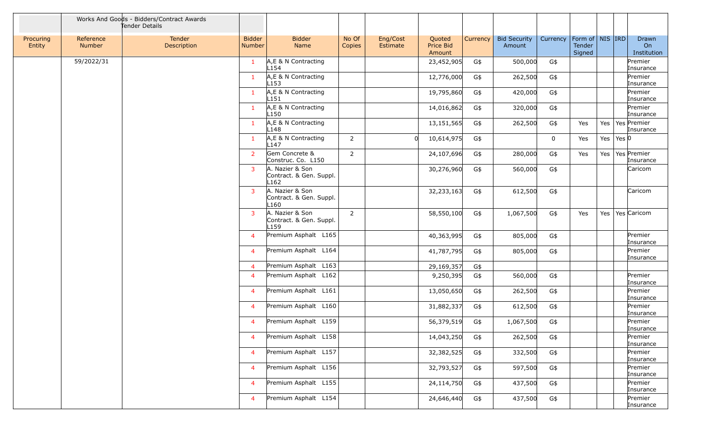|                     |                            | Works And Goods - Bidders/Contract Awards<br>Tender Details |                                |                                                                |                 |                      |                               |          |                               |             |                                         |         |           |                            |
|---------------------|----------------------------|-------------------------------------------------------------|--------------------------------|----------------------------------------------------------------|-----------------|----------------------|-------------------------------|----------|-------------------------------|-------------|-----------------------------------------|---------|-----------|----------------------------|
| Procuring<br>Entity | Reference<br><b>Number</b> | Tender<br>Description                                       | <b>Bidder</b><br><b>Number</b> | <b>Bidder</b><br>Name                                          | No Of<br>Copies | Eng/Cost<br>Estimate | Quoted<br>Price Bid<br>Amount | Currency | <b>Bid Security</b><br>Amount | Currency    | Form of   NIS   IRD<br>Tender<br>Signed |         |           | Drawn<br>On<br>Institution |
|                     | 59/2022/31                 |                                                             | 1                              | A, E & N Contracting<br>L154                                   |                 |                      | 23,452,905                    | G\$      | 500,000                       | G\$         |                                         |         |           | Premier<br>Insurance       |
|                     |                            |                                                             | 1                              | A, E & N Contracting<br>L <sub>153</sub>                       |                 |                      | 12,776,000                    | G\$      | 262,500                       | G\$         |                                         |         |           | Premier<br>Insurance       |
|                     |                            |                                                             | $\mathbf{1}$                   | A,E & N Contracting<br>L <sub>151</sub>                        |                 |                      | 19,795,860                    | G\$      | 420,000                       | G\$         |                                         |         |           | Premier<br>Insurance       |
|                     |                            |                                                             | $\mathbf{1}$                   | A,E & N Contracting<br>L <sub>150</sub>                        |                 |                      | 14,016,862                    | G\$      | 320,000                       | G\$         |                                         |         |           | Premier<br>Insurance       |
|                     |                            |                                                             | $\mathbf{1}$                   | A,E & N Contracting<br>L <sub>148</sub>                        |                 |                      | 13,151,565                    | G\$      | 262,500                       | G\$         | Yes                                     | Yes $ $ |           | Yes Premier<br>Insurance   |
|                     |                            |                                                             | $\mathbf{1}$                   | A, E & N Contracting<br>L147                                   | $\overline{2}$  | $\Omega$             | 10,614,975                    | G\$      |                               | $\mathbf 0$ | Yes                                     | Yes     | Yes $ 0 $ |                            |
|                     |                            |                                                             | $\overline{2}$                 | Gem Concrete &<br>Construc. Co. L150                           | $\overline{2}$  |                      | 24,107,696                    | G\$      | 280,000                       | G\$         | Yes                                     | Yes     |           | Yes Premier<br>Insurance   |
|                     |                            |                                                             | 3                              | A. Nazier & Son<br>Contract. & Gen. Suppl.<br>L <sub>162</sub> |                 |                      | 30,276,960                    | G\$      | 560,000                       | G\$         |                                         |         |           | Caricom                    |
|                     |                            |                                                             | $\overline{3}$                 | A. Nazier & Son<br>Contract. & Gen. Suppl.<br>L <sub>160</sub> |                 |                      | 32,233,163                    | G\$      | 612,500                       | G\$         |                                         |         |           | Caricom                    |
|                     |                            |                                                             | 3                              | A. Nazier & Son<br>Contract. & Gen. Suppl.<br>L <sub>159</sub> | $\overline{2}$  |                      | 58,550,100                    | G\$      | 1,067,500                     | G\$         | Yes                                     | Yes     |           | Yes Caricom                |
|                     |                            |                                                             | $\overline{4}$                 | Premium Asphalt L165                                           |                 |                      | 40,363,995                    | G\$      | 805,000                       | G\$         |                                         |         |           | Premier<br>Insurance       |
|                     |                            |                                                             | 4                              | Premium Asphalt L164                                           |                 |                      | 41,787,795                    | G\$      | 805,000                       | G\$         |                                         |         |           | Premier<br>Insurance       |
|                     |                            |                                                             | $\overline{4}$                 | Premium Asphalt L163                                           |                 |                      | 29,169,357                    | G\$      |                               |             |                                         |         |           |                            |
|                     |                            |                                                             | 4                              | Premium Asphalt L162                                           |                 |                      | 9,250,395                     | G\$      | 560,000                       | G\$         |                                         |         |           | Premier<br>Insurance       |
|                     |                            |                                                             | 4                              | Premium Asphalt L161                                           |                 |                      | 13,050,650                    | G\$      | 262,500                       | G\$         |                                         |         |           | Premier<br>Insurance       |
|                     |                            |                                                             | 4                              | Premium Asphalt L160                                           |                 |                      | 31,882,337                    | G\$      | 612,500                       | G\$         |                                         |         |           | Premier<br>Insurance       |
|                     |                            |                                                             | $\overline{\mathcal{A}}$       | Premium Asphalt L159                                           |                 |                      | 56,379,519                    | G\$      | 1,067,500                     | G\$         |                                         |         |           | Premier<br>Insurance       |
|                     |                            |                                                             | $\overline{4}$                 | Premium Asphalt L158                                           |                 |                      | 14,043,250                    | G\$      | 262,500                       | G\$         |                                         |         |           | Premier<br>Insurance       |
|                     |                            |                                                             | $\overline{4}$                 | Premium Asphalt L157                                           |                 |                      | 32,382,525                    | G\$      | 332,500                       | G\$         |                                         |         |           | Premier<br>Insurance       |
|                     |                            |                                                             | 4                              | Premium Asphalt L156                                           |                 |                      | 32,793,527                    | G\$      | 597,500                       | G\$         |                                         |         |           | Premier<br>Insurance       |
|                     |                            |                                                             | 4                              | Premium Asphalt L155                                           |                 |                      | 24,114,750                    | G\$      | 437,500                       | G\$         |                                         |         |           | Premier<br>Insurance       |
|                     |                            |                                                             | $\overline{4}$                 | Premium Asphalt L154                                           |                 |                      | 24,646,440                    | G\$      | 437,500                       | G\$         |                                         |         |           | Premier<br>Insurance       |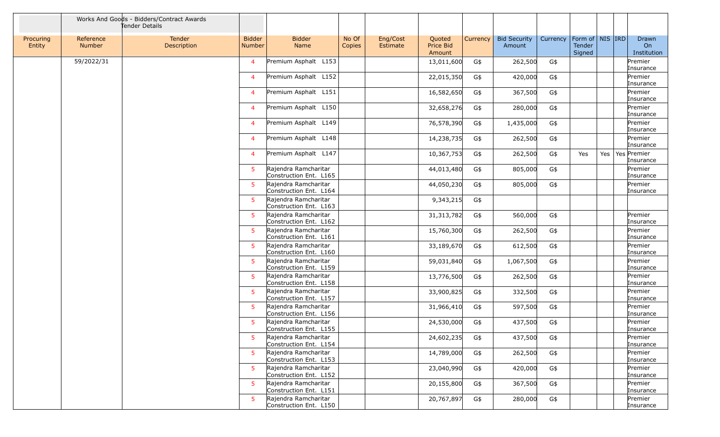|                     |                            | Works And Goods - Bidders/Contract Awards<br>Tender Details |                                |                                                |                 |                      |                               |          |                               |          |                                         |     |                            |
|---------------------|----------------------------|-------------------------------------------------------------|--------------------------------|------------------------------------------------|-----------------|----------------------|-------------------------------|----------|-------------------------------|----------|-----------------------------------------|-----|----------------------------|
| Procuring<br>Entity | Reference<br><b>Number</b> | Tender<br>Description                                       | <b>Bidder</b><br><b>Number</b> | <b>Bidder</b><br>Name                          | No Of<br>Copies | Eng/Cost<br>Estimate | Quoted<br>Price Bid<br>Amount | Currency | <b>Bid Security</b><br>Amount | Currency | Form of   NIS   IRD<br>Tender<br>Signed |     | Drawn<br>On<br>Institution |
|                     | 59/2022/31                 |                                                             | $\overline{\mathcal{A}}$       | Premium Asphalt L153                           |                 |                      | 13,011,600                    | G\$      | 262,500                       | G\$      |                                         |     | Premier<br>Insurance       |
|                     |                            |                                                             | $\overline{\mathcal{A}}$       | Premium Asphalt L152                           |                 |                      | 22,015,350                    | G\$      | 420,000                       | G\$      |                                         |     | Premier<br>Insurance       |
|                     |                            |                                                             | 4                              | Premium Asphalt L151                           |                 |                      | 16,582,650                    | G\$      | 367,500                       | G\$      |                                         |     | Premier<br>Insurance       |
|                     |                            |                                                             | $\overline{4}$                 | Premium Asphalt L150                           |                 |                      | 32,658,276                    | G\$      | 280,000                       | G\$      |                                         |     | Premier<br>Insurance       |
|                     |                            |                                                             | $\overline{\mathcal{A}}$       | Premium Asphalt L149                           |                 |                      | 76,578,390                    | G\$      | 1,435,000                     | G\$      |                                         |     | Premier<br>Insurance       |
|                     |                            |                                                             | $\overline{\mathcal{A}}$       | Premium Asphalt L148                           |                 |                      | 14,238,735                    | G\$      | 262,500                       | G\$      |                                         |     | Premier<br>Insurance       |
|                     |                            |                                                             | 4                              | Premium Asphalt L147                           |                 |                      | 10,367,753                    | G\$      | 262,500                       | G\$      | Yes                                     | Yes | Yes Premier<br>Insurance   |
|                     |                            |                                                             | 5                              | Rajendra Ramcharitar<br>Construction Ent. L165 |                 |                      | 44,013,480                    | G\$      | 805,000                       | G\$      |                                         |     | Premier<br>Insurance       |
|                     |                            |                                                             | 5                              | Rajendra Ramcharitar<br>Construction Ent. L164 |                 |                      | 44,050,230                    | G\$      | 805,000                       | G\$      |                                         |     | Premier<br>Insurance       |
|                     |                            |                                                             | 5                              | Rajendra Ramcharitar<br>Construction Ent. L163 |                 |                      | 9,343,215                     | G\$      |                               |          |                                         |     |                            |
|                     |                            |                                                             | 5                              | Rajendra Ramcharitar<br>Construction Ent. L162 |                 |                      | 31, 313, 782                  | G\$      | 560,000                       | G\$      |                                         |     | Premier<br>Insurance       |
|                     |                            |                                                             | 5                              | Rajendra Ramcharitar<br>Construction Ent. L161 |                 |                      | 15,760,300                    | G\$      | 262,500                       | G\$      |                                         |     | Premier<br>Insurance       |
|                     |                            |                                                             | 5                              | Rajendra Ramcharitar<br>Construction Ent. L160 |                 |                      | 33,189,670                    | G\$      | 612,500                       | G\$      |                                         |     | Premier<br>Insurance       |
|                     |                            |                                                             | 5                              | Rajendra Ramcharitar<br>Construction Ent. L159 |                 |                      | 59,031,840                    | G\$      | 1,067,500                     | G\$      |                                         |     | Premier<br>Insurance       |
|                     |                            |                                                             | 5                              | Rajendra Ramcharitar<br>Construction Ent. L158 |                 |                      | 13,776,500                    | G\$      | 262,500                       | G\$      |                                         |     | Premier<br>Insurance       |
|                     |                            |                                                             | 5                              | Rajendra Ramcharitar<br>Construction Ent. L157 |                 |                      | 33,900,825                    | G\$      | 332,500                       | G\$      |                                         |     | Premier<br>Insurance       |
|                     |                            |                                                             | 5                              | Rajendra Ramcharitar<br>Construction Ent. L156 |                 |                      | 31,966,410                    | G\$      | 597,500                       | G\$      |                                         |     | Premier<br>Insurance       |
|                     |                            |                                                             | 5                              | Rajendra Ramcharitar<br>Construction Ent. L155 |                 |                      | 24,530,000                    | G\$      | 437,500                       | G\$      |                                         |     | Premier<br>Insurance       |
|                     |                            |                                                             | 5                              | Rajendra Ramcharitar<br>Construction Ent. L154 |                 |                      | 24,602,235                    | G\$      | 437,500                       | G\$      |                                         |     | Premier<br>Insurance       |
|                     |                            |                                                             | 5                              | Rajendra Ramcharitar<br>Construction Ent. L153 |                 |                      | 14,789,000                    | G\$      | 262,500                       | G\$      |                                         |     | Premier<br>Insurance       |
|                     |                            |                                                             | 5                              | Rajendra Ramcharitar<br>Construction Ent. L152 |                 |                      | 23,040,990                    | G\$      | 420,000                       | G\$      |                                         |     | Premier<br>Insurance       |
|                     |                            |                                                             | 5                              | Rajendra Ramcharitar<br>Construction Ent. L151 |                 |                      | 20,155,800                    | G\$      | 367,500                       | G\$      |                                         |     | Premier<br>Insurance       |
|                     |                            |                                                             | 5                              | Rajendra Ramcharitar<br>Construction Ent. L150 |                 |                      | 20,767,897                    | G\$      | 280,000                       | G\$      |                                         |     | Premier<br>Insurance       |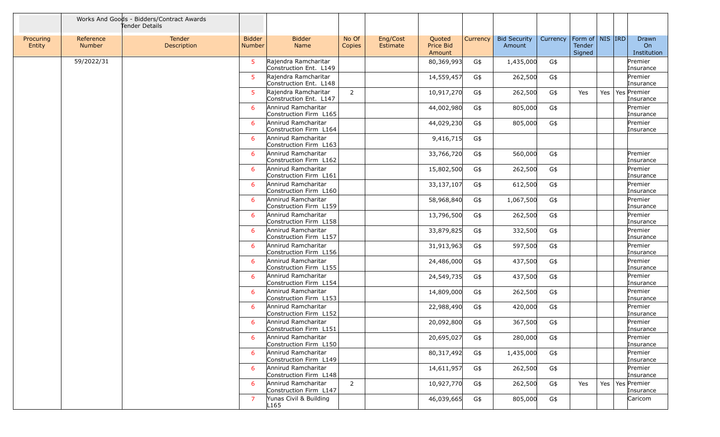|                     |                            | Works And Goods - Bidders/Contract Awards<br>Tender Details |                                |                                                |                 |                      |                                      |          |                               |          |                                                |  |                                  |
|---------------------|----------------------------|-------------------------------------------------------------|--------------------------------|------------------------------------------------|-----------------|----------------------|--------------------------------------|----------|-------------------------------|----------|------------------------------------------------|--|----------------------------------|
| Procuring<br>Entity | Reference<br><b>Number</b> | Tender<br>Description                                       | <b>Bidder</b><br><b>Number</b> | <b>Bidder</b><br><b>Name</b>                   | No Of<br>Copies | Eng/Cost<br>Estimate | Quoted<br><b>Price Bid</b><br>Amount | Currency | <b>Bid Security</b><br>Amount | Currency | Form of   NIS   IRD<br><b>Tender</b><br>Signed |  | Drawn<br>On<br>Institution       |
|                     | 59/2022/31                 |                                                             | 5                              | Rajendra Ramcharitar<br>Construction Ent. L149 |                 |                      | 80,369,993                           | G\$      | 1,435,000                     | G\$      |                                                |  | Premier<br>Insurance             |
|                     |                            |                                                             | 5.                             | Rajendra Ramcharitar<br>Construction Ent. L148 |                 |                      | 14,559,457                           | G\$      | 262,500                       | G\$      |                                                |  | Premier<br>Insurance             |
|                     |                            |                                                             | $5^{\circ}$                    | Rajendra Ramcharitar<br>Construction Ent. L147 | $\overline{2}$  |                      | 10,917,270                           | G\$      | 262,500                       | G\$      | Yes                                            |  | Yes   Yes   Premier<br>Insurance |
|                     |                            |                                                             | 6                              | Annirud Ramcharitar<br>Construction Firm L165  |                 |                      | 44,002,980                           | G\$      | 805,000                       | G\$      |                                                |  | Premier<br>Insurance             |
|                     |                            |                                                             | 6                              | Annirud Ramcharitar<br>Construction Firm L164  |                 |                      | 44,029,230                           | G\$      | 805,000                       | G\$      |                                                |  | Premier<br>Insurance             |
|                     |                            |                                                             | 6                              | Annirud Ramcharitar<br>Construction Firm L163  |                 |                      | 9,416,715                            | G\$      |                               |          |                                                |  |                                  |
|                     |                            |                                                             | 6                              | Annirud Ramcharitar<br>Construction Firm L162  |                 |                      | 33,766,720                           | G\$      | 560,000                       | G\$      |                                                |  | Premier<br>Insurance             |
|                     |                            |                                                             | 6                              | Annirud Ramcharitar<br>Construction Firm L161  |                 |                      | 15,802,500                           | G\$      | 262,500                       | G\$      |                                                |  | Premier<br>Insurance             |
|                     |                            |                                                             | 6                              | Annirud Ramcharitar<br>Construction Firm L160  |                 |                      | 33,137,107                           | G\$      | 612,500                       | G\$      |                                                |  | Premier<br>Insurance             |
|                     |                            |                                                             | 6                              | Annirud Ramcharitar<br>Construction Firm L159  |                 |                      | 58,968,840                           | G\$      | 1,067,500                     | G\$      |                                                |  | Premier<br>Insurance             |
|                     |                            |                                                             | 6                              | Annirud Ramcharitar<br>Construction Firm L158  |                 |                      | 13,796,500                           | G\$      | 262,500                       | G\$      |                                                |  | Premier<br>Insurance             |
|                     |                            |                                                             | 6                              | Annirud Ramcharitar<br>Construction Firm L157  |                 |                      | 33,879,825                           | G\$      | 332,500                       | G\$      |                                                |  | Premier<br>Insurance             |
|                     |                            |                                                             | 6                              | Annirud Ramcharitar<br>Construction Firm L156  |                 |                      | 31,913,963                           | G\$      | 597,500                       | G\$      |                                                |  | Premier<br>Insurance             |
|                     |                            |                                                             | 6                              | Annirud Ramcharitar<br>Construction Firm L155  |                 |                      | 24,486,000                           | G\$      | 437,500                       | G\$      |                                                |  | Premier<br>Insurance             |
|                     |                            |                                                             | 6                              | Annirud Ramcharitar<br>Construction Firm L154  |                 |                      | 24,549,735                           | G\$      | 437,500                       | G\$      |                                                |  | Premier<br>Insurance             |
|                     |                            |                                                             | 6                              | Annirud Ramcharitar<br>Construction Firm L153  |                 |                      | 14,809,000                           | G\$      | 262,500                       | G\$      |                                                |  | Premier<br>Insurance             |
|                     |                            |                                                             | 6                              | Annirud Ramcharitar<br>Construction Firm L152  |                 |                      | 22,988,490                           | G\$      | 420,000                       | G\$      |                                                |  | Premier<br>Insurance             |
|                     |                            |                                                             | 6                              | Annirud Ramcharitar<br>Construction Firm L151  |                 |                      | 20,092,800                           | G\$      | 367,500                       | G\$      |                                                |  | Premier<br>Insurance             |
|                     |                            |                                                             | 6                              | Annirud Ramcharitar<br>Construction Firm L150  |                 |                      | 20,695,027                           | G\$      | 280,000                       | G\$      |                                                |  | Premier<br>Insurance             |
|                     |                            |                                                             | 6                              | Annirud Ramcharitar<br>Construction Firm L149  |                 |                      | 80,317,492                           | G\$      | 1,435,000                     | G\$      |                                                |  | Premier<br>Insurance             |
|                     |                            |                                                             | 6                              | Annirud Ramcharitar<br>Construction Firm L148  |                 |                      | 14,611,957                           | G\$      | 262,500                       | G\$      |                                                |  | Premier<br>Insurance             |
|                     |                            |                                                             | 6                              | Annirud Ramcharitar<br>Construction Firm L147  | $\overline{2}$  |                      | 10,927,770                           | G\$      | 262,500                       | G\$      | Yes                                            |  | Yes   Yes   Premier<br>Insurance |
|                     |                            |                                                             | 7                              | Yunas Civil & Building<br>L165                 |                 |                      | 46,039,665                           | G\$      | 805,000                       | G\$      |                                                |  | Caricom                          |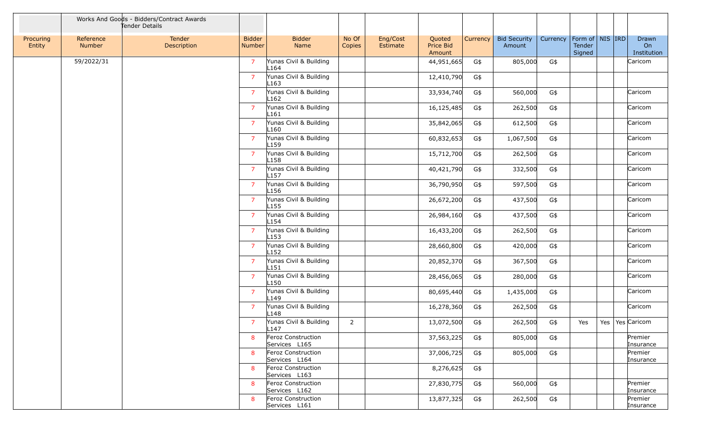|                     |                            | Works And Goods - Bidders/Contract Awards<br>Tender Details |                         |                                            |                 |                      |                                      |          |                               |          |                                         |         |                            |
|---------------------|----------------------------|-------------------------------------------------------------|-------------------------|--------------------------------------------|-----------------|----------------------|--------------------------------------|----------|-------------------------------|----------|-----------------------------------------|---------|----------------------------|
| Procuring<br>Entity | Reference<br><b>Number</b> | Tender<br>Description                                       | <b>Bidder</b><br>Number | <b>Bidder</b><br>Name                      | No Of<br>Copies | Eng/Cost<br>Estimate | Quoted<br><b>Price Bid</b><br>Amount | Currency | <b>Bid Security</b><br>Amount | Currency | Form of   NIS   IRD<br>Tender<br>Signed |         | Drawn<br>On<br>Institution |
|                     | 59/2022/31                 |                                                             | $\overline{7}$          | Yunas Civil & Building<br>L164             |                 |                      | 44,951,665                           | G\$      | 805,000                       | G\$      |                                         |         | Caricom                    |
|                     |                            |                                                             | $\overline{7}$          | Yunas Civil & Building<br>L <sub>163</sub> |                 |                      | 12,410,790                           | G\$      |                               |          |                                         |         |                            |
|                     |                            |                                                             | $\overline{7}$          | Yunas Civil & Building<br>L <sub>162</sub> |                 |                      | 33,934,740                           | G\$      | 560,000                       | G\$      |                                         |         | Caricom                    |
|                     |                            |                                                             | $\overline{7}$          | Yunas Civil & Building<br>L161             |                 |                      | 16,125,485                           | G\$      | 262,500                       | G\$      |                                         |         | Caricom                    |
|                     |                            |                                                             | $\overline{7}$          | Yunas Civil & Building<br>L <sub>160</sub> |                 |                      | 35,842,065                           | G\$      | 612,500                       | G\$      |                                         |         | Caricom                    |
|                     |                            |                                                             | $\overline{7}$          | Yunas Civil & Building<br>L <sub>159</sub> |                 |                      | 60,832,653                           | G\$      | 1,067,500                     | G\$      |                                         |         | Caricom                    |
|                     |                            |                                                             | $\overline{7}$          | Yunas Civil & Building<br>L <sub>158</sub> |                 |                      | 15,712,700                           | G\$      | 262,500                       | G\$      |                                         |         | Caricom                    |
|                     |                            |                                                             | $\overline{7}$          | Yunas Civil & Building<br>L <sub>157</sub> |                 |                      | 40,421,790                           | G\$      | 332,500                       | G\$      |                                         |         | Caricom                    |
|                     |                            |                                                             | $\overline{7}$          | Yunas Civil & Building<br>L <sub>156</sub> |                 |                      | 36,790,950                           | G\$      | 597,500                       | G\$      |                                         |         | Caricom                    |
|                     |                            |                                                             | $\overline{7}$          | Yunas Civil & Building<br>L <sub>155</sub> |                 |                      | 26,672,200                           | G\$      | 437,500                       | G\$      |                                         |         | Caricom                    |
|                     |                            |                                                             | $\overline{7}$          | Yunas Civil & Building<br>L <sub>154</sub> |                 |                      | 26,984,160                           | G\$      | 437,500                       | G\$      |                                         |         | Caricom                    |
|                     |                            |                                                             | $\overline{7}$          | Yunas Civil & Building<br>L <sub>153</sub> |                 |                      | 16,433,200                           | G\$      | 262,500                       | G\$      |                                         |         | Caricom                    |
|                     |                            |                                                             | $\overline{7}$          | Yunas Civil & Building<br>L <sub>152</sub> |                 |                      | 28,660,800                           | G\$      | 420,000                       | G\$      |                                         |         | Caricom                    |
|                     |                            |                                                             | $\overline{7}$          | Yunas Civil & Building<br>L <sub>151</sub> |                 |                      | 20,852,370                           | G\$      | 367,500                       | G\$      |                                         |         | Caricom                    |
|                     |                            |                                                             | $\overline{7}$          | Yunas Civil & Building<br>L <sub>150</sub> |                 |                      | 28,456,065                           | G\$      | 280,000                       | G\$      |                                         |         | Caricom                    |
|                     |                            |                                                             | $\overline{7}$          | Yunas Civil & Building<br>L149             |                 |                      | 80,695,440                           | G\$      | 1,435,000                     | G\$      |                                         |         | Caricom                    |
|                     |                            |                                                             | $\overline{7}$          | Yunas Civil & Building<br>L <sub>148</sub> |                 |                      | 16,278,360                           | G\$      | 262,500                       | G\$      |                                         |         | Caricom                    |
|                     |                            |                                                             | $\overline{7}$          | Yunas Civil & Building<br>L <sub>147</sub> | 2               |                      | 13,072,500                           | G\$      | 262,500                       | G\$      | Yes                                     | Yes $ $ | Yes Caricom                |
|                     |                            |                                                             | 8                       | Feroz Construction<br>Services L165        |                 |                      | 37,563,225                           | G\$      | 805,000                       | G\$      |                                         |         | Premier<br>Insurance       |
|                     |                            |                                                             | 8                       | Feroz Construction<br>Services L164        |                 |                      | 37,006,725                           | G\$      | 805,000                       | G\$      |                                         |         | Premier<br>Insurance       |
|                     |                            |                                                             | 8                       | Feroz Construction<br>Services L163        |                 |                      | 8,276,625                            | G\$      |                               |          |                                         |         |                            |
|                     |                            |                                                             | 8                       | Feroz Construction<br>Services L162        |                 |                      | 27,830,775                           | G\$      | 560,000                       | G\$      |                                         |         | Premier<br>Insurance       |
|                     |                            |                                                             | 8                       | Feroz Construction<br>Services L161        |                 |                      | 13,877,325                           | G\$      | 262,500                       | G\$      |                                         |         | Premier<br>Insurance       |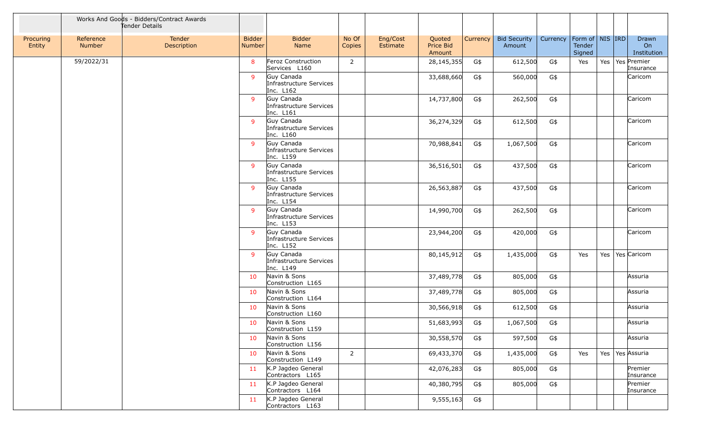|                     |                            | Works And Goods - Bidders/Contract Awards<br>Tender Details |                         |                                                    |                 |                      |                               |          |                               |          |                                         |     |                                  |
|---------------------|----------------------------|-------------------------------------------------------------|-------------------------|----------------------------------------------------|-----------------|----------------------|-------------------------------|----------|-------------------------------|----------|-----------------------------------------|-----|----------------------------------|
| Procuring<br>Entity | Reference<br><b>Number</b> | Tender<br>Description                                       | <b>Bidder</b><br>Number | <b>Bidder</b><br>Name                              | No Of<br>Copies | Eng/Cost<br>Estimate | Quoted<br>Price Bid<br>Amount | Currency | <b>Bid Security</b><br>Amount | Currency | Form of   NIS   IRD<br>Tender<br>Signed |     | Drawn<br>On<br>Institution       |
|                     | 59/2022/31                 |                                                             | 8                       | Feroz Construction<br>Services L160                | $\overline{2}$  |                      | 28,145,355                    | G\$      | 612,500                       | G\$      | Yes                                     |     | Yes   Yes   Premier<br>Insurance |
|                     |                            |                                                             | 9                       | Guy Canada<br>Infrastructure Services<br>Inc. L162 |                 |                      | 33,688,660                    | G\$      | 560,000                       | G\$      |                                         |     | Caricom                          |
|                     |                            |                                                             | 9                       | Guy Canada<br>Infrastructure Services<br>Inc. L161 |                 |                      | 14,737,800                    | G\$      | 262,500                       | G\$      |                                         |     | Caricom                          |
|                     |                            |                                                             | 9                       | Guy Canada<br>Infrastructure Services<br>Inc. L160 |                 |                      | 36,274,329                    | G\$      | 612,500                       | G\$      |                                         |     | Caricom                          |
|                     |                            |                                                             | 9                       | Guy Canada<br>Infrastructure Services<br>Inc. L159 |                 |                      | 70,988,841                    | G\$      | 1,067,500                     | G\$      |                                         |     | Caricom                          |
|                     |                            |                                                             | $\mathbf{q}$            | Guy Canada<br>Infrastructure Services<br>Inc. L155 |                 |                      | 36,516,501                    | G\$      | 437,500                       | G\$      |                                         |     | Caricom                          |
|                     |                            |                                                             | 9                       | Guy Canada<br>Infrastructure Services<br>Inc. L154 |                 |                      | 26,563,887                    | G\$      | 437,500                       | G\$      |                                         |     | Caricom                          |
|                     |                            |                                                             | 9                       | Guy Canada<br>Infrastructure Services<br>Inc. L153 |                 |                      | 14,990,700                    | G\$      | 262,500                       | G\$      |                                         |     | Caricom                          |
|                     |                            |                                                             | $\mathbf{q}$            | Guy Canada<br>Infrastructure Services<br>Inc. L152 |                 |                      | 23,944,200                    | G\$      | 420,000                       | G\$      |                                         |     | Caricom                          |
|                     |                            |                                                             | $\mathbf{q}$            | Guy Canada<br>Infrastructure Services<br>Inc. L149 |                 |                      | 80,145,912                    | G\$      | 1,435,000                     | G\$      | Yes                                     | Yes | Yes Caricom                      |
|                     |                            |                                                             | 10                      | Navin & Sons<br>Construction L165                  |                 |                      | 37,489,778                    | G\$      | 805,000                       | G\$      |                                         |     | Assuria                          |
|                     |                            |                                                             | 10                      | Navin & Sons<br>Construction L164                  |                 |                      | 37,489,778                    | G\$      | 805,000                       | G\$      |                                         |     | Assuria                          |
|                     |                            |                                                             | 10                      | Navin & Sons<br>Construction L160                  |                 |                      | 30,566,918                    | G\$      | 612,500                       | G\$      |                                         |     | Assuria                          |
|                     |                            |                                                             | 10                      | Navin & Sons<br>Construction L159                  |                 |                      | 51,683,993                    | G\$      | 1,067,500                     | G\$      |                                         |     | Assuria                          |
|                     |                            |                                                             | 10                      | Navin & Sons<br>Construction L156                  |                 |                      | 30,558,570                    | G\$      | 597,500                       | G\$      |                                         |     | Assuria                          |
|                     |                            |                                                             | 10                      | Navin & Sons<br>Construction L149                  | $\overline{2}$  |                      | 69,433,370                    | G\$      | 1,435,000                     | G\$      | Yes                                     |     | Yes   Yes   Assuria              |
|                     |                            |                                                             | 11                      | K.P Jagdeo General<br>Contractors L165             |                 |                      | 42,076,283                    | G\$      | 805,000                       | G\$      |                                         |     | Premier<br>Insurance             |
|                     |                            |                                                             | 11                      | K.P Jagdeo General<br>Contractors L164             |                 |                      | 40,380,795                    | G\$      | 805,000                       | G\$      |                                         |     | Premier<br>Insurance             |
|                     |                            |                                                             | 11                      | K.P Jagdeo General<br>Contractors L163             |                 |                      | 9,555,163                     | G\$      |                               |          |                                         |     |                                  |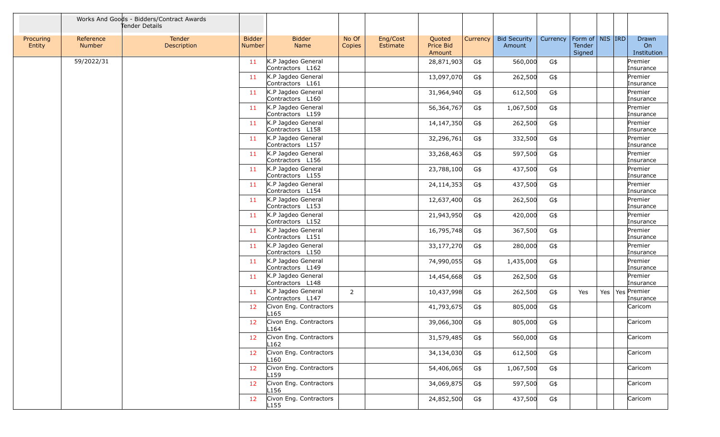|                     |                            | Works And Goods - Bidders/Contract Awards<br>Tender Details |                                |                                            |                 |                      |                               |          |                               |          |                                         |     |                            |
|---------------------|----------------------------|-------------------------------------------------------------|--------------------------------|--------------------------------------------|-----------------|----------------------|-------------------------------|----------|-------------------------------|----------|-----------------------------------------|-----|----------------------------|
| Procuring<br>Entity | Reference<br><b>Number</b> | Tender<br>Description                                       | <b>Bidder</b><br><b>Number</b> | <b>Bidder</b><br>Name                      | No Of<br>Copies | Eng/Cost<br>Estimate | Quoted<br>Price Bid<br>Amount | Currency | <b>Bid Security</b><br>Amount | Currency | Form of   NIS   IRD<br>Tender<br>Signed |     | Drawn<br>On<br>Institution |
|                     | 59/2022/31                 |                                                             | 11                             | K.P Jagdeo General<br>Contractors L162     |                 |                      | 28,871,903                    | G\$      | 560,000                       | G\$      |                                         |     | Premier<br>Insurance       |
|                     |                            |                                                             | 11                             | K.P Jagdeo General<br>Contractors L161     |                 |                      | 13,097,070                    | G\$      | 262,500                       | G\$      |                                         |     | Premier<br>Insurance       |
|                     |                            |                                                             | 11                             | K.P Jagdeo General<br>Contractors L160     |                 |                      | 31,964,940                    | G\$      | 612,500                       | G\$      |                                         |     | Premier<br>Insurance       |
|                     |                            |                                                             | 11                             | K.P Jagdeo General<br>Contractors L159     |                 |                      | 56,364,767                    | G\$      | 1,067,500                     | G\$      |                                         |     | Premier<br>Insurance       |
|                     |                            |                                                             | 11                             | K.P Jagdeo General<br>Contractors L158     |                 |                      | 14,147,350                    | G\$      | 262,500                       | G\$      |                                         |     | Premier<br>Insurance       |
|                     |                            |                                                             | 11                             | K.P Jagdeo General<br>Contractors L157     |                 |                      | 32,296,761                    | G\$      | 332,500                       | G\$      |                                         |     | Premier<br>Insurance       |
|                     |                            |                                                             | 11                             | K.P Jagdeo General<br>Contractors L156     |                 |                      | 33,268,463                    | G\$      | 597,500                       | G\$      |                                         |     | Premier<br>Insurance       |
|                     |                            |                                                             | 11                             | K.P Jagdeo General<br>Contractors L155     |                 |                      | 23,788,100                    | G\$      | 437,500                       | G\$      |                                         |     | Premier<br>Insurance       |
|                     |                            |                                                             | 11                             | K.P Jagdeo General<br>Contractors L154     |                 |                      | 24,114,353                    | G\$      | 437,500                       | G\$      |                                         |     | Premier<br>Insurance       |
|                     |                            |                                                             | 11                             | K.P Jagdeo General<br>Contractors L153     |                 |                      | 12,637,400                    | G\$      | 262,500                       | G\$      |                                         |     | Premier<br>Insurance       |
|                     |                            |                                                             | 11                             | K.P Jagdeo General<br>Contractors L152     |                 |                      | 21,943,950                    | G\$      | 420,000                       | G\$      |                                         |     | Premier<br>Insurance       |
|                     |                            |                                                             | 11                             | K.P Jagdeo General<br>Contractors L151     |                 |                      | 16,795,748                    | G\$      | 367,500                       | G\$      |                                         |     | Premier<br>Insurance       |
|                     |                            |                                                             | 11                             | K.P Jagdeo General<br>Contractors L150     |                 |                      | 33,177,270                    | G\$      | 280,000                       | G\$      |                                         |     | Premier<br>Insurance       |
|                     |                            |                                                             | 11                             | K.P Jagdeo General<br>Contractors L149     |                 |                      | 74,990,055                    | G\$      | 1,435,000                     | G\$      |                                         |     | Premier<br>Insurance       |
|                     |                            |                                                             | 11                             | K.P Jagdeo General<br>Contractors L148     |                 |                      | 14,454,668                    | G\$      | 262,500                       | G\$      |                                         |     | Premier<br>Insurance       |
|                     |                            |                                                             | 11                             | K.P Jagdeo General<br>Contractors L147     | $\overline{2}$  |                      | 10,437,998                    | G\$      | 262,500                       | G\$      | Yes                                     | Yes | Yes Premier<br>Insurance   |
|                     |                            |                                                             | 12                             | Civon Eng. Contractors<br>L <sub>165</sub> |                 |                      | 41,793,675                    | G\$      | 805,000                       | G\$      |                                         |     | Caricom                    |
|                     |                            |                                                             | 12                             | Civon Eng. Contractors<br>L164             |                 |                      | 39,066,300                    | G\$      | 805,000                       | G\$      |                                         |     | Caricom                    |
|                     |                            |                                                             | 12                             | Civon Eng. Contractors<br>L162             |                 |                      | 31,579,485                    | G\$      | 560,000                       | G\$      |                                         |     | Caricom                    |
|                     |                            |                                                             | 12                             | Civon Eng. Contractors<br>L <sub>160</sub> |                 |                      | 34,134,030                    | G\$      | 612,500                       | G\$      |                                         |     | Caricom                    |
|                     |                            |                                                             | 12                             | Civon Eng. Contractors<br>L <sub>159</sub> |                 |                      | 54,406,065                    | G\$      | 1,067,500                     | G\$      |                                         |     | Caricom                    |
|                     |                            |                                                             | 12                             | Civon Eng. Contractors<br>L <sub>156</sub> |                 |                      | 34,069,875                    | G\$      | 597,500                       | G\$      |                                         |     | Caricom                    |
|                     |                            |                                                             | 12                             | Civon Eng. Contractors<br>L155             |                 |                      | 24,852,500                    | G\$      | 437,500                       | G\$      |                                         |     | Caricom                    |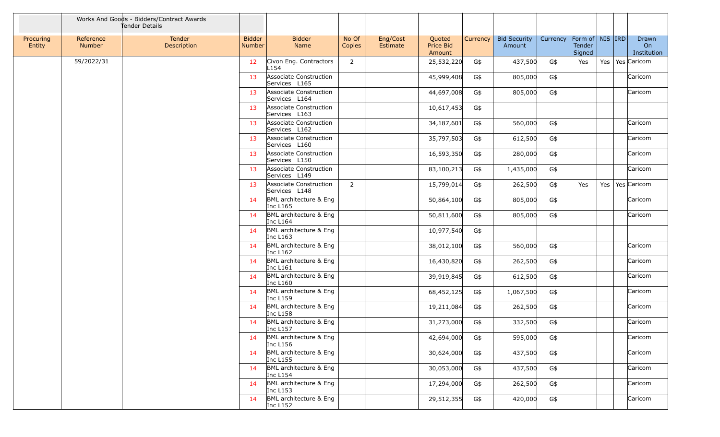|                     |                            | Works And Goods - Bidders/Contract Awards<br>Tender Details |                         |                                         |                 |                      |                               |          |                               |          |                                         |     |                            |
|---------------------|----------------------------|-------------------------------------------------------------|-------------------------|-----------------------------------------|-----------------|----------------------|-------------------------------|----------|-------------------------------|----------|-----------------------------------------|-----|----------------------------|
| Procuring<br>Entity | Reference<br><b>Number</b> | Tender<br>Description                                       | <b>Bidder</b><br>Number | <b>Bidder</b><br>Name                   | No Of<br>Copies | Eng/Cost<br>Estimate | Quoted<br>Price Bid<br>Amount | Currency | <b>Bid Security</b><br>Amount | Currency | Form of   NIS   IRD<br>Tender<br>Signed |     | Drawn<br>On<br>Institution |
|                     | 59/2022/31                 |                                                             | 12                      | Civon Eng. Contractors<br>L154          | 2               |                      | 25,532,220                    | G\$      | 437,500                       | G\$      | Yes                                     | Yes | Yes Caricom                |
|                     |                            |                                                             | 13                      | Associate Construction<br>Services L165 |                 |                      | 45,999,408                    | G\$      | 805,000                       | G\$      |                                         |     | Caricom                    |
|                     |                            |                                                             | 13                      | Associate Construction<br>Services L164 |                 |                      | 44,697,008                    | G\$      | 805,000                       | G\$      |                                         |     | Caricom                    |
|                     |                            |                                                             | 13                      | Associate Construction<br>Services L163 |                 |                      | 10,617,453                    | G\$      |                               |          |                                         |     |                            |
|                     |                            |                                                             | 13                      | Associate Construction<br>Services L162 |                 |                      | 34,187,601                    | G\$      | 560,000                       | G\$      |                                         |     | Caricom                    |
|                     |                            |                                                             | 13                      | Associate Construction<br>Services L160 |                 |                      | 35,797,503                    | G\$      | 612,500                       | G\$      |                                         |     | Caricom                    |
|                     |                            |                                                             | 13                      | Associate Construction<br>Services L150 |                 |                      | 16,593,350                    | G\$      | 280,000                       | G\$      |                                         |     | Caricom                    |
|                     |                            |                                                             | 13                      | Associate Construction<br>Services L149 |                 |                      | 83,100,213                    | G\$      | 1,435,000                     | G\$      |                                         |     | Caricom                    |
|                     |                            |                                                             | 13                      | Associate Construction<br>Services L148 | $\overline{2}$  |                      | 15,799,014                    | G\$      | 262,500                       | G\$      | Yes                                     | Yes | Yes Caricom                |
|                     |                            |                                                             | 14                      | BML architecture & Eng<br>Inc L165      |                 |                      | 50,864,100                    | G\$      | 805,000                       | G\$      |                                         |     | Caricom                    |
|                     |                            |                                                             | 14                      | BML architecture & Eng<br>Inc L164      |                 |                      | 50,811,600                    | G\$      | 805,000                       | G\$      |                                         |     | Caricom                    |
|                     |                            |                                                             | 14                      | BML architecture & Eng<br>Inc L163      |                 |                      | 10,977,540                    | G\$      |                               |          |                                         |     |                            |
|                     |                            |                                                             | 14                      | BML architecture & Eng<br>Inc L162      |                 |                      | 38,012,100                    | G\$      | 560,000                       | G\$      |                                         |     | Caricom                    |
|                     |                            |                                                             | 14                      | BML architecture & Eng<br>Inc L161      |                 |                      | 16,430,820                    | G\$      | 262,500                       | G\$      |                                         |     | Caricom                    |
|                     |                            |                                                             | 14                      | BML architecture & Eng<br>Inc L160      |                 |                      | 39,919,845                    | G\$      | 612,500                       | G\$      |                                         |     | Caricom                    |
|                     |                            |                                                             | 14                      | BML architecture & Eng<br>Inc L159      |                 |                      | 68,452,125                    | G\$      | 1,067,500                     | G\$      |                                         |     | Caricom                    |
|                     |                            |                                                             | 14                      | BML architecture & Eng<br>Inc L158      |                 |                      | 19,211,084                    | G\$      | 262,500                       | G\$      |                                         |     | Caricom                    |
|                     |                            |                                                             | 14                      | BML architecture & Eng<br>Inc L157      |                 |                      | 31,273,000                    | G\$      | 332,500                       | G\$      |                                         |     | Caricom                    |
|                     |                            |                                                             | 14                      | BML architecture & Eng<br>Inc L156      |                 |                      | 42,694,000                    | G\$      | 595,000                       | G\$      |                                         |     | Caricom                    |
|                     |                            |                                                             | 14                      | BML architecture & Eng<br>Inc L155      |                 |                      | 30,624,000                    | G\$      | 437,500                       | G\$      |                                         |     | Caricom                    |
|                     |                            |                                                             | 14                      | BML architecture & Eng<br>Inc L154      |                 |                      | 30,053,000                    | G\$      | 437,500                       | G\$      |                                         |     | Caricom                    |
|                     |                            |                                                             | 14                      | BML architecture & Eng<br>Inc L153      |                 |                      | 17,294,000                    | G\$      | 262,500                       | G\$      |                                         |     | Caricom                    |
|                     |                            |                                                             | 14                      | BML architecture & Eng<br>Inc L152      |                 |                      | 29,512,355                    | G\$      | 420,000                       | G\$      |                                         |     | Caricom                    |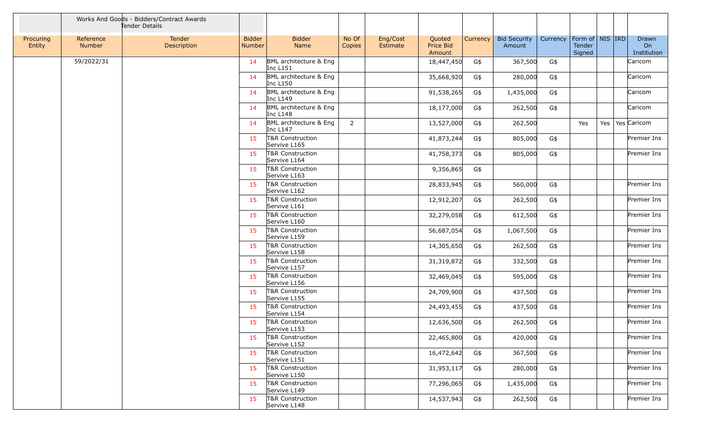|                     |                     | Works And Goods - Bidders/Contract Awards<br>Tender Details |                                |                                      |                 |                      |                               |          |                               |          |                                         |     |                            |
|---------------------|---------------------|-------------------------------------------------------------|--------------------------------|--------------------------------------|-----------------|----------------------|-------------------------------|----------|-------------------------------|----------|-----------------------------------------|-----|----------------------------|
| Procuring<br>Entity | Reference<br>Number | Tender<br>Description                                       | <b>Bidder</b><br><b>Number</b> | <b>Bidder</b><br>Name                | No Of<br>Copies | Eng/Cost<br>Estimate | Quoted<br>Price Bid<br>Amount | Currency | <b>Bid Security</b><br>Amount | Currency | Form of   NIS   IRD<br>Tender<br>Signed |     | Drawn<br>On<br>Institution |
|                     | 59/2022/31          |                                                             | 14                             | BML architecture & Eng<br>Inc L151   |                 |                      | 18,447,450                    | G\$      | 367,500                       | G\$      |                                         |     | Caricom                    |
|                     |                     |                                                             | 14                             | BML architecture & Eng<br>Inc $L150$ |                 |                      | 35,668,920                    | G\$      | 280,000                       | G\$      |                                         |     | Caricom                    |
|                     |                     |                                                             | 14                             | BML architecture & Eng<br>Inc L149   |                 |                      | 91,538,265                    | G\$      | 1,435,000                     | G\$      |                                         |     | Caricom                    |
|                     |                     |                                                             | 14                             | BML architecture & Eng<br>Inc L148   |                 |                      | 18,177,000                    | G\$      | 262,500                       | G\$      |                                         |     | Caricom                    |
|                     |                     |                                                             | 14                             | BML architecture & Eng<br>Inc L147   | $\overline{2}$  |                      | 13,527,000                    | G\$      | 262,500                       |          | Yes                                     | Yes | Yes Caricom                |
|                     |                     |                                                             | 15                             | T&R Construction<br>Servive L165     |                 |                      | 41,873,244                    | G\$      | 805,000                       | G\$      |                                         |     | Premier Ins                |
|                     |                     |                                                             | 15                             | T&R Construction<br>Servive L164     |                 |                      | 41,758,373                    | G\$      | 805,000                       | G\$      |                                         |     | Premier Ins                |
|                     |                     |                                                             | 15                             | T&R Construction<br>Servive L163     |                 |                      | 9,356,865                     | G\$      |                               |          |                                         |     |                            |
|                     |                     |                                                             | 15                             | T&R Construction<br>Servive L162     |                 |                      | 28,833,945                    | G\$      | 560,000                       | G\$      |                                         |     | Premier Ins                |
|                     |                     |                                                             | 15                             | T&R Construction<br>Servive L161     |                 |                      | 12,912,207                    | G\$      | 262,500                       | G\$      |                                         |     | Premier Ins                |
|                     |                     |                                                             | 15                             | T&R Construction<br>Servive L160     |                 |                      | 32,279,058                    | G\$      | 612,500                       | G\$      |                                         |     | Premier Ins                |
|                     |                     |                                                             | 15                             | T&R Construction<br>Servive L159     |                 |                      | 56,687,054                    | G\$      | 1,067,500                     | G\$      |                                         |     | Premier Ins                |
|                     |                     |                                                             | 15                             | T&R Construction<br>Servive L158     |                 |                      | 14,305,650                    | G\$      | 262,500                       | G\$      |                                         |     | Premier Ins                |
|                     |                     |                                                             | 15                             | T&R Construction<br>Servive L157     |                 |                      | 31,319,872                    | G\$      | 332,500                       | G\$      |                                         |     | Premier Ins                |
|                     |                     |                                                             | 15                             | T&R Construction<br>Servive L156     |                 |                      | 32,469,045                    | G\$      | 595,000                       | G\$      |                                         |     | Premier Ins                |
|                     |                     |                                                             | 15                             | T&R Construction<br>Servive L155     |                 |                      | 24,709,900                    | G\$      | 437,500                       | G\$      |                                         |     | Premier Ins                |
|                     |                     |                                                             | 15                             | T&R Construction<br>Servive L154     |                 |                      | 24,493,455                    | G\$      | 437,500                       | G\$      |                                         |     | Premier Ins                |
|                     |                     |                                                             | 15                             | T&R Construction<br>Servive L153     |                 |                      | 12,636,500                    | G\$      | 262,500                       | G\$      |                                         |     | Premier Ins                |
|                     |                     |                                                             | 15                             | T&R Construction<br>Servive L152     |                 |                      | 22,465,800                    | G\$      | 420,000                       | G\$      |                                         |     | Premier Ins                |
|                     |                     |                                                             | 15                             | T&R Construction<br>Servive L151     |                 |                      | 16,472,642                    | G\$      | 367,500                       | G\$      |                                         |     | Premier Ins                |
|                     |                     |                                                             | 15                             | T&R Construction<br>Servive L150     |                 |                      | 31,953,117                    | G\$      | 280,000                       | G\$      |                                         |     | Premier Ins                |
|                     |                     |                                                             | 15                             | T&R Construction<br>Servive L149     |                 |                      | 77,296,065                    | G\$      | 1,435,000                     | G\$      |                                         |     | Premier Ins                |
|                     |                     |                                                             | 15                             | T&R Construction<br>Servive L148     |                 |                      | 14,537,943                    | G\$      | 262,500                       | G\$      |                                         |     | Premier Ins                |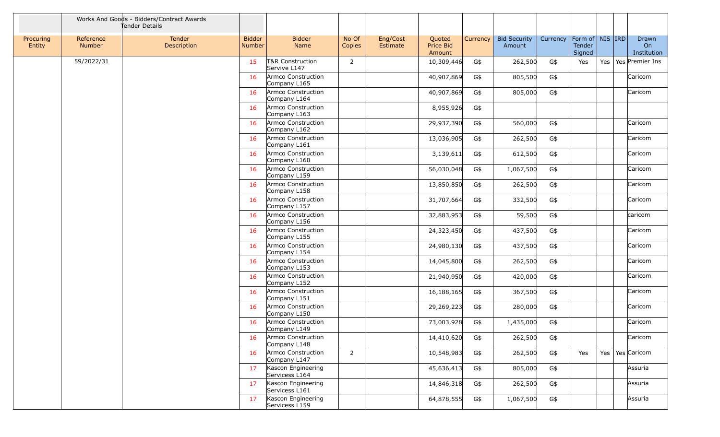|                     |                            | Works And Goods - Bidders/Contract Awards<br>Tender Details |                                |                                      |                 |                      |                               |          |                               |          |                                         |     |                            |
|---------------------|----------------------------|-------------------------------------------------------------|--------------------------------|--------------------------------------|-----------------|----------------------|-------------------------------|----------|-------------------------------|----------|-----------------------------------------|-----|----------------------------|
| Procuring<br>Entity | Reference<br><b>Number</b> | Tender<br>Description                                       | <b>Bidder</b><br><b>Number</b> | <b>Bidder</b><br>Name                | No Of<br>Copies | Eng/Cost<br>Estimate | Quoted<br>Price Bid<br>Amount | Currency | <b>Bid Security</b><br>Amount | Currency | Form of   NIS   IRD<br>Tender<br>Signed |     | Drawn<br>On<br>Institution |
|                     | 59/2022/31                 |                                                             | 15                             | T&R Construction<br>Servive L147     | $\overline{2}$  |                      | 10,309,446                    | G\$      | 262,500                       | G\$      | Yes                                     | Yes | Yes Premier Ins            |
|                     |                            |                                                             | 16                             | Armco Construction<br>Company L165   |                 |                      | 40,907,869                    | G\$      | 805,500                       | G\$      |                                         |     | Caricom                    |
|                     |                            |                                                             | 16                             | Armco Construction<br>Company L164   |                 |                      | 40,907,869                    | G\$      | 805,000                       | G\$      |                                         |     | Caricom                    |
|                     |                            |                                                             | 16                             | Armco Construction<br>Company L163   |                 |                      | 8,955,926                     | G\$      |                               |          |                                         |     |                            |
|                     |                            |                                                             | 16                             | Armco Construction<br>Company L162   |                 |                      | 29,937,390                    | G\$      | 560,000                       | G\$      |                                         |     | Caricom                    |
|                     |                            |                                                             | 16                             | Armco Construction<br>Company L161   |                 |                      | 13,036,905                    | G\$      | 262,500                       | G\$      |                                         |     | Caricom                    |
|                     |                            |                                                             | 16                             | Armco Construction<br>Company L160   |                 |                      | 3,139,611                     | G\$      | 612,500                       | G\$      |                                         |     | Caricom                    |
|                     |                            |                                                             | 16                             | Armco Construction<br>Company L159   |                 |                      | 56,030,048                    | G\$      | 1,067,500                     | G\$      |                                         |     | Caricom                    |
|                     |                            |                                                             | 16                             | Armco Construction<br>Company L158   |                 |                      | 13,850,850                    | G\$      | 262,500                       | G\$      |                                         |     | Caricom                    |
|                     |                            |                                                             | 16                             | Armco Construction<br>Company L157   |                 |                      | 31,707,664                    | G\$      | 332,500                       | G\$      |                                         |     | Caricom                    |
|                     |                            |                                                             | 16                             | Armco Construction<br>Company L156   |                 |                      | 32,883,953                    | G\$      | 59,500                        | G\$      |                                         |     | caricom                    |
|                     |                            |                                                             | 16                             | Armco Construction<br>Company L155   |                 |                      | 24,323,450                    | G\$      | 437,500                       | G\$      |                                         |     | Caricom                    |
|                     |                            |                                                             | 16                             | Armco Construction<br>Company L154   |                 |                      | 24,980,130                    | G\$      | 437,500                       | G\$      |                                         |     | Caricom                    |
|                     |                            |                                                             | 16                             | Armco Construction<br>Company L153   |                 |                      | 14,045,800                    | G\$      | 262,500                       | G\$      |                                         |     | Caricom                    |
|                     |                            |                                                             | 16                             | Armco Construction<br>Company L152   |                 |                      | 21,940,950                    | G\$      | 420,000                       | G\$      |                                         |     | Caricom                    |
|                     |                            |                                                             | 16                             | Armco Construction<br>Company L151   |                 |                      | 16,188,165                    | G\$      | 367,500                       | G\$      |                                         |     | Caricom                    |
|                     |                            |                                                             | 16                             | Armco Construction<br>Company L150   |                 |                      | 29,269,223                    | G\$      | 280,000                       | G\$      |                                         |     | Caricom                    |
|                     |                            |                                                             | 16                             | Armco Construction<br>Company L149   |                 |                      | 73,003,928                    | G\$      | 1,435,000                     | G\$      |                                         |     | Caricom                    |
|                     |                            |                                                             | 16                             | Armco Construction<br>Company L148   |                 |                      | 14,410,620                    | G\$      | 262,500                       | G\$      |                                         |     | Caricom                    |
|                     |                            |                                                             | 16                             | Armco Construction<br>Company L147   | $\overline{2}$  |                      | 10,548,983                    | G\$      | 262,500                       | G\$      | Yes                                     | Yes | Yes Caricom                |
|                     |                            |                                                             | 17                             | Kascon Engineering<br>Servicess L164 |                 |                      | 45,636,413                    | G\$      | 805,000                       | G\$      |                                         |     | Assuria                    |
|                     |                            |                                                             | 17                             | Kascon Engineering<br>Servicess L161 |                 |                      | 14,846,318                    | G\$      | 262,500                       | G\$      |                                         |     | Assuria                    |
|                     |                            |                                                             | 17                             | Kascon Engineering<br>Servicess L159 |                 |                      | 64,878,555                    | G\$      | 1,067,500                     | G\$      |                                         |     | Assuria                    |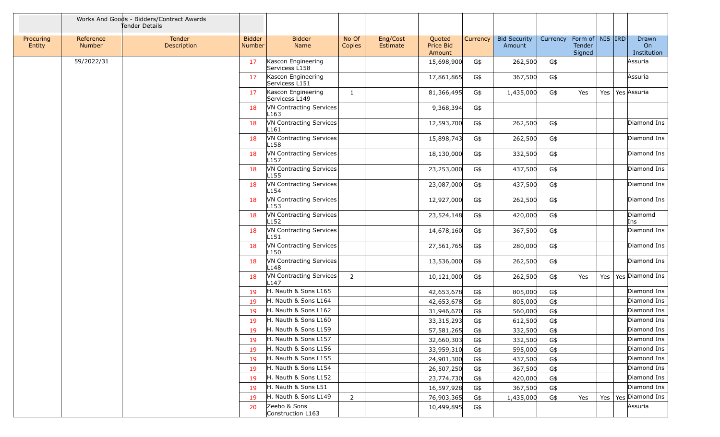|                     |                     | Works And Goods - Bidders/Contract Awards<br>Tender Details |                         |                                                    |                 |                      |                               |          |                               |          |                                         |  |                            |
|---------------------|---------------------|-------------------------------------------------------------|-------------------------|----------------------------------------------------|-----------------|----------------------|-------------------------------|----------|-------------------------------|----------|-----------------------------------------|--|----------------------------|
| Procuring<br>Entity | Reference<br>Number | Tender<br>Description                                       | <b>Bidder</b><br>Number | <b>Bidder</b><br>Name                              | No Of<br>Copies | Eng/Cost<br>Estimate | Quoted<br>Price Bid<br>Amount | Currency | <b>Bid Security</b><br>Amount | Currency | Form of   NIS   IRD<br>Tender<br>Signed |  | Drawn<br>On<br>Institution |
|                     | 59/2022/31          |                                                             | 17                      | Kascon Engineering<br>Servicess L158               |                 |                      | 15,698,900                    | G\$      | 262,500                       | G\$      |                                         |  | Assuria                    |
|                     |                     |                                                             | 17                      | Kascon Engineering<br>Servicess L151               |                 |                      | 17,861,865                    | G\$      | 367,500                       | G\$      |                                         |  | Assuria                    |
|                     |                     |                                                             | 17                      | Kascon Engineering<br>Servicess L149               | 1               |                      | 81,366,495                    | G\$      | 1,435,000                     | G\$      | Yes                                     |  | Yes   Yes   Assuria        |
|                     |                     |                                                             | 18                      | <b>VN Contracting Services</b><br>L163             |                 |                      | 9,368,394                     | G\$      |                               |          |                                         |  |                            |
|                     |                     |                                                             | 18                      | <b>VN Contracting Services</b><br>L161             |                 |                      | 12,593,700                    | G\$      | 262,500                       | G\$      |                                         |  | Diamond Ins                |
|                     |                     |                                                             | 18                      | VN Contracting Services<br>L158                    |                 |                      | 15,898,743                    | G\$      | 262,500                       | G\$      |                                         |  | Diamond Ins                |
|                     |                     |                                                             | 18                      | <b>VN Contracting Services</b><br>L <sub>157</sub> |                 |                      | 18,130,000                    | G\$      | 332,500                       | G\$      |                                         |  | Diamond Ins                |
|                     |                     |                                                             | 18                      | VN Contracting Services<br>L155                    |                 |                      | 23,253,000                    | G\$      | 437,500                       | G\$      |                                         |  | Diamond Ins                |
|                     |                     |                                                             | 18                      | VN Contracting Services<br>L154                    |                 |                      | 23,087,000                    | G\$      | 437,500                       | G\$      |                                         |  | Diamond Ins                |
|                     |                     |                                                             | 18                      | <b>VN Contracting Services</b><br>L153             |                 |                      | 12,927,000                    | G\$      | 262,500                       | G\$      |                                         |  | Diamond Ins                |
|                     |                     |                                                             | 18                      | VN Contracting Services<br>L <sub>152</sub>        |                 |                      | 23,524,148                    | G\$      | 420,000                       | G\$      |                                         |  | Diamomd<br>Ins             |
|                     |                     |                                                             | 18                      | <b>VN Contracting Services</b><br>L <sub>151</sub> |                 |                      | 14,678,160                    | G\$      | 367,500                       | G\$      |                                         |  | Diamond Ins                |
|                     |                     |                                                             | 18                      | VN Contracting Services<br>L150                    |                 |                      | 27,561,765                    | G\$      | 280,000                       | G\$      |                                         |  | Diamond Ins                |
|                     |                     |                                                             | 18                      | VN Contracting Services<br>L148                    |                 |                      | 13,536,000                    | G\$      | 262,500                       | G\$      |                                         |  | Diamond Ins                |
|                     |                     |                                                             | 18                      | VN Contracting Services<br>L147                    | $\overline{2}$  |                      | 10,121,000                    | G\$      | 262,500                       | G\$      | Yes                                     |  | Yes   Yes   Diamond Ins    |
|                     |                     |                                                             | 19                      | H. Nauth & Sons L165                               |                 |                      | 42,653,678                    | G\$      | 805,000                       | G\$      |                                         |  | Diamond Ins                |
|                     |                     |                                                             | 19                      | H. Nauth & Sons L164                               |                 |                      | 42,653,678                    | G\$      | 805,000                       | G\$      |                                         |  | Diamond Ins                |
|                     |                     |                                                             | 19                      | H. Nauth & Sons L162                               |                 |                      | 31,946,670                    | G\$      | 560,000                       | G\$      |                                         |  | Diamond Ins                |
|                     |                     |                                                             | 19                      | H. Nauth & Sons L160                               |                 |                      | 33, 315, 293                  | G\$      | 612,500                       | G\$      |                                         |  | Diamond Ins                |
|                     |                     |                                                             | 19                      | H. Nauth & Sons L159                               |                 |                      | 57,581,265                    | G\$      | 332,500                       | G\$      |                                         |  | Diamond Ins                |
|                     |                     |                                                             | 19                      | H. Nauth & Sons L157                               |                 |                      | 32,660,303                    | G\$      | 332,500                       | G\$      |                                         |  | Diamond Ins                |
|                     |                     |                                                             | 19                      | H. Nauth & Sons L156                               |                 |                      | 33,959,310                    | G\$      | 595,000                       | G\$      |                                         |  | Diamond Ins                |
|                     |                     |                                                             | 19                      | H. Nauth & Sons L155                               |                 |                      | 24,901,300                    | G\$      | 437,500                       | G\$      |                                         |  | Diamond Ins                |
|                     |                     |                                                             | 19                      | H. Nauth & Sons L154                               |                 |                      | 26,507,250                    | G\$      | 367,500                       | G\$      |                                         |  | Diamond Ins                |
|                     |                     |                                                             | 19                      | H. Nauth & Sons L152                               |                 |                      | 23,774,730                    | G\$      | 420,000                       | G\$      |                                         |  | Diamond Ins                |
|                     |                     |                                                             | 19                      | H. Nauth & Sons L51                                |                 |                      | 16,597,928                    | G\$      | 367,500                       | G\$      |                                         |  | Diamond Ins                |
|                     |                     |                                                             | 19                      | H. Nauth & Sons L149                               | $\overline{2}$  |                      | 76,903,365                    | G\$      | 1,435,000                     | G\$      | Yes                                     |  | Yes   Yes   Diamond Ins    |
|                     |                     |                                                             | 20                      | Zeebo & Sons<br>Construction L163                  |                 |                      | 10,499,895                    | G\$      |                               |          |                                         |  | Assuria                    |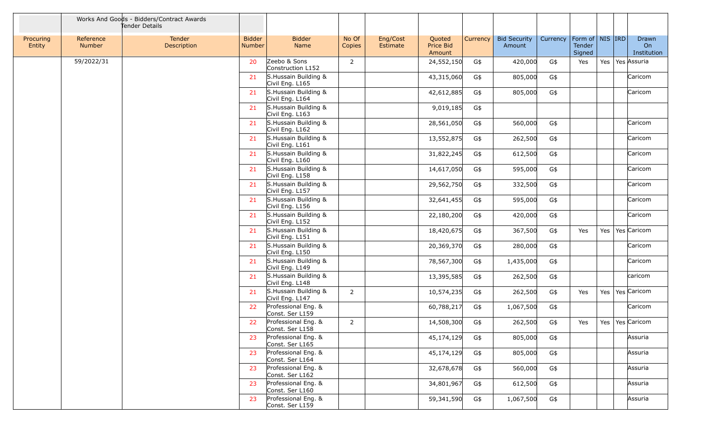|                     |                            | Works And Goods - Bidders/Contract Awards<br>Tender Details |                                |                                          |                 |                      |                               |          |                               |          |                                         |     |                            |
|---------------------|----------------------------|-------------------------------------------------------------|--------------------------------|------------------------------------------|-----------------|----------------------|-------------------------------|----------|-------------------------------|----------|-----------------------------------------|-----|----------------------------|
| Procuring<br>Entity | Reference<br><b>Number</b> | Tender<br>Description                                       | <b>Bidder</b><br><b>Number</b> | <b>Bidder</b><br>Name                    | No Of<br>Copies | Eng/Cost<br>Estimate | Quoted<br>Price Bid<br>Amount | Currency | <b>Bid Security</b><br>Amount | Currency | Form of   NIS   IRD<br>Tender<br>Signed |     | Drawn<br>On<br>Institution |
|                     | 59/2022/31                 |                                                             | 20                             | Zeebo & Sons<br>Construction L152        | $\overline{2}$  |                      | 24,552,150                    | G\$      | 420,000                       | G\$      | Yes                                     | Yes | Yes Assuria                |
|                     |                            |                                                             | 21                             | S.Hussain Building &<br>Civil Eng. L165  |                 |                      | 43,315,060                    | G\$      | 805,000                       | G\$      |                                         |     | Caricom                    |
|                     |                            |                                                             | 21                             | S. Hussain Building &<br>Civil Eng. L164 |                 |                      | 42,612,885                    | G\$      | 805,000                       | G\$      |                                         |     | Caricom                    |
|                     |                            |                                                             | 21                             | S. Hussain Building &<br>Civil Eng. L163 |                 |                      | 9,019,185                     | G\$      |                               |          |                                         |     |                            |
|                     |                            |                                                             | 21                             | S. Hussain Building &<br>Civil Eng. L162 |                 |                      | 28,561,050                    | G\$      | 560,000                       | G\$      |                                         |     | Caricom                    |
|                     |                            |                                                             | 21                             | S. Hussain Building &<br>Civil Eng. L161 |                 |                      | 13,552,875                    | G\$      | 262,500                       | G\$      |                                         |     | Caricom                    |
|                     |                            |                                                             | 21                             | S. Hussain Building &<br>Civil Eng. L160 |                 |                      | 31,822,245                    | G\$      | 612,500                       | G\$      |                                         |     | Caricom                    |
|                     |                            |                                                             | 21                             | S.Hussain Building &<br>Civil Eng. L158  |                 |                      | 14,617,050                    | G\$      | 595,000                       | G\$      |                                         |     | Caricom                    |
|                     |                            |                                                             | 21                             | S. Hussain Building &<br>Civil Eng. L157 |                 |                      | 29,562,750                    | G\$      | 332,500                       | G\$      |                                         |     | Caricom                    |
|                     |                            |                                                             | 21                             | S.Hussain Building &<br>Civil Eng. L156  |                 |                      | 32,641,455                    | G\$      | 595,000                       | G\$      |                                         |     | Caricom                    |
|                     |                            |                                                             | 21                             | S. Hussain Building &<br>Civil Eng. L152 |                 |                      | 22,180,200                    | G\$      | 420,000                       | G\$      |                                         |     | Caricom                    |
|                     |                            |                                                             | 21                             | S. Hussain Building &<br>Civil Eng. L151 |                 |                      | 18,420,675                    | G\$      | 367,500                       | G\$      | Yes                                     | Yes | Yes Caricom                |
|                     |                            |                                                             | 21                             | S. Hussain Building &<br>Civil Eng. L150 |                 |                      | 20,369,370                    | G\$      | 280,000                       | G\$      |                                         |     | Caricom                    |
|                     |                            |                                                             | 21                             | S. Hussain Building &<br>Civil Eng. L149 |                 |                      | 78,567,300                    | G\$      | 1,435,000                     | G\$      |                                         |     | Caricom                    |
|                     |                            |                                                             | 21                             | S. Hussain Building &<br>Civil Eng. L148 |                 |                      | 13,395,585                    | G\$      | 262,500                       | G\$      |                                         |     | caricom                    |
|                     |                            |                                                             | 21                             | S. Hussain Building &<br>Civil Eng. L147 | $\overline{2}$  |                      | 10,574,235                    | G\$      | 262,500                       | G\$      | Yes                                     | Yes | Yes Caricom                |
|                     |                            |                                                             | 22                             | Professional Eng. &<br>Const. Ser L159   |                 |                      | 60,788,217                    | G\$      | 1,067,500                     | G\$      |                                         |     | Caricom                    |
|                     |                            |                                                             | 22                             | Professional Eng. &<br>Const. Ser L158   | $\overline{2}$  |                      | 14,508,300                    | G\$      | 262,500                       | G\$      | Yes                                     | Yes | Yes Caricom                |
|                     |                            |                                                             | 23                             | Professional Eng. &<br>Const. Ser L165   |                 |                      | 45,174,129                    | G\$      | 805,000                       | G\$      |                                         |     | Assuria                    |
|                     |                            |                                                             | 23                             | Professional Eng. &<br>Const. Ser L164   |                 |                      | 45,174,129                    | G\$      | 805,000                       | G\$      |                                         |     | Assuria                    |
|                     |                            |                                                             | 23                             | Professional Eng. &<br>Const. Ser L162   |                 |                      | 32,678,678                    | G\$      | 560,000                       | G\$      |                                         |     | Assuria                    |
|                     |                            |                                                             | 23                             | Professional Eng. &<br>Const. Ser L160   |                 |                      | 34,801,967                    | G\$      | 612,500                       | G\$      |                                         |     | Assuria                    |
|                     |                            |                                                             | 23                             | Professional Eng. &<br>Const. Ser L159   |                 |                      | 59,341,590                    | G\$      | 1,067,500                     | G\$      |                                         |     | Assuria                    |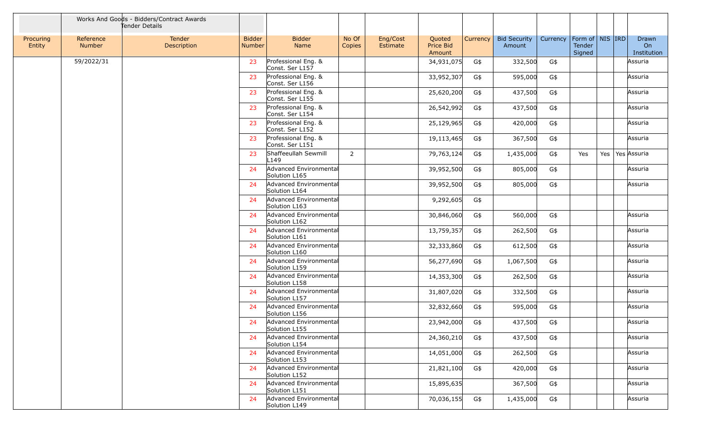|                     |                            | Works And Goods - Bidders/Contract Awards<br>Tender Details |                                |                                          |                 |                      |                                      |          |                               |          |                                         |     |                            |
|---------------------|----------------------------|-------------------------------------------------------------|--------------------------------|------------------------------------------|-----------------|----------------------|--------------------------------------|----------|-------------------------------|----------|-----------------------------------------|-----|----------------------------|
| Procuring<br>Entity | Reference<br><b>Number</b> | Tender<br>Description                                       | <b>Bidder</b><br><b>Number</b> | <b>Bidder</b><br><b>Name</b>             | No Of<br>Copies | Eng/Cost<br>Estimate | Quoted<br><b>Price Bid</b><br>Amount | Currency | <b>Bid Security</b><br>Amount | Currency | Form of   NIS   IRD<br>Tender<br>Signed |     | Drawn<br>On<br>Institution |
|                     | 59/2022/31                 |                                                             | 23                             | Professional Eng. &<br>Const. Ser L157   |                 |                      | 34,931,075                           | G\$      | 332,500                       | G\$      |                                         |     | Assuria                    |
|                     |                            |                                                             | 23                             | Professional Eng. &<br>Const. Ser L156   |                 |                      | 33,952,307                           | G\$      | 595,000                       | G\$      |                                         |     | Assuria                    |
|                     |                            |                                                             | 23                             | Professional Eng. &<br>Const. Ser L155   |                 |                      | 25,620,200                           | G\$      | 437,500                       | G\$      |                                         |     | Assuria                    |
|                     |                            |                                                             | 23                             | Professional Eng. &<br>Const. Ser L154   |                 |                      | 26,542,992                           | G\$      | 437,500                       | G\$      |                                         |     | Assuria                    |
|                     |                            |                                                             | 23                             | Professional Eng. &<br>Const. Ser L152   |                 |                      | 25,129,965                           | G\$      | 420,000                       | G\$      |                                         |     | Assuria                    |
|                     |                            |                                                             | 23                             | Professional Eng. &<br>Const. Ser L151   |                 |                      | 19,113,465                           | G\$      | 367,500                       | G\$      |                                         |     | Assuria                    |
|                     |                            |                                                             | 23                             | Shaffeeullah Sewmill<br>L <sub>149</sub> | $\overline{2}$  |                      | 79,763,124                           | G\$      | 1,435,000                     | G\$      | Yes                                     | Yes | Yes Assuria                |
|                     |                            |                                                             | 24                             | Advanced Environmental<br>Solution L165  |                 |                      | 39,952,500                           | G\$      | 805,000                       | G\$      |                                         |     | Assuria                    |
|                     |                            |                                                             | 24                             | Advanced Environmental<br>Solution L164  |                 |                      | 39,952,500                           | G\$      | 805,000                       | G\$      |                                         |     | Assuria                    |
|                     |                            |                                                             | 24                             | Advanced Environmental<br>Solution L163  |                 |                      | 9,292,605                            | G\$      |                               |          |                                         |     |                            |
|                     |                            |                                                             | 24                             | Advanced Environmental<br>Solution L162  |                 |                      | 30,846,060                           | G\$      | 560,000                       | G\$      |                                         |     | Assuria                    |
|                     |                            |                                                             | 24                             | Advanced Environmental<br>Solution L161  |                 |                      | 13,759,357                           | G\$      | 262,500                       | G\$      |                                         |     | Assuria                    |
|                     |                            |                                                             | 24                             | Advanced Environmental<br>Solution L160  |                 |                      | 32,333,860                           | G\$      | 612,500                       | G\$      |                                         |     | Assuria                    |
|                     |                            |                                                             | 24                             | Advanced Environmental<br>Solution L159  |                 |                      | 56,277,690                           | G\$      | 1,067,500                     | G\$      |                                         |     | Assuria                    |
|                     |                            |                                                             | 24                             | Advanced Environmental<br>Solution L158  |                 |                      | 14,353,300                           | G\$      | 262,500                       | G\$      |                                         |     | Assuria                    |
|                     |                            |                                                             | 24                             | Advanced Environmental<br>Solution L157  |                 |                      | 31,807,020                           | G\$      | 332,500                       | G\$      |                                         |     | Assuria                    |
|                     |                            |                                                             | 24                             | Advanced Environmental<br>Solution L156  |                 |                      | 32,832,660                           | G\$      | 595,000                       | G\$      |                                         |     | Assuria                    |
|                     |                            |                                                             | 24                             | Advanced Environmental<br>Solution L155  |                 |                      | 23,942,000                           | G\$      | 437,500                       | G\$      |                                         |     | Assuria                    |
|                     |                            |                                                             | 24                             | Advanced Environmental<br>Solution L154  |                 |                      | 24,360,210                           | G\$      | 437,500                       | G\$      |                                         |     | Assuria                    |
|                     |                            |                                                             | 24                             | Advanced Environmental<br>Solution L153  |                 |                      | 14,051,000                           | G\$      | 262,500                       | G\$      |                                         |     | Assuria                    |
|                     |                            |                                                             | 24                             | Advanced Environmental<br>Solution L152  |                 |                      | 21,821,100                           | G\$      | 420,000                       | G\$      |                                         |     | Assuria                    |
|                     |                            |                                                             | 24                             | Advanced Environmental<br>Solution L151  |                 |                      | 15,895,635                           |          | 367,500                       | G\$      |                                         |     | Assuria                    |
|                     |                            |                                                             | 24                             | Advanced Environmental<br>Solution L149  |                 |                      | 70,036,155                           | G\$      | 1,435,000                     | G\$      |                                         |     | Assuria                    |